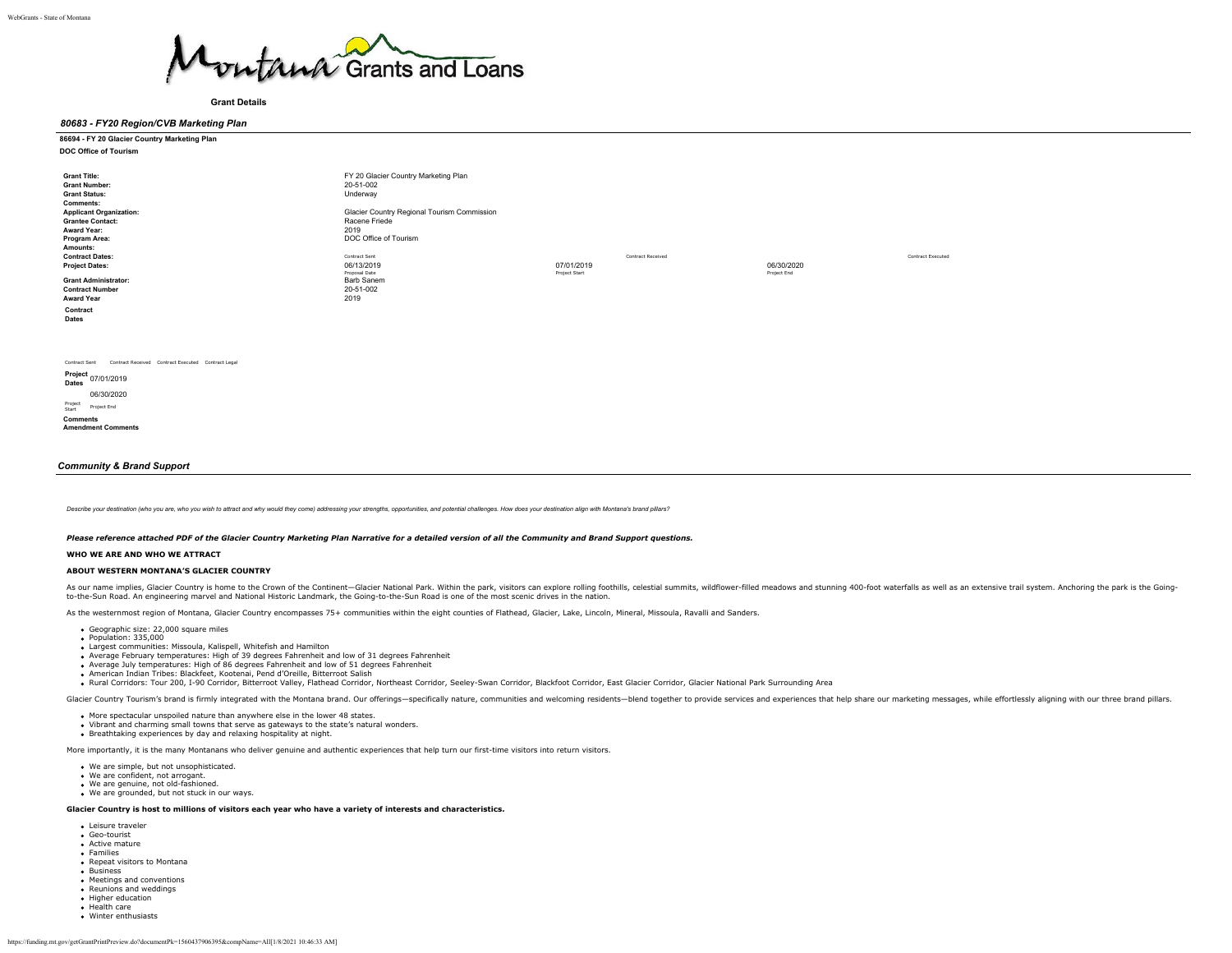

### **Grant Details**

### *80683 - FY20 Region/CVB Marketing Plan*

### **86694 - FY 20 Glacier Country Marketing Plan DOC Office of Tourism**

| <b>Grant Title:</b>            | FY 20 Glacier Country Marketing Plan        |               |                   |             |                   |
|--------------------------------|---------------------------------------------|---------------|-------------------|-------------|-------------------|
| <b>Grant Number:</b>           | 20-51-002                                   |               |                   |             |                   |
|                                |                                             |               |                   |             |                   |
| <b>Grant Status:</b>           | Underway                                    |               |                   |             |                   |
| Comments:                      |                                             |               |                   |             |                   |
| <b>Applicant Organization:</b> | Glacier Country Regional Tourism Commission |               |                   |             |                   |
| <b>Grantee Contact:</b>        | Racene Friede                               |               |                   |             |                   |
| Award Year:                    | 2019                                        |               |                   |             |                   |
| Program Area:                  | DOC Office of Tourism                       |               |                   |             |                   |
| Amounts:                       |                                             |               |                   |             |                   |
|                                |                                             |               |                   |             |                   |
| <b>Contract Dates:</b>         | Contract Sent                               |               | Contract Received |             | Contract Executed |
| <b>Project Dates:</b>          | 06/13/2019                                  | 07/01/2019    |                   | 06/30/2020  |                   |
|                                | Proposal Date                               | Project Start |                   | Project End |                   |
| <b>Grant Administrator:</b>    | <b>Barb Sanem</b>                           |               |                   |             |                   |
| <b>Contract Number</b>         | 20-51-002                                   |               |                   |             |                   |
| <b>Award Year</b>              | 2019                                        |               |                   |             |                   |
| Contract                       |                                             |               |                   |             |                   |
| Dates                          |                                             |               |                   |             |                   |
|                                |                                             |               |                   |             |                   |
|                                |                                             |               |                   |             |                   |
|                                |                                             |               |                   |             |                   |
|                                |                                             |               |                   |             |                   |

Contract Sent Contract Received Contract Executed Contract Legal

**Project Dates** 07/01/2019 06/30/2020

Project Start Project End **Comments**

**Amendment Comments**

### *Community & Brand Support*

Describe your destination (who you are who you wish to attract and why would they come) addressing your strengths, opportunities, and potential challenges. How does your destination align with Montana's brand pillars?

*Please reference attached PDF of the Glacier Country Marketing Plan Narrative for a detailed version of all the Community and Brand Support questions.*

### **WHO WE ARE AND WHO WE ATTRACT**

### **ABOUT WESTERN MONTANA'S GLACIER COUNTRY**

As our name implies, Glacier Country is home to the Crown of the Continent-Glacier National Park. Within the park, visitors can explore rolling foothills, celestial summits, wildflower-filled meadows and stunning 400-foot to-the-Sun Road. An engineering marvel and National Historic Landmark, the Going-to-the-Sun Road is one of the most scenic drives in the nation.

As the westernmost region of Montana, Glacier Country encompasses 75+ communities within the eight counties of Flathead, Glacier, Lake, Lincoln, Mineral, Missoula, Ravalli and Sanders.

- Geographic size: 22,000 square miles
- Population: 335,000
- Largest communities: Missoula, Kalispell, Whitefish and Hamilton
- Average February temperatures: High of 39 degrees Fahrenheit and low of 31 degrees Fahrenheit
- Average July temperatures: High of 86 degrees Fahrenheit and low of 51 degrees Fahrenheit
- American Indian Tribes: Blackfeet, Kootenai, Pend d'Oreille, Bitterroot Salish
- . Rural Corridors: Tour 200, I-90 Corridor, Bitterroot Valley, Flathead Corridor, Northeast Corridor, Seeley-Swan Corridor, Blackfoot Corridor, East Glacier Corridor, Glacier National Park Surrounding Area

Glacier Country Tourism's brand is firmly integrated with the Montana brand. Our offerings-specifically nature, communities and welcoming residents-blend together to provide services and experiences that help share our mar

- 
- More spectacular unspoiled nature than anywhere else in the lower 48 states. Vibrant and charming small towns that serve as gateways to the state's natural wonders.
- Breathtaking experiences by day and relaxing hospitality at night.

More importantly, it is the many Montanans who deliver genuine and authentic experiences that help turn our first-time visitors into return visitors.

- We are simple, but not unsophisticated.
- We are confident, not arrogant.
- We are genuine, not old-fashioned. We are grounded, but not stuck in our ways.

### **Glacier Country is host to millions of visitors each year who have a variety of interests and characteristics.**

- Leisure traveler
- Geo-tourist Active mature
- **Families**
- Repeat visitors to Montana
- Business
- Meetings and conventions
- Reunions and weddings
- Higher education Health care
- **Winter enthusiasts**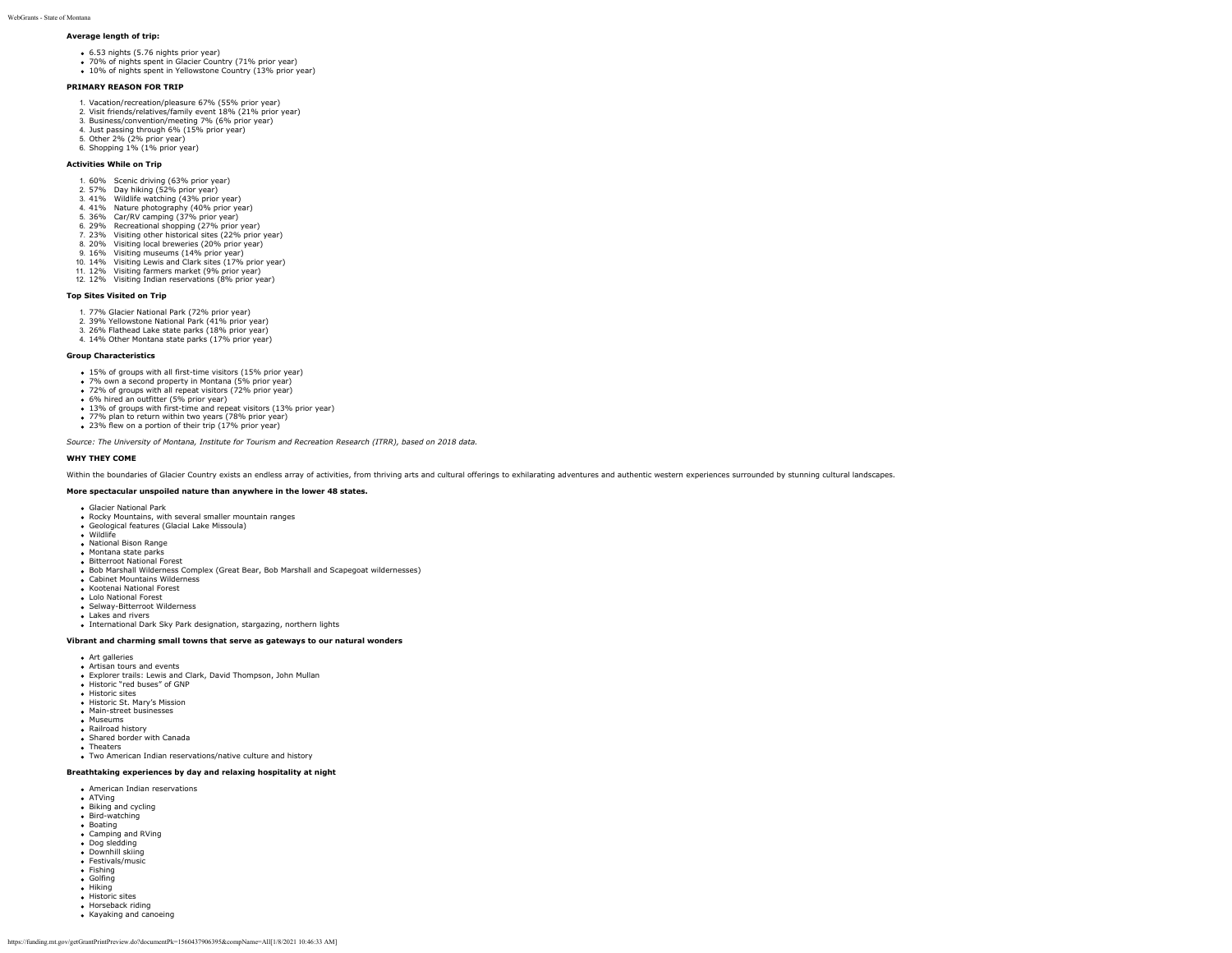# **Average length of trip:**

- 6.53 nights (5.76 nights prior year)
- 70% of nights spent in Glacier Country (71% prior year)
- 10% of nights spent in Silence Country (11% prior year)

### **PRIMARY REASON FOR TRIP**

- 1. Vacation/recreation/pleasure 67% (55% prior year)
- 2. Visit friends/relatives/family event 18% (21% prior year) 3. Business/convention/meeting 7% (6% prior year)
- 4. Just passing through 6% (15% prior year)
- 5. Other 2% (2% prior year)
- 6. Shopping 1% (1% prior year)

### **Activities While on Trip**

- 1. 60% Scenic driving (63% prior year)
- 2. 57% Day hiking (52% prior year)
- 3. 41% Wildlife watching (43% prior year) 4. 41% Nature photography (40% prior year)
- 5. 36% Car/RV camping (37% prior year)
- 6. 29% Recreational shopping (27% prior year)
- 7. 23% Visiting other historical sites (22% prior year)
- 8. 20% Visiting local breweries (20% prior year)
- 9. 16% Visiting museums (14% prior year)
- 
- 10. 14% Visiting Lewis and Clark sites (17% prior year) 11. 12% Visiting farmers market (9% prior year)
- 12. 12% Visiting Indian reservations (8% prior year)

### **Top Sites Visited on Trip**

- 1. 77% Glacier National Park (72% prior year)
- 2. 39% Yellowstone National Park (41% prior year)
- 3. 26% Flathead Lake state parks (18% prior year)
- 4. 14% Other Montana state parks (17% prior year)

### **Group Characteristics**

- 15% of groups with all first-time visitors (15% prior year)
- 7% own a second property in Montana (5% prior year)
- 72% of groups with all repeat visitors (72% prior year)
- 6% hired an outfitter (5% prior year)
- 13% of groups with first-time and repeat visitors (13% prior year)
- 77% plan to return within two years (78% prior year) 23% flew on a portion of their trip (17% prior year)
- 

*Source: The University of Montana, Institute for Tourism and Recreation Research (ITRR), based on 2018 data.*

### **WHY THEY COME**

Within the boundaries of Glacier Country exists an endless array of activities, from thriving arts and cultural offerings to exhilarating adventures and authentic western experiences surrounded by stunning cultural landsca

### **More spectacular unspoiled nature than anywhere in the lower 48 states.**

- Glacier National Park
- Rocky Mountains, with several smaller mountain ranges
- Geological features (Glacial Lake Missoula) Wildlife
- National Bison Range
- Montana state parks
- **Bitterroot National Forest**
- Bob Marshall Wilderness Complex (Great Bear, Bob Marshall and Scapegoat wildernesses)
- Cabinet Mountains Wilderness
- Kootenai National Forest
- Lolo National Forest
- Selway-Bitterroot Wilderness
- Lakes and rivers
- International Dark Sky Park designation, stargazing, northern lights

### **Vibrant and charming small towns that serve as gateways to our natural wonders**

- Art galleries
- Artisan tours and events
- Explorer trails: Lewis and Clark, David Thompson, John Mullan
- Historic "red buses" of GNP
- Historic sites
- 
- 
- 
- Railroad history
- Theaters
- Two American Indian reservations/native culture and history

### **Breathtaking experiences by day and relaxing hospitality at night**

- American Indian reservations
- $ATVing$
- **Biking and cycling**
- Bird-watching
- Boating
- Camping and RVing
- Dog sledding Downhill skiing
- Festivals/music
- Fishing
- **Golfing**
- Hiking
- **Historic sites**
- **Horseback riding**
- Kayaking and canoeing

# • Historic St. Mary's Mission

- 
- Main-street businesses
- · Museums
- Shared border with Canada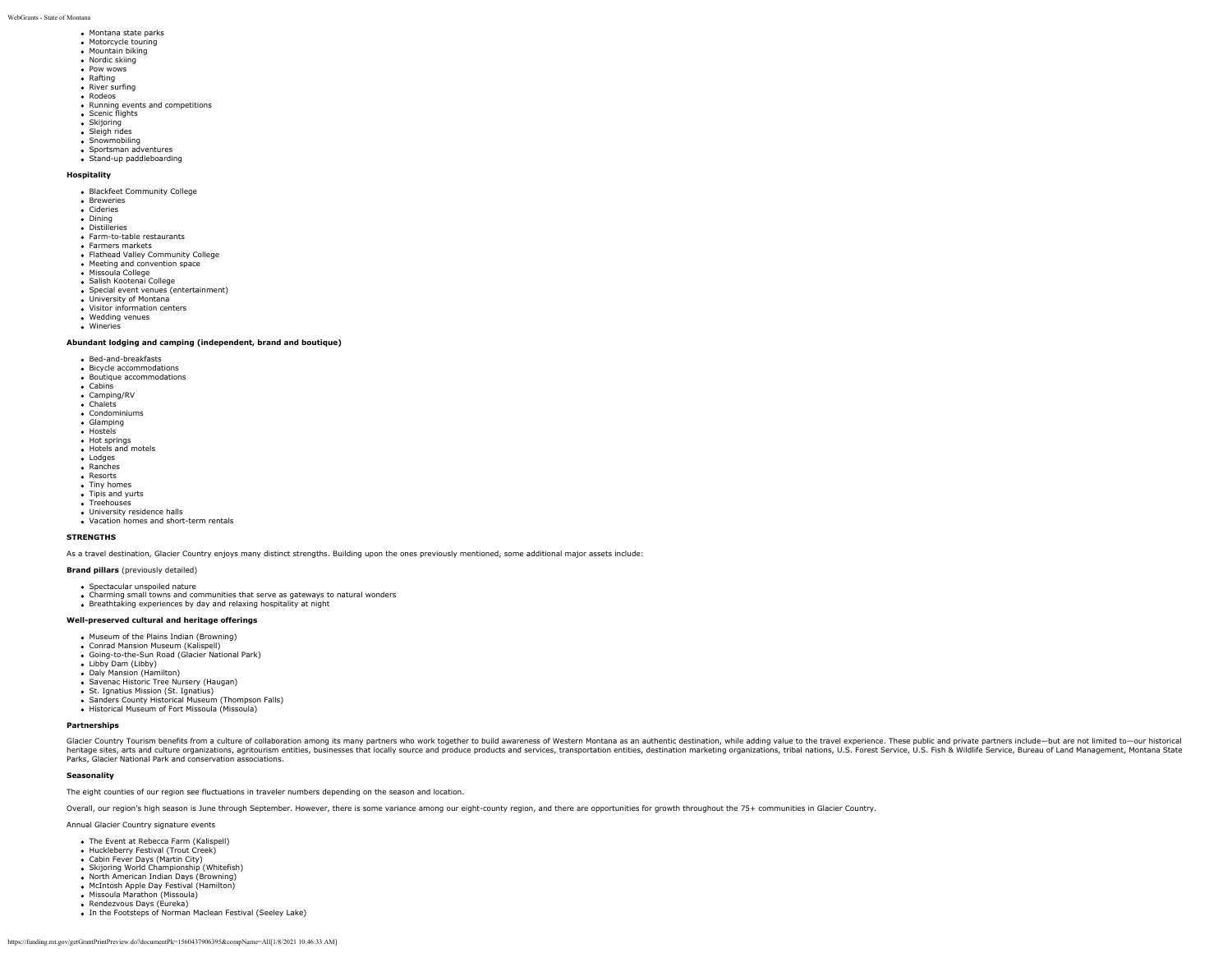- Montana state parks • Motorcycle touring
- 
- Mountain biking
- Nordic skiing • Pow wows
- Rafting
- **River surfing**
- Rodeos
- Running events and competitions
- Scenic flights
- Skijoring Sleigh rides
- 
- Snowmobiling
- Sportsman adventures Stand-up paddleboarding
- 

# **Hospitality**

- Blackfeet Community College
- Breweries
- Cideries • Dining
- **Dictilleries**
- Farm-to-table restaurants
- **Farmers markets**
- Flathead Valley Community College • Meeting and convention space
- Missoula College
- 
- Salish Kootenai College Special event venues (entertainment)
- University of Montana
- Visitor information centers
- Wedding venues Wineries

# **Abundant lodging and camping (independent, brand and boutique)**

- Bed-and-breakfasts
- Bicycle accommodations
- Boutique accommodations
- Cabins
- Camping/RV . Chalets
- Condominiums
- Glamping
- Hostels
- **Hot springs**
- Hotels and motels
- Lodges
- Ranches
- Resorts
- Tiny homes
- Tipis and yurts Treehouses
- Hechodses<br>• University residence halls
- Vacation homes and short-term rentals

#### **STRENGTHS**

As a travel destination, Glacier Country enjoys many distinct strengths. Building upon the ones previously mentioned, some additional major assets include:

### **Brand pillars** (previously detailed)

- 
- Spectacular unspoiled nature Charming small towns and communities that serve as gateways to natural wonders
- Breathtaking experiences by day and relaxing hospitality at night

### **Well-preserved cultural and heritage offerings**

- Museum of the Plains Indian (Browning)
- Conrad Mansion Museum (Kalispell)
- Going-to-the-Sun Road (Glacier National Park)
- Libby Dam (Libby)
- Daly Mansion (Hamilton)
- Savenac Historic Tree Nursery (Haugan)
- St. Ignatius Mission (St. Ignatius) • Sanders County Historical Museum (Thompson Falls)
- Historical Museum of Fort Missoula (Missoula)

#### **Partnerships**

Glacier Country Tourism Dene fits man and the off of laboration among its many partners who work together to build awareness of Western Montana as an authemator, while adding value to the travel experience, the subseque in Parks, Glacier National Park and conservation associations.

### **Seasonality**

The eight counties of our region see fluctuations in traveler numbers depending on the season and location.

Overall, our region's high season is June through September. However, there is some variance among our eight-county region, and there are opportunities for growth throughout the 75+ communities in Glacier Country.

Annual Glacier Country signature events

- The Event at Rebecca Farm (Kalispell)
- Huckleberry Festival (Trout Creek)
- Cabin Fever Days (Martin City)
- Skijoring World Championship (Whitefish)
- North American Indian Days (Browning)
- McIntosh Apple Day Festival (Hamilton) Missoula Marathon (Missoula)
- Rendezvous Days (Eureka)
- In the Footsteps of Norman Maclean Festival (Seeley Lake)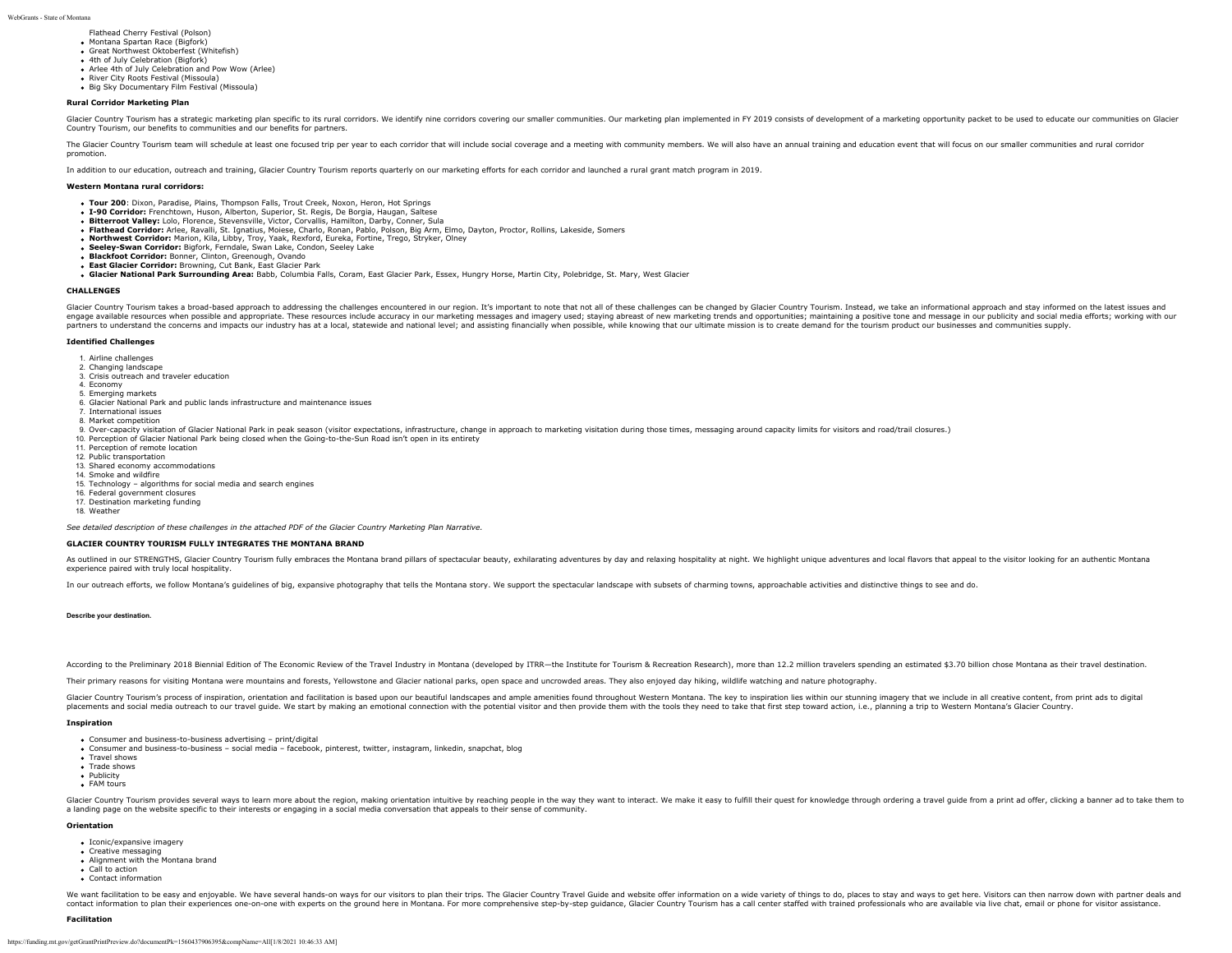Flathead Cherry Festival (Polson)

- Montana Spartan Race (Bigfork) Great Northwest Oktoberfest (Whitefish)
- 4th of July Celebration (Bigfork)
- Arlee 4th of July Celebration and Pow Wow (Arlee)
- River City Roots Festival (Missoula)
- Big Sky Documentary Film Festival (Missoula)

### **Rural Corridor Marketing Plan**

Glacier Country Tourism has a strategic marketing plan specific to its rural corridors. We identify nine corridors covering our smaller communities. Our marketing plan implemented in FY 2019 consists of development of a ma Country Tourism, our benefits to communities and our benefits for partners.

The Glacier Country Tourism team will schedule at least one focused trip per year to each corridor that will include social coverage and a meeting with community members. We will also have an annual training and education promotion.

In addition to our education, outreach and training, Glacier Country Tourism reports quarterly on our marketing efforts for each corridor and launched a rural grant match program in 2019.

#### **Western Montana rural corridors:**

- **Tour 200**: Dixon, Paradise, Plains, Thompson Falls, Trout Creek, Noxon, Heron, Hot Springs
- **I-90 Corridor:** Frenchtown, Huson, Alberton, Superior, St. Regis, De Borgia, Haugan, Saltese
- **Bitterroot Valley:** Lolo, Florence, Stevensville, Victor, Corvallis, Hamilton, Darby, Conner, Sula
- **Flathead Corridor:** Arlee, Ravalli, St. Ignatius, Moiese, Charlo, Ronan, Pablo, Polson, Big Arm, Elmo, Dayton, Proctor, Rollins, Lakeside, Somers
- **Northwest Corridor:** Marion, Kila, Libby, Troy, Yaak, Rexford, Eureka, Fortine, Trego, Stryker, Olney
- **Seeley-Swan Corridor:** Bigfork, Ferndale, Swan Lake, Condon, Seeley Lake
- **Blackfoot Corridor:** Bonner, Clinton, Greenough, Ovando
- **East Glacier Corridor:** Browning, Cut Bank, East Glacier Park
- **Glacier National Park Surrounding Area:** Babb, Columbia Falls, Coram, East Glacier Park, Essex, Hungry Horse, Martin City, Polebridge, St. Mary, West Glacier

#### **CHALLENGES**

Glacier Country Tourism takes a broad-based approach to addressing the challenges encountered in our region. It's important to note that not all of these challenges can be changed by Glacier Country Tourism. Instead, we ta engage available resources when possible and appropriate. These resources include accuracy in our marketing messages and imagery used; staying abreast of new marketing trends and opportunities; maintaining a positive tone partners to understand the concerns and impacts our industry has at a local, statewide and national level; and assisting financially when possible, while knowing that our ultimate mission is to create demand for the touris

#### **Identified Challenges**

- 1. Airline challenges
- 2. Changing landscape
- 3. Crisis outreach and traveler education
- 4. Economy
- 5. Emerging markets
- 6. Glacier National Park and public lands infrastructure and maintenance issues 7. International issues
- 8. Market competition
- 
- 9. Over-capacity visitation of Glacier National Park in peak season (visitor expectations, infrastructure, change in approach to marketing visitation during those times, messaging around capacity limits for visitors and ro
- 10. Perception of Glacier National Park being closed when the Going-to-the-Sun Road isn't open in its entirety
- 11. Perception of remote location
- 12. Public transportation 13. Shared economy accommodations
- 14. Smoke and wildfire
- 15. Technology algorithms for social media and search engines
- 16. Federal government closures
- 17. Destination marketing funding

18. Weather

*See detailed description of these challenges in the attached PDF of the Glacier Country Marketing Plan Narrative.*

### **GLACIER COUNTRY TOURISM FULLY INTEGRATES THE MONTANA BRAND**

As outlined in our STRENGTHS, Glacier Country Tourism fully embraces the Montana brand pillars of spectacular beauty, exhilarating adventures by day and relaxing hospitality at night. We highlight unique adventures and loc experience paired with truly local hospitality.

In our outreach efforts, we follow Montana's quidelines of big, expansive photography that tells the Montana story. We support the spectacular landscape with subsets of charming towns, approachable activities and distincti

### **Describe your destination.**

According to the Preliminary 2018 Biennial Edition of The Economic Review of the Travel Industry in Montana (developed by ITRR-the Institute for Tourism & Recreation Research), more than 12.2 million travelers spending an

Their primary reasons for visiting Montana were mountains and forests, Yellowstone and Glacier national parks, open space and uncrowded areas. They also enjoyed day hiking, wildlife watching and nature photography.

Glacier Country Tourism's process of inspiration, orientation and facilitation is based upon our beautiful landscapes and ample amenities found throughout Western Montana. The key to inspiration lies within our stunning im placements and social media outreach to our travel guide. We start by making an emotional connection with the potential visitor and then provide them with the tools they need to take that first step toward action, i.e., pl

#### **Inspiration**

- Consumer and business-to-business advertising print/digital
- Consumer and business-to-business social media facebook, pinterest, twitter, instagram, linkedin, snapchat, blog
- Travel shows **Trade shows**
- Publicity
- FAM tours

Glacier Country Tourism provides several ways to learn more about the region, making orientation intuitive by reaching people in the way they want to interact. We make it easy to fulfill their quest for knowledge through o a landing page on the website specific to their interests or engaging in a social media conversation that appeals to their sense of community.

### **Orientation**

- Iconic/expansive imagery
- Creative messaging
- Alignment with the Montana brand
- Call to action Contact information

We want facilitation to be easy and enjoyable. We have several hands-on ways for our visitors to plan their trips. The Glacier Country Travel Guide and website offer information on a wide variety of things to do, places to contact information to plan their experiences one-on-one with experts on the ground here in Montana. For more comprehensive step-by-step guidance, Glacier Country Tourism has a call center staffed with trained professional

#### **Facilitation**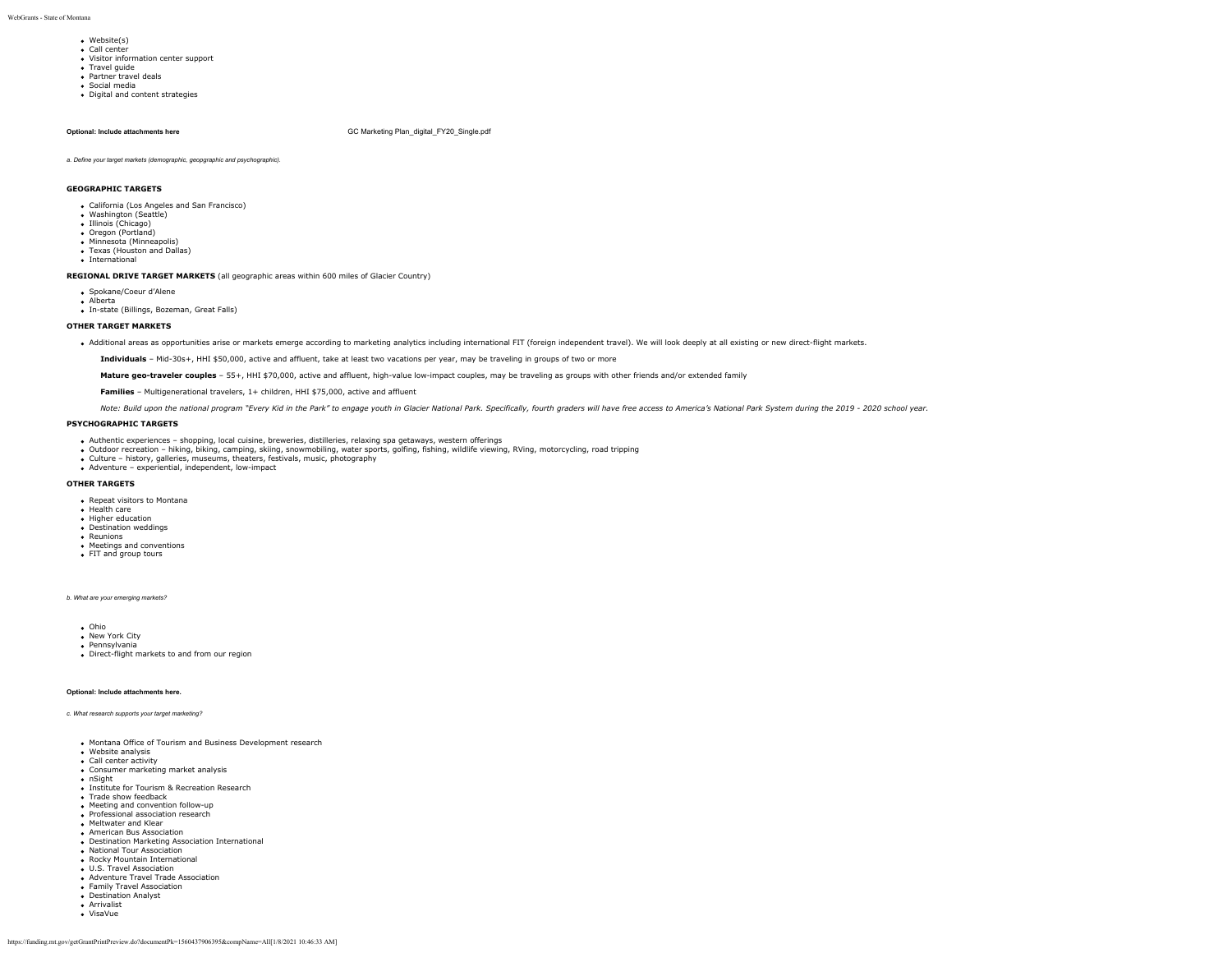- Website(s)
- Call center Visitor information center support
- Travel guide
- Partner travel deals
- Social media
- Digital and content strategies

**Optional: Include attachments here GC Marketing Plan** digital FY20 Single.pdf

*a. Define your target markets (demographic, geopgraphic and psychographic).*

### **GEOGRAPHIC TARGETS**

- California (Los Angeles and San Francisco)
- Washington (Seattle) • Illinois (Chicago)
- Oregon (Portland)
- Minnesota (Minneapolis)
- Texas (Houston and Dallas)
- International

**REGIONAL DRIVE TARGET MARKETS** (all geographic areas within 600 miles of Glacier Country)

- Spokane/Coeur d'Alene
- Alberta
- In-state (Billings, Bozeman, Great Falls)

### **OTHER TARGET MARKETS**

. Additional areas as opportunities arise or markets emerge according to marketing analytics including international FIT (foreign independent travel). We will look deeply at all existing or new direct-flight markets.

**Individuals** – Mid-30s+, HHI \$50,000, active and affluent, take at least two vacations per year, may be traveling in groups of two or more

Mature geo-traveler couples - 55+, HHI \$70,000, active and affluent, high-value low-impact couples, may be traveling as groups with other friends and/or extended family

**Families** – Multigenerational travelers, 1+ children, HHI \$75,000, active and affluent

Note: Build upon the national program "Every Kid in the Park" to engage youth in Glacier National Park. Specifically, fourth graders will have free access to America's National Park System during the 2019 - 2020 school yea

### **PSYCHOGRAPHIC TARGETS**

- Authentic experiences shopping, local cuisine, breweries, distilleries, relaxing spa getaways, western offerings
- Outdoor recreation hiking, biking, camping, skiing, snowmobiling, water sports, golfing, fishing, wildlife viewing, RVing, motorcycling, road tripping<br>Culture history, galleries, museums, theaters, festivals, music, ph
- Adventure experiential, independent, low-impact
- 

### **OTHER TARGETS**

- Repeat visitors to Montana
- **Health care**
- Higher education • Destination weddings
- Reunions
- Meetings and conventions
- **FIT and group tours**

*b. What are your emerging markets?*

- Ohio
- New York City · Pennsylvania
- Direct-flight markets to and from our region
- 

### **Optional: Include attachments here.**

#### *c. What research supports your target marketing?*

- Montana Office of Tourism and Business Development research
- Website analysis
- Call center activity • Consumer marketing market analysis
- nSight
- **Institute for Tourism & Recreation Research**
- Trade show feedback
- Meeting and convention follow-up
- **Professional association research**
- Meltwater and Klear
- American Bus Association
- Destination Marketing Association International
- National Tour Association
- Rocky Mountain International
- 
- U.S. Travel Association Adventure Travel Trade Association
- Family Travel Association
- Destination Analyst
- Arrivalist
- VisaVue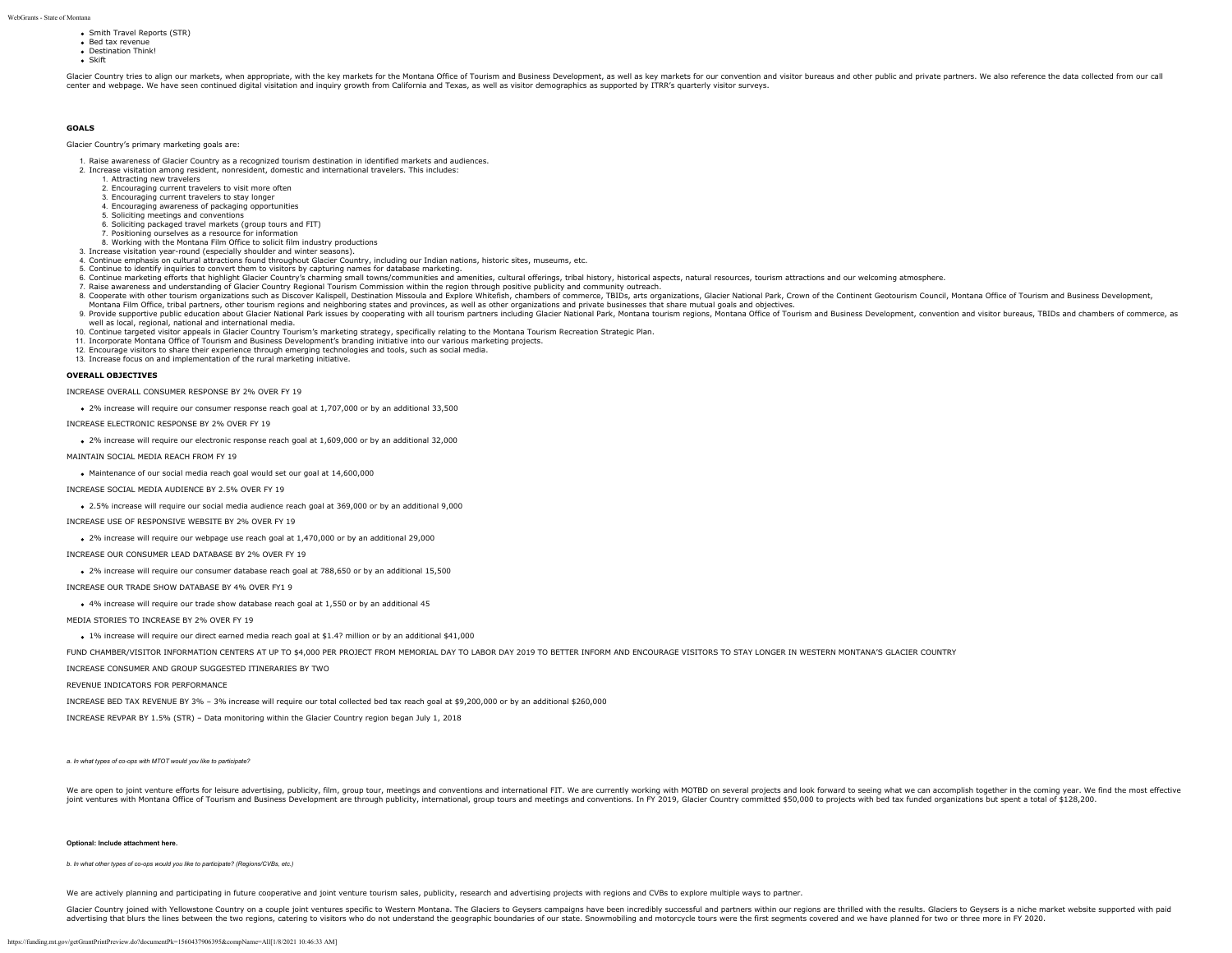- Smith Travel Reports (STR)
	- Bed tax revenue • Destination Think!
	- Skift

Glacier Country tries to align our markets, when appropriate, with the key markets for the Montana Office of Tourism and Business Development, as well as key markets for our convention and visitor bureaus and other public center and webpage. We have seen continued digital visitation and inquiry growth from California and Texas, as well as visitor demographics as supported by ITRR's quarterly visitor surveys.

### **GOALS**

#### Glacier Country's primary marketing goals are:

- 1. Raise awareness of Glacier Country as a recognized tourism destination in identified markets and audiences.
- 2. Increase visitation among resident, nonresident, domestic and international travelers. This includes:
	- 1. Attracting new travelers
	- 2. Encouraging current travelers to visit more often 3. Encouraging current travelers to stay longer
	- 4. Encouraging awareness of packaging opportunities
	- 5. Soliciting meetings and conventions
	- 6. Soliciting packaged travel markets (group tours and FIT)
	- 7. Positioning ourselves as a resource for information
- 8. Working with the Montana Film Office to solicit film industry productions
- 3. Increase visitation year-round (especially shoulder and winter seasons).
- 4. Continue emphasis on cultural attractions found throughout Glacier Country, including our Indian nations, historic sites, museums, etc.
- 5. Continue to identify inquiries to convert them to visitors by capturing names for database marketing.
- 6. Continue marketing efforts that highlight Glacier Country's charming small towns/communities and amenities, cultural offerings, tribal history, historical aspects, natural resources, tourism attractions and our welcomin
- 
- r. Raise and the the the transformation of the county response to the comment of the comment of the Comment of the Comment and Explore Whitefish, chambers of commerce, TBIDs, arts organizations, Glacier National Park, Crow Montana Film Office, tribal partners, other tourism regions and neighboring states and provinces, as well as other organizations and private businesses that share mutual goals and objectives.
- 9. Provide supportive public education about Glacier National Park issues by cooperating with all tourism partners including Glacier National Park, Montana tourism regions, Montana Office of Tourism and Business Developmen well as local, regional, national and international media.
- 10. Continue targeted visitor appeals in Glacier Country Tourism's marketing strategy, specifically relating to the Montana Tourism Recreation Strategic Plan.
- 11. Incorporate Montana Office of Tourism and Business Development's branding initiative into our various marketing projects.<br>12. Encourage visitors to share their experience through emerging technologies and tools, such a
- 
- 13. Increase focus on and implementation of the rural marketing initiative.

### **OVERALL OBJECTIVES**

INCREASE OVERALL CONSUMER RESPONSE BY 2% OVER FY 19

2% increase will require our consumer response reach goal at 1,707,000 or by an additional 33,500

INCREASE ELECTRONIC RESPONSE BY 2% OVER FY 19

2% increase will require our electronic response reach goal at 1,609,000 or by an additional 32,000

MAINTAIN SOCIAL MEDIA REACH FROM FY 19

Maintenance of our social media reach goal would set our goal at 14,600,000

INCREASE SOCIAL MEDIA AUDIENCE BY 2.5% OVER FY 19

2.5% increase will require our social media audience reach goal at 369,000 or by an additional 9,000

INCREASE USE OF RESPONSIVE WEBSITE BY 2% OVER FY 19

2% increase will require our webpage use reach goal at 1,470,000 or by an additional 29,000

INCREASE OUR CONSUMER LEAD DATABASE BY 2% OVER FY 19

2% increase will require our consumer database reach goal at 788,650 or by an additional 15,500

INCREASE OUR TRADE SHOW DATABASE BY 4% OVER FY1 9

4% increase will require our trade show database reach goal at 1,550 or by an additional 45

MEDIA STORIES TO INCREASE BY 2% OVER FY 19

1% increase will require our direct earned media reach goal at \$1.4? million or by an additional \$41,000

FUND CHAMBER/VISITOR INFORMATION CENTERS AT UP TO \$4,000 PER PROJECT FROM MEMORIAL DAY TO LABOR DAY 2019 TO BETTER INFORM AND ENCOURAGE VISITORS TO STAY LONGER IN WESTERN MONTANA'S GLACIER COUNTRY

INCREASE CONSUMER AND GROUP SUGGESTED ITINERARIES BY TWO

REVENUE INDICATORS FOR PERFORMANCE

INCREASE BED TAX REVENUE BY 3% – 3% increase will require our total collected bed tax reach goal at \$9,200,000 or by an additional \$260,000

INCREASE REVPAR BY 1.5% (STR) – Data monitoring within the Glacier Country region began July 1, 2018

*a. In what types of co-ops with MTOT would you like to participate?*

We are open to joint venture efforts for leisure advertising, publicity, film, group tour, meetings and conventions and international FIT. We are currently working with MOTBD on several projects and look forward to seeing joint ventures with Montana Office of Tourism and Business Development are through publicity, international, group tours and meetings and conventions. In FY 2019, Glacier Country committed \$50,000 to projects with bed tax

#### **Optional: Include attachment here.**

*b. In what other types of co-ops would you like to participate? (Regions/CVBs, etc.)*

We are actively planning and participating in future cooperative and joint venture tourism sales, publicity, research and advertising projects with regions and CVBs to explore multiple ways to partner.

Glacier Country joined with Yellowstone Country on a couple joint ventures specific to Western Montana. The Glaciers to Geysers campaigns have been incredibly successful and partners within our regions are thrilled with th advertising that blurs the lines between the two regions, catering to visitors who do not understand the geographic boundaries of our state. Snowmobiling and motorcycle tours were the first segments covered and we have pla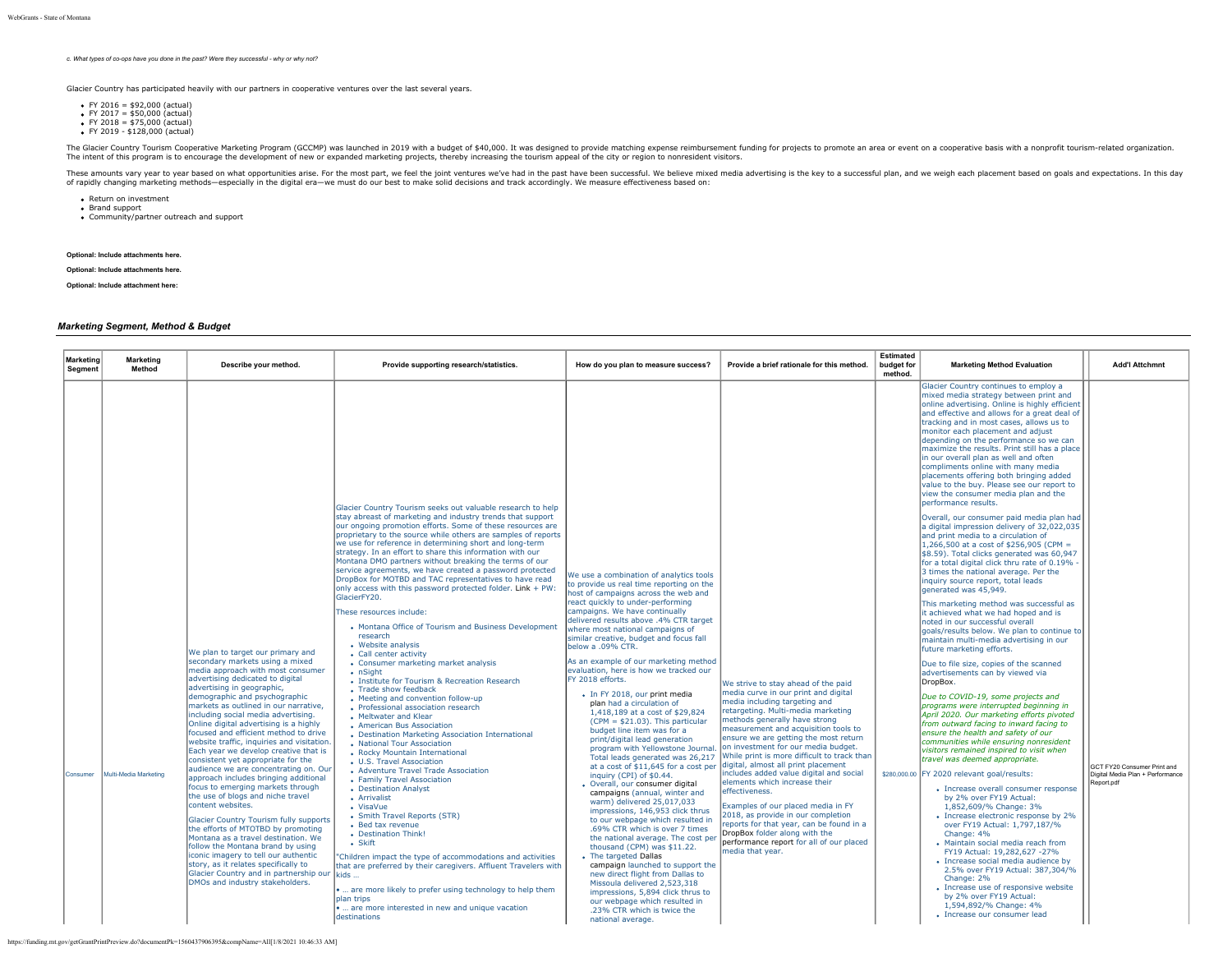*c. What types of co-ops have you done in the past? Were they successful - why or why not?*

Glacier Country has participated heavily with our partners in cooperative ventures over the last several years.

- $\bullet$  FY 2016 = \$92,000 (actual)
- $\bullet$  FY 2017 = \$50,000 (actual)
- FY 2018 = \$75,000 (actual) FY 2019 \$128,000 (actual)

The Glacier Country Tourism Cooperative Marketing Program (GCCMP) was launched in 2019 with a budget of \$40,000. It was designed by evide matching expense reimbursement funding for projects, the main supperation.<br>The inten

These amounts vary year to year based on what opportunities arise. For the most part, we feel the joint ventures we've had in the past have been successful. We believe mixed media advertising is the key to a successful pla of rapidly changing marketing methods—especially in the digital era—we must do our best to make solid decisions and track accordingly. We measure effectiveness based on:

- Return on investment Brand support
- Brand support<br>• Community/partner outreach and support
- 

# **Optional: Include attachments here.**

### **Optional: Include attachments here.**

**Optional: Include attachment here:**

### *Marketing Segment, Method & Budget*

| Marketing<br><b>Segment</b> | Marketing<br>Method   | Describe your method.                                                                                                                                                                                                                                                                                                                                                                                                                                                                                                                                                                                                                                                                                                                                                                                                                                                                                                                                                                                                  | Provide supporting research/statistics.                                                                                                                                                                                                                                                                                                                                                                                                                                                                                                                                                                                                                                                                                                                                                                                                                                                                                                                                                                                                                                                                                                                                                                                                                                                                                                                                                                                                                                                                                                                                                                                                                                                                                                           | How do you plan to measure success?                                                                                                                                                                                                                                                                                                                                                                                                                                                                                                                                                                                                                                                                                                                                                                                                                                                                                                                                                                                                                                                                                                                                                                                                                                                                                                                     | Provide a brief rationale for this method.                                                                                                                                                                                                                                                                                                                                                                                                                                                                                                                                                                                                                                                                               | <b>Estimated</b><br>budget for<br>method. | <b>Marketing Method Evaluation</b>                                                                                                                                                                                                                                                                                                                                                                                                                                                                                                                                                                                                                                                                                                                                                                                                                                                                                                                                                                                                                                                                                                                                                                                                                                                                                                                                                                                                                                                                                                                                                                                                                                                                                                                                                                                                                                                                                                                                                                                                                                                                                                                                                                             | <b>Add'l Attchmnt</b>                                                         |
|-----------------------------|-----------------------|------------------------------------------------------------------------------------------------------------------------------------------------------------------------------------------------------------------------------------------------------------------------------------------------------------------------------------------------------------------------------------------------------------------------------------------------------------------------------------------------------------------------------------------------------------------------------------------------------------------------------------------------------------------------------------------------------------------------------------------------------------------------------------------------------------------------------------------------------------------------------------------------------------------------------------------------------------------------------------------------------------------------|---------------------------------------------------------------------------------------------------------------------------------------------------------------------------------------------------------------------------------------------------------------------------------------------------------------------------------------------------------------------------------------------------------------------------------------------------------------------------------------------------------------------------------------------------------------------------------------------------------------------------------------------------------------------------------------------------------------------------------------------------------------------------------------------------------------------------------------------------------------------------------------------------------------------------------------------------------------------------------------------------------------------------------------------------------------------------------------------------------------------------------------------------------------------------------------------------------------------------------------------------------------------------------------------------------------------------------------------------------------------------------------------------------------------------------------------------------------------------------------------------------------------------------------------------------------------------------------------------------------------------------------------------------------------------------------------------------------------------------------------------|---------------------------------------------------------------------------------------------------------------------------------------------------------------------------------------------------------------------------------------------------------------------------------------------------------------------------------------------------------------------------------------------------------------------------------------------------------------------------------------------------------------------------------------------------------------------------------------------------------------------------------------------------------------------------------------------------------------------------------------------------------------------------------------------------------------------------------------------------------------------------------------------------------------------------------------------------------------------------------------------------------------------------------------------------------------------------------------------------------------------------------------------------------------------------------------------------------------------------------------------------------------------------------------------------------------------------------------------------------|--------------------------------------------------------------------------------------------------------------------------------------------------------------------------------------------------------------------------------------------------------------------------------------------------------------------------------------------------------------------------------------------------------------------------------------------------------------------------------------------------------------------------------------------------------------------------------------------------------------------------------------------------------------------------------------------------------------------------|-------------------------------------------|----------------------------------------------------------------------------------------------------------------------------------------------------------------------------------------------------------------------------------------------------------------------------------------------------------------------------------------------------------------------------------------------------------------------------------------------------------------------------------------------------------------------------------------------------------------------------------------------------------------------------------------------------------------------------------------------------------------------------------------------------------------------------------------------------------------------------------------------------------------------------------------------------------------------------------------------------------------------------------------------------------------------------------------------------------------------------------------------------------------------------------------------------------------------------------------------------------------------------------------------------------------------------------------------------------------------------------------------------------------------------------------------------------------------------------------------------------------------------------------------------------------------------------------------------------------------------------------------------------------------------------------------------------------------------------------------------------------------------------------------------------------------------------------------------------------------------------------------------------------------------------------------------------------------------------------------------------------------------------------------------------------------------------------------------------------------------------------------------------------------------------------------------------------------------------------------------------------|-------------------------------------------------------------------------------|
| Consumer                    | Multi-Media Marketing | We plan to target our primary and<br>secondary markets using a mixed<br>media approach with most consumer<br>advertising dedicated to digital<br>advertising in geographic,<br>demographic and psychographic<br>markets as outlined in our narrative,<br>including social media advertising.<br>Online digital advertising is a highly<br>focused and efficient method to drive<br>website traffic, inquiries and visitation.<br>Each year we develop creative that is<br>consistent yet appropriate for the<br>audience we are concentrating on. Our<br>approach includes bringing additional<br>focus to emerging markets through<br>the use of blogs and niche travel<br>content websites.<br>Glacier Country Tourism fully supports<br>the efforts of MTOTBD by promoting<br>Montana as a travel destination. We<br>follow the Montana brand by using<br>iconic imagery to tell our authentic<br>story, as it relates specifically to<br>Glacier Country and in partnership our<br>DMOs and industry stakeholders. | Glacier Country Tourism seeks out valuable research to help<br>stay abreast of marketing and industry trends that support<br>our ongoing promotion efforts. Some of these resources are<br>proprietary to the source while others are samples of reports<br>we use for reference in determining short and long-term<br>strategy. In an effort to share this information with our<br>Montana DMO partners without breaking the terms of our<br>service agreements, we have created a password protected<br>DropBox for MOTBD and TAC representatives to have read<br>only access with this password protected folder. Link + PW:<br>GlacierFY20.<br>These resources include:<br>• Montana Office of Tourism and Business Development<br>research<br>• Website analysis<br>• Call center activity<br>• Consumer marketing market analysis<br>• nSight<br>• Institute for Tourism & Recreation Research<br>• Trade show feedback<br>• Meeting and convention follow-up<br>• Professional association research<br>• Meltwater and Klear<br>• American Bus Association<br>• Destination Marketing Association International<br>• National Tour Association<br>• Rocky Mountain International<br>• U.S. Travel Association<br>• Adventure Travel Trade Association<br>• Family Travel Association<br>• Destination Analyst<br>• Arrivalist<br>• VisaVue<br>• Smith Travel Reports (STR)<br>• Bed tax revenue<br>• Destination Think!<br>$\cdot$ Skift<br>'Children impact the type of accommodations and activities<br>that are preferred by their caregivers. Affluent Travelers with<br>kids<br>.  are more likely to prefer using technology to help them<br><b>Jolan trips</b><br>.  are more interested in new and unique vacation<br>destinations | We use a combination of analytics tools<br>to provide us real time reporting on the<br>host of campaigns across the web and<br>react quickly to under-performing<br>campaigns. We have continually<br>delivered results above .4% CTR target<br>where most national campaigns of<br>similar creative, budget and focus fall<br>below a .09% CTR.<br>As an example of our marketing method<br>levaluation, here is how we tracked our<br>FY 2018 efforts.<br>· In FY 2018, our print media<br>plan had a circulation of<br>1,418,189 at a cost of \$29,824<br>$(CPM = $21.03)$ . This particular<br>budget line item was for a<br>print/digital lead generation<br>program with Yellowstone Journal.<br>Total leads generated was 26,217<br>at a cost of \$11,645 for a cost per<br>inquiry (CPI) of \$0.44.<br>· Overall, our consumer digital<br>campaigns (annual, winter and<br>warm) delivered 25,017,033<br>impressions, 146,953 click thrus<br>to our webpage which resulted in<br>.69% CTR which is over 7 times<br>the national average. The cost per<br>thousand (CPM) was \$11.22.<br>• The targeted Dallas<br>campaign launched to support the<br>new direct flight from Dallas to<br>Missoula delivered 2,523,318<br>impressions, 5,894 click thrus to<br>our webpage which resulted in<br>.23% CTR which is twice the<br>national average. | We strive to stay ahead of the paid<br>media curve in our print and digital<br>media including targeting and<br>retargeting. Multi-media marketing<br>methods generally have strong<br>measurement and acquisition tools to<br>ensure we are getting the most return<br>on investment for our media budget.<br>While print is more difficult to track than<br>digital, almost all print placement<br>includes added value digital and social<br>elements which increase their<br>effectiveness.<br>Examples of our placed media in FY<br>2018, as provide in our completion<br>reports for that year, can be found in a<br>DropBox folder along with the<br>performance report for all of our placed<br>media that year. |                                           | Glacier Country continues to employ a<br>mixed media strategy between print and<br>online advertising. Online is highly efficient<br>and effective and allows for a great deal of<br>tracking and in most cases, allows us to<br>monitor each placement and adjust<br>Idepending on the performance so we can<br>maximize the results. Print still has a place<br>in our overall plan as well and often<br>compliments online with many media<br>placements offering both bringing added<br>value to the buy. Please see our report to<br>view the consumer media plan and the<br>Inerformance results.<br>lOverall, our consumer paid media plan had<br>a digital impression delivery of 32.022.035<br>land print media to a circulation of<br>1,266,500 at a cost of \$256,905 (CPM =<br>\$8.59). Total clicks generated was 60,947<br>for a total digital click thru rate of 0.19%<br>3 times the national average. Per the<br>linguiry source report, total leads<br>laenerated was 45.949.<br>This marketing method was successful as<br>lit achieved what we had hoped and is<br>noted in our successful overall<br>goals/results below. We plan to continue to<br>maintain multi-media advertising in our<br>future marketing efforts.<br>Due to file size, copies of the scanned<br>advertisements can by viewed via<br>DropBox.<br>Due to COVID-19, some projects and<br>orograms were interrupted beginning in<br>April 2020. Our marketing efforts pivoted<br>from outward facing to inward facing to<br>ensure the health and safety of our<br>communities while ensuring nonresident<br>visitors remained inspired to visit when<br>travel was deemed appropriate.<br>\$280,000.00 FY 2020 relevant goal/results:<br>• Increase overall consumer response<br>by 2% over FY19 Actual:<br>1.852.609/% Change: 3%<br>• Increase electronic response by 2%<br>over FY19 Actual: 1.797.187/%<br>Change: 4%<br>• Maintain social media reach from<br>FY19 Actual: 19,282,627 -27%<br>• Increase social media audience by<br>2.5% over FY19 Actual: 387.304/%<br>Change: 2%<br>• Increase use of responsive website<br>by 2% over FY19 Actual:<br>1,594,892/% Change: 4%<br>• Increase our consumer lead | GCT FY20 Consumer Print and<br>Digital Media Plan + Performance<br>Report.pdf |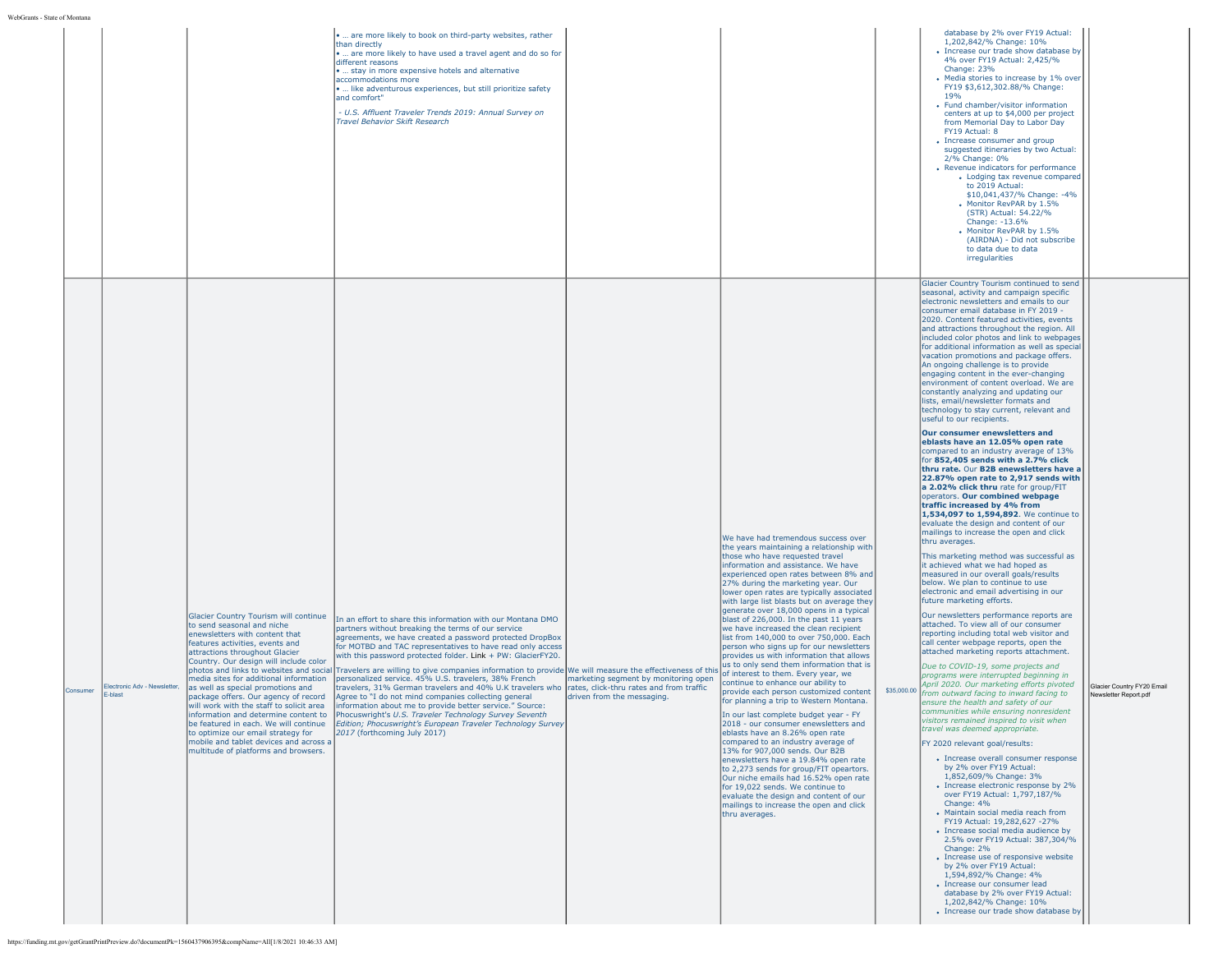| database by 2% over FY19 Actual:<br>are more likely to book on third-party websites, rather<br>1,202,842/% Change: 10%<br>than directly<br>• Increase our trade show database by<br>are more likely to have used a travel agent and do so for<br>4% over FY19 Actual: 2.425/%<br>different reasons<br>Change: 23%<br>stay in more expensive hotels and alternative<br>• Media stories to increase by 1% over<br>accommodations more<br>FY19 \$3,612,302.88/% Change:<br>like adventurous experiences, but still prioritize safety<br>19%<br>and comfort"<br>• Fund chamber/visitor information<br>- U.S. Affluent Traveler Trends 2019: Annual Survey on<br>centers at up to \$4,000 per project<br>Travel Behavior Skift Research<br>from Memorial Day to Labor Day<br>FY19 Actual: 8<br>• Increase consumer and group<br>suggested itineraries by two Actual:<br>2/% Change: 0%<br>• Revenue indicators for performance<br>• Lodging tax revenue compared<br>to 2019 Actual:<br>\$10,041,437/% Change: -4%<br>• Monitor RevPAR by 1.5%<br>(STR) Actual: 54.22/%<br>Change: -13.6%<br>Monitor RevPAR by 1.5%<br>(AIRDNA) - Did not subscribe<br>to data due to data<br>irregularities<br>Glacier Country Tourism continued to send<br>seasonal, activity and campaign specific<br>electronic newsletters and emails to our<br>consumer email database in FY 2019 -<br>2020. Content featured activities, events<br>and attractions throughout the region. All<br>included color photos and link to webpages<br>for additional information as well as special<br>vacation promotions and package offers.<br>An ongoing challenge is to provide<br>engaging content in the ever-changing<br>environment of content overload. We are<br>constantly analyzing and updating our<br>lists, email/newsletter formats and<br>technology to stay current, relevant and<br>useful to our recipients.<br>Our consumer enewsletters and<br>eblasts have an 12.05% open rate<br>compared to an industry average of 13%<br>for 852,405 sends with a 2.7% click<br>thru rate. Our B2B enewsletters have a<br>22.87% open rate to 2,917 sends with<br>a 2.02% click thru rate for group/FIT<br>operators. Our combined webpage<br>traffic increased by 4% from<br>1,534,097 to 1,594,892. We continue to<br>evaluate the design and content of our<br>mailings to increase the open and click<br>We have had tremendous success over<br>thru averages.<br>the years maintaining a relationship with<br>This marketing method was successful as<br>those who have requested travel<br>it achieved what we had hoped as<br>information and assistance. We have<br>measured in our overall goals/results<br>experienced open rates between 8% and<br>below. We plan to continue to use<br>27% during the marketing year. Our<br>electronic and email advertising in our<br>lower open rates are typically associated<br>future marketing efforts.<br>with large list blasts but on average they<br>generate over 18,000 opens in a typical<br>Our newsletters performance reports are<br>Glacier Country Tourism will continue<br>In an effort to share this information with our Montana DMO<br>blast of 226,000. In the past 11 years<br>attached. To view all of our consumer<br>to send seasonal and niche<br>we have increased the clean recipient<br>partners without breaking the terms of our service<br>enewsletters with content that<br>reporting including total web visitor and<br>list from 140,000 to over 750,000. Each<br>agreements, we have created a password protected DropBox<br>features activities, events and<br>call center webpage reports, open the<br>person who signs up for our newsletters<br>for MOTBD and TAC representatives to have read only access<br>attached marketing reports attachment.<br>attractions throughout Glacier<br>with this password protected folder. Link + PW: GlacierFY20.<br>provides us with information that allows<br>Country. Our design will include color<br>us to only send them information that is<br>Due to COVID-19, some projects and<br>photos and links to websites and social Travelers are willing to give companies information to provide We will measure the effectiveness of this<br>of interest to them. Every year, we<br>programs were interrupted beginning in<br>personalized service. 45% U.S. travelers, 38% French<br>marketing segment by monitoring open<br>media sites for additional information<br>continue to enhance our ability to<br>April 2020. Our marketing efforts pivoted<br>Glacier Country FY20 Email<br>lectronic Adv - Newsletter,<br>as well as special promotions and<br>travelers, 31% German travelers and 40% U.K travelers who rates, click-thru rates and from traffic<br>\$35,000.00 from outward facing to inward facing to<br>Consumer<br>provide each person customized content<br>-blast<br>Newsletter Report.pdf<br>package offers. Our agency of record<br>Agree to "I do not mind companies collecting general<br>driven from the messaging.<br>for planning a trip to Western Montana.<br>ensure the health and safety of our<br>will work with the staff to solicit area<br>information about me to provide better service." Source:<br>communities while ensuring nonresident<br>information and determine content to<br>Phocuswright's U.S. Traveler Technology Survey Seventh<br>In our last complete budget year - FY<br>visitors remained inspired to visit when<br>be featured in each. We will continue<br>Edition; Phocuswright's European Traveler Technology Survey<br>2018 - our consumer enewsletters and<br>travel was deemed appropriate.<br>to optimize our email strategy for<br>2017 (forthcoming July 2017)<br>eblasts have an 8.26% open rate<br>mobile and tablet devices and across a<br>compared to an industry average of<br>FY 2020 relevant goal/results:<br>multitude of platforms and browsers.<br>13% for 907,000 sends. Our B2B<br>• Increase overall consumer response<br>enewsletters have a 19.84% open rate<br>by 2% over FY19 Actual:<br>to 2,273 sends for group/FIT opeartors.<br>1,852,609/% Change: 3%<br>Our niche emails had 16.52% open rate<br>• Increase electronic response by 2%<br>for 19,022 sends. We continue to<br>over FY19 Actual: 1,797,187/%<br>evaluate the design and content of our<br>Change: 4%<br>mailings to increase the open and click<br>· Maintain social media reach from<br>thru averages.<br>FY19 Actual: 19.282.627 -27%<br>• Increase social media audience by<br>2.5% over FY19 Actual: 387.304/%<br>Change: 2%<br>• Increase use of responsive website<br>by 2% over FY19 Actual:<br>1,594,892/% Change: 4%<br>· Increase our consumer lead<br>database by 2% over FY19 Actual:<br>1,202,842/% Change: 10%<br>• Increase our trade show database by<br>https://funding.mt.gov/getGrantPrintPreview.do?documentPk=1560437906395&compName=All[1/8/2021 10:46:33 AM] | WEDUTABLE - NEITE OF MODERN |  |  |  |  |  |
|---------------------------------------------------------------------------------------------------------------------------------------------------------------------------------------------------------------------------------------------------------------------------------------------------------------------------------------------------------------------------------------------------------------------------------------------------------------------------------------------------------------------------------------------------------------------------------------------------------------------------------------------------------------------------------------------------------------------------------------------------------------------------------------------------------------------------------------------------------------------------------------------------------------------------------------------------------------------------------------------------------------------------------------------------------------------------------------------------------------------------------------------------------------------------------------------------------------------------------------------------------------------------------------------------------------------------------------------------------------------------------------------------------------------------------------------------------------------------------------------------------------------------------------------------------------------------------------------------------------------------------------------------------------------------------------------------------------------------------------------------------------------------------------------------------------------------------------------------------------------------------------------------------------------------------------------------------------------------------------------------------------------------------------------------------------------------------------------------------------------------------------------------------------------------------------------------------------------------------------------------------------------------------------------------------------------------------------------------------------------------------------------------------------------------------------------------------------------------------------------------------------------------------------------------------------------------------------------------------------------------------------------------------------------------------------------------------------------------------------------------------------------------------------------------------------------------------------------------------------------------------------------------------------------------------------------------------------------------------------------------------------------------------------------------------------------------------------------------------------------------------------------------------------------------------------------------------------------------------------------------------------------------------------------------------------------------------------------------------------------------------------------------------------------------------------------------------------------------------------------------------------------------------------------------------------------------------------------------------------------------------------------------------------------------------------------------------------------------------------------------------------------------------------------------------------------------------------------------------------------------------------------------------------------------------------------------------------------------------------------------------------------------------------------------------------------------------------------------------------------------------------------------------------------------------------------------------------------------------------------------------------------------------------------------------------------------------------------------------------------------------------------------------------------------------------------------------------------------------------------------------------------------------------------------------------------------------------------------------------------------------------------------------------------------------------------------------------------------------------------------------------------------------------------------------------------------------------------------------------------------------------------------------------------------------------------------------------------------------------------------------------------------------------------------------------------------------------------------------------------------------------------------------------------------------------------------------------------------------------------------------------------------------------------------------------------------------------------------------------------------------------------------------------------------------------------------------------------------------------------------------------------------------------------------------------------------------------------------------------------------------------------------------------------------------------------------------------------------------------------------------------------------------------------------------------------------------------------------------------------------------------------------------------------------------------------------------------------------------------------------------------------------------------------------------------------------------------------------------------------------------------------------------------------------------------------------------------------------------------------------------------------------------------------------------------------------------------------------------------------------------------------------------------------------------------------------------------------------------------------------------------------------------------------------------------------------------------------------------------------------------------------------------------------------------------------------------------------------------------------------------------------------------------------------------------------------------------------------------------------------------------------------------------------------------------------------|-----------------------------|--|--|--|--|--|
|                                                                                                                                                                                                                                                                                                                                                                                                                                                                                                                                                                                                                                                                                                                                                                                                                                                                                                                                                                                                                                                                                                                                                                                                                                                                                                                                                                                                                                                                                                                                                                                                                                                                                                                                                                                                                                                                                                                                                                                                                                                                                                                                                                                                                                                                                                                                                                                                                                                                                                                                                                                                                                                                                                                                                                                                                                                                                                                                                                                                                                                                                                                                                                                                                                                                                                                                                                                                                                                                                                                                                                                                                                                                                                                                                                                                                                                                                                                                                                                                                                                                                                                                                                                                                                                                                                                                                                                                                                                                                                                                                                                                                                                                                                                                                                                                                                                                                                                                                                                                                                                                                                                                                                                                                                                                                                                                                                                                                                                                                                                                                                                                                                                                                                                                                                                                                                                                                                                                                                                                                                                                                                                                                                                                                                                                                                                                                                                                                                                                                                                                                                                                                                                                                                                                                                                                                                                                                                                                                   |                             |  |  |  |  |  |
|                                                                                                                                                                                                                                                                                                                                                                                                                                                                                                                                                                                                                                                                                                                                                                                                                                                                                                                                                                                                                                                                                                                                                                                                                                                                                                                                                                                                                                                                                                                                                                                                                                                                                                                                                                                                                                                                                                                                                                                                                                                                                                                                                                                                                                                                                                                                                                                                                                                                                                                                                                                                                                                                                                                                                                                                                                                                                                                                                                                                                                                                                                                                                                                                                                                                                                                                                                                                                                                                                                                                                                                                                                                                                                                                                                                                                                                                                                                                                                                                                                                                                                                                                                                                                                                                                                                                                                                                                                                                                                                                                                                                                                                                                                                                                                                                                                                                                                                                                                                                                                                                                                                                                                                                                                                                                                                                                                                                                                                                                                                                                                                                                                                                                                                                                                                                                                                                                                                                                                                                                                                                                                                                                                                                                                                                                                                                                                                                                                                                                                                                                                                                                                                                                                                                                                                                                                                                                                                                                   |                             |  |  |  |  |  |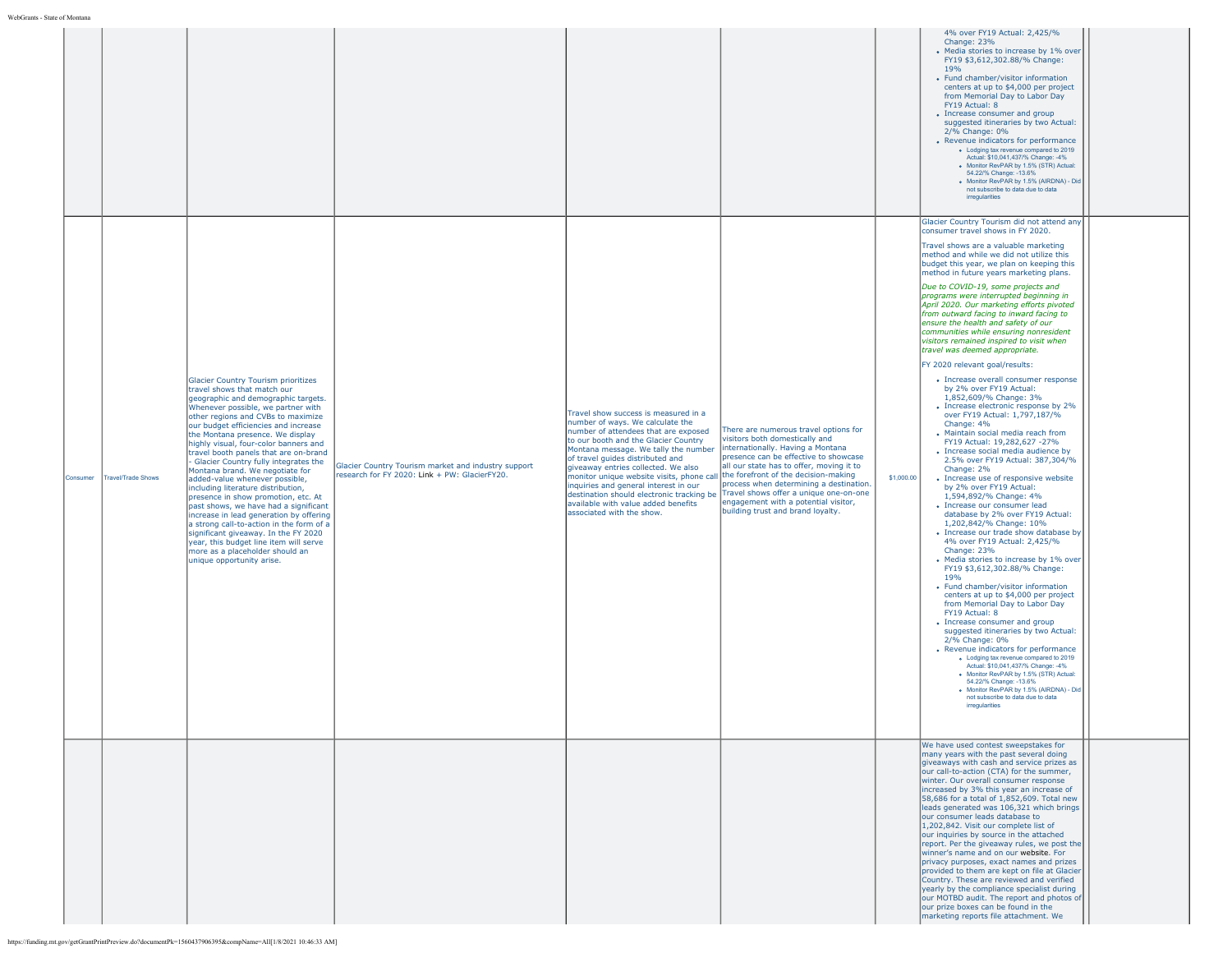|          |                           |                                                                                                                                                                                                                                                                                                                                                                                                                                                                                                                                                                                                                                                                                                                                                                                                                                        |                                                                                                      |                                                                                                                                                                                                                                                                                                                                                                                                                                                                                    |                                                                                                                                                                                                                                                                                                                                                                                                             | Change: 23%<br>19%<br>FY19 Actual: 8<br>2/% Change: 0%<br>irregularities                                                                                                                                                                                                                      | 4% over FY19 Actual: 2,425/%<br>• Media stories to increase by 1% over<br>FY19 \$3,612,302.88/% Change:<br>• Fund chamber/visitor information<br>centers at up to \$4,000 per project<br>from Memorial Day to Labor Day<br>• Increase consumer and group<br>suggested itineraries by two Actual:<br>• Revenue indicators for performance<br>. Lodging tax revenue compared to 2019<br>Actual: \$10,041,437/% Change: -4%<br>· Monitor RevPAR by 1.5% (STR) Actual:<br>54.22/% Change: -13.6%<br>· Monitor RevPAR by 1.5% (AIRDNA) - Did<br>not subscribe to data due to data                                                                                                                                                                                                                                                                                                                                                                                                                                                                                                                                                                                                                                                                                                                                                                                                                                                                                                                                                                                                                           |  |
|----------|---------------------------|----------------------------------------------------------------------------------------------------------------------------------------------------------------------------------------------------------------------------------------------------------------------------------------------------------------------------------------------------------------------------------------------------------------------------------------------------------------------------------------------------------------------------------------------------------------------------------------------------------------------------------------------------------------------------------------------------------------------------------------------------------------------------------------------------------------------------------------|------------------------------------------------------------------------------------------------------|------------------------------------------------------------------------------------------------------------------------------------------------------------------------------------------------------------------------------------------------------------------------------------------------------------------------------------------------------------------------------------------------------------------------------------------------------------------------------------|-------------------------------------------------------------------------------------------------------------------------------------------------------------------------------------------------------------------------------------------------------------------------------------------------------------------------------------------------------------------------------------------------------------|-----------------------------------------------------------------------------------------------------------------------------------------------------------------------------------------------------------------------------------------------------------------------------------------------|--------------------------------------------------------------------------------------------------------------------------------------------------------------------------------------------------------------------------------------------------------------------------------------------------------------------------------------------------------------------------------------------------------------------------------------------------------------------------------------------------------------------------------------------------------------------------------------------------------------------------------------------------------------------------------------------------------------------------------------------------------------------------------------------------------------------------------------------------------------------------------------------------------------------------------------------------------------------------------------------------------------------------------------------------------------------------------------------------------------------------------------------------------------------------------------------------------------------------------------------------------------------------------------------------------------------------------------------------------------------------------------------------------------------------------------------------------------------------------------------------------------------------------------------------------------------------------------------------------|--|
| Consumer | <b>Travel/Trade Shows</b> | <b>Glacier Country Tourism prioritizes</b><br>travel shows that match our<br>geographic and demographic targets.<br>Whenever possible, we partner with<br>other regions and CVBs to maximize<br>our budget efficiencies and increase<br>the Montana presence. We display<br>highly visual, four-color banners and<br>travel booth panels that are on-brand<br>Glacier Country fully integrates the<br>Montana brand. We negotiate for<br>added-value whenever possible,<br>including literature distribution,<br>presence in show promotion, etc. At<br>past shows, we have had a significant<br>increase in lead generation by offering<br>a strong call-to-action in the form of a<br>significant giveaway. In the FY 2020<br>year, this budget line item will serve<br>more as a placeholder should an<br>unique opportunity arise. | Glacier Country Tourism market and industry support<br>research for FY 2020: Link + PW: GlacierFY20. | Travel show success is measured in a<br>number of ways. We calculate the<br>number of attendees that are exposed<br>to our booth and the Glacier Country<br>Montana message. We tally the number<br>of travel guides distributed and<br>giveaway entries collected. We also<br>monitor unique website visits, phone call<br>inquiries and general interest in our<br>destination should electronic tracking be<br>available with value added benefits<br>associated with the show. | There are numerous travel options for<br>visitors both domestically and<br>internationally. Having a Montana<br>presence can be effective to showcase<br>all our state has to offer, moving it to<br>the forefront of the decision-making<br>process when determining a destination.<br>Travel shows offer a unique one-on-one<br>engagement with a potential visitor,<br>building trust and brand loyalty. | consumer travel shows in FY 2020.<br>ensure the health and safety of our<br>travel was deemed appropriate.<br>FY 2020 relevant goal/results:<br>by 2% over FY19 Actual:<br>Change: 4%<br>Change: 2%<br>\$1,000.00<br>Change: 23%<br>19%<br>FY19 Actual: 8<br>2/% Change: 0%<br>irregularities | Glacier Country Tourism did not attend any<br>Travel shows are a valuable marketing<br>method and while we did not utilize this<br>budget this year, we plan on keeping this<br>method in future years marketing plans.<br>Due to COVID-19, some projects and<br>programs were interrupted beginning in<br>April 2020. Our marketing efforts pivoted<br>from outward facing to inward facing to<br>communities while ensuring nonresident<br>visitors remained inspired to visit when<br>• Increase overall consumer response<br>1.852.609/% Change: 3%<br>• Increase electronic response by 2%<br>over FY19 Actual: 1,797,187/%<br>• Maintain social media reach from<br>FY19 Actual: 19,282,627 -27%<br>• Increase social media audience by<br>2.5% over FY19 Actual: 387,304/%<br>• Increase use of responsive website<br>by 2% over FY19 Actual:<br>1,594,892/% Change: 4%<br>• Increase our consumer lead<br>database by 2% over FY19 Actual:<br>1,202,842/% Change: 10%<br>• Increase our trade show database by<br>4% over FY19 Actual: 2,425/%<br>• Media stories to increase by 1% over<br>FY19 \$3,612,302.88/% Change:<br>• Fund chamber/visitor information<br>centers at up to \$4,000 per project<br>from Memorial Day to Labor Day<br>• Increase consumer and group<br>suggested itineraries by two Actual:<br>• Revenue indicators for performance<br>. Lodging tax revenue compared to 2019<br>Actual: \$10,041,437/% Change: -4%<br>· Monitor RevPAR by 1.5% (STR) Actual:<br>54.22/% Change: -13.6%<br>. Monitor RevPAR by 1.5% (AIRDNA) - Did<br>not subscribe to data due to data |  |
|          |                           |                                                                                                                                                                                                                                                                                                                                                                                                                                                                                                                                                                                                                                                                                                                                                                                                                                        |                                                                                                      |                                                                                                                                                                                                                                                                                                                                                                                                                                                                                    |                                                                                                                                                                                                                                                                                                                                                                                                             | our consumer leads database to<br>1,202,842. Visit our complete list of<br>our prize boxes can be found in the                                                                                                                                                                                | We have used contest sweepstakes for<br>many years with the past several doing<br>giveaways with cash and service prizes as<br>our call-to-action (CTA) for the summer,<br>winter. Our overall consumer response<br>increased by 3% this year an increase of<br>58,686 for a total of 1,852,609. Total new<br>leads generated was 106,321 which brings<br>our inquiries by source in the attached<br>report. Per the giveaway rules, we post the<br>winner's name and on our website. For<br>privacy purposes, exact names and prizes<br>provided to them are kept on file at Glacier<br>Country. These are reviewed and verified<br>yearly by the compliance specialist during<br>our MOTBD audit. The report and photos of<br>marketing reports file attachment. We                                                                                                                                                                                                                                                                                                                                                                                                                                                                                                                                                                                                                                                                                                                                                                                                                                  |  |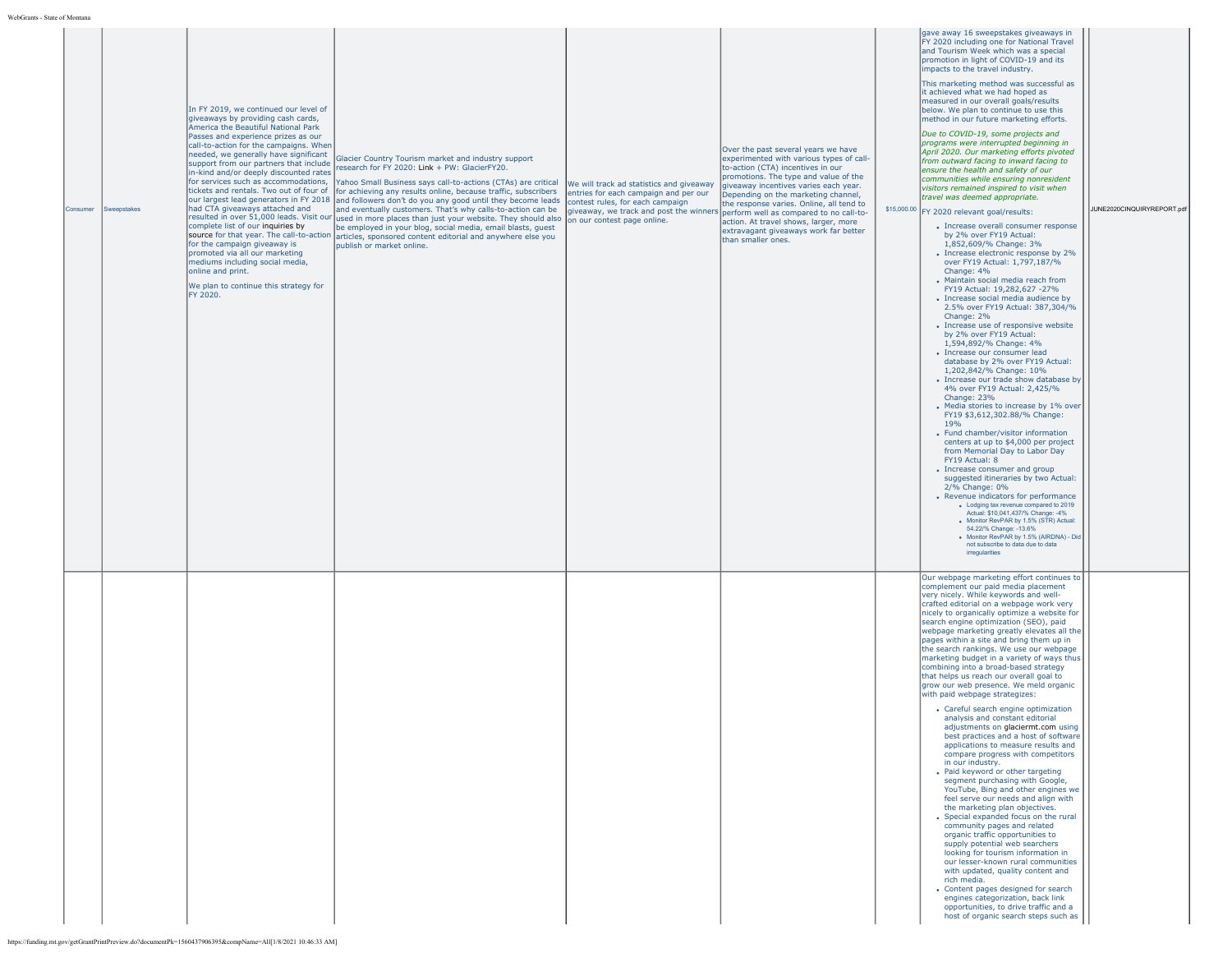| WebGrants - State of Montana                                                                               |                                                                                                                                                                                                                                                                                                                                                                                                                                                                                                                                                                                        |                                                                                                                                                                                                                                                                                                                                                                                                                                                                                                                                                                                                                                                                                                                                                                                                                                  |                                                                                                                                                                                                          |                                                                                                                                                                                                                                                                                                                                                                                                   |                                                                                                                                                                                                                                                                                                                                                                                                                                                                                                                                                                                                                                                                                                                                                                                                                                                                                                                                                                                                                                                                                                                                                                                                                                                                                                                                                                                                                                                                                                                                                                                                                                                                                                                                                                                                                                                                                                                                                                                                                                                               |                            |
|------------------------------------------------------------------------------------------------------------|----------------------------------------------------------------------------------------------------------------------------------------------------------------------------------------------------------------------------------------------------------------------------------------------------------------------------------------------------------------------------------------------------------------------------------------------------------------------------------------------------------------------------------------------------------------------------------------|----------------------------------------------------------------------------------------------------------------------------------------------------------------------------------------------------------------------------------------------------------------------------------------------------------------------------------------------------------------------------------------------------------------------------------------------------------------------------------------------------------------------------------------------------------------------------------------------------------------------------------------------------------------------------------------------------------------------------------------------------------------------------------------------------------------------------------|----------------------------------------------------------------------------------------------------------------------------------------------------------------------------------------------------------|---------------------------------------------------------------------------------------------------------------------------------------------------------------------------------------------------------------------------------------------------------------------------------------------------------------------------------------------------------------------------------------------------|---------------------------------------------------------------------------------------------------------------------------------------------------------------------------------------------------------------------------------------------------------------------------------------------------------------------------------------------------------------------------------------------------------------------------------------------------------------------------------------------------------------------------------------------------------------------------------------------------------------------------------------------------------------------------------------------------------------------------------------------------------------------------------------------------------------------------------------------------------------------------------------------------------------------------------------------------------------------------------------------------------------------------------------------------------------------------------------------------------------------------------------------------------------------------------------------------------------------------------------------------------------------------------------------------------------------------------------------------------------------------------------------------------------------------------------------------------------------------------------------------------------------------------------------------------------------------------------------------------------------------------------------------------------------------------------------------------------------------------------------------------------------------------------------------------------------------------------------------------------------------------------------------------------------------------------------------------------------------------------------------------------------------------------------------------------|----------------------------|
| Consumer<br>Sweepstakes                                                                                    | In FY 2019, we continued our level of<br>giveaways by providing cash cards,<br>America the Beautiful National Park<br>Passes and experience prizes as our<br>call-to-action for the campaigns. When<br>needed, we generally have significant<br>support from our partners that include<br>in-kind and/or deeply discounted rates<br>had CTA giveaways attached and<br>complete list of our inquiries by<br>for the campaign giveaway is<br>promoted via all our marketing<br>mediums including social media,<br>online and print.<br>We plan to continue this strategy for<br>FY 2020. | Glacier Country Tourism market and industry support<br>research for FY 2020: Link + PW: GlacierFY20.<br>for services such as accommodations, Yahoo Small Business says call-to-actions (CTAs) are critical<br>tickets and rentals. Two out of four of for achieving any results online, because traffic, subscribers<br>our largest lead generators in FY 2018 and followers don't do you any good until they become leads<br>land eventually customers. That's why calls-to-action can be<br>resulted in over 51,000 leads. Visit our used in more places than just your website. They should also our contest page online.<br>be employed in your blog, social media, email blasts, guest<br>source for that year. The call-to-action articles, sponsored content editorial and anywhere else you<br>publish or market online. | We will track ad statistics and giveaway<br>entries for each campaign and per our<br>contest rules, for each campaign<br>giveaway, we track and post the winners perform well as compared to no call-to- | Over the past several years we have<br>experimented with various types of call-<br>to-action (CTA) incentives in our<br>promotions. The type and value of the<br>giveaway incentives varies each year.<br>Depending on the marketing channel,<br>the response varies. Online, all tend to<br>action. At travel shows, larger, more<br>extravagant giveaways work far better<br>than smaller ones. | gave away 16 sweepstakes giveaways in<br>FY 2020 including one for National Travel<br>and Tourism Week which was a special<br>promotion in light of COVID-19 and its<br>impacts to the travel industry.<br>This marketing method was successful as<br>it achieved what we had hoped as<br>measured in our overall goals/results<br>below. We plan to continue to use this<br>method in our future marketing efforts.<br>Due to COVID-19, some projects and<br>programs were interrupted beginning in<br>April 2020. Our marketing efforts pivoted<br>from outward facing to inward facing to<br>ensure the health and safety of our<br>communities while ensuring nonresident<br>visitors remained inspired to visit when<br>travel was deemed appropriate.<br>\$15,000.00 FY 2020 relevant goal/results:<br>• Increase overall consumer response<br>by 2% over FY19 Actual:<br>1,852,609/% Change: 3%<br>• Increase electronic response by 2%<br>over FY19 Actual: 1,797,187/%<br>Change: 4%<br>• Maintain social media reach from<br>FY19 Actual: 19,282,627 -27%<br>• Increase social media audience by<br>2.5% over FY19 Actual: 387,304/%<br>Change: 2%<br>• Increase use of responsive website<br>by 2% over FY19 Actual:<br>1,594,892/% Change: 4%<br>· Increase our consumer lead<br>database by 2% over FY19 Actual:<br>1,202,842/% Change: 10%<br>• Increase our trade show database by<br>4% over FY19 Actual: 2,425/%<br>Change: 23%<br>• Media stories to increase by 1% over<br>FY19 \$3,612,302.88/% Change:<br>19%<br>• Fund chamber/visitor information<br>centers at up to \$4,000 per project<br>from Memorial Day to Labor Day<br>FY19 Actual: 8<br>• Increase consumer and group<br>suggested itineraries by two Actual:<br>2/% Change: 0%<br>• Revenue indicators for performance<br>. Lodging tax revenue compared to 2019<br>Actual: \$10,041,437/% Change: -4%<br>. Monitor RevPAR by 1.5% (STR) Actual:<br>54.22/% Change: -13.6%<br>· Monitor RevPAR by 1.5% (AIRDNA) - Did<br>not subscribe to data due to data<br>irregularities | JUNE2020CINQUIRYREPORT.pdf |
| https://funding.mt.gov/getGrantPrintPreview.do?documentPk=1560437906395&compName=All[1/8/2021 10:46:33 AM] |                                                                                                                                                                                                                                                                                                                                                                                                                                                                                                                                                                                        |                                                                                                                                                                                                                                                                                                                                                                                                                                                                                                                                                                                                                                                                                                                                                                                                                                  |                                                                                                                                                                                                          |                                                                                                                                                                                                                                                                                                                                                                                                   | Our webpage marketing effort continues to<br>complement our paid media placement<br>very nicely. While keywords and well-<br>crafted editorial on a webpage work very<br>nicely to organically optimize a website for<br>search engine optimization (SEO), paid<br>webpage marketing greatly elevates all the<br>pages within a site and bring them up in<br>the search rankings. We use our webpage<br>marketing budget in a variety of ways thus<br>combining into a broad-based strategy<br>that helps us reach our overall goal to<br>grow our web presence. We meld organic<br>with paid webpage strategizes:<br>• Careful search engine optimization<br>analysis and constant editorial<br>adjustments on glaciermt.com using<br>best practices and a host of software<br>applications to measure results and<br>compare progress with competitors<br>in our industry.<br>• Paid keyword or other targeting<br>segment purchasing with Google,<br>YouTube, Bing and other engines we<br>feel serve our needs and align with<br>the marketing plan objectives.<br>• Special expanded focus on the rural<br>community pages and related<br>organic traffic opportunities to<br>supply potential web searchers<br>looking for tourism information in<br>our lesser-known rural communities<br>with updated, quality content and<br>rich media.<br>• Content pages designed for search<br>engines categorization, back link<br>opportunities, to drive traffic and a<br>host of organic search steps such as                                                                                                                                                                                                                                                                                                                                                                                                                                                                                                                                                |                            |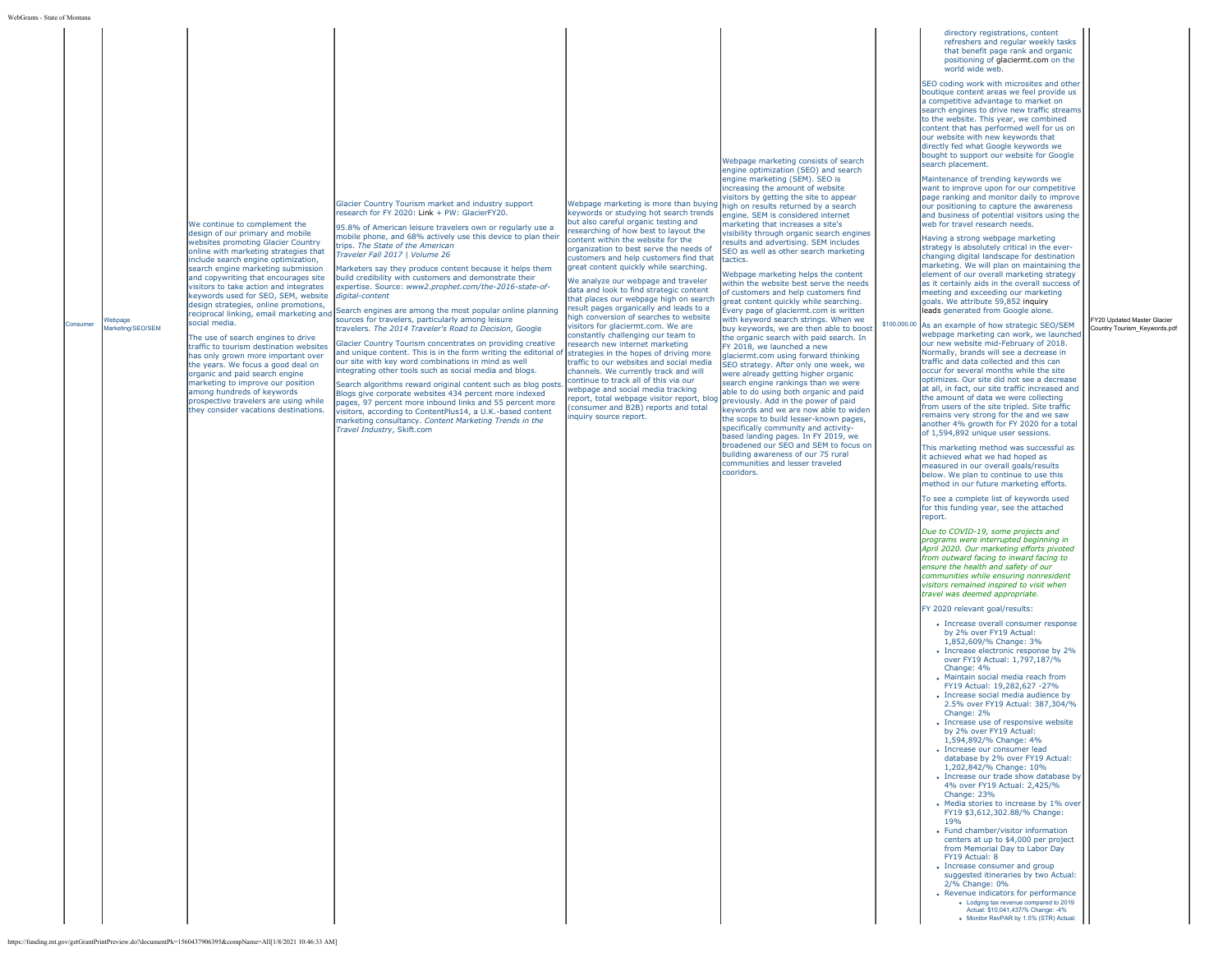|  | Consumer | Webpage<br>Marketing/SEO/SEM | We continue to complement the<br>design of our primary and mobile<br>websites promoting Glacier Country<br>online with marketing strategies that<br>include search engine optimization,<br>search engine marketing submission<br>and copywriting that encourages site<br>visitors to take action and integrates<br>keywords used for SEO, SEM, website<br>design strategies, online promotions,<br>reciprocal linking, email marketing and<br>social media.<br>The use of search engines to drive<br>traffic to tourism destination websites<br>has only grown more important over<br>the vears. We focus a good deal on<br>organic and paid search engine<br>marketing to improve our position<br>among hundreds of keywords<br>prospective travelers are using while<br>they consider vacations destinations. | Glacier Country Tourism market and industry support<br>research for FY 2020: Link + PW: GlacierFY20.<br>95.8% of American leisure travelers own or regularly use a<br>mobile phone, and 68% actively use this device to plan their<br>trips. The State of the American<br>Traveler Fall 2017   Volume 26<br>Marketers say they produce content because it helps them<br>build credibility with customers and demonstrate their<br>expertise. Source: www2.prophet.com/the-2016-state-of-<br>digital-content<br>Search engines are among the most popular online planning<br>sources for travelers, particularly among leisure<br>travelers. The 2014 Traveler's Road to Decision, Google<br>Glacier Country Tourism concentrates on providing creative<br>and unique content. This is in the form writing the editorial of<br>our site with key word combinations in mind as well<br>ntegrating other tools such as social media and blogs.<br>Search algorithms reward original content such as blog posts.<br>Blogs give corporate websites 434 percent more indexed<br>bages, 97 percent more inbound links and 55 percent more<br>visitors, according to ContentPlus14, a U.K.-based content<br>marketing consultancy. Content Marketing Trends in the<br>Travel Industry, Skift.com | Webpage marketing is more than buying<br>keywords or studying hot search trends<br>but also careful organic testing and<br>researching of how best to layout the<br>content within the website for the<br>organization to best serve the needs of<br>customers and help customers find that<br>great content quickly while searching.<br>We analyze our webpage and traveler<br>data and look to find strategic content<br>that places our webpage high on search<br>result pages organically and leads to a<br>high conversion of searches to website<br>visitors for glaciermt.com. We are<br>constantly challenging our team to<br>research new internet marketing<br>strategies in the hopes of driving more<br>traffic to our websites and social media<br>channels. We currently track and will<br>continue to track all of this via our<br>webpage and social media tracking<br>report, total webpage visitor report, blog<br>(consumer and B2B) reports and total<br>inquiry source report. | Webpage marketing consists of search<br>engine optimization (SEO) and search<br>engine marketing (SEM). SEO is<br>increasing the amount of website<br>visitors by getting the site to appear<br>high on results returned by a search<br>engine. SEM is considered internet<br>marketing that increases a site's<br>visibility through organic search engines<br>results and advertising. SEM includes<br>SEO as well as other search marketing<br>tactics.<br>Webpage marketing helps the content<br>within the website best serve the needs<br>of customers and help customers find<br>great content quickly while searching.<br>Every page of glaciermt.com is written<br>with keyword search strings. When we<br>buy keywords, we are then able to boost<br>the organic search with paid search. In<br>FY 2018, we launched a new<br>glaciermt.com using forward thinking<br>SEO strategy. After only one week, we<br>were already getting higher organic<br>search engine rankings than we were<br>able to do using both organic and paid<br>previously. Add in the power of paid<br>keywords and we are now able to widen<br>the scope to build lesser-known pages,<br>specifically community and activity-<br>based landing pages. In FY 2019, we<br>broadened our SEO and SEM to focus on<br>building awareness of our 75 rural<br>communities and lesser traveled<br>cooridors. |  | refreshers and regular weekly tasks<br>that benefit page rank and organic<br>positioning of glaciermt.com on the<br>world wide web.<br>SEO coding work with microsites and other<br>boutique content areas we feel provide us<br>a competitive advantage to market on<br>search engines to drive new traffic streams<br>to the website. This year, we combined<br>content that has performed well for us on<br>our website with new keywords that<br>directly fed what Google keywords we<br>bought to support our website for Google<br>search placement.<br>Maintenance of trending keywords we<br>want to improve upon for our competitive<br>page ranking and monitor daily to improve<br>our positioning to capture the awareness<br>and business of potential visitors using the<br>web for travel research needs.<br>Having a strong webpage marketing<br>strategy is absolutely critical in the ever-<br>changing digital landscape for destination<br>marketing. We will plan on maintaining the<br>element of our overall marketing strategy<br>as it certainly aids in the overall success of<br>meeting and exceeding our marketing<br>goals. We attribute 59,852 inquiry<br>leads generated from Google alone.<br>\$100,000.00 As an example of how strategic SEO/SEM<br>webpage marketing can work, we launched<br>our new website mid-February of 2018.<br>Normally, brands will see a decrease in<br>traffic and data collected and this can<br>occur for several months while the site<br>optimizes. Our site did not see a decrease<br>at all, in fact, our site traffic increased and<br>the amount of data we were collecting<br>from users of the site tripled. Site traffic<br>remains very strong for the and we saw<br>another 4% growth for FY 2020 for a total<br>of 1.594.892 unique user sessions.<br>This marketing method was successful as<br>it achieved what we had hoped as<br>measured in our overall goals/results<br>below. We plan to continue to use this<br>method in our future marketing efforts.<br>To see a complete list of keywords used<br>for this funding year, see the attached<br>report.<br>Due to COVID-19, some projects and<br>programs were interrupted beginning in<br>April 2020. Our marketing efforts pivoted<br>from outward facing to inward facing to<br>ensure the health and safety of our<br>communities while ensuring nonresident<br>visitors remained inspired to visit when<br>travel was deemed appropriate.<br>FY 2020 relevant goal/results:<br>• Increase overall consumer response<br>by 2% over FY19 Actual:<br>1,852,609/% Change: 3%<br>• Increase electronic response by 2%<br>over FY19 Actual: 1,797,187/%<br>Change: 4%<br>· Maintain social media reach from<br>FY19 Actual: 19,282,627 -27%<br>· Increase social media audience by<br>2.5% over FY19 Actual: 387,304/%<br>Change: 2%<br>• Increase use of responsive website<br>by 2% over FY19 Actual:<br>1,594,892/% Change: 4%<br>· Increase our consumer lead<br>database by 2% over FY19 Actual:<br>1,202,842/% Change: 10%<br>• Increase our trade show database by<br>4% over FY19 Actual: 2,425/%<br>Change: 23%<br>• Media stories to increase by 1% over<br>FY19 \$3,612,302.88/% Change:<br>19%<br>• Fund chamber/visitor information<br>centers at up to \$4,000 per project<br>from Memorial Day to Labor Day<br>FY19 Actual: 8<br>• Increase consumer and group<br>suggested itineraries by two Actual:<br>2/% Change: 0%<br>• Revenue indicators for performance<br>. Lodging tax revenue compared to 2019<br>Actual: \$10,041,437/% Change: -4%<br>. Monitor RevPAR by 1.5% (STR) Actual: | FY20 Updated Master Glacier<br>Country Tourism_Keywords.pd |
|--|----------|------------------------------|-----------------------------------------------------------------------------------------------------------------------------------------------------------------------------------------------------------------------------------------------------------------------------------------------------------------------------------------------------------------------------------------------------------------------------------------------------------------------------------------------------------------------------------------------------------------------------------------------------------------------------------------------------------------------------------------------------------------------------------------------------------------------------------------------------------------|------------------------------------------------------------------------------------------------------------------------------------------------------------------------------------------------------------------------------------------------------------------------------------------------------------------------------------------------------------------------------------------------------------------------------------------------------------------------------------------------------------------------------------------------------------------------------------------------------------------------------------------------------------------------------------------------------------------------------------------------------------------------------------------------------------------------------------------------------------------------------------------------------------------------------------------------------------------------------------------------------------------------------------------------------------------------------------------------------------------------------------------------------------------------------------------------------------------------------------------------------------------------------------------|-----------------------------------------------------------------------------------------------------------------------------------------------------------------------------------------------------------------------------------------------------------------------------------------------------------------------------------------------------------------------------------------------------------------------------------------------------------------------------------------------------------------------------------------------------------------------------------------------------------------------------------------------------------------------------------------------------------------------------------------------------------------------------------------------------------------------------------------------------------------------------------------------------------------------------------------------------------------------------------------------------|-----------------------------------------------------------------------------------------------------------------------------------------------------------------------------------------------------------------------------------------------------------------------------------------------------------------------------------------------------------------------------------------------------------------------------------------------------------------------------------------------------------------------------------------------------------------------------------------------------------------------------------------------------------------------------------------------------------------------------------------------------------------------------------------------------------------------------------------------------------------------------------------------------------------------------------------------------------------------------------------------------------------------------------------------------------------------------------------------------------------------------------------------------------------------------------------------------------------------------------------------------------------------------------------------------------------------------------------------------------------------------------------|--|-----------------------------------------------------------------------------------------------------------------------------------------------------------------------------------------------------------------------------------------------------------------------------------------------------------------------------------------------------------------------------------------------------------------------------------------------------------------------------------------------------------------------------------------------------------------------------------------------------------------------------------------------------------------------------------------------------------------------------------------------------------------------------------------------------------------------------------------------------------------------------------------------------------------------------------------------------------------------------------------------------------------------------------------------------------------------------------------------------------------------------------------------------------------------------------------------------------------------------------------------------------------------------------------------------------------------------------------------------------------------------------------------------------------------------------------------------------------------------------------------------------------------------------------------------------------------------------------------------------------------------------------------------------------------------------------------------------------------------------------------------------------------------------------------------------------------------------------------------------------------------------------------------------------------------------------------------------------------------------------------------------------------------------------------------------------------------------------------------------------------------------------------------------------------------------------------------------------------------------------------------------------------------------------------------------------------------------------------------------------------------------------------------------------------------------------------------------------------------------------------------------------------------------------------------------------------------------------------------------------------------------------------------------------------------------------------------------------------------------------------------------------------------------------------------------------------------------------------------------------------------------------------------------------------------------------------------------------------------------------------------------------------------------------------------------------------------------------------------------------------------------------------------------------------------------------------------------------------------------------------------------------------------------------------------------------------------------------------------------------------------------------------------------------------------------------------------------------------------------------------------------------------------------------------------------------------------------------------------------------------------------------------|------------------------------------------------------------|
|--|----------|------------------------------|-----------------------------------------------------------------------------------------------------------------------------------------------------------------------------------------------------------------------------------------------------------------------------------------------------------------------------------------------------------------------------------------------------------------------------------------------------------------------------------------------------------------------------------------------------------------------------------------------------------------------------------------------------------------------------------------------------------------------------------------------------------------------------------------------------------------|------------------------------------------------------------------------------------------------------------------------------------------------------------------------------------------------------------------------------------------------------------------------------------------------------------------------------------------------------------------------------------------------------------------------------------------------------------------------------------------------------------------------------------------------------------------------------------------------------------------------------------------------------------------------------------------------------------------------------------------------------------------------------------------------------------------------------------------------------------------------------------------------------------------------------------------------------------------------------------------------------------------------------------------------------------------------------------------------------------------------------------------------------------------------------------------------------------------------------------------------------------------------------------------|-----------------------------------------------------------------------------------------------------------------------------------------------------------------------------------------------------------------------------------------------------------------------------------------------------------------------------------------------------------------------------------------------------------------------------------------------------------------------------------------------------------------------------------------------------------------------------------------------------------------------------------------------------------------------------------------------------------------------------------------------------------------------------------------------------------------------------------------------------------------------------------------------------------------------------------------------------------------------------------------------------|-----------------------------------------------------------------------------------------------------------------------------------------------------------------------------------------------------------------------------------------------------------------------------------------------------------------------------------------------------------------------------------------------------------------------------------------------------------------------------------------------------------------------------------------------------------------------------------------------------------------------------------------------------------------------------------------------------------------------------------------------------------------------------------------------------------------------------------------------------------------------------------------------------------------------------------------------------------------------------------------------------------------------------------------------------------------------------------------------------------------------------------------------------------------------------------------------------------------------------------------------------------------------------------------------------------------------------------------------------------------------------------------|--|-----------------------------------------------------------------------------------------------------------------------------------------------------------------------------------------------------------------------------------------------------------------------------------------------------------------------------------------------------------------------------------------------------------------------------------------------------------------------------------------------------------------------------------------------------------------------------------------------------------------------------------------------------------------------------------------------------------------------------------------------------------------------------------------------------------------------------------------------------------------------------------------------------------------------------------------------------------------------------------------------------------------------------------------------------------------------------------------------------------------------------------------------------------------------------------------------------------------------------------------------------------------------------------------------------------------------------------------------------------------------------------------------------------------------------------------------------------------------------------------------------------------------------------------------------------------------------------------------------------------------------------------------------------------------------------------------------------------------------------------------------------------------------------------------------------------------------------------------------------------------------------------------------------------------------------------------------------------------------------------------------------------------------------------------------------------------------------------------------------------------------------------------------------------------------------------------------------------------------------------------------------------------------------------------------------------------------------------------------------------------------------------------------------------------------------------------------------------------------------------------------------------------------------------------------------------------------------------------------------------------------------------------------------------------------------------------------------------------------------------------------------------------------------------------------------------------------------------------------------------------------------------------------------------------------------------------------------------------------------------------------------------------------------------------------------------------------------------------------------------------------------------------------------------------------------------------------------------------------------------------------------------------------------------------------------------------------------------------------------------------------------------------------------------------------------------------------------------------------------------------------------------------------------------------------------------------------------------------------------------------------------------------|------------------------------------------------------------|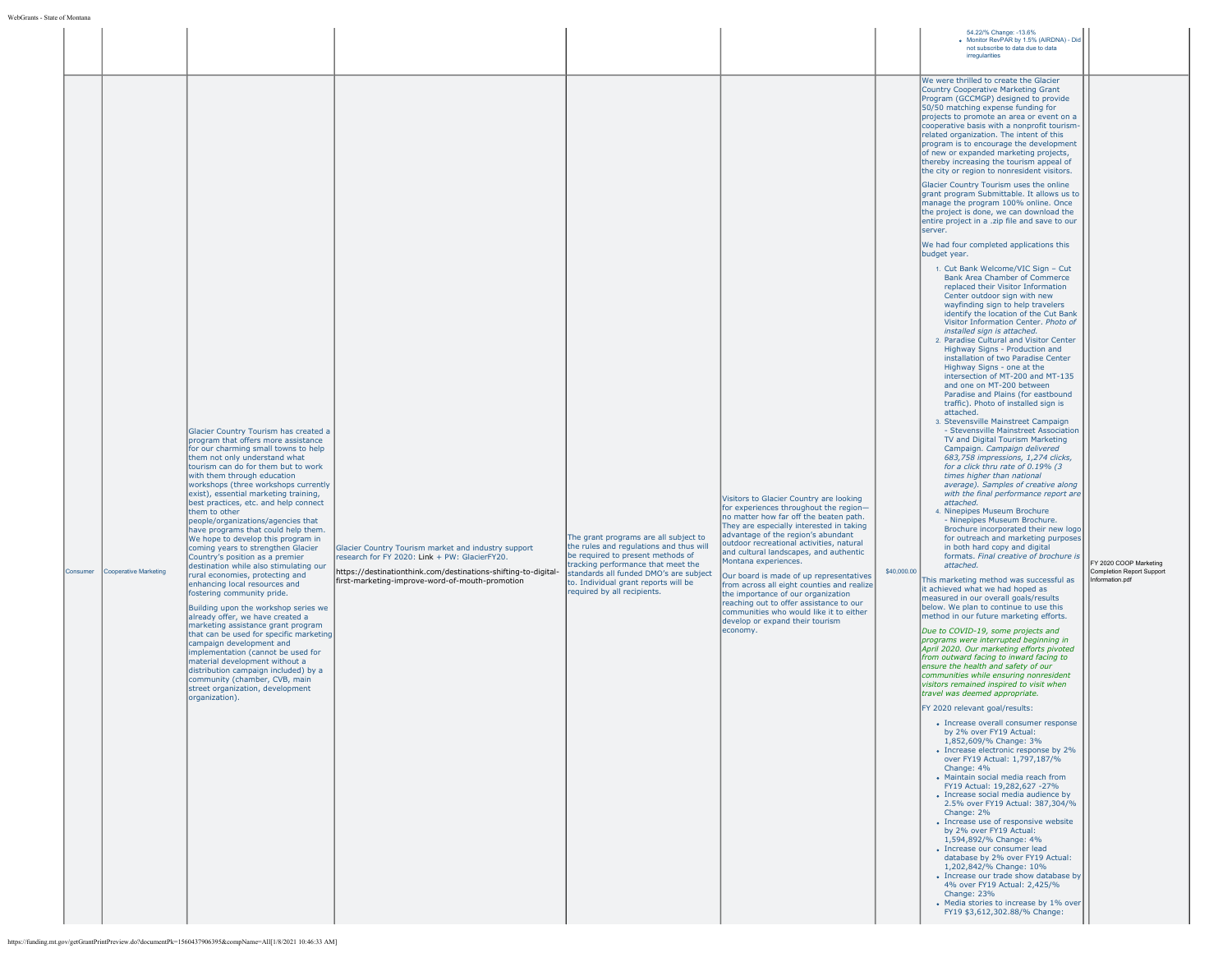| Consumer | Cooperative Marketing | Glacier Country Tourism has created a<br>program that offers more assistance<br>for our charming small towns to help<br>them not only understand what<br>tourism can do for them but to work<br>with them through education<br>workshops (three workshops currently<br>exist), essential marketing training,<br>best practices, etc. and help connect<br>them to other<br>people/organizations/agencies that<br>have programs that could help them.<br>We hope to develop this program in<br>coming years to strengthen Glacier<br>Country's position as a premier<br>destination while also stimulating our<br>rural economies, protecting and<br>enhancing local resources and<br>fostering community pride.<br>Building upon the workshop series we<br>already offer, we have created a<br>marketing assistance grant program<br>that can be used for specific marketing<br>campaign development and<br>implementation (cannot be used for<br>material development without a<br>distribution campaign included) by a<br>community (chamber, CVB, main<br>street organization, development<br>organization). | Glacier Country Tourism market and industry support<br>research for FY 2020: Link + PW: GlacierFY20.<br>https://destinationthink.com/destinations-shifting-to-digital-<br>first-marketing-improve-word-of-mouth-promotion | The grant programs are all subject to<br>the rules and regulations and thus will<br>be required to present methods of<br>tracking performance that meet the<br>standards all funded DMO's are subject<br>to. Individual grant reports will be<br>required by all recipients. | Visitors to Glacier Country are looking<br>for experiences throughout the region-<br>no matter how far off the beaten path.<br>They are especially interested in taking<br>advantage of the region's abundant<br>outdoor recreational activities, natural<br>and cultural landscapes, and authentic<br>Montana experiences.<br>Our board is made of up representatives<br>from across all eight counties and realize<br>the importance of our organization<br>reaching out to offer assistance to our<br>communities who would like it to either<br>develop or expand their tourism<br>economy. | 54.22/% Change: -13.6%<br>· Monitor RevPAR by 1.5% (AIRDNA) - Did<br>not subscribe to data due to data<br>irregularities<br>We were thrilled to create the Glacier<br>Country Cooperative Marketing Grant<br>Program (GCCMGP) designed to provide<br>50/50 matching expense funding for<br>projects to promote an area or event on a<br>cooperative basis with a nonprofit tourism<br>related organization. The intent of this<br>program is to encourage the development<br>of new or expanded marketing projects,<br>thereby increasing the tourism appeal of<br>the city or region to nonresident visitors.<br>Glacier Country Tourism uses the online<br>grant program Submittable. It allows us to<br>manage the program 100% online. Once<br>the project is done, we can download the<br>entire project in a .zip file and save to our<br>server.<br>We had four completed applications this<br>budget year.<br>1. Cut Bank Welcome/VIC Sign - Cut<br>Bank Area Chamber of Commerce<br>replaced their Visitor Information<br>Center outdoor sign with new<br>wayfinding sign to help travelers<br>identify the location of the Cut Bank<br>Visitor Information Center. Photo of<br>installed sign is attached.<br>2. Paradise Cultural and Visitor Center<br>Highway Signs - Production and<br>installation of two Paradise Center<br>Highway Signs - one at the<br>intersection of MT-200 and MT-135<br>and one on MT-200 between<br>Paradise and Plains (for eastbound<br>traffic). Photo of installed sign is<br>attached.<br>3. Stevensville Mainstreet Campaign<br>- Stevensville Mainstreet Association<br>TV and Digital Tourism Marketing<br>Campaign. Campaign delivered<br>683,758 impressions, 1,274 clicks,<br>for a click thru rate of 0.19% (3<br>times higher than national<br>average). Samples of creative along<br>with the final performance report are<br>attached.<br>4. Ninepipes Museum Brochure<br>- Ninepipes Museum Brochure.<br>Brochure incorporated their new logo<br>for outreach and marketing purposes<br>in both hard copy and digital<br>formats. Final creative of brochure is<br>attached.<br>\$40,000.00<br>This marketing method was successful as<br>it achieved what we had hoped as<br>measured in our overall goals/results<br>below. We plan to continue to use this<br>method in our future marketing efforts.<br>Due to COVID-19, some projects and<br>programs were interrupted beginning in<br>April 2020. Our marketing efforts pivoted<br>from outward facing to inward facing to<br>ensure the health and safety of our<br>communities while ensuring nonresident<br>visitors remained inspired to visit when<br>travel was deemed appropriate.<br>FY 2020 relevant goal/results:<br>• Increase overall consumer response<br>by 2% over FY19 Actual:<br>1.852.609/% Change: 3%<br>• Increase electronic response by 2%<br>over FY19 Actual: 1,797,187/%<br>Change: 4%<br>• Maintain social media reach from<br>FY19 Actual: 19.282.627 -27%<br>• Increase social media audience by<br>2.5% over FY19 Actual: 387,304/%<br>Change: 2%<br>• Increase use of responsive website<br>by 2% over FY19 Actual:<br>1,594,892/% Change: 4%<br>· Increase our consumer lead<br>database by 2% over FY19 Actual:<br>1,202,842/% Change: 10%<br>• Increase our trade show database by<br>4% over FY19 Actual: 2,425/%<br>Change: 23%<br>• Media stories to increase by 1% over<br>FY19 \$3,612,302.88/% Change: | FY 2020 COOP Marketing<br>Completion Report Support<br>Information.pdf |
|----------|-----------------------|----------------------------------------------------------------------------------------------------------------------------------------------------------------------------------------------------------------------------------------------------------------------------------------------------------------------------------------------------------------------------------------------------------------------------------------------------------------------------------------------------------------------------------------------------------------------------------------------------------------------------------------------------------------------------------------------------------------------------------------------------------------------------------------------------------------------------------------------------------------------------------------------------------------------------------------------------------------------------------------------------------------------------------------------------------------------------------------------------------------|---------------------------------------------------------------------------------------------------------------------------------------------------------------------------------------------------------------------------|------------------------------------------------------------------------------------------------------------------------------------------------------------------------------------------------------------------------------------------------------------------------------|-------------------------------------------------------------------------------------------------------------------------------------------------------------------------------------------------------------------------------------------------------------------------------------------------------------------------------------------------------------------------------------------------------------------------------------------------------------------------------------------------------------------------------------------------------------------------------------------------|-------------------------------------------------------------------------------------------------------------------------------------------------------------------------------------------------------------------------------------------------------------------------------------------------------------------------------------------------------------------------------------------------------------------------------------------------------------------------------------------------------------------------------------------------------------------------------------------------------------------------------------------------------------------------------------------------------------------------------------------------------------------------------------------------------------------------------------------------------------------------------------------------------------------------------------------------------------------------------------------------------------------------------------------------------------------------------------------------------------------------------------------------------------------------------------------------------------------------------------------------------------------------------------------------------------------------------------------------------------------------------------------------------------------------------------------------------------------------------------------------------------------------------------------------------------------------------------------------------------------------------------------------------------------------------------------------------------------------------------------------------------------------------------------------------------------------------------------------------------------------------------------------------------------------------------------------------------------------------------------------------------------------------------------------------------------------------------------------------------------------------------------------------------------------------------------------------------------------------------------------------------------------------------------------------------------------------------------------------------------------------------------------------------------------------------------------------------------------------------------------------------------------------------------------------------------------------------------------------------------------------------------------------------------------------------------------------------------------------------------------------------------------------------------------------------------------------------------------------------------------------------------------------------------------------------------------------------------------------------------------------------------------------------------------------------------------------------------------------------------------------------------------------------------------------------------------------------------------------------------------------------------------------------------------------------------------------------------------------------------------------------------------------------------------------------------------------------|------------------------------------------------------------------------|
|          |                       | https://funding.mt.gov/getGrantPrintPreview.do?documentPk=1560437906395&compName=All[1/8/2021 10:46:33 AM]                                                                                                                                                                                                                                                                                                                                                                                                                                                                                                                                                                                                                                                                                                                                                                                                                                                                                                                                                                                                     |                                                                                                                                                                                                                           |                                                                                                                                                                                                                                                                              |                                                                                                                                                                                                                                                                                                                                                                                                                                                                                                                                                                                                 |                                                                                                                                                                                                                                                                                                                                                                                                                                                                                                                                                                                                                                                                                                                                                                                                                                                                                                                                                                                                                                                                                                                                                                                                                                                                                                                                                                                                                                                                                                                                                                                                                                                                                                                                                                                                                                                                                                                                                                                                                                                                                                                                                                                                                                                                                                                                                                                                                                                                                                                                                                                                                                                                                                                                                                                                                                                                                                                                                                                                                                                                                                                                                                                                                                                                                                                                                                                                                                                             |                                                                        |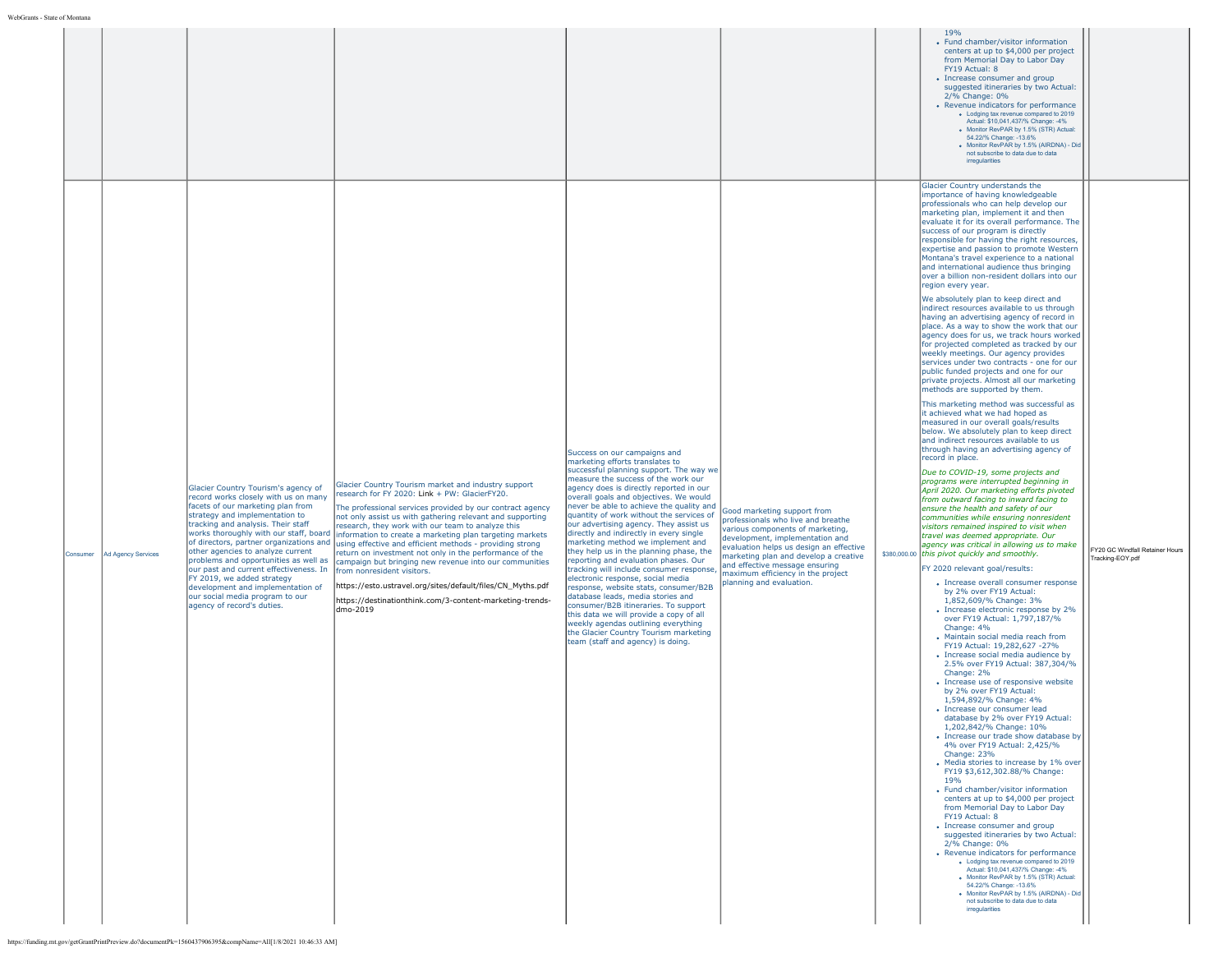|                                       |                                                                                                                                                                                                                                                                                                                                                                                                                                                                                                                                           |                                                                                                                                                                                                                                                                                                                                                                                                                                                                                                                                                                                                                                                                                                      |                                                                                                                                                                                                                                                                                                                                                                                                                                                                                                                                                                                                                                                                                                                                                                                                                                                                                                                    |                                                                                                                                                                                                                                                                                                                                 | 19%<br>• Fund chamber/visitor information<br>centers at up to \$4,000 per project<br>from Memorial Day to Labor Day<br>FY19 Actual: 8<br>• Increase consumer and group<br>suggested itineraries by two Actual:<br>2/% Change: 0%<br>• Revenue indicators for performance<br>• Lodging tax revenue compared to 2019<br>Actual: \$10,041,437/% Change: -4%<br>. Monitor RevPAR by 1.5% (STR) Actual:<br>54.22/% Change: -13.6%<br>· Monitor RevPAR by 1.5% (AIRDNA) - Did<br>not subscribe to data due to data<br>irregularities                                                                                                                                                                                                                                                                                                                                                                                                                                                                                                                                                                                                                                                                                                                                                                                                                                                                                                                                                                                                                                                                                                                                                                                                                                                                                                                                                                                                                                                                                                                                                                                                                                                                                                                                                                                                                                                                                                                                                                                                                                                                                                                                                                                                                                                                                                                                                                                                                                                                                   |                                                     |
|---------------------------------------|-------------------------------------------------------------------------------------------------------------------------------------------------------------------------------------------------------------------------------------------------------------------------------------------------------------------------------------------------------------------------------------------------------------------------------------------------------------------------------------------------------------------------------------------|------------------------------------------------------------------------------------------------------------------------------------------------------------------------------------------------------------------------------------------------------------------------------------------------------------------------------------------------------------------------------------------------------------------------------------------------------------------------------------------------------------------------------------------------------------------------------------------------------------------------------------------------------------------------------------------------------|--------------------------------------------------------------------------------------------------------------------------------------------------------------------------------------------------------------------------------------------------------------------------------------------------------------------------------------------------------------------------------------------------------------------------------------------------------------------------------------------------------------------------------------------------------------------------------------------------------------------------------------------------------------------------------------------------------------------------------------------------------------------------------------------------------------------------------------------------------------------------------------------------------------------|---------------------------------------------------------------------------------------------------------------------------------------------------------------------------------------------------------------------------------------------------------------------------------------------------------------------------------|------------------------------------------------------------------------------------------------------------------------------------------------------------------------------------------------------------------------------------------------------------------------------------------------------------------------------------------------------------------------------------------------------------------------------------------------------------------------------------------------------------------------------------------------------------------------------------------------------------------------------------------------------------------------------------------------------------------------------------------------------------------------------------------------------------------------------------------------------------------------------------------------------------------------------------------------------------------------------------------------------------------------------------------------------------------------------------------------------------------------------------------------------------------------------------------------------------------------------------------------------------------------------------------------------------------------------------------------------------------------------------------------------------------------------------------------------------------------------------------------------------------------------------------------------------------------------------------------------------------------------------------------------------------------------------------------------------------------------------------------------------------------------------------------------------------------------------------------------------------------------------------------------------------------------------------------------------------------------------------------------------------------------------------------------------------------------------------------------------------------------------------------------------------------------------------------------------------------------------------------------------------------------------------------------------------------------------------------------------------------------------------------------------------------------------------------------------------------------------------------------------------------------------------------------------------------------------------------------------------------------------------------------------------------------------------------------------------------------------------------------------------------------------------------------------------------------------------------------------------------------------------------------------------------------------------------------------------------------------------------------------------|-----------------------------------------------------|
| <b>Ad Agency Services</b><br>Consumer | Glacier Country Tourism's agency of<br>record works closely with us on many<br>facets of our marketing plan from<br>strategy and implementation to<br>tracking and analysis. Their staff<br>works thoroughly with our staff, board<br>of directors, partner organizations and<br>other agencies to analyze current<br>problems and opportunities as well as<br>our past and current effectiveness. In<br>FY 2019, we added strategy<br>development and implementation of<br>our social media program to our<br>agency of record's duties. | Glacier Country Tourism market and industry support<br>research for FY 2020: Link + PW: GlacierFY20.<br>The professional services provided by our contract agency<br>not only assist us with gathering relevant and supporting<br>research, they work with our team to analyze this<br>information to create a marketing plan targeting markets<br>using effective and efficient methods - providing strong<br>return on investment not only in the performance of the<br>campaign but bringing new revenue into our communities<br>from nonresident visitors.<br>https://esto.ustravel.org/sites/default/files/CN_Myths.pdf<br>https://destinationthink.com/3-content-marketing-trends-<br>dmo-2019 | Success on our campaigns and<br>marketing efforts translates to<br>successful planning support. The way we<br>measure the success of the work our<br>agency does is directly reported in our<br>overall goals and objectives. We would<br>never be able to achieve the quality and<br>quantity of work without the services of<br>our advertising agency. They assist us<br>directly and indirectly in every single<br>marketing method we implement and<br>they help us in the planning phase, the<br>reporting and evaluation phases. Our<br>tracking will include consumer response,<br>electronic response, social media<br>response, website stats, consumer/B2B<br>database leads, media stories and<br>consumer/B2B itineraries. To support<br>this data we will provide a copy of all<br>weekly agendas outlining everything<br>the Glacier Country Tourism marketing<br>team (staff and agency) is doing. | Good marketing support from<br>professionals who live and breathe<br>various components of marketing,<br>development, implementation and<br>evaluation helps us design an effective<br>marketing plan and develop a creative<br>and effective message ensuring<br>maximum efficiency in the project<br>planning and evaluation. | Glacier Country understands the<br>importance of having knowledgeable<br>professionals who can help develop our<br>marketing plan, implement it and then<br>evaluate it for its overall performance. The<br>success of our program is directly<br>responsible for having the right resources,<br>expertise and passion to promote Western<br>Montana's travel experience to a national<br>and international audience thus bringing<br>over a billion non-resident dollars into our<br>region every year.<br>We absolutely plan to keep direct and<br>indirect resources available to us through<br>having an advertising agency of record in<br>place. As a way to show the work that our<br>agency does for us, we track hours worked<br>for projected completed as tracked by our<br>weekly meetings. Our agency provides<br>services under two contracts - one for our<br>public funded projects and one for our<br>private projects. Almost all our marketing<br>methods are supported by them.<br>This marketing method was successful as<br>it achieved what we had hoped as<br>measured in our overall goals/results<br>below. We absolutely plan to keep direct<br>and indirect resources available to us<br>through having an advertising agency of<br>record in place.<br>Due to COVID-19, some projects and<br>programs were interrupted beginning in<br>April 2020. Our marketing efforts pivoted<br>from outward facing to inward facing to<br>ensure the health and safety of our<br>communities while ensuring nonresident<br>visitors remained inspired to visit when<br>travel was deemed appropriate. Our<br>agency was critical in allowing us to make<br>\$380,000.00 this pivot quickly and smoothly.<br>FY 2020 relevant goal/results:<br>• Increase overall consumer response<br>by 2% over FY19 Actual:<br>1,852,609/% Change: 3%<br>• Increase electronic response by 2%<br>over FY19 Actual: 1,797,187/%<br>Change: 4%<br>. Maintain social media reach from<br>FY19 Actual: 19,282,627 -27%<br>• Increase social media audience by<br>2.5% over FY19 Actual: 387,304/%<br>Change: 2%<br>• Increase use of responsive website<br>by 2% over FY19 Actual:<br>1,594,892/% Change: 4%<br>• Increase our consumer lead<br>database by 2% over FY19 Actual:<br>1,202,842/% Change: 10%<br>• Increase our trade show database by<br>4% over FY19 Actual: 2,425/%<br>Change: 23%<br>• Media stories to increase by 1% over<br>FY19 \$3,612,302.88/% Change:<br>19%<br>• Fund chamber/visitor information<br>centers at up to \$4,000 per project<br>from Memorial Day to Labor Day<br>FY19 Actual: 8<br>• Increase consumer and group<br>suggested itineraries by two Actual:<br>2/% Change: 0%<br>• Revenue indicators for performance<br>. Lodging tax revenue compared to 2019<br>Actual: \$10.041.437/% Change: -4%<br>. Monitor RevPAR by 1.5% (STR) Actual:<br>54.22/% Change: -13.6%<br>· Monitor RevPAR by 1.5% (AIRDNA) - Did<br>not subscribe to data due to data<br>irregularities | FY20 GC Windfall Retainer Hours<br>Tracking-EOY.pdf |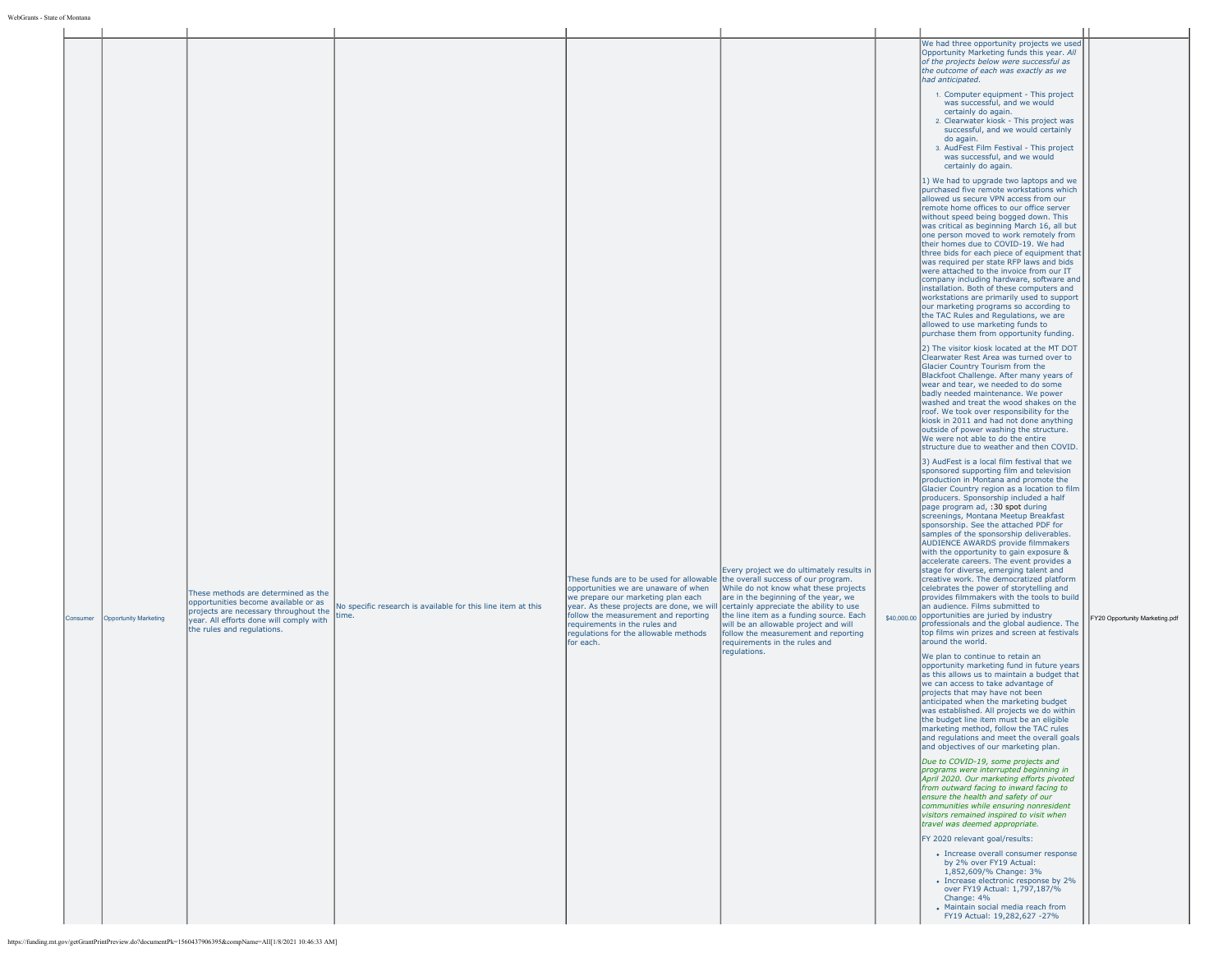| Consumer | <b>Opportunity Marketing</b> | These methods are determined as the<br>opportunities become available or as<br>projects are necessary throughout the<br>year. All efforts done will comply with<br>the rules and regulations.<br>https://funding.mt.gov/getGrantPrintPreview.do?documentPk=1560437906395&compName=All[1/8/2021 10:46:33 AM] | No specific research is available for this line item at this<br>time. | These funds are to be used for allowable the overall success of our program.<br>opportunities we are unaware of when<br>we prepare our marketing plan each<br>year. As these projects are done, we will<br>follow the measurement and reporting<br>requirements in the rules and<br>regulations for the allowable methods<br>for each. | Every project we do ultimately results in<br>While do not know what these projects<br>are in the beginning of the year, we<br>certainly appreciate the ability to use<br>the line item as a funding source. Each<br>will be an allowable project and will<br>follow the measurement and reporting<br>requirements in the rules and<br>requlations. | We had three opportunity projects we used<br>Opportunity Marketing funds this year. All<br>of the projects below were successful as<br>the outcome of each was exactly as we<br>had anticipated.<br>1. Computer equipment - This project<br>was successful, and we would<br>certainly do again.<br>2. Clearwater kiosk - This project was<br>successful, and we would certainly<br>do again.<br>3. AudFest Film Festival - This project<br>was successful, and we would<br>certainly do again.<br>1) We had to upgrade two laptops and we<br>purchased five remote workstations which<br>allowed us secure VPN access from our<br>remote home offices to our office server<br>without speed being bogged down. This<br>was critical as beginning March 16, all but<br>one person moved to work remotely from<br>their homes due to COVID-19. We had<br>three bids for each piece of equipment that<br>was required per state RFP laws and bids<br>were attached to the invoice from our IT<br>company including hardware, software and<br>installation. Both of these computers and<br>workstations are primarily used to support<br>our marketing programs so according to<br>the TAC Rules and Regulations, we are<br>allowed to use marketing funds to<br>purchase them from opportunity funding.<br>2) The visitor kiosk located at the MT DOT<br>Clearwater Rest Area was turned over to<br>Glacier Country Tourism from the<br>Blackfoot Challenge. After many years of<br>wear and tear, we needed to do some<br>badly needed maintenance. We power<br>washed and treat the wood shakes on the<br>roof. We took over responsibility for the<br>kiosk in 2011 and had not done anything<br>outside of power washing the structure.<br>We were not able to do the entire<br>structure due to weather and then COVID.<br>3) AudFest is a local film festival that we<br>sponsored supporting film and television<br>production in Montana and promote the<br>Glacier Country region as a location to film<br>producers. Sponsorship included a half<br>page program ad, :30 spot during<br>screenings, Montana Meetup Breakfast<br>sponsorship. See the attached PDF for<br>samples of the sponsorship deliverables.<br>AUDIENCE AWARDS provide filmmakers<br>with the opportunity to gain exposure &<br>accelerate careers. The event provides a<br>stage for diverse, emerging talent and<br>creative work. The democratized platform<br>celebrates the power of storytelling and<br>provides filmmakers with the tools to build<br>an audience. Films submitted to<br>\$40,000.00 opportunities are juried by industry<br>professionals and the global audience. The<br>top films win prizes and screen at festivals<br>around the world.<br>We plan to continue to retain an<br>opportunity marketing fund in future years<br>as this allows us to maintain a budget that<br>we can access to take advantage of<br>projects that may have not been<br>anticipated when the marketing budget<br>was established. All projects we do within<br>the budget line item must be an eligible<br>marketing method, follow the TAC rules<br>and requiations and meet the overall goals<br>and objectives of our marketing plan.<br>Due to COVID-19, some projects and<br>programs were interrupted beginning in<br>April 2020. Our marketing efforts pivoted<br>from outward facing to inward facing to<br>ensure the health and safety of our<br>communities while ensuring nonresident<br>visitors remained inspired to visit when<br>travel was deemed appropriate.<br>FY 2020 relevant goal/results:<br>• Increase overall consumer response<br>by 2% over FY19 Actual:<br>1,852,609/% Change: 3%<br>• Increase electronic response by 2%<br>over FY19 Actual: 1,797,187/%<br>Change: 4%<br>• Maintain social media reach from<br>FY19 Actual: 19,282,627 -27% | FY20 Opportunity Marketing.pdf |
|----------|------------------------------|-------------------------------------------------------------------------------------------------------------------------------------------------------------------------------------------------------------------------------------------------------------------------------------------------------------|-----------------------------------------------------------------------|----------------------------------------------------------------------------------------------------------------------------------------------------------------------------------------------------------------------------------------------------------------------------------------------------------------------------------------|----------------------------------------------------------------------------------------------------------------------------------------------------------------------------------------------------------------------------------------------------------------------------------------------------------------------------------------------------|-------------------------------------------------------------------------------------------------------------------------------------------------------------------------------------------------------------------------------------------------------------------------------------------------------------------------------------------------------------------------------------------------------------------------------------------------------------------------------------------------------------------------------------------------------------------------------------------------------------------------------------------------------------------------------------------------------------------------------------------------------------------------------------------------------------------------------------------------------------------------------------------------------------------------------------------------------------------------------------------------------------------------------------------------------------------------------------------------------------------------------------------------------------------------------------------------------------------------------------------------------------------------------------------------------------------------------------------------------------------------------------------------------------------------------------------------------------------------------------------------------------------------------------------------------------------------------------------------------------------------------------------------------------------------------------------------------------------------------------------------------------------------------------------------------------------------------------------------------------------------------------------------------------------------------------------------------------------------------------------------------------------------------------------------------------------------------------------------------------------------------------------------------------------------------------------------------------------------------------------------------------------------------------------------------------------------------------------------------------------------------------------------------------------------------------------------------------------------------------------------------------------------------------------------------------------------------------------------------------------------------------------------------------------------------------------------------------------------------------------------------------------------------------------------------------------------------------------------------------------------------------------------------------------------------------------------------------------------------------------------------------------------------------------------------------------------------------------------------------------------------------------------------------------------------------------------------------------------------------------------------------------------------------------------------------------------------------------------------------------------------------------------------------------------------------------------------------------------------------------------------------------------------------------------------------------------------------------------------------------------------------------------------------------------------------------------------------------------------------------------------------------------------------------------------------------------------------------------------------------|--------------------------------|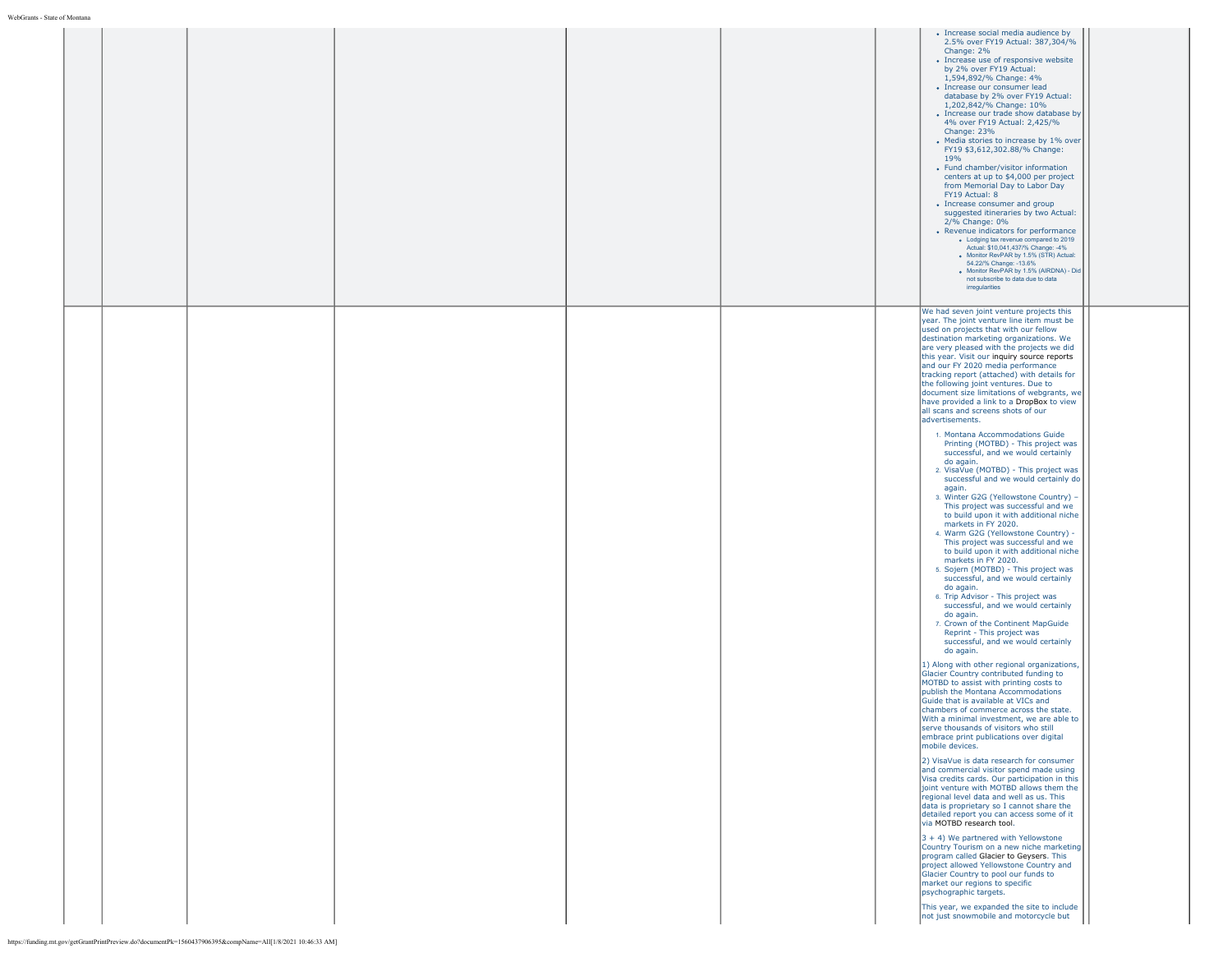|  |  | · Increase social media audience by<br>2.5% over FY19 Actual: 387,304/%<br>Change: 2%<br>• Increase use of responsive website<br>by 2% over FY19 Actual:<br>1,594,892/% Change: 4%<br>· Increase our consumer lead<br>database by 2% over FY19 Actual:<br>1,202,842/% Change: 10%<br>• Increase our trade show database by<br>4% over FY19 Actual: 2,425/%<br>Change: 23%<br>• Media stories to increase by 1% over<br>FY19 \$3,612,302.88/% Change:<br>19%<br>• Fund chamber/visitor information<br>centers at up to \$4,000 per project<br>from Memorial Day to Labor Day<br>FY19 Actual: 8<br>• Increase consumer and group<br>suggested itineraries by two Actual:<br>2/% Change: 0%<br>• Revenue indicators for performance<br>. Lodging tax revenue compared to 2019<br>Actual: \$10,041,437/% Change: -4%<br>. Monitor RevPAR by 1.5% (STR) Actual:<br>54.22/% Change: -13.6%<br>· Monitor RevPAR by 1.5% (AIRDNA) - Did<br>not subscribe to data due to data<br>irregularities                                                                                                                                                                                                                                                                                                                                                                                                                                                                                                                                                                                                                                                                                                                                                                                                                                                                                                                                                                                                                                                                                                                                                                                                                                                                                                                                                                                                                                                                                                                                              |
|--|--|-------------------------------------------------------------------------------------------------------------------------------------------------------------------------------------------------------------------------------------------------------------------------------------------------------------------------------------------------------------------------------------------------------------------------------------------------------------------------------------------------------------------------------------------------------------------------------------------------------------------------------------------------------------------------------------------------------------------------------------------------------------------------------------------------------------------------------------------------------------------------------------------------------------------------------------------------------------------------------------------------------------------------------------------------------------------------------------------------------------------------------------------------------------------------------------------------------------------------------------------------------------------------------------------------------------------------------------------------------------------------------------------------------------------------------------------------------------------------------------------------------------------------------------------------------------------------------------------------------------------------------------------------------------------------------------------------------------------------------------------------------------------------------------------------------------------------------------------------------------------------------------------------------------------------------------------------------------------------------------------------------------------------------------------------------------------------------------------------------------------------------------------------------------------------------------------------------------------------------------------------------------------------------------------------------------------------------------------------------------------------------------------------------------------------------------------------------------------------------------------------------------------------------------|
|  |  | We had seven joint venture projects this<br>year. The joint venture line item must be<br>used on projects that with our fellow<br>destination marketing organizations. We<br>are very pleased with the projects we did<br>this year. Visit our inquiry source reports<br>and our FY 2020 media performance<br>tracking report (attached) with details for<br>the following joint ventures. Due to<br>document size limitations of webgrants, we<br>have provided a link to a DropBox to view<br>all scans and screens shots of our<br>advertisements.<br>1. Montana Accommodations Guide<br>Printing (MOTBD) - This project was<br>successful, and we would certainly<br>do again.<br>2. VisaVue (MOTBD) - This project was<br>successful and we would certainly do<br>again.<br>3. Winter G2G (Yellowstone Country) -<br>This project was successful and we<br>to build upon it with additional niche<br>markets in FY 2020.<br>4. Warm G2G (Yellowstone Country) -<br>This project was successful and we<br>to build upon it with additional niche<br>markets in FY 2020.<br>5. Sojern (MOTBD) - This project was<br>successful, and we would certainly<br>do again.<br>6. Trip Advisor - This project was<br>successful, and we would certainly<br>do again.<br>7. Crown of the Continent MapGuide<br>Reprint - This project was<br>successful, and we would certainly<br>do again.<br>1) Along with other regional organizations,<br>Glacier Country contributed funding to<br>MOTBD to assist with printing costs to<br>publish the Montana Accommodations<br>Guide that is available at VICs and<br>chambers of commerce across the state.<br>With a minimal investment, we are able to<br>serve thousands of visitors who still<br>embrace print publications over digital<br>mobile devices.<br>2) VisaVue is data research for consumer<br>and commercial visitor spend made using<br>Visa credits cards. Our participation in this<br>joint venture with MOTBD allows them the<br>regional level data and well as us. This<br>data is proprietary so I cannot share the<br>detailed report you can access some of it<br>via MOTBD research tool.<br>$3 + 4$ ) We partnered with Yellowstone<br>Country Tourism on a new niche marketing<br>program called Glacier to Geysers. This<br>project allowed Yellowstone Country and<br>Glacier Country to pool our funds to<br>market our regions to specific<br>psychographic targets.<br>This year, we expanded the site to include<br>not just snowmobile and motorcycle but |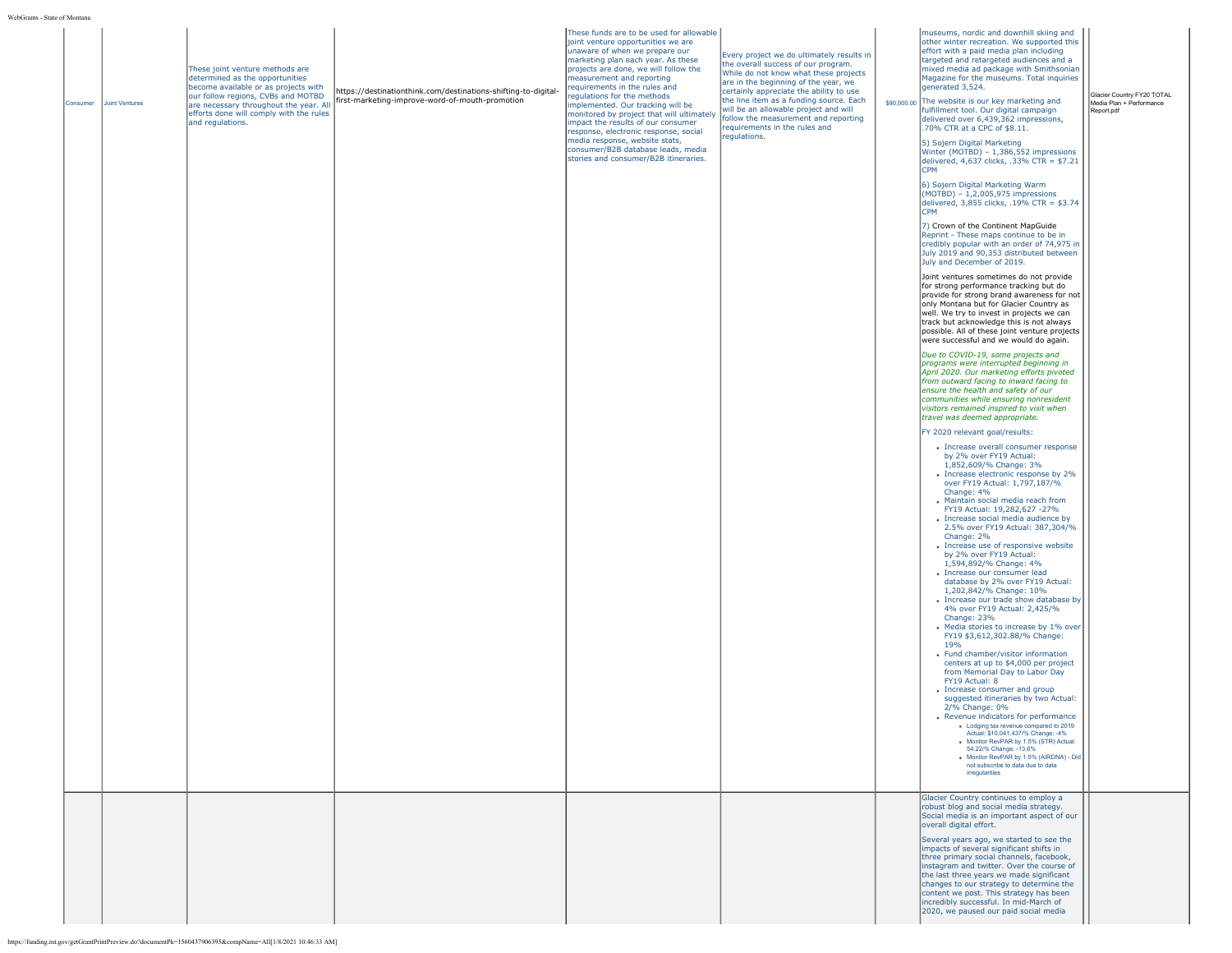| Consumer | Joint Ventures | These joint venture methods are<br>determined as the opportunities<br>become available or as projects with<br>our follow regions, CVBs and MOTBD<br>are necessary throughout the year. All<br>efforts done will comply with the rules<br>and regulations. | https://destinationthink.com/destinations-shifting-to-digital-<br>first-marketing-improve-word-of-mouth-promotion | These funds are to be used for allowable<br>joint venture opportunities we are<br>unaware of when we prepare our<br>marketing plan each year. As these<br>projects are done, we will follow the<br>measurement and reporting<br>requirements in the rules and<br>regulations for the methods<br>implemented. Our tracking will be<br>monitored by project that will ultimately<br>impact the results of our consumer<br>response, electronic response, social<br>media response, website stats,<br>consumer/B2B database leads, media<br>stories and consumer/B2B itineraries. | Every project we do ultimately results in<br>the overall success of our program.<br>While do not know what these projects<br>are in the beginning of the year, we<br>certainly appreciate the ability to use<br>the line item as a funding source. Each<br>will be an allowable project and will<br>follow the measurement and reporting<br>requirements in the rules and<br>regulations. | museums, nordic and downhill skiing and<br>other winter recreation. We supported this<br>effort with a paid media plan including<br>targeted and retargeted audiences and a<br>mixed media ad package with Smithsonian<br>Magazine for the museums. Total inquiries<br>generated 3,524.<br>\$90,000.00 The website is our key marketing and<br>fulfillment tool. Our digital campaign<br>delivered over 6,439,362 impressions,<br>.70% CTR at a CPC of \$8.11.<br>5) Sojern Digital Marketing<br>Winter (MOTBD) - 1,386,552 impressions<br>delivered, $4,637$ clicks, .33% CTR = \$7.21<br>CPM | Glacier Country FY20 TOTAL<br>Media Plan + Performance<br>Report.pdf |
|----------|----------------|-----------------------------------------------------------------------------------------------------------------------------------------------------------------------------------------------------------------------------------------------------------|-------------------------------------------------------------------------------------------------------------------|--------------------------------------------------------------------------------------------------------------------------------------------------------------------------------------------------------------------------------------------------------------------------------------------------------------------------------------------------------------------------------------------------------------------------------------------------------------------------------------------------------------------------------------------------------------------------------|-------------------------------------------------------------------------------------------------------------------------------------------------------------------------------------------------------------------------------------------------------------------------------------------------------------------------------------------------------------------------------------------|------------------------------------------------------------------------------------------------------------------------------------------------------------------------------------------------------------------------------------------------------------------------------------------------------------------------------------------------------------------------------------------------------------------------------------------------------------------------------------------------------------------------------------------------------------------------------------------------|----------------------------------------------------------------------|
|          |                |                                                                                                                                                                                                                                                           |                                                                                                                   |                                                                                                                                                                                                                                                                                                                                                                                                                                                                                                                                                                                |                                                                                                                                                                                                                                                                                                                                                                                           | 6) Sojern Digital Marketing Warm<br>$(MOTBD) - 1,2,005,975$ impressions<br>delivered, 3,855 clicks, .19% CTR = \$3.74<br><b>CPM</b><br>7) Crown of the Continent MapGuide<br>Reprint - These maps continue to be in<br>credibly popular with an order of 74,975 in<br>July 2019 and 90,353 distributed between                                                                                                                                                                                                                                                                                 |                                                                      |
|          |                |                                                                                                                                                                                                                                                           |                                                                                                                   |                                                                                                                                                                                                                                                                                                                                                                                                                                                                                                                                                                                |                                                                                                                                                                                                                                                                                                                                                                                           | July and December of 2019.<br>Joint ventures sometimes do not provide<br>for strong performance tracking but do<br>provide for strong brand awareness for not<br>only Montana but for Glacier Country as<br>well. We try to invest in projects we can<br>track but acknowledge this is not always<br>possible. All of these joint venture projects<br>were successful and we would do again.                                                                                                                                                                                                   |                                                                      |
|          |                |                                                                                                                                                                                                                                                           |                                                                                                                   |                                                                                                                                                                                                                                                                                                                                                                                                                                                                                                                                                                                |                                                                                                                                                                                                                                                                                                                                                                                           | Due to COVID-19, some projects and<br>programs were interrupted beginning in<br>April 2020. Our marketing efforts pivoted<br>from outward facing to inward facing to<br>ensure the health and safety of our<br>communities while ensuring nonresident<br>visitors remained inspired to visit when<br>travel was deemed appropriate.                                                                                                                                                                                                                                                            |                                                                      |
|          |                |                                                                                                                                                                                                                                                           |                                                                                                                   |                                                                                                                                                                                                                                                                                                                                                                                                                                                                                                                                                                                |                                                                                                                                                                                                                                                                                                                                                                                           | FY 2020 relevant goal/results:<br>• Increase overall consumer response<br>by 2% over FY19 Actual:<br>1,852,609/% Change: 3%<br>• Increase electronic response by 2%<br>over FY19 Actual: 1,797,187/%<br>Change: 4%<br>• Maintain social media reach from                                                                                                                                                                                                                                                                                                                                       |                                                                      |
|          |                |                                                                                                                                                                                                                                                           |                                                                                                                   |                                                                                                                                                                                                                                                                                                                                                                                                                                                                                                                                                                                |                                                                                                                                                                                                                                                                                                                                                                                           | FY19 Actual: 19,282,627 -27%<br>• Increase social media audience by<br>2.5% over FY19 Actual: 387,304/%<br>Change: 2%<br>• Increase use of responsive website<br>by 2% over FY19 Actual:<br>1,594,892/% Change: 4%<br>• Increase our consumer lead<br>database by 2% over FY19 Actual:<br>1,202,842/% Change: 10%<br>• Increase our trade show database by<br>4% over FY19 Actual: 2,425/%<br>Change: 23%<br>• Media stories to increase by 1% over<br>FY19 \$3,612,302.88/% Change:                                                                                                           |                                                                      |
|          |                |                                                                                                                                                                                                                                                           |                                                                                                                   |                                                                                                                                                                                                                                                                                                                                                                                                                                                                                                                                                                                |                                                                                                                                                                                                                                                                                                                                                                                           | 19 <sub>%</sub><br>• Fund chamber/visitor information<br>centers at up to \$4,000 per project<br>from Memorial Day to Labor Day<br>FY19 Actual: 8<br>• Increase consumer and group<br>suggested itineraries by two Actual:<br>2/% Change: 0%<br>• Revenue indicators for performance<br>. Lodging tax revenue compared to 2019<br>Actual: \$10,041,437/% Change: -4%<br>· Monitor RevPAR by 1.5% (STR) Actual:<br>54.22/% Change: -13.6%<br>· Monitor RevPAR by 1.5% (AIRDNA) - Did<br>not subscribe to data due to data<br>irregularities                                                     |                                                                      |
|          |                |                                                                                                                                                                                                                                                           |                                                                                                                   |                                                                                                                                                                                                                                                                                                                                                                                                                                                                                                                                                                                |                                                                                                                                                                                                                                                                                                                                                                                           | Glacier Country continues to employ a<br>robust blog and social media strategy.<br>Social media is an important aspect of our<br>overall digital effort.<br>Several years ago, we started to see the<br>impacts of several significant shifts in<br>three primary social channels, facebook,<br>instagram and twitter. Over the course of<br>the last three years we made significant<br>changes to our strategy to determine the<br>content we post. This strategy has been<br>incredibly successful. In mid-March of<br>2020, we paused our paid social media                                |                                                                      |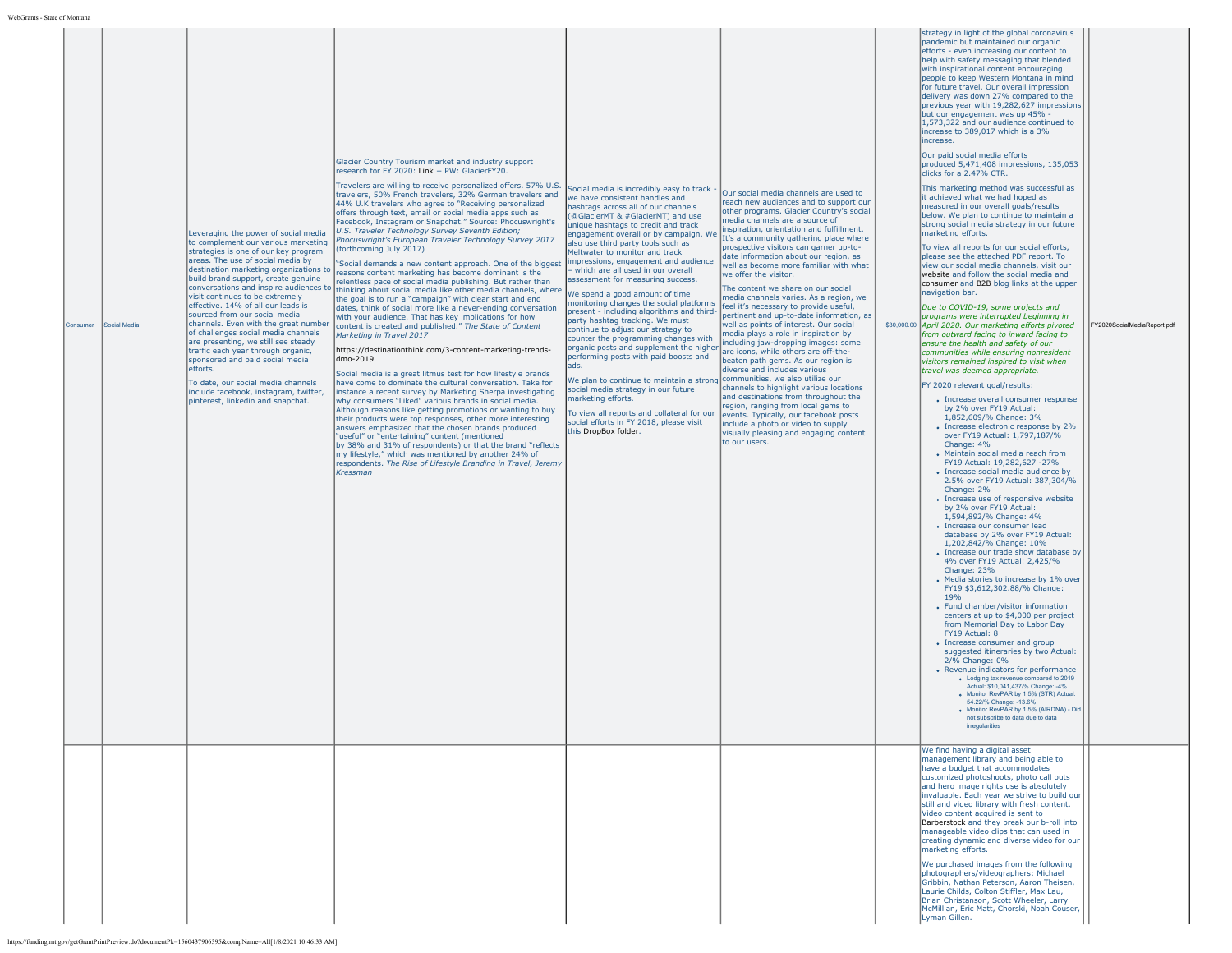|          |              |                                                                                                                                                                                                                                                                                                                                                                                                                                                                                                                                                                                                                                                                                    |                                                                                                                                                                                                                                                                                                                                                                                                                                                                                                                                                                                                                                                                                                                                                                                                                                                                                                                                                                                                                                                                                                                                                                                                                                                                                                                                                                                                                                                                                                                                                                                                                                                                                                                                                                                                                                                                                                         |                                                                                                                                                                                                                                                                                                                                                                                                                                                                                                                                                                                                                                                                                                                                                                                                                                                                                                                                                                                                                           |                                                                                                                                                                                                                                                                                                                                                                                                                                                                                                                                                                                                                                                                                                                                                                                                                                                                                                                                                                                                                                                                                         | strategy in light of the global coronavirus                                                                                                                                                                                                                                                                                                                                                                                                                                                                                                                                                                                                                                                                                                                                                                                                                                                                                                                                                                                                                                                                                                                                                                                                                                                                                                                                                                                                                                                                                                                                                                                                                                                                                                                                                                                                                                                                                                                                                                                                                                                                                                                                                                                                                                                                                                                                                                                                                                                                                                                                                                                                                                                                                                                        |                             |
|----------|--------------|------------------------------------------------------------------------------------------------------------------------------------------------------------------------------------------------------------------------------------------------------------------------------------------------------------------------------------------------------------------------------------------------------------------------------------------------------------------------------------------------------------------------------------------------------------------------------------------------------------------------------------------------------------------------------------|---------------------------------------------------------------------------------------------------------------------------------------------------------------------------------------------------------------------------------------------------------------------------------------------------------------------------------------------------------------------------------------------------------------------------------------------------------------------------------------------------------------------------------------------------------------------------------------------------------------------------------------------------------------------------------------------------------------------------------------------------------------------------------------------------------------------------------------------------------------------------------------------------------------------------------------------------------------------------------------------------------------------------------------------------------------------------------------------------------------------------------------------------------------------------------------------------------------------------------------------------------------------------------------------------------------------------------------------------------------------------------------------------------------------------------------------------------------------------------------------------------------------------------------------------------------------------------------------------------------------------------------------------------------------------------------------------------------------------------------------------------------------------------------------------------------------------------------------------------------------------------------------------------|---------------------------------------------------------------------------------------------------------------------------------------------------------------------------------------------------------------------------------------------------------------------------------------------------------------------------------------------------------------------------------------------------------------------------------------------------------------------------------------------------------------------------------------------------------------------------------------------------------------------------------------------------------------------------------------------------------------------------------------------------------------------------------------------------------------------------------------------------------------------------------------------------------------------------------------------------------------------------------------------------------------------------|-----------------------------------------------------------------------------------------------------------------------------------------------------------------------------------------------------------------------------------------------------------------------------------------------------------------------------------------------------------------------------------------------------------------------------------------------------------------------------------------------------------------------------------------------------------------------------------------------------------------------------------------------------------------------------------------------------------------------------------------------------------------------------------------------------------------------------------------------------------------------------------------------------------------------------------------------------------------------------------------------------------------------------------------------------------------------------------------|--------------------------------------------------------------------------------------------------------------------------------------------------------------------------------------------------------------------------------------------------------------------------------------------------------------------------------------------------------------------------------------------------------------------------------------------------------------------------------------------------------------------------------------------------------------------------------------------------------------------------------------------------------------------------------------------------------------------------------------------------------------------------------------------------------------------------------------------------------------------------------------------------------------------------------------------------------------------------------------------------------------------------------------------------------------------------------------------------------------------------------------------------------------------------------------------------------------------------------------------------------------------------------------------------------------------------------------------------------------------------------------------------------------------------------------------------------------------------------------------------------------------------------------------------------------------------------------------------------------------------------------------------------------------------------------------------------------------------------------------------------------------------------------------------------------------------------------------------------------------------------------------------------------------------------------------------------------------------------------------------------------------------------------------------------------------------------------------------------------------------------------------------------------------------------------------------------------------------------------------------------------------------------------------------------------------------------------------------------------------------------------------------------------------------------------------------------------------------------------------------------------------------------------------------------------------------------------------------------------------------------------------------------------------------------------------------------------------------------------------------------------------|-----------------------------|
| Consumer | Social Media | Leveraging the power of social media<br>to complement our various marketing<br>strategies is one of our key program<br>areas. The use of social media by<br>destination marketing organizations to<br>build brand support, create genuine<br>visit continues to be extremely<br>effective. 14% of all our leads is<br>sourced from our social media<br>channels. Even with the great number<br>of challenges social media channels<br>are presenting, we still see steady<br>traffic each year through organic,<br>sponsored and paid social media<br>efforts.<br>To date, our social media channels<br>include facebook, instagram, twitter,<br>pinterest, linkedin and snapchat. | Glacier Country Tourism market and industry support<br>research for FY 2020: Link + PW: GlacierFY20.<br>Travelers are willing to receive personalized offers. 57% U.S.<br>travelers, 50% French travelers, 32% German travelers and<br>44% U.K travelers who agree to "Receiving personalized<br>offers through text, email or social media apps such as<br>Facebook, Instagram or Snapchat." Source: Phocuswright's<br>U.S. Traveler Technology Survey Seventh Edition;<br>Phocuswright's European Traveler Technology Survey 2017<br>(forthcoming July 2017)<br>"Social demands a new content approach. One of the biggest<br>reasons content marketing has become dominant is the<br>relentless pace of social media publishing. But rather than<br>conversations and inspire audiences to thinking about social media like other media channels, where<br>the goal is to run a "campaign" with clear start and end<br>dates, think of social more like a never-ending conversation<br>with your audience. That has key implications for how<br>content is created and published." The State of Content<br>Marketing in Travel 2017<br>https://destinationthink.com/3-content-marketing-trends-<br>dmo-2019<br>Social media is a great litmus test for how lifestyle brands<br>have come to dominate the cultural conversation. Take for<br>instance a recent survey by Marketing Sherpa investigating<br>why consumers "Liked" various brands in social media.<br>Although reasons like getting promotions or wanting to buy<br>their products were top responses, other more interesting<br>answers emphasized that the chosen brands produced<br>"useful" or "entertaining" content (mentioned<br>by 38% and 31% of respondents) or that the brand "reflects<br>my lifestyle," which was mentioned by another 24% of<br>respondents. The Rise of Lifestyle Branding in Travel, Jeremy<br>Kressman | Social media is incredibly easy to track<br>we have consistent handles and<br>hashtags across all of our channels<br>@GlacierMT & #GlacierMT) and use<br>unique hashtags to credit and track<br>engagement overall or by campaign. We<br>also use third party tools such as<br>Meltwater to monitor and track<br>impressions, engagement and audience<br>which are all used in our overall<br>assessment for measuring success.<br>We spend a good amount of time<br>monitoring changes the social platforms<br>present - including algorithms and third-<br>party hashtag tracking. We must<br>continue to adjust our strategy to<br>counter the programming changes with<br>organic posts and supplement the higher<br>performing posts with paid boosts and<br>We plan to continue to maintain a strong communities, we also utilize our<br>social media strategy in our future<br>narketing efforts.<br>To view all reports and collateral for our<br>social efforts in FY 2018, please visit<br>this DropBox folder. | Our social media channels are used to<br>reach new audiences and to support our<br>other programs. Glacier Country's social<br>media channels are a source of<br>nspiration, orientation and fulfillment.<br>It's a community gathering place where<br>prospective visitors can garner up-to-<br>date information about our region, as<br>well as become more familiar with what<br>we offer the visitor.<br>The content we share on our social<br>media channels varies. As a region, we<br>eel it's necessary to provide useful,<br>pertinent and up-to-date information, as<br>well as points of interest. Our social<br>media plays a role in inspiration by<br>ncluding jaw-dropping images: some<br>are icons, while others are off-the-<br>beaten path gems. As our region is<br>diverse and includes various<br>channels to highlight various locations<br>and destinations from throughout the<br>region, ranging from local gems to<br>events. Typically, our facebook posts<br>include a photo or video to supply<br>visually pleasing and engaging content<br>to our users. | pandemic but maintained our organic<br>efforts - even increasing our content to<br>help with safety messaging that blended<br>with inspirational content encouraging<br>people to keep Western Montana in mind<br>for future travel. Our overall impression<br>delivery was down 27% compared to the<br>previous year with 19,282,627 impressions<br>but our engagement was up 45% -<br>1,573,322 and our audience continued to<br>increase to 389,017 which is a 3%<br>increase.<br>Our paid social media efforts<br>produced 5,471,408 impressions, 135,053<br>clicks for a 2.47% CTR.<br>This marketing method was successful as<br>it achieved what we had hoped as<br>measured in our overall goals/results<br>below. We plan to continue to maintain a<br>strong social media strategy in our future<br>marketing efforts.<br>To view all reports for our social efforts,<br>please see the attached PDF report. To<br>view our social media channels, visit our<br>website and follow the social media and<br>consumer and B2B blog links at the upper<br>navigation bar.<br>Due to COVID-19, some projects and<br>programs were interrupted beginning in<br>\$30,000.00 April 2020. Our marketing efforts pivoted<br>from outward facing to inward facing to<br>ensure the health and safety of our<br>communities while ensuring nonresident<br>visitors remained inspired to visit when<br>travel was deemed appropriate.<br>FY 2020 relevant goal/results:<br>• Increase overall consumer response<br>by 2% over FY19 Actual:<br>1.852.609/% Change: 3%<br>• Increase electronic response by 2%<br>over FY19 Actual: 1,797,187/%<br>Change: 4%<br>• Maintain social media reach from<br>FY19 Actual: 19.282.627 -27%<br>• Increase social media audience by<br>2.5% over FY19 Actual: 387,304/%<br>Change: 2%<br>• Increase use of responsive website<br>by 2% over FY19 Actual:<br>1,594,892/% Change: 4%<br>• Increase our consumer lead<br>database by 2% over FY19 Actual:<br>1,202,842/% Change: 10%<br>• Increase our trade show database by<br>4% over FY19 Actual: 2,425/%<br>Change: 23%<br>• Media stories to increase by 1% over<br>FY19 \$3,612,302.88/% Change:<br><b>19%</b><br>• Fund chamber/visitor information<br>centers at up to \$4,000 per project<br>from Memorial Day to Labor Day<br>FY19 Actual: 8<br>• Increase consumer and group<br>suggested itineraries by two Actual:<br>2/% Change: 0%<br>• Revenue indicators for performance<br>. Lodging tax revenue compared to 2019<br>Actual: \$10.041.437/% Change: -4%<br>· Monitor RevPAR by 1.5% (STR) Actual:<br>54.22/% Change: -13.6%<br>· Monitor RevPAR by 1.5% (AIRDNA) - Did<br>not subscribe to data due to data<br>irregularities<br>We find having a digital asset | FY2020SocialMediaReport.pdf |
|          |              |                                                                                                                                                                                                                                                                                                                                                                                                                                                                                                                                                                                                                                                                                    |                                                                                                                                                                                                                                                                                                                                                                                                                                                                                                                                                                                                                                                                                                                                                                                                                                                                                                                                                                                                                                                                                                                                                                                                                                                                                                                                                                                                                                                                                                                                                                                                                                                                                                                                                                                                                                                                                                         |                                                                                                                                                                                                                                                                                                                                                                                                                                                                                                                                                                                                                                                                                                                                                                                                                                                                                                                                                                                                                           |                                                                                                                                                                                                                                                                                                                                                                                                                                                                                                                                                                                                                                                                                                                                                                                                                                                                                                                                                                                                                                                                                         | management library and being able to<br>have a budget that accommodates<br>customized photoshoots, photo call outs<br>and hero image rights use is absolutely<br>invaluable. Each year we strive to build our<br>still and video library with fresh content.<br>Video content acquired is sent to<br>Barberstock and they break our b-roll into<br>manageable video clips that can used in<br>creating dynamic and diverse video for our<br>marketing efforts.<br>We purchased images from the following<br>photographers/videographers: Michael<br>Gribbin, Nathan Peterson, Aaron Theisen,<br>Laurie Childs, Colton Stiffler, Max Lau,<br>Brian Christanson, Scott Wheeler, Larry<br>McMillian, Eric Matt, Chorski, Noah Couser,<br>Lyman Gillen.                                                                                                                                                                                                                                                                                                                                                                                                                                                                                                                                                                                                                                                                                                                                                                                                                                                                                                                                                                                                                                                                                                                                                                                                                                                                                                                                                                                                                                                                                                                                                                                                                                                                                                                                                                                                                                                                                                                                                                                                                |                             |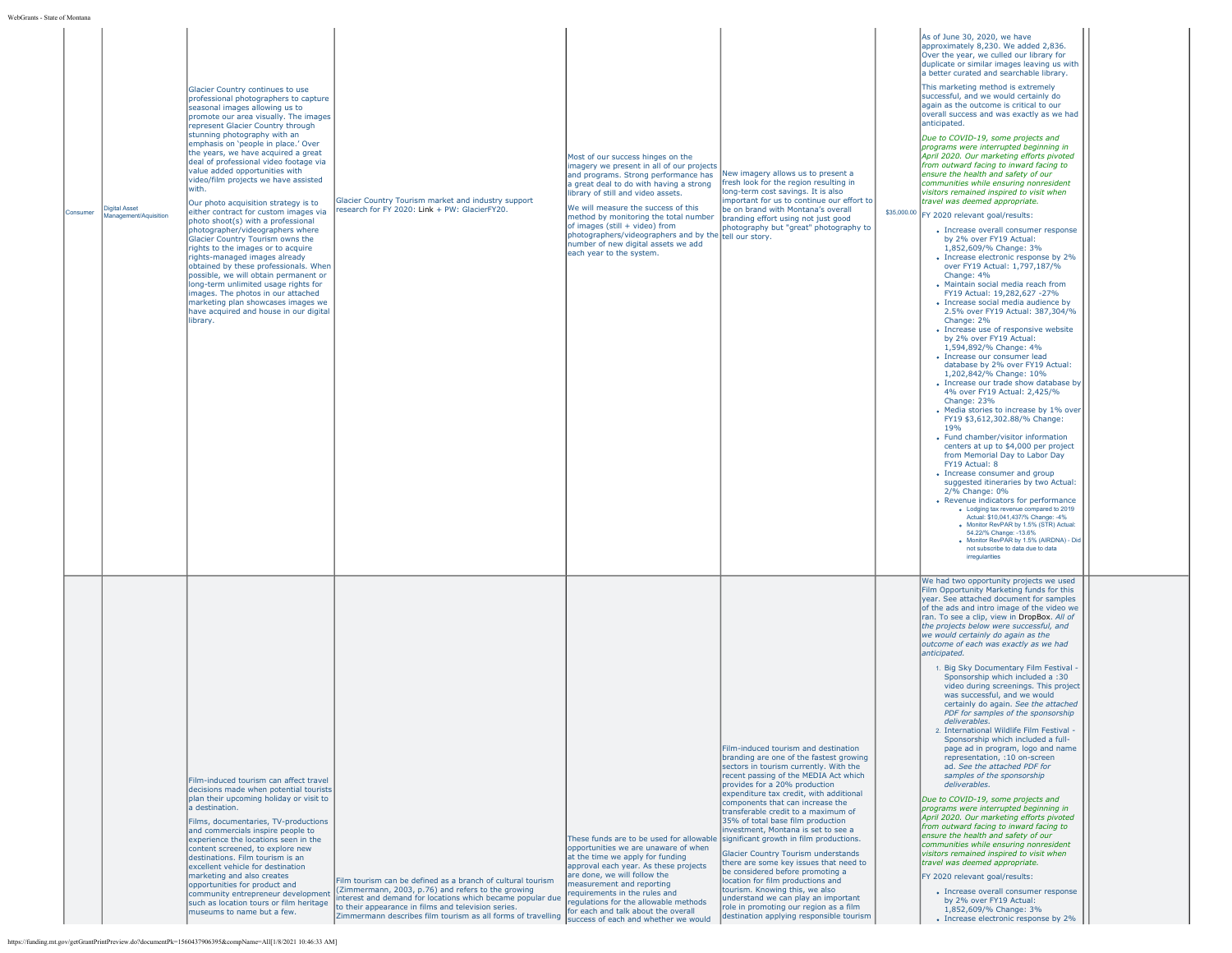| ate of Montan |                                               |                                                                                                                                                                                                                                                                                                                                                                                                                                                                                                                                                                                                                                                                                                                                                                                                                                                                                                                                                                        |                                                                                                                                                                                                                                                                                                       |                                                                                                                                                                                                                                                                                                                                                                                                                                                         |                                                                                                                                                                                                                                                                                                                                                                                                                                                                                                                                                                                                                                                                                                                                |                                                                                                                                                                                                                                                                                                                                                                                                                                                                                                                                                                                                                                                                                                                                                                                                                                                                                                                                                                                                                                                                                                                                                                                                                                                                                                                                                                                                                                                                                                                                                                                                                                                                                                                                                                                                                                                                                                                                                                                                                                             |
|---------------|-----------------------------------------------|------------------------------------------------------------------------------------------------------------------------------------------------------------------------------------------------------------------------------------------------------------------------------------------------------------------------------------------------------------------------------------------------------------------------------------------------------------------------------------------------------------------------------------------------------------------------------------------------------------------------------------------------------------------------------------------------------------------------------------------------------------------------------------------------------------------------------------------------------------------------------------------------------------------------------------------------------------------------|-------------------------------------------------------------------------------------------------------------------------------------------------------------------------------------------------------------------------------------------------------------------------------------------------------|---------------------------------------------------------------------------------------------------------------------------------------------------------------------------------------------------------------------------------------------------------------------------------------------------------------------------------------------------------------------------------------------------------------------------------------------------------|--------------------------------------------------------------------------------------------------------------------------------------------------------------------------------------------------------------------------------------------------------------------------------------------------------------------------------------------------------------------------------------------------------------------------------------------------------------------------------------------------------------------------------------------------------------------------------------------------------------------------------------------------------------------------------------------------------------------------------|---------------------------------------------------------------------------------------------------------------------------------------------------------------------------------------------------------------------------------------------------------------------------------------------------------------------------------------------------------------------------------------------------------------------------------------------------------------------------------------------------------------------------------------------------------------------------------------------------------------------------------------------------------------------------------------------------------------------------------------------------------------------------------------------------------------------------------------------------------------------------------------------------------------------------------------------------------------------------------------------------------------------------------------------------------------------------------------------------------------------------------------------------------------------------------------------------------------------------------------------------------------------------------------------------------------------------------------------------------------------------------------------------------------------------------------------------------------------------------------------------------------------------------------------------------------------------------------------------------------------------------------------------------------------------------------------------------------------------------------------------------------------------------------------------------------------------------------------------------------------------------------------------------------------------------------------------------------------------------------------------------------------------------------------|
| Consumer      | <b>Digital Asset</b><br>Management/Aquisition | Glacier Country continues to use<br>professional photographers to capture<br>seasonal images allowing us to<br>promote our area visually. The images<br>represent Glacier Country through<br>stunning photography with an<br>emphasis on 'people in place.' Over<br>the years, we have acquired a great<br>deal of professional video footage via<br>value added opportunities with<br>video/film projects we have assisted<br>with.<br>Our photo acquisition strategy is to<br>either contract for custom images via<br>photo shoot(s) with a professional<br>photographer/videographers where<br>Glacier Country Tourism owns the<br>rights to the images or to acquire<br>rights-managed images already<br>obtained by these professionals. When<br>possible, we will obtain permanent or<br>long-term unlimited usage rights for<br>images. The photos in our attached<br>marketing plan showcases images we<br>have acquired and house in our digital<br>library. | Glacier Country Tourism market and industry support<br>research for FY 2020: Link + PW: GlacierFY20.                                                                                                                                                                                                  | Most of our success hinges on the<br>imagery we present in all of our projects<br>and programs. Strong performance has<br>la great deal to do with having a strong<br>library of still and video assets.<br>We will measure the success of this<br>method by monitoring the total number<br>of images (still + video) from<br>photographers/videographers and by the tell our story.<br>number of new digital assets we add<br>each year to the system. | New imagery allows us to present a<br>fresh look for the region resulting in<br>long-term cost savings. It is also<br>important for us to continue our effort to<br>be on brand with Montana's overall<br>branding effort using not just good<br>photography but "great" photography to                                                                                                                                                                                                                                                                                                                                                                                                                                        | As of June 30, 2020, we have<br>approximately 8,230. We added 2,836.<br>Over the year, we culled our library for<br>duplicate or similar images leaving us with<br>a better curated and searchable library.<br>This marketing method is extremely<br>successful, and we would certainly do<br>again as the outcome is critical to our<br>overall success and was exactly as we had<br>anticipated.<br>Due to COVID-19, some projects and<br>programs were interrupted beginning in<br>April 2020. Our marketing efforts pivoted<br>from outward facing to inward facing to<br>ensure the health and safety of our<br>communities while ensuring nonresident<br>visitors remained inspired to visit when<br>travel was deemed appropriate.<br>\$35,000.00 FY 2020 relevant goal/results:<br>• Increase overall consumer response<br>by 2% over FY19 Actual:<br>1,852,609/% Change: 3%<br>• Increase electronic response by 2%<br>over FY19 Actual: 1,797,187/%<br>Change: 4%<br>• Maintain social media reach from<br>FY19 Actual: 19,282,627 -27%<br>· Increase social media audience by<br>2.5% over FY19 Actual: 387,304/%<br>Change: 2%<br>• Increase use of responsive website<br>by 2% over FY19 Actual:<br>1,594,892/% Change: 4%<br>• Increase our consumer lead<br>database by 2% over FY19 Actual:<br>1,202,842/% Change: 10%<br>• Increase our trade show database by<br>4% over FY19 Actual: 2,425/%<br>Change: 23%<br>• Media stories to increase by 1% over<br>FY19 \$3,612,302.88/% Change:<br>19%<br>• Fund chamber/visitor information<br>centers at up to \$4,000 per project<br>from Memorial Day to Labor Day<br>FY19 Actual: 8<br>• Increase consumer and group<br>suggested itineraries by two Actual:<br>2/% Change: 0%<br>• Revenue indicators for performance<br>. Lodging tax revenue compared to 2019<br>Actual: \$10,041,437/% Change: -4%<br>. Monitor RevPAR by 1.5% (STR) Actual:<br>54.22/% Change: -13.6%<br>· Monitor RevPAR by 1.5% (AIRDNA) - Did<br>not subscribe to data due to data<br>irregularities |
|               |                                               | Film-induced tourism can affect travel<br>decisions made when potential tourists<br>plan their upcoming holiday or visit to<br>a destination.<br>Films, documentaries, TV-productions<br>and commercials inspire people to<br>experience the locations seen in the<br>content screened, to explore new<br>destinations. Film tourism is an<br>excellent vehicle for destination<br>marketing and also creates<br>opportunities for product and<br>community entrepreneur development<br>such as location tours or film heritage<br>museums to name but a few.                                                                                                                                                                                                                                                                                                                                                                                                          | Film tourism can be defined as a branch of cultural tourism<br>(Zimmermann, 2003, p.76) and refers to the growing<br>nterest and demand for locations which became popular due<br>to their appearance in films and television series.<br>Zimmermann describes film tourism as all forms of travelling | These funds are to be used for allowable significant growth in film productions.<br>opportunities we are unaware of when<br>at the time we apply for funding<br>approval each year. As these projects<br>are done, we will follow the<br>measurement and reporting<br>requirements in the rules and<br>regulations for the allowable methods<br>for each and talk about the overall<br>success of each and whether we would                             | Film-induced tourism and destination<br>branding are one of the fastest growing<br>sectors in tourism currently. With the<br>recent passing of the MEDIA Act which<br>provides for a 20% production<br>expenditure tax credit, with additional<br>components that can increase the<br>transferable credit to a maximum of<br>35% of total base film production<br>investment, Montana is set to see a<br>Glacier Country Tourism understands<br>there are some key issues that need to<br>be considered before promoting a<br>location for film productions and<br>tourism. Knowing this, we also<br>understand we can play an important<br>role in promoting our region as a film<br>destination applying responsible tourism | We had two opportunity projects we used<br>Film Opportunity Marketing funds for this<br>year. See attached document for samples<br>of the ads and intro image of the video we<br>ran. To see a clip, view in DropBox. All of<br>the projects below were successful, and<br>we would certainly do again as the<br>outcome of each was exactly as we had<br>anticipated.<br>1. Big Sky Documentary Film Festival -<br>Sponsorship which included a :30<br>video during screenings. This project<br>was successful, and we would<br>certainly do again. See the attached<br>PDF for samples of the sponsorship<br>deliverables.<br>2. International Wildlife Film Festival -<br>Sponsorship which included a full-<br>page ad in program, logo and name<br>representation, :10 on-screen<br>ad. See the attached PDF for<br>samples of the sponsorship<br>deliverables.<br>Due to COVID-19, some projects and<br>programs were interrupted beginning in<br>April 2020. Our marketing efforts pivoted<br>from outward facing to inward facing to<br>ensure the health and safety of our<br>communities while ensuring nonresident<br>visitors remained inspired to visit when<br>travel was deemed appropriate.<br>FY 2020 relevant goal/results:<br>• Increase overall consumer response<br>by 2% over FY19 Actual:<br>1,852,609/% Change: 3%<br>• Increase electronic response by 2%                                                                                                                                                                                                                                                                                                                                                                                                                                                                                                                                                                                                                                                          |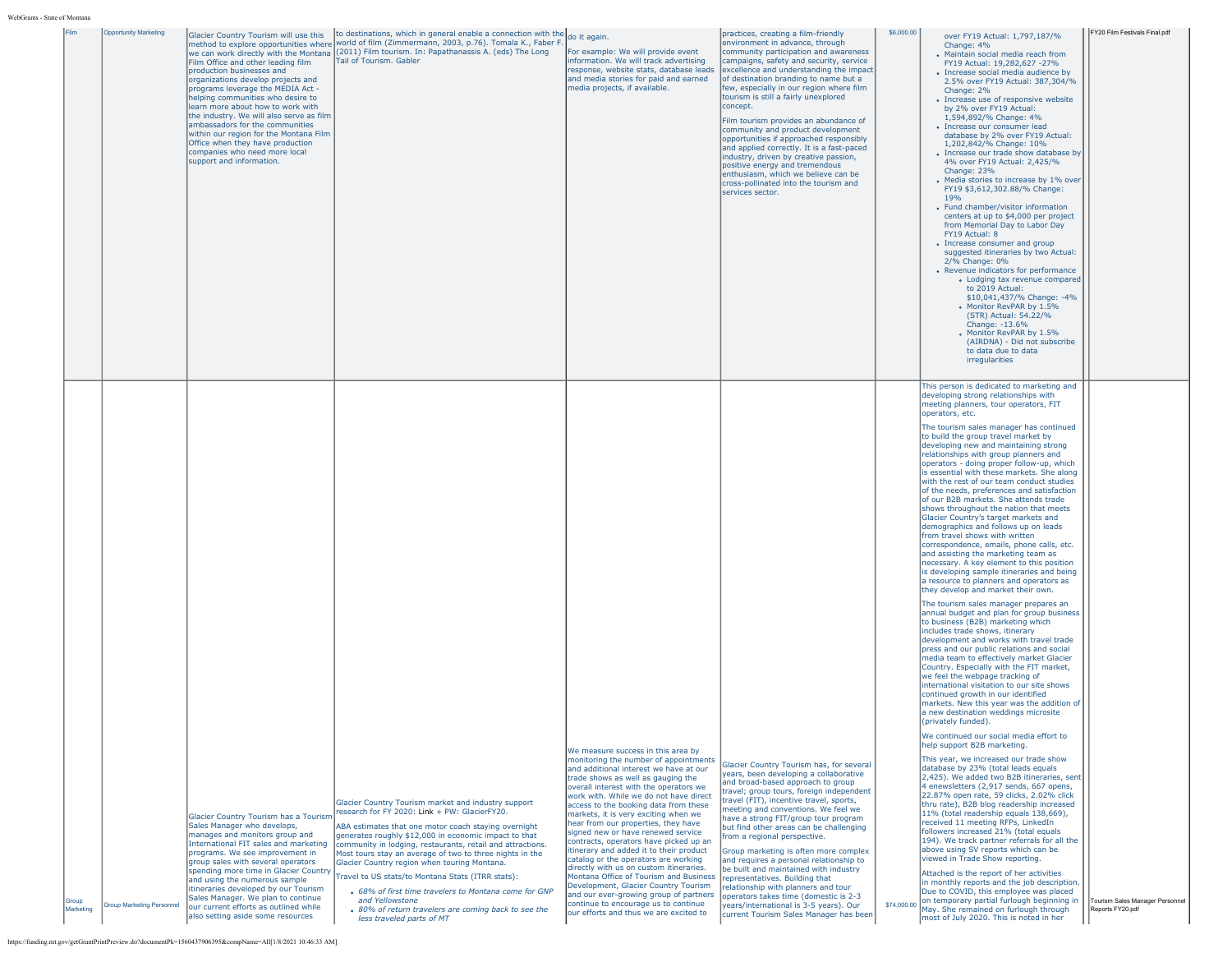|                    | <b>Opportunity Marketing</b>     | Glacier Country Tourism will use this<br>Film Office and other leading film<br>production businesses and<br>organizations develop projects and<br>programs leverage the MEDIA Act -<br>helping communities who desire to<br>learn more about how to work with<br>the industry. We will also serve as film<br>ambassadors for the communities<br>within our region for the Montana Film<br>Office when they have production<br>companies who need more local<br>support and information. | to destinations, which in general enable a connection with the do it again.<br>method to explore opportunities where world of film (Zimmermann, 2003, p.76). Tomala K., Faber F.<br>we can work directly with the Montana (2011) Film tourism. In: Papathanassis A. (eds) The Long<br>Tail of Tourism. Gabler                                                                                                                                                                                                                                                                                                         | For example: We will provide event<br>information. We will track advertising<br>response, website stats, database leads<br>and media stories for paid and earned<br>media projects, if available.                                                                                                                                                                                                                                                                                                                                                                                                                                                                                                                                                                                                   | practices, creating a film-friendly<br>environment in advance, through<br>community participation and awareness<br>campaigns, safety and security, service<br>excellence and understanding the impact<br>of destination branding to name but a<br>few, especially in our region where film<br>tourism is still a fairly unexplored<br>concept.<br>Film tourism provides an abundance of<br>community and product development<br>opportunities if approached responsibly<br>and applied correctly. It is a fast-paced<br>industry, driven by creative passion,<br>positive energy and tremendous<br>enthusiasm, which we believe can be<br>cross-pollinated into the tourism and<br>services sector.         | \$6,000.00 | over FY19 Actual: 1,797,187/%<br>Change: 4%<br>• Maintain social media reach from<br>FY19 Actual: 19,282,627 -27%<br>• Increase social media audience by<br>2.5% over FY19 Actual: 387,304/%<br>Change: 2%<br>• Increase use of responsive website<br>by 2% over FY19 Actual:<br>1.594.892/% Change: 4%<br>• Increase our consumer lead<br>database by 2% over FY19 Actual:<br>1,202,842/% Change: 10%<br>• Increase our trade show database by<br>4% over FY19 Actual: 2,425/%<br>Change: 23%<br>• Media stories to increase by 1% over<br>FY19 \$3,612,302.88/% Change:<br>19%<br>• Fund chamber/visitor information<br>centers at up to \$4,000 per project<br>from Memorial Day to Labor Day<br>FY19 Actual: 8<br>• Increase consumer and group<br>suggested itineraries by two Actual:<br>2/% Change: 0%<br>• Revenue indicators for performance<br>• Lodging tax revenue compared<br>to 2019 Actual:<br>\$10,041,437/% Change: -4%<br>Monitor RevPAR by 1.5%<br>(STR) Actual: 54.22/%<br>Change: -13.6%<br>• Monitor RevPAR by 1.5%<br>(AIRDNA) - Did not subscribe<br>to data due to data<br>irregularities                                                                                                                                                                                                                                                                                                                                                                                                                                             | FY20 Film Festivals Final.pdf                       |
|--------------------|----------------------------------|-----------------------------------------------------------------------------------------------------------------------------------------------------------------------------------------------------------------------------------------------------------------------------------------------------------------------------------------------------------------------------------------------------------------------------------------------------------------------------------------|-----------------------------------------------------------------------------------------------------------------------------------------------------------------------------------------------------------------------------------------------------------------------------------------------------------------------------------------------------------------------------------------------------------------------------------------------------------------------------------------------------------------------------------------------------------------------------------------------------------------------|-----------------------------------------------------------------------------------------------------------------------------------------------------------------------------------------------------------------------------------------------------------------------------------------------------------------------------------------------------------------------------------------------------------------------------------------------------------------------------------------------------------------------------------------------------------------------------------------------------------------------------------------------------------------------------------------------------------------------------------------------------------------------------------------------------|-------------------------------------------------------------------------------------------------------------------------------------------------------------------------------------------------------------------------------------------------------------------------------------------------------------------------------------------------------------------------------------------------------------------------------------------------------------------------------------------------------------------------------------------------------------------------------------------------------------------------------------------------------------------------------------------------------------|------------|----------------------------------------------------------------------------------------------------------------------------------------------------------------------------------------------------------------------------------------------------------------------------------------------------------------------------------------------------------------------------------------------------------------------------------------------------------------------------------------------------------------------------------------------------------------------------------------------------------------------------------------------------------------------------------------------------------------------------------------------------------------------------------------------------------------------------------------------------------------------------------------------------------------------------------------------------------------------------------------------------------------------------------------------------------------------------------------------------------------------------------------------------------------------------------------------------------------------------------------------------------------------------------------------------------------------------------------------------------------------------------------------------------------------------------------------------------------------------------------------------------------------------------------------------------------|-----------------------------------------------------|
|                    |                                  |                                                                                                                                                                                                                                                                                                                                                                                                                                                                                         |                                                                                                                                                                                                                                                                                                                                                                                                                                                                                                                                                                                                                       |                                                                                                                                                                                                                                                                                                                                                                                                                                                                                                                                                                                                                                                                                                                                                                                                     |                                                                                                                                                                                                                                                                                                                                                                                                                                                                                                                                                                                                                                                                                                             |            | This person is dedicated to marketing and<br>developing strong relationships with<br>meeting planners, tour operators, FIT<br>operators, etc.<br>The tourism sales manager has continued<br>to build the group travel market by<br>developing new and maintaining strong<br>relationships with group planners and<br>operators - doing proper follow-up, which<br>is essential with these markets. She along<br>with the rest of our team conduct studies<br>of the needs, preferences and satisfaction<br>of our B2B markets. She attends trade<br>shows throughout the nation that meets<br>Glacier Country's target markets and<br>demographics and follows up on leads<br>from travel shows with written<br>correspondence, emails, phone calls, etc.<br>and assisting the marketing team as<br>necessary. A key element to this position<br>is developing sample itineraries and being<br>a resource to planners and operators as<br>they develop and market their own.<br>The tourism sales manager prepares an<br>annual budget and plan for group business<br>to business (B2B) marketing which<br>includes trade shows, itinerary<br>development and works with travel trade<br>press and our public relations and social<br>media team to effectively market Glacier<br>Country. Especially with the FIT market,<br>we feel the webpage tracking of<br>international visitation to our site shows<br>continued growth in our identified<br>markets. New this year was the addition of<br>a new destination weddings microsite<br>(orivately funded). |                                                     |
| Group<br>Marketing | <b>Iroup Marketing Personnel</b> | Glacier Country Tourism has a Tourism<br>Sales Manager who develops,<br>manages and monitors group and<br>International FIT sales and marketing<br>programs. We see improvement in<br>group sales with several operators<br>spending more time in Glacier Country<br>and using the numerous sample<br>itineraries developed by our Tourism<br>Sales Manager. We plan to continue<br>our current efforts as outlined while<br>also setting aside some resources                          | Glacier Country Tourism market and industry support<br>research for FY 2020: Link + PW: GlacierFY20.<br>ABA estimates that one motor coach staying overnight<br>generates roughly \$12,000 in economic impact to that<br>community in lodging, restaurants, retail and attractions.<br>Most tours stay an average of two to three nights in the<br>Glacier Country region when touring Montana.<br>Travel to US stats/to Montana Stats (ITRR stats):<br>• 68% of first time travelers to Montana come for GNP<br>and Yellowstone<br>• 80% of return travelers are coming back to see the<br>less traveled parts of MT | We measure success in this area by<br>monitoring the number of appointments<br>and additional interest we have at our<br>trade shows as well as gauging the<br>overall interest with the operators we<br>work with. While we do not have direct<br>access to the booking data from these<br>markets, it is very exciting when we<br>hear from our properties, they have<br>signed new or have renewed service<br>contracts, operators have picked up an<br>itinerary and added it to their product<br>catalog or the operators are working<br>directly with us on custom itineraries.<br>Montana Office of Tourism and Business<br>Development, Glacier Country Tourism<br>and our ever-growing group of partners<br>continue to encourage us to continue<br>our efforts and thus we are excited to | Glacier Country Tourism has, for several<br>years, been developing a collaborative<br>and broad-based approach to group<br>travel; group tours, foreign independent<br>travel (FIT), incentive travel, sports,<br>meeting and conventions. We feel we<br>have a strong FIT/group tour program<br>but find other areas can be challenging<br>from a regional perspective.<br>Group marketing is often more complex<br>and requires a personal relationship to<br>be built and maintained with industry<br>representatives. Building that<br>relationship with planners and tour<br>operators takes time (domestic is 2-3<br>years/international is 3-5 years). Our<br>current Tourism Sales Manager has been |            | We continued our social media effort to<br>help support B2B marketing.<br>This year, we increased our trade show<br>database by 23% (total leads equals<br>[2,425]. We added two B2B itineraries, sent<br>4 enewsletters (2,917 sends, 667 opens,<br>22.87% open rate, 59 clicks, 2.02% click<br>thru rate), B2B blog readership increased<br>11% (total readership equals 138,669),<br>received 11 meeting RFPs, LinkedIn<br>followers increased 21% (total equals<br>194). We track partner referrals for all the<br>above using SV reports which can be<br>viewed in Trade Show reporting.<br>Attached is the report of her activities<br>in monthly reports and the job description.<br>Due to COVID, this employee was placed<br>\$74,000.00 on temporary partial furlough beginning in<br>May. She remained on furlough through<br>most of July 2020. This is noted in her                                                                                                                                                                                                                                                                                                                                                                                                                                                                                                                                                                                                                                                                               | Tourism Sales Manager Personnel<br>Reports FY20.pdf |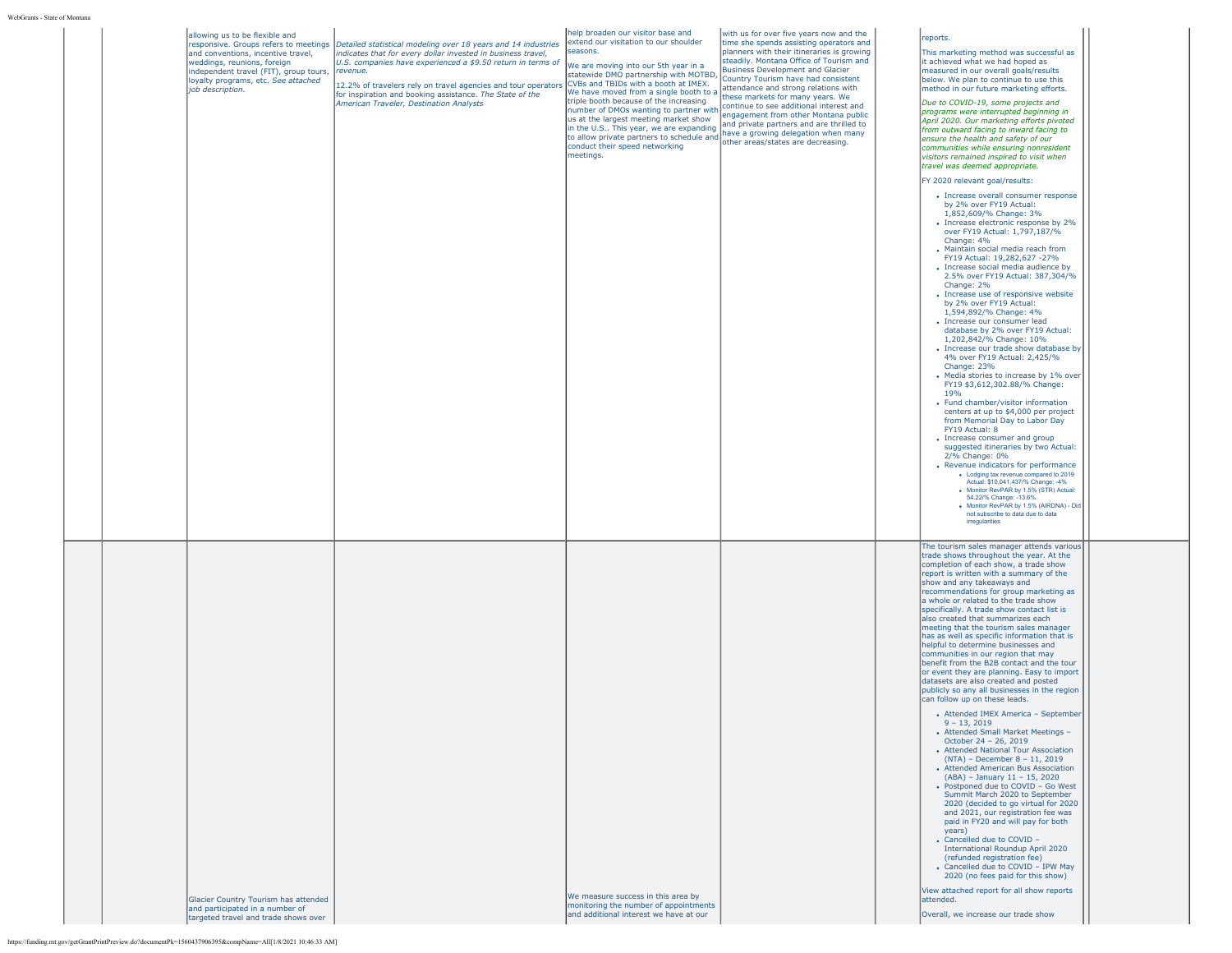|  | allowing us to be flexible and<br>and conventions, incentive travel,<br>weddings, reunions, foreign<br>independent travel (FIT), group tours,<br>loyalty programs, etc. See attached<br>job description. | responsive. Groups refers to meetings Detailed statistical modeling over 18 years and 14 industries<br>indicates that for every dollar invested in business travel,<br>U.S. companies have experienced a \$9.50 return in terms of<br>revenue.<br>12.2% of travelers rely on travel agencies and tour operators CVBs and TBIDs with a booth at IMEX.<br>for inspiration and booking assistance. The State of the<br>American Traveler, Destination Analysts | help broaden our visitor base and<br>extend our visitation to our shoulder<br>seasons.<br>We are moving into our 5th year in a<br>statewide DMO partnership with MOTBD,<br>We have moved from a single booth to a<br>triple booth because of the increasing<br>number of DMOs wanting to partner with<br>us at the largest meeting market show<br>in the U.S This year, we are expanding<br>In the U.S This year, we are expanding<br>to allow private partners to schedule and<br>conduct their cased potugalities<br>conduct their speed networking<br>meetings. | with us for over five years now and the<br>time she spends assisting operators and<br>planners with their itineraries is growing<br>steadily. Montana Office of Tourism and<br><b>Business Development and Glacier</b><br>Country Tourism have had consistent<br>attendance and strong relations with<br>these markets for many years. We<br>continue to see additional interest and<br>engagement from other Montana public<br>and private partners and are thrilled to | reports.<br>This marketing method was successful as<br>it achieved what we had hoped as<br>measured in our overall goals/results<br>below. We plan to continue to use this<br>method in our future marketing efforts.<br>Due to COVID-19, some projects and<br>programs were interrupted beginning in<br>April 2020. Our marketing efforts pivoted<br>from outward facing to inward facing to<br>ensure the health and safety of our<br>communities while ensuring nonresident<br>visitors remained inspired to visit when<br>travel was deemed appropriate.<br>FY 2020 relevant goal/results:<br>• Increase overall consumer response<br>by 2% over FY19 Actual:<br>1.852.609/% Change: 3%<br>• Increase electronic response by 2%<br>over FY19 Actual: 1,797,187/%<br>Change: 4%<br>• Maintain social media reach from<br>FY19 Actual: 19,282,627 -27%<br>• Increase social media audience by<br>2.5% over FY19 Actual: 387,304/%<br>Change: 2%<br>• Increase use of responsive website<br>by 2% over FY19 Actual:<br>1,594,892/% Change: 4%<br>· Increase our consumer lead<br>database by 2% over FY19 Actual:<br>1,202,842/% Change: 10%<br>• Increase our trade show database by<br>4% over FY19 Actual: 2,425/%<br>Change: 23%<br>• Media stories to increase by 1% over<br>FY19 \$3,612,302.88/% Change:<br>19%<br>• Fund chamber/visitor information<br>centers at up to \$4,000 per project<br>from Memorial Day to Labor Day<br>FY19 Actual: 8<br>• Increase consumer and group<br>suggested itineraries by two Actual:<br>2/% Change: 0%<br>• Revenue indicators for performance<br>. Lodging tax revenue compared to 2019<br>Actual: \$10,041,437/% Change: -4%<br>. Monitor RevPAR by 1.5% (STR) Actual:<br>54.22/% Change: -13.6%<br>· Monitor RevPAR by 1.5% (AIRDNA) - Did<br>not subscribe to data due to data<br>irregularities |  |
|--|----------------------------------------------------------------------------------------------------------------------------------------------------------------------------------------------------------|-------------------------------------------------------------------------------------------------------------------------------------------------------------------------------------------------------------------------------------------------------------------------------------------------------------------------------------------------------------------------------------------------------------------------------------------------------------|--------------------------------------------------------------------------------------------------------------------------------------------------------------------------------------------------------------------------------------------------------------------------------------------------------------------------------------------------------------------------------------------------------------------------------------------------------------------------------------------------------------------------------------------------------------------|--------------------------------------------------------------------------------------------------------------------------------------------------------------------------------------------------------------------------------------------------------------------------------------------------------------------------------------------------------------------------------------------------------------------------------------------------------------------------|----------------------------------------------------------------------------------------------------------------------------------------------------------------------------------------------------------------------------------------------------------------------------------------------------------------------------------------------------------------------------------------------------------------------------------------------------------------------------------------------------------------------------------------------------------------------------------------------------------------------------------------------------------------------------------------------------------------------------------------------------------------------------------------------------------------------------------------------------------------------------------------------------------------------------------------------------------------------------------------------------------------------------------------------------------------------------------------------------------------------------------------------------------------------------------------------------------------------------------------------------------------------------------------------------------------------------------------------------------------------------------------------------------------------------------------------------------------------------------------------------------------------------------------------------------------------------------------------------------------------------------------------------------------------------------------------------------------------------------------------------------------------------------------------------------------------------------------------------|--|
|  | Glacier Country Tourism has attended<br>and participated in a number of<br>targeted travel and trade shows over                                                                                          |                                                                                                                                                                                                                                                                                                                                                                                                                                                             | We measure success in this area by<br>monitoring the number of appointments<br>and additional interest we have at our                                                                                                                                                                                                                                                                                                                                                                                                                                              |                                                                                                                                                                                                                                                                                                                                                                                                                                                                          | The tourism sales manager attends various<br>trade shows throughout the year. At the<br>completion of each show, a trade show<br>report is written with a summary of the<br>show and any takeaways and<br>recommendations for group marketing as<br>a whole or related to the trade show<br>specifically. A trade show contact list is<br>also created that summarizes each<br>meeting that the tourism sales manager<br>has as well as specific information that is<br>helpful to determine businesses and<br>communities in our region that may<br>benefit from the B2B contact and the tour<br>or event they are planning. Easy to import<br>datasets are also created and posted<br>publicly so any all businesses in the region<br>can follow up on these leads.<br>• Attended IMEX America - September<br>$9 - 13,2019$<br>• Attended Small Market Meetings -<br>October 24 - 26, 2019<br>• Attended National Tour Association<br>(NTA) - December 8 - 11, 2019<br>• Attended American Bus Association<br>(ABA) - January 11 - 15, 2020<br>• Postponed due to COVID - Go West<br>Summit March 2020 to September<br>2020 (decided to go virtual for 2020)<br>and 2021, our registration fee was<br>paid in FY20 and will pay for both<br>years)<br>• Cancelled due to COVID -<br>International Roundup April 2020<br>(refunded registration fee)<br>• Cancelled due to COVID - IPW May<br>2020 (no fees paid for this show)<br>View attached report for all show reports<br>lattended.<br>Overall, we increase our trade show                                                                                                                                                                                                                                                                                                                 |  |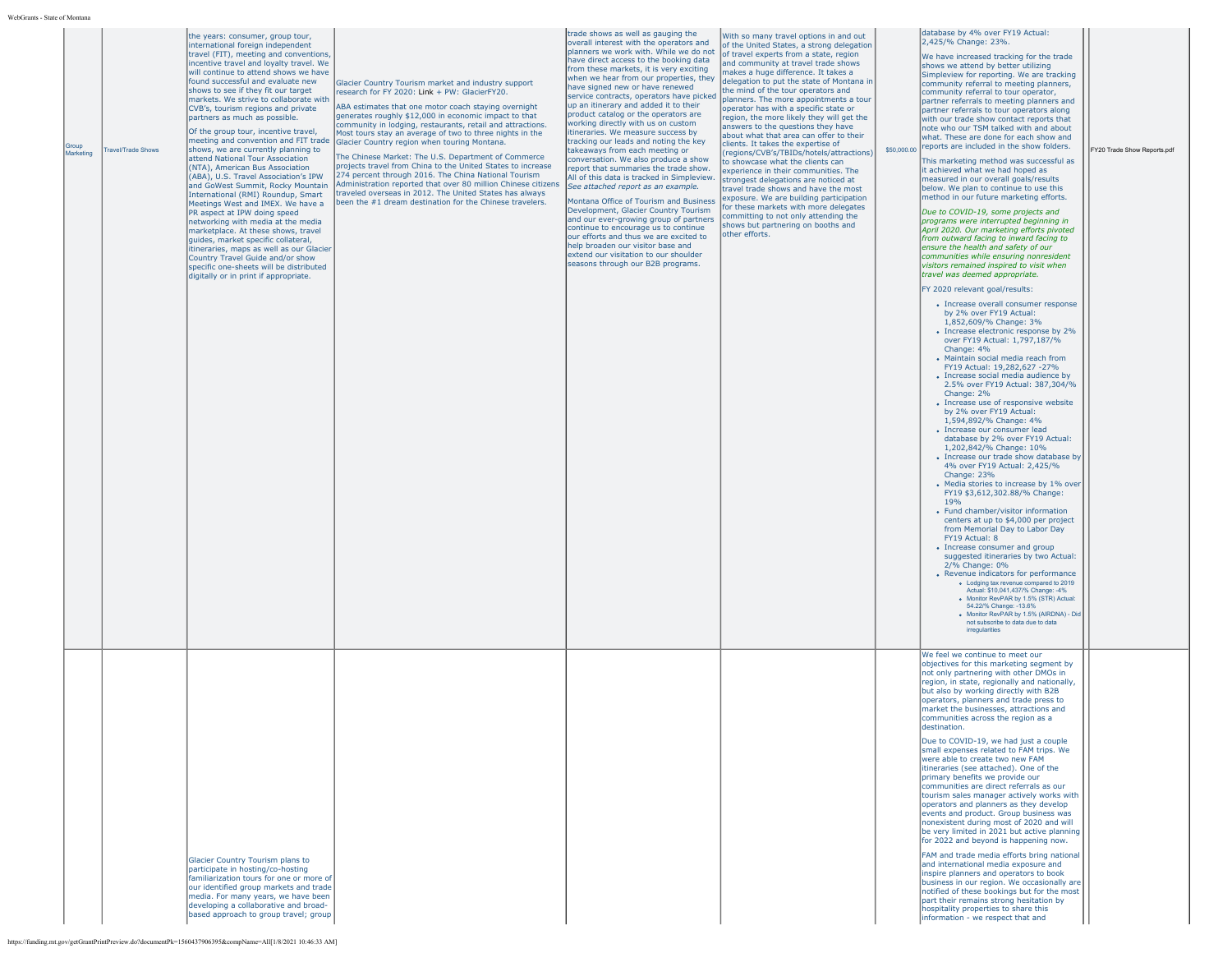| WebGrants - State of Montana            |                                                                                                                                                                                                                                                                                                                                                                                                                                                                                                                                                                                                                                                                                                                                                                                                                                                                                                                                                                                                                                                                                |                                                                                                                                                                                                                                                                                                                                                                                                                                                                                                                                                                                                                                                                                                                                                                       |                                                                                                                                                                                                                                                                                                                                                                                                                                                                                                                                                                                                                                                                                                                                                                                                                                                                                                                                                                                                                                                                                     |                                                                                                                                                                                                                                                                                                                                                                                                                                                                                                                                                                                                                                                                                                                                                                                                                                                                                                                                                    |             |                                                                                                                                                                                                                                                                                                                                                                                                                                                                                                                                                                                                                                                                                                                                                                                                                                                                                                                                                                                                                                                                                                                                                                                                                                                                                                                                                                                                                                                                                                                                                                                                                                                                                                                                                                                                                                                                                                                                                                                                                                                                                                                                                                                                                                                                                                                                                                                                          |                             |
|-----------------------------------------|--------------------------------------------------------------------------------------------------------------------------------------------------------------------------------------------------------------------------------------------------------------------------------------------------------------------------------------------------------------------------------------------------------------------------------------------------------------------------------------------------------------------------------------------------------------------------------------------------------------------------------------------------------------------------------------------------------------------------------------------------------------------------------------------------------------------------------------------------------------------------------------------------------------------------------------------------------------------------------------------------------------------------------------------------------------------------------|-----------------------------------------------------------------------------------------------------------------------------------------------------------------------------------------------------------------------------------------------------------------------------------------------------------------------------------------------------------------------------------------------------------------------------------------------------------------------------------------------------------------------------------------------------------------------------------------------------------------------------------------------------------------------------------------------------------------------------------------------------------------------|-------------------------------------------------------------------------------------------------------------------------------------------------------------------------------------------------------------------------------------------------------------------------------------------------------------------------------------------------------------------------------------------------------------------------------------------------------------------------------------------------------------------------------------------------------------------------------------------------------------------------------------------------------------------------------------------------------------------------------------------------------------------------------------------------------------------------------------------------------------------------------------------------------------------------------------------------------------------------------------------------------------------------------------------------------------------------------------|----------------------------------------------------------------------------------------------------------------------------------------------------------------------------------------------------------------------------------------------------------------------------------------------------------------------------------------------------------------------------------------------------------------------------------------------------------------------------------------------------------------------------------------------------------------------------------------------------------------------------------------------------------------------------------------------------------------------------------------------------------------------------------------------------------------------------------------------------------------------------------------------------------------------------------------------------|-------------|----------------------------------------------------------------------------------------------------------------------------------------------------------------------------------------------------------------------------------------------------------------------------------------------------------------------------------------------------------------------------------------------------------------------------------------------------------------------------------------------------------------------------------------------------------------------------------------------------------------------------------------------------------------------------------------------------------------------------------------------------------------------------------------------------------------------------------------------------------------------------------------------------------------------------------------------------------------------------------------------------------------------------------------------------------------------------------------------------------------------------------------------------------------------------------------------------------------------------------------------------------------------------------------------------------------------------------------------------------------------------------------------------------------------------------------------------------------------------------------------------------------------------------------------------------------------------------------------------------------------------------------------------------------------------------------------------------------------------------------------------------------------------------------------------------------------------------------------------------------------------------------------------------------------------------------------------------------------------------------------------------------------------------------------------------------------------------------------------------------------------------------------------------------------------------------------------------------------------------------------------------------------------------------------------------------------------------------------------------------------------------------------------------|-----------------------------|
| Group<br>ravel/Trade Shows<br>Marketing | the years: consumer, group tour,<br>international foreign independent<br>travel (FIT), meeting and conventions,<br>incentive travel and loyalty travel. We<br>will continue to attend shows we have<br>found successful and evaluate new<br>shows to see if they fit our target<br>markets. We strive to collaborate with<br>CVB's, tourism regions and private<br>partners as much as possible.<br>Of the group tour, incentive travel,<br>meeting and convention and FIT trade<br>shows, we are currently planning to<br>attend National Tour Association<br>(NTA), American Bus Association<br>(ABA), U.S. Travel Association's IPW<br>and GoWest Summit, Rocky Mountain<br>International (RMI) Roundup, Smart<br>Meetings West and IMEX. We have a<br>PR aspect at IPW doing speed<br>networking with media at the media<br>marketplace. At these shows, travel<br>quides, market specific collateral,<br>itineraries, maps as well as our Glacier<br>Country Travel Guide and/or show<br>specific one-sheets will be distributed<br>digitally or in print if appropriate. | Glacier Country Tourism market and industry support<br>research for FY 2020: Link + PW: GlacierFY20.<br>ABA estimates that one motor coach staying overnight<br>generates roughly \$12,000 in economic impact to that<br>community in lodging, restaurants, retail and attractions.<br>Most tours stay an average of two to three nights in the<br>Glacier Country region when touring Montana.<br>The Chinese Market: The U.S. Department of Commerce<br>projects travel from China to the United States to increase<br>274 percent through 2016. The China National Tourism<br>Administration reported that over 80 million Chinese citizens<br>traveled overseas in 2012. The United States has always<br>been the #1 dream destination for the Chinese travelers. | trade shows as well as gauging the<br>overall interest with the operators and<br>planners we work with. While we do not<br>have direct access to the booking data<br>from these markets, it is very exciting<br>when we hear from our properties, they<br>have signed new or have renewed<br>service contracts, operators have picked<br>up an itinerary and added it to their<br>product catalog or the operators are<br>working directly with us on custom<br>itineraries. We measure success by<br>tracking our leads and noting the key<br>takeaways from each meeting or<br>conversation. We also produce a show<br>report that summaries the trade show.<br>All of this data is tracked in Simpleview.<br>See attached report as an example.<br>Montana Office of Tourism and Business<br>Development, Glacier Country Tourism<br>and our ever-growing group of partners<br>continue to encourage us to continue<br>our efforts and thus we are excited to<br>help broaden our visitor base and<br>extend our visitation to our shoulder<br>seasons through our B2B programs. | With so many travel options in and out<br>of the United States, a strong delegation<br>of travel experts from a state, region<br>and community at travel trade shows<br>makes a huge difference. It takes a<br>delegation to put the state of Montana in<br>the mind of the tour operators and<br>Iplanners. The more appointments a tour<br>operator has with a specific state or<br>region, the more likely they will get the<br>answers to the questions they have<br>about what that area can offer to their<br>clients. It takes the expertise of<br>(regions/CVB's/TBIDs/hotels/attractions)<br>to showcase what the clients can<br>experience in their communities. The<br>strongest delegations are noticed at<br>travel trade shows and have the most<br>exposure. We are building participation<br>for these markets with more delegates<br>committing to not only attending the<br>shows but partnering on booths and<br>other efforts. | \$50,000.00 | database by 4% over FY19 Actual:<br>2,425/% Change: 23%.<br>We have increased tracking for the trade<br>shows we attend by better utilizing<br>Simpleview for reporting. We are tracking<br>community referral to meeting planners,<br>community referral to tour operator,<br>partner referrals to meeting planners and<br>partner referrals to tour operators along<br>with our trade show contact reports that<br>note who our TSM talked with and about<br>what. These are done for each show and<br>reports are included in the show folders.<br>This marketing method was successful as<br>it achieved what we had hoped as<br>measured in our overall goals/results<br>below. We plan to continue to use this<br>method in our future marketing efforts.<br>Due to COVID-19, some projects and<br>programs were interrupted beginning in<br>April 2020, Our marketing efforts pivoted<br>from outward facing to inward facing to<br>ensure the health and safety of our<br>communities while ensuring nonresident<br>visitors remained inspired to visit when<br>travel was deemed appropriate.<br>FY 2020 relevant goal/results:<br>• Increase overall consumer response<br>by 2% over FY19 Actual:<br>1,852,609/% Change: 3%<br>• Increase electronic response by 2%<br>over FY19 Actual: 1,797,187/%<br>Change: 4%<br>• Maintain social media reach from<br>FY19 Actual: 19,282,627 -27%<br>• Increase social media audience by<br>2.5% over FY19 Actual: 387.304/%<br>Change: 2%<br>• Increase use of responsive website<br>by 2% over FY19 Actual:<br>1,594,892/% Change: 4%<br>· Increase our consumer lead<br>database by 2% over FY19 Actual:<br>1,202,842/% Change: 10%<br>• Increase our trade show database by<br>4% over FY19 Actual: 2,425/%<br>Change: 23%<br>• Media stories to increase by 1% over<br>FY19 \$3,612,302.88/% Change:<br>19 <sub>%</sub><br>• Fund chamber/visitor information<br>centers at up to \$4,000 per project<br>from Memorial Day to Labor Day<br>FY19 Actual: 8<br>• Increase consumer and group<br>suggested itineraries by two Actual:<br>2/% Change: 0%<br>• Revenue indicators for performance<br>. Lodging tax revenue compared to 2019<br>Actual: \$10,041,437/% Change: -4%<br>· Monitor RevPAR by 1.5% (STR) Actual:<br>54.22/% Change: -13.6%<br>· Monitor RevPAR by 1.5% (AIRDNA) - Did<br>not subscribe to data due to data<br>irregularities | FY20 Trade Show Reports.pdf |
|                                         | Glacier Country Tourism plans to<br>participate in hosting/co-hosting<br>familiarization tours for one or more of<br>our identified group markets and trade<br>media. For many years, we have been<br>developing a collaborative and broad-<br>based approach to group travel; group                                                                                                                                                                                                                                                                                                                                                                                                                                                                                                                                                                                                                                                                                                                                                                                           |                                                                                                                                                                                                                                                                                                                                                                                                                                                                                                                                                                                                                                                                                                                                                                       |                                                                                                                                                                                                                                                                                                                                                                                                                                                                                                                                                                                                                                                                                                                                                                                                                                                                                                                                                                                                                                                                                     |                                                                                                                                                                                                                                                                                                                                                                                                                                                                                                                                                                                                                                                                                                                                                                                                                                                                                                                                                    |             | We feel we continue to meet our<br>objectives for this marketing segment by<br>not only partnering with other DMOs in<br>region, in state, regionally and nationally,<br>but also by working directly with B2B<br>operators, planners and trade press to<br>market the businesses, attractions and<br>communities across the region as a<br>destination.<br>Due to COVID-19, we had just a couple<br>small expenses related to FAM trips. We<br>were able to create two new FAM<br>itineraries (see attached). One of the<br>primary benefits we provide our<br>communities are direct referrals as our<br>tourism sales manager actively works with<br>operators and planners as they develop<br>events and product. Group business was<br>nonexistent during most of 2020 and will<br>be very limited in 2021 but active planning<br>for 2022 and beyond is happening now.<br>FAM and trade media efforts bring national<br>and international media exposure and<br>inspire planners and operators to book<br>business in our region. We occasionally are<br>notified of these bookings but for the most<br>part their remains strong hesitation by<br>hospitality properties to share this<br>information - we respect that and                                                                                                                                                                                                                                                                                                                                                                                                                                                                                                                                                                                                                                                                                                                                                                                                                                                                                                                                                                                                                                                                                                                                                                       |                             |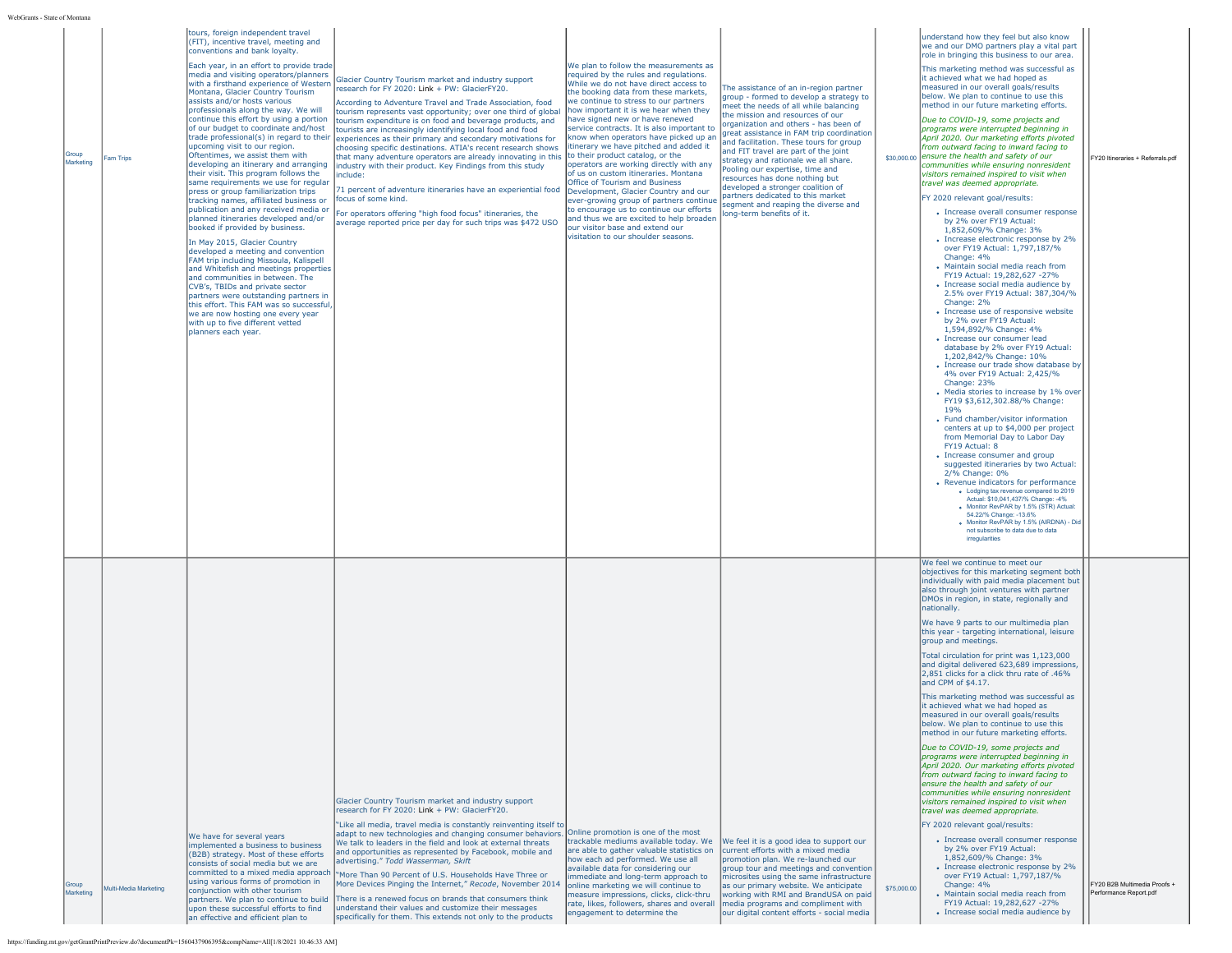| WebGrants - State of Montana |                              |                                                                                                                                                                                                                                                                                                                                                                                                                                                                                                                                                                                                                                                                                                                                                                                                                                                                                                                                                                                                                                                                                                                                                                                                                                                                  |                                                                                                                                                                                                                                                                                                                                                                                                                                                                                                                                                                                                                                                                                                                                                                                                                                                                                               |                                                                                                                                                                                                                                                                                                                                                                                                                                                                                                                                                                                                                                                                                                                                                                                                                                    |                                                                                                                                                                                                                                                                                                                                                                                                                                                                                                                                                                                                    |             |                                                                                                                                                                                                                                                                                                                                                                                                                                                                                                                                                                                                                                                                                                                                                                                                                                                                                                                                                                                                                                                                                                                                                                                                                                                                                                                                                                                                                                                                                                                                                                                                                                                                                                                                                                                                                                                                                                                                                                                                     |                                                        |
|------------------------------|------------------------------|------------------------------------------------------------------------------------------------------------------------------------------------------------------------------------------------------------------------------------------------------------------------------------------------------------------------------------------------------------------------------------------------------------------------------------------------------------------------------------------------------------------------------------------------------------------------------------------------------------------------------------------------------------------------------------------------------------------------------------------------------------------------------------------------------------------------------------------------------------------------------------------------------------------------------------------------------------------------------------------------------------------------------------------------------------------------------------------------------------------------------------------------------------------------------------------------------------------------------------------------------------------|-----------------------------------------------------------------------------------------------------------------------------------------------------------------------------------------------------------------------------------------------------------------------------------------------------------------------------------------------------------------------------------------------------------------------------------------------------------------------------------------------------------------------------------------------------------------------------------------------------------------------------------------------------------------------------------------------------------------------------------------------------------------------------------------------------------------------------------------------------------------------------------------------|------------------------------------------------------------------------------------------------------------------------------------------------------------------------------------------------------------------------------------------------------------------------------------------------------------------------------------------------------------------------------------------------------------------------------------------------------------------------------------------------------------------------------------------------------------------------------------------------------------------------------------------------------------------------------------------------------------------------------------------------------------------------------------------------------------------------------------|----------------------------------------------------------------------------------------------------------------------------------------------------------------------------------------------------------------------------------------------------------------------------------------------------------------------------------------------------------------------------------------------------------------------------------------------------------------------------------------------------------------------------------------------------------------------------------------------------|-------------|-----------------------------------------------------------------------------------------------------------------------------------------------------------------------------------------------------------------------------------------------------------------------------------------------------------------------------------------------------------------------------------------------------------------------------------------------------------------------------------------------------------------------------------------------------------------------------------------------------------------------------------------------------------------------------------------------------------------------------------------------------------------------------------------------------------------------------------------------------------------------------------------------------------------------------------------------------------------------------------------------------------------------------------------------------------------------------------------------------------------------------------------------------------------------------------------------------------------------------------------------------------------------------------------------------------------------------------------------------------------------------------------------------------------------------------------------------------------------------------------------------------------------------------------------------------------------------------------------------------------------------------------------------------------------------------------------------------------------------------------------------------------------------------------------------------------------------------------------------------------------------------------------------------------------------------------------------------------------------------------------------|--------------------------------------------------------|
| Group<br>Marketing           | am Trips                     | tours, foreign independent travel<br>(FIT), incentive travel, meeting and<br>conventions and bank loyalty.<br>Each year, in an effort to provide trade<br>media and visiting operators/planners<br>with a firsthand experience of Western<br>Montana, Glacier Country Tourism<br>assists and/or hosts various<br>professionals along the way. We will<br>continue this effort by using a portion<br>of our budget to coordinate and/host<br>upcoming visit to our region.<br>Oftentimes, we assist them with<br>developing an itinerary and arranging<br>their visit. This program follows the<br>same requirements we use for reqular<br>press or group familiarization trips<br>tracking names, affiliated business or<br>publication and any received media or<br>planned itineraries developed and/or<br>booked if provided by business.<br>In May 2015, Glacier Country<br>developed a meeting and convention<br>FAM trip including Missoula, Kalispell<br>and Whitefish and meetings properties<br>and communities in between. The<br>CVB's, TBIDs and private sector<br>partners were outstanding partners in<br>this effort. This FAM was so successful,<br>we are now hosting one every year<br>with up to five different vetted<br>planners each year. | Glacier Country Tourism market and industry support<br>research for FY 2020: Link + PW: GlacierFY20.<br>According to Adventure Travel and Trade Association, food<br>tourism represents vast opportunity; over one third of global<br>tourism expenditure is on food and beverage products, and<br>tourists are increasingly identifying local food and food<br>trade professional(s) in regard to their experiences as their primary and secondary motivations for<br>choosing specific destinations. ATIA's recent research shows<br>that many adventure operators are already innovating in this<br>industry with their product. Key Findings from this study<br>nclude:<br>1 percent of adventure itineraries have an experiential food<br>ocus of some kind.<br>For operators offering "high food focus" itineraries, the<br>average reported price per day for such trips was \$472 USO | We plan to follow the measurements as<br>required by the rules and regulations.<br>While we do not have direct access to<br>the booking data from these markets,<br>we continue to stress to our partners<br>how important it is we hear when they<br>have signed new or have renewed<br>service contracts. It is also important to<br>know when operators have picked up an<br>itinerary we have pitched and added it<br>to their product catalog, or the<br>operators are working directly with any<br>of us on custom itineraries. Montana<br>Office of Tourism and Business<br>Development, Glacier Country and our<br>ever-growing group of partners continue<br>to encourage us to continue our efforts<br>and thus we are excited to help broaden<br>our visitor base and extend our<br>visitation to our shoulder seasons. | The assistance of an in-region partner<br>group - formed to develop a strategy to<br>meet the needs of all while balancing<br>the mission and resources of our<br>organization and others - has been of<br>great assistance in FAM trip coordination<br>and facilitation. These tours for group<br>and FIT travel are part of the joint<br>strategy and rationale we all share.<br>Pooling our expertise, time and<br>resources has done nothing but<br>developed a stronger coalition of<br>partners dedicated to this market<br>segment and reaping the diverse and<br>long-term benefits of it. |             | understand how they feel but also know<br>we and our DMO partners play a vital part<br>role in bringing this business to our area.<br>This marketing method was successful as<br>it achieved what we had hoped as<br>measured in our overall goals/results<br>below. We plan to continue to use this<br>method in our future marketing efforts.<br>Due to COVID-19, some projects and<br>programs were interrupted beginning in<br>April 2020. Our marketing efforts pivoted<br>from outward facing to inward facing to<br>\$30,000.00 ensure the health and safety of our<br>communities while ensuring nonresident<br>visitors remained inspired to visit when<br>travel was deemed appropriate.<br>FY 2020 relevant goal/results:<br>• Increase overall consumer response<br>by 2% over FY19 Actual:<br>1,852,609/% Change: 3%<br>• Increase electronic response by 2%<br>over FY19 Actual: 1,797,187/%<br>Change: 4%<br>• Maintain social media reach from<br>FY19 Actual: 19,282,627 -27%<br>• Increase social media audience by<br>2.5% over FY19 Actual: 387,304/%<br>Change: 2%<br>• Increase use of responsive website<br>by 2% over FY19 Actual:<br>1,594,892/% Change: 4%<br>· Increase our consumer lead<br>database by 2% over FY19 Actual:<br>1.202.842/% Change: 10%<br>• Increase our trade show database by<br>4% over FY19 Actual: 2.425/%<br>Change: 23%<br>• Media stories to increase by 1% over<br>FY19 \$3,612,302.88/% Change:<br>19 <sub>%</sub><br>• Fund chamber/visitor information<br>centers at up to \$4,000 per project<br>from Memorial Day to Labor Day<br>FY19 Actual: 8<br>• Increase consumer and group<br>suggested itineraries by two Actual:<br>2/% Change: 0%<br>• Revenue indicators for performance<br>. Lodging tax revenue compared to 2019<br>Actual: \$10,041,437/% Change: -4%<br>. Monitor RevPAR by 1.5% (STR) Actual<br>54.22/% Change: -13.6%<br>· Monitor RevPAR by 1.5% (AIRDNA) - Did<br>not subscribe to data due to data<br>irregularities | FY20 Itineraries + Referrals ndf                       |
| Group<br>Marketing           | <b>Multi-Media Marketing</b> | We have for several years<br>implemented a business to business<br>(B2B) strategy. Most of these efforts<br>consists of social media but we are<br>committed to a mixed media approach<br>using various forms of promotion in<br>conjunction with other tourism<br>upon these successful efforts to find<br>an effective and efficient plan to                                                                                                                                                                                                                                                                                                                                                                                                                                                                                                                                                                                                                                                                                                                                                                                                                                                                                                                   | Glacier Country Tourism market and industry support<br>research for FY 2020: Link + PW: GlacierFY20.<br>"Like all media, travel media is constantly reinventing itself to<br>adapt to new technologies and changing consumer behaviors.<br>We talk to leaders in the field and look at external threats<br>and opportunities as represented by Facebook, mobile and<br>advertising." Todd Wasserman, Skift<br>More Than 90 Percent of U.S. Households Have Three or<br>More Devices Pinging the Internet," Recode, November 2014<br>partners. We plan to continue to build There is a renewed focus on brands that consumers think<br>inderstand their values and customize their messages<br>specifically for them. This extends not only to the products                                                                                                                                    | Online promotion is one of the most<br>trackable mediums available today. We<br>are able to gather valuable statistics on<br>how each ad performed. We use all<br>available data for considering our<br>immediate and long-term approach to<br>online marketing we will continue to<br>measure impressions, clicks, click-thru<br>rate, likes, followers, shares and overall<br>engagement to determine the                                                                                                                                                                                                                                                                                                                                                                                                                        | We feel it is a good idea to support our<br>current efforts with a mixed media<br>promotion plan. We re-launched our<br>group tour and meetings and convention<br>microsites using the same infrastructure<br>as our primary website. We anticipate<br>working with RMI and BrandUSA on paid<br>media programs and compliment with<br>our digital content efforts - social media                                                                                                                                                                                                                   | \$75,000.00 | We feel we continue to meet our<br>objectives for this marketing segment both<br>individually with paid media placement but<br>also through joint ventures with partner<br>DMOs in region, in state, regionally and<br>nationally.<br>We have 9 parts to our multimedia plan<br>this year - targeting international, leisure<br>group and meetings.<br>Total circulation for print was 1,123,000<br>and digital delivered 623,689 impressions,<br>2.851 clicks for a click thru rate of .46%<br>and CPM of \$4.17.<br>This marketing method was successful as<br>it achieved what we had hoped as<br>measured in our overall goals/results<br>below. We plan to continue to use this<br>method in our future marketing efforts.<br>Due to COVID-19, some projects and<br>programs were interrupted beginning in<br>April 2020. Our marketing efforts pivoted<br>from outward facing to inward facing to<br>ensure the health and safety of our<br>communities while ensuring nonresident<br>visitors remained inspired to visit when<br>travel was deemed appropriate.<br>FY 2020 relevant goal/results:<br>• Increase overall consumer response<br>by 2% over FY19 Actual:<br>1,852,609/% Change: 3%<br>• Increase electronic response by 2%<br>over FY19 Actual: 1,797,187/%<br>Change: 4%<br>• Maintain social media reach from<br>FY19 Actual: 19,282,627 -27%<br>• Increase social media audience by                                                                                                                                                                                                                                                                                                                                                                                                                                                                                                                                                                                           | FY20 B2B Multimedia Proofs +<br>Performance Report.pdf |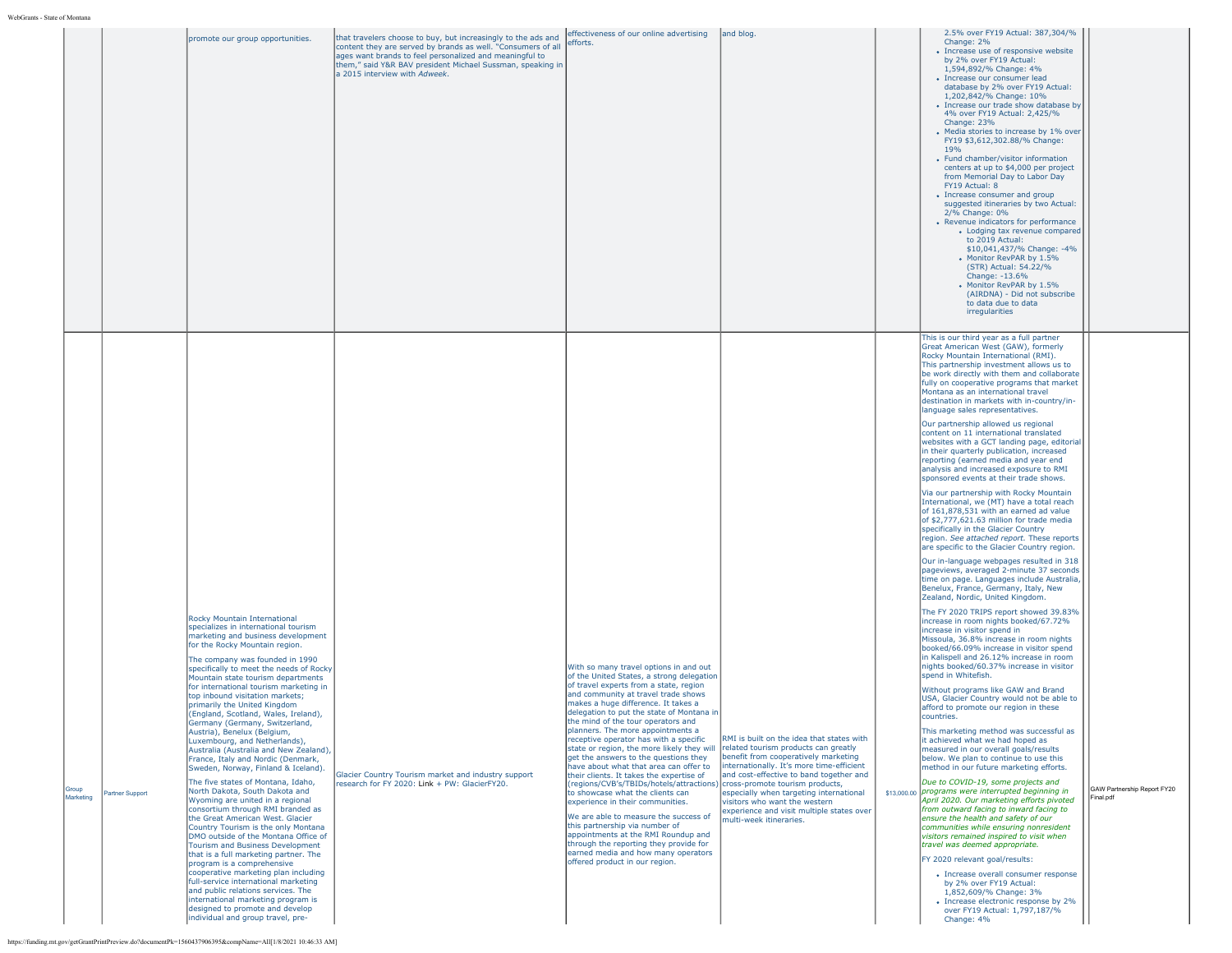|                                      | promote our group opportunities.                                                                                                                                                                                                                                                                                                                                                                                                                                                                                                                                                                                                                                                                                                                                                                                                                                                                                                                                                                                                                                                                                                                                                                                                                                                                                                                                               | that travelers choose to buy, but increasingly to the ads and<br>content they are served by brands as well. "Consumers of all<br>ages want brands to feel personalized and meaningful to<br>them," said Y&R BAV president Michael Sussman, speaking in<br>a 2015 interview with Adweek. | effectiveness of our online advertising<br>efforts.                                                                                                                                                                                                                                                                                                                                                                                                                                                                                                                                                                                                                                                                                                                                                                                                                                                                                                                                      | and blog.                                                                                                                                                                                                                                                                                                                     | 2.5% over FY19 Actual: 387,304/%<br>Change: 2%<br>• Increase use of responsive website<br>by 2% over FY19 Actual:<br>1,594,892/% Change: 4%<br>• Increase our consumer lead<br>database by 2% over FY19 Actual:<br>1,202,842/% Change: 10%<br>• Increase our trade show database by<br>4% over FY19 Actual: 2.425/%<br>Change: 23%<br>• Media stories to increase by 1% over<br>FY19 \$3,612,302.88/% Change:<br>19 <sub>%</sub><br>• Fund chamber/visitor information<br>centers at up to \$4,000 per project<br>from Memorial Day to Labor Day<br>FY19 Actual: 8<br>• Increase consumer and group<br>suggested itineraries by two Actual:<br>2/% Change: 0%<br>• Revenue indicators for performance<br>• Lodging tax revenue compared<br>to 2019 Actual:<br>\$10,041,437/% Change: -4%<br>Monitor RevPAR by 1.5%<br>(STR) Actual: 54.22/%<br>Change: -13.6%<br>• Monitor RevPAR by 1.5%<br>(AIRDNA) - Did not subscribe<br>to data due to data<br>irregularities                                                                                                                                                                                                                                                                                                                                                                                                                                                                                                                                                                                                                                                                                                                                                                                                                                                                                                                                                                                                                                                                                                                                                                                                                                                                                                                                                                                                                                                                                                                         |                                          |
|--------------------------------------|--------------------------------------------------------------------------------------------------------------------------------------------------------------------------------------------------------------------------------------------------------------------------------------------------------------------------------------------------------------------------------------------------------------------------------------------------------------------------------------------------------------------------------------------------------------------------------------------------------------------------------------------------------------------------------------------------------------------------------------------------------------------------------------------------------------------------------------------------------------------------------------------------------------------------------------------------------------------------------------------------------------------------------------------------------------------------------------------------------------------------------------------------------------------------------------------------------------------------------------------------------------------------------------------------------------------------------------------------------------------------------|-----------------------------------------------------------------------------------------------------------------------------------------------------------------------------------------------------------------------------------------------------------------------------------------|------------------------------------------------------------------------------------------------------------------------------------------------------------------------------------------------------------------------------------------------------------------------------------------------------------------------------------------------------------------------------------------------------------------------------------------------------------------------------------------------------------------------------------------------------------------------------------------------------------------------------------------------------------------------------------------------------------------------------------------------------------------------------------------------------------------------------------------------------------------------------------------------------------------------------------------------------------------------------------------|-------------------------------------------------------------------------------------------------------------------------------------------------------------------------------------------------------------------------------------------------------------------------------------------------------------------------------|--------------------------------------------------------------------------------------------------------------------------------------------------------------------------------------------------------------------------------------------------------------------------------------------------------------------------------------------------------------------------------------------------------------------------------------------------------------------------------------------------------------------------------------------------------------------------------------------------------------------------------------------------------------------------------------------------------------------------------------------------------------------------------------------------------------------------------------------------------------------------------------------------------------------------------------------------------------------------------------------------------------------------------------------------------------------------------------------------------------------------------------------------------------------------------------------------------------------------------------------------------------------------------------------------------------------------------------------------------------------------------------------------------------------------------------------------------------------------------------------------------------------------------------------------------------------------------------------------------------------------------------------------------------------------------------------------------------------------------------------------------------------------------------------------------------------------------------------------------------------------------------------------------------------------------------------------------------------------------------------------------------------------------------------------------------------------------------------------------------------------------------------------------------------------------------------------------------------------------------------------------------------------------------------------------------------------------------------------------------------------------------------------------------------------------------------------------------------------------------------|------------------------------------------|
| Group<br>artner Support<br>Marketing | Rocky Mountain International<br>specializes in international tourism<br>marketing and business development<br>for the Rocky Mountain region.<br>The company was founded in 1990<br>specifically to meet the needs of Rocky<br>Mountain state tourism departments<br>for international tourism marketing in<br>top inbound visitation markets;<br>primarily the United Kingdom<br>(England, Scotland, Wales, Ireland),<br>Germany (Germany, Switzerland,<br>Austria), Benelux (Belgium,<br>Luxembourg, and Netherlands),<br>Australia (Australia and New Zealand)<br>France, Italy and Nordic (Denmark,<br>Sweden, Norway, Finland & Iceland).<br>The five states of Montana, Idaho,<br>North Dakota, South Dakota and<br>Wyoming are united in a regional<br>consortium through RMI branded as<br>the Great American West. Glacier<br>Country Tourism is the only Montana<br>DMO outside of the Montana Office of<br>Tourism and Business Development<br>that is a full marketing partner. The<br>program is a comprehensive<br>cooperative marketing plan including<br>full-service international marketing<br>and public relations services. The<br>international marketing program is<br>designed to promote and develop<br>individual and group travel, pre-<br>https://funding.mt.gov/getGrantPrintPreview.do?documentPk=1560437906395&compName=All[1/8/2021 10:46:33 AM] | Glacier Country Tourism market and industry support<br>research for FY 2020: Link + PW: GlacierFY20.                                                                                                                                                                                    | With so many travel options in and out<br>of the United States, a strong delegation<br>of travel experts from a state, region<br>and community at travel trade shows<br>makes a huge difference. It takes a<br>delegation to put the state of Montana in<br>the mind of the tour operators and<br>planners. The more appointments a<br>receptive operator has with a specific<br>state or region, the more likely they will related tourism products can greatly<br>get the answers to the questions they<br>have about what that area can offer to<br>their clients. It takes the expertise of<br>(regions/CVB's/TBIDs/hotels/attractions) cross-promote tourism products,<br>to showcase what the clients can<br>experience in their communities.<br>We are able to measure the success of<br>this partnership via number of<br>appointments at the RMI Roundup and<br>through the reporting they provide for<br>earned media and how many operators<br>offered product in our region. | RMI is built on the idea that states with<br>benefit from cooperatively marketing<br>internationally. It's more time-efficient<br>and cost-effective to band together and<br>especially when targeting international<br>visitors who want the western<br>experience and visit multiple states over<br>multi-week itineraries. | This is our third year as a full partner<br>Great American West (GAW), formerly<br>Rocky Mountain International (RMI).<br>This partnership investment allows us to<br>be work directly with them and collaborate<br>fully on cooperative programs that market<br>Montana as an international travel<br>destination in markets with in-country/in-<br>language sales representatives.<br>Our partnership allowed us regional<br>content on 11 international translated<br>websites with a GCT landing page, editorial<br>in their quarterly publication, increased<br>reporting (earned media and year end<br>analysis and increased exposure to RMI<br>sponsored events at their trade shows.<br>Via our partnership with Rocky Mountain<br>International, we (MT) have a total reach<br>of 161,878,531 with an earned ad value<br>of \$2,777,621.63 million for trade media<br>specifically in the Glacier Country<br>region. See attached report. These reports<br>are specific to the Glacier Country region.<br>Our in-language webpages resulted in 318<br>pageviews, averaged 2-minute 37 seconds<br>time on page. Languages include Australia,<br>Benelux, France, Germany, Italy, New<br>Zealand, Nordic, United Kingdom.<br>The FY 2020 TRIPS report showed 39.83%<br>increase in room nights booked/67.72%<br>increase in visitor spend in<br>Missoula, 36.8% increase in room nights<br>booked/66.09% increase in visitor spend<br>in Kalispell and 26.12% increase in room<br>nights booked/60.37% increase in visitor<br>spend in Whitefish.<br>Without programs like GAW and Brand<br>USA, Glacier Country would not be able to<br>afford to promote our region in these<br>countries.<br>This marketing method was successful as<br>it achieved what we had hoped as<br>measured in our overall goals/results<br>below. We plan to continue to use this<br>method in our future marketing efforts.<br>Due to COVID-19, some projects and<br>\$13,000.00 programs were interrupted beginning in<br>April 2020. Our marketing efforts pivoted<br>from outward facing to inward facing to<br>ensure the health and safety of our<br>communities while ensuring nonresident<br>visitors remained inspired to visit when<br>travel was deemed appropriate.<br>FY 2020 relevant goal/results:<br>• Increase overall consumer response<br>by 2% over FY19 Actual:<br>1,852,609/% Change: 3%<br>• Increase electronic response by 2%<br>over FY19 Actual: 1,797,187/%<br>Change: 4% | GAW Partnership Report FY20<br>Final.pdf |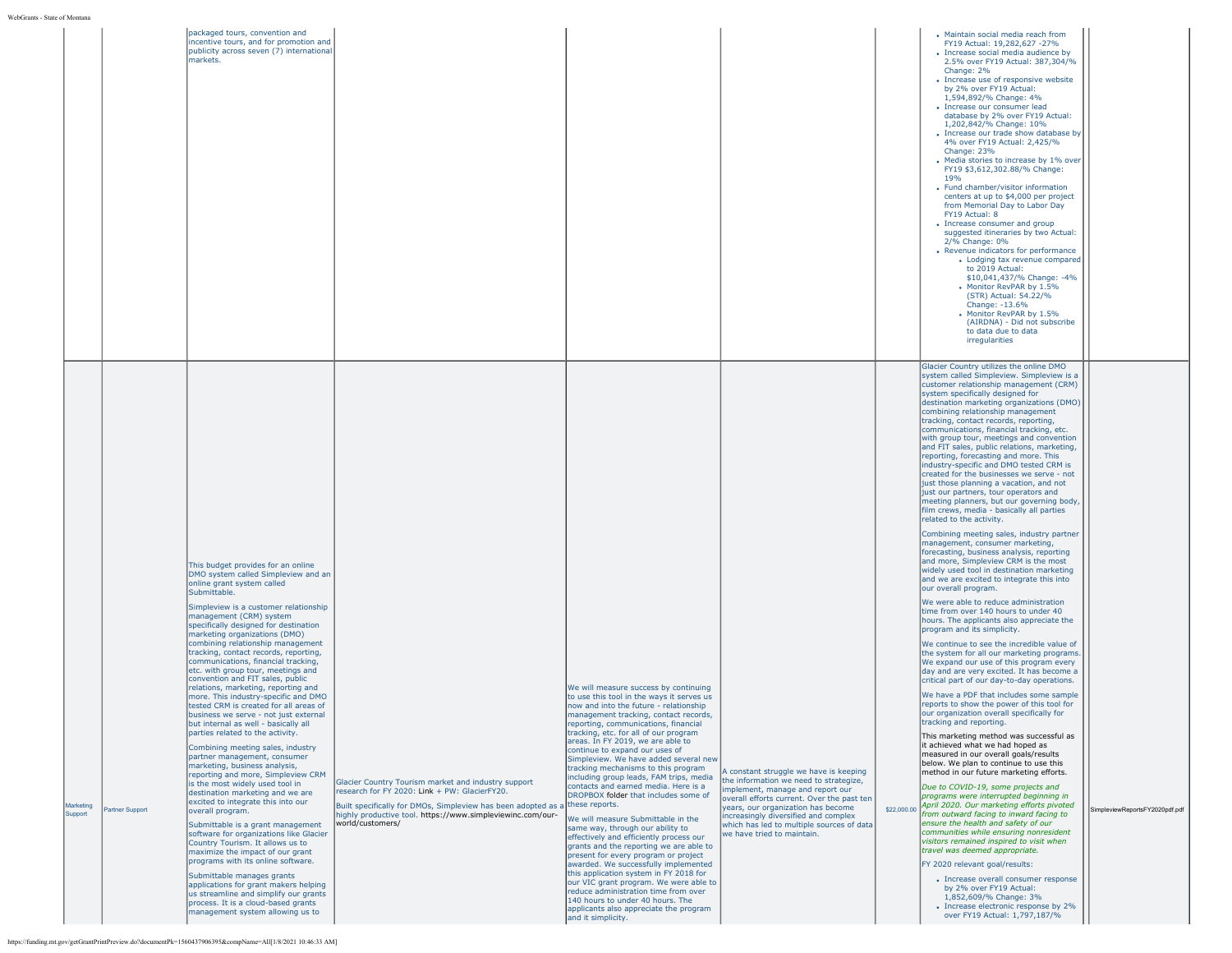| e of Montan          |                 |                                                                                                                                                                                                                                                                                                                                                                                                                                                                                                                                                                                                                                                                                                                                                                                                                                                                                                                                                                                                                                                                                                                                                                                                                                                                                                                                                                                          |                                                                                                                                                                                                                                                         |                                                                                                                                                                                                                                                                                                                                                                                                                                                                                                                                                                                                                                                                                                                                                                                                                                                                                                                                                                                                                                            |                                                                                                                                                                                                                                                                                                                             |                                                                                                                                                                                                                                                                                                                                                                                                                                                                                                                                                                                                                                                                                                                                                                                                                                                                                                                                                                                                                                                                                                                                                                                                                                                                                                                                                                                                                                                                                                                                                                                                                                                                                                                                                                                                                                                                                                                                                                                                                                                                                                                                                                                                                                                                                                                                                                                                                 |                                |
|----------------------|-----------------|------------------------------------------------------------------------------------------------------------------------------------------------------------------------------------------------------------------------------------------------------------------------------------------------------------------------------------------------------------------------------------------------------------------------------------------------------------------------------------------------------------------------------------------------------------------------------------------------------------------------------------------------------------------------------------------------------------------------------------------------------------------------------------------------------------------------------------------------------------------------------------------------------------------------------------------------------------------------------------------------------------------------------------------------------------------------------------------------------------------------------------------------------------------------------------------------------------------------------------------------------------------------------------------------------------------------------------------------------------------------------------------|---------------------------------------------------------------------------------------------------------------------------------------------------------------------------------------------------------------------------------------------------------|--------------------------------------------------------------------------------------------------------------------------------------------------------------------------------------------------------------------------------------------------------------------------------------------------------------------------------------------------------------------------------------------------------------------------------------------------------------------------------------------------------------------------------------------------------------------------------------------------------------------------------------------------------------------------------------------------------------------------------------------------------------------------------------------------------------------------------------------------------------------------------------------------------------------------------------------------------------------------------------------------------------------------------------------|-----------------------------------------------------------------------------------------------------------------------------------------------------------------------------------------------------------------------------------------------------------------------------------------------------------------------------|-----------------------------------------------------------------------------------------------------------------------------------------------------------------------------------------------------------------------------------------------------------------------------------------------------------------------------------------------------------------------------------------------------------------------------------------------------------------------------------------------------------------------------------------------------------------------------------------------------------------------------------------------------------------------------------------------------------------------------------------------------------------------------------------------------------------------------------------------------------------------------------------------------------------------------------------------------------------------------------------------------------------------------------------------------------------------------------------------------------------------------------------------------------------------------------------------------------------------------------------------------------------------------------------------------------------------------------------------------------------------------------------------------------------------------------------------------------------------------------------------------------------------------------------------------------------------------------------------------------------------------------------------------------------------------------------------------------------------------------------------------------------------------------------------------------------------------------------------------------------------------------------------------------------------------------------------------------------------------------------------------------------------------------------------------------------------------------------------------------------------------------------------------------------------------------------------------------------------------------------------------------------------------------------------------------------------------------------------------------------------------------------------------------------|--------------------------------|
|                      |                 | packaged tours, convention and<br>incentive tours, and for promotion and<br>publicity across seven (7) international<br>markets.                                                                                                                                                                                                                                                                                                                                                                                                                                                                                                                                                                                                                                                                                                                                                                                                                                                                                                                                                                                                                                                                                                                                                                                                                                                         |                                                                                                                                                                                                                                                         |                                                                                                                                                                                                                                                                                                                                                                                                                                                                                                                                                                                                                                                                                                                                                                                                                                                                                                                                                                                                                                            |                                                                                                                                                                                                                                                                                                                             | • Maintain social media reach from<br>FY19 Actual: 19,282,627 -27%<br>• Increase social media audience by<br>2.5% over FY19 Actual: 387,304/%<br>Change: 2%<br>• Increase use of responsive website<br>by 2% over FY19 Actual:<br>1,594,892/% Change: 4%<br>• Increase our consumer lead<br>database by 2% over FY19 Actual:<br>1,202,842/% Change: 10%<br>• Increase our trade show database by<br>4% over FY19 Actual: 2,425/%<br>Change: 23%<br>• Media stories to increase by 1% over<br>FY19 \$3,612,302.88/% Change:<br>19 <sub>%</sub><br>• Fund chamber/visitor information<br>centers at up to \$4,000 per project<br>from Memorial Day to Labor Day<br>FY19 Actual: 8<br>• Increase consumer and group<br>suggested itineraries by two Actual:<br>2/% Change: 0%<br>• Revenue indicators for performance<br>• Lodging tax revenue compared<br>to 2019 Actual:<br>\$10,041,437/% Change: -4%<br>• Monitor RevPAR by 1.5%<br>(STR) Actual: 54.22/%<br>Change: -13.6%<br>• Monitor RevPAR by 1.5%<br>(AIRDNA) - Did not subscribe<br>to data due to data<br>irregularities                                                                                                                                                                                                                                                                                                                                                                                                                                                                                                                                                                                                                                                                                                                                                                                                                                                                                                                                                                                                                                                                                                                                                                                                                                                                                                                               |                                |
| Marketing<br>Support | Partner Support | This budget provides for an online<br>DMO system called Simpleview and an<br>online grant system called<br>Submittable.<br>Simpleview is a customer relationship<br>management (CRM) system<br>specifically designed for destination<br>marketing organizations (DMO)<br>combining relationship management<br>tracking, contact records, reporting,<br>communications, financial tracking,<br>etc. with group tour, meetings and<br>convention and FIT sales, public<br>relations, marketing, reporting and<br>more. This industry-specific and DMO<br>tested CRM is created for all areas of<br>business we serve - not just external<br>but internal as well - basically all<br>parties related to the activity.<br>Combining meeting sales, industry<br>partner management, consumer<br>marketing, business analysis,<br>reporting and more, Simpleview CRM<br>is the most widely used tool in<br>destination marketing and we are<br>excited to integrate this into our<br>overall program.<br>Submittable is a grant management<br>software for organizations like Glacier<br>Country Tourism. It allows us to<br>maximize the impact of our grant<br>programs with its online software.<br>Submittable manages grants<br>applications for grant makers helping<br>us streamline and simplify our grants<br>process. It is a cloud-based grants<br>management system allowing us to | Glacier Country Tourism market and industry support<br>research for FY 2020: Link + PW: GlacierFY20.<br>Built specifically for DMOs, Simpleview has been adopted as a<br>highly productive tool. https://www.simpleviewinc.com/our-<br>world/customers/ | We will measure success by continuing<br>to use this tool in the ways it serves us<br>now and into the future - relationship<br>management tracking, contact records,<br>reporting, communications, financial<br>tracking, etc. for all of our program<br>areas. In FY 2019, we are able to<br>continue to expand our uses of<br>Simpleview. We have added several new<br>tracking mechanisms to this program<br>including group leads, FAM trips, media<br>contacts and earned media. Here is a<br>DROPBOX folder that includes some of<br>these reports.<br>We will measure Submittable in the<br>same way, through our ability to<br>effectively and efficiently process our<br>grants and the reporting we are able to<br>present for every program or project<br>awarded. We successfully implemented<br>this application system in FY 2018 for<br>our VIC grant program. We were able to<br>reduce administration time from over<br>140 hours to under 40 hours. The<br>applicants also appreciate the program<br>and it simplicity. | A constant struggle we have is keeping<br>the information we need to strategize,<br>implement, manage and report our<br>overall efforts current. Over the past ten<br>years, our organization has become<br>increasingly diversified and complex<br>which has led to multiple sources of data<br>we have tried to maintain. | Glacier Country utilizes the online DMO<br>system called Simpleview. Simpleview is a<br>customer relationship management (CRM)<br>system specifically designed for<br>destination marketing organizations (DMO)<br>combining relationship management<br>tracking, contact records, reporting,<br>communications, financial tracking, etc.<br>with group tour, meetings and convention<br>and FIT sales, public relations, marketing,<br>reporting, forecasting and more. This<br>industry-specific and DMO tested CRM is<br>created for the businesses we serve - not<br>just those planning a vacation, and not<br>just our partners, tour operators and<br>meeting planners, but our governing body,<br>film crews, media - basically all parties<br>related to the activity.<br>Combining meeting sales, industry partner<br>management, consumer marketing,<br>forecasting, business analysis, reporting<br>and more, Simpleview CRM is the most<br>widely used tool in destination marketing<br>and we are excited to integrate this into<br>our overall program.<br>We were able to reduce administration<br>time from over 140 hours to under 40<br>hours. The applicants also appreciate the<br>program and its simplicity.<br>We continue to see the incredible value of<br>the system for all our marketing programs.<br>We expand our use of this program every<br>day and are very excited. It has become a<br>critical part of our day-to-day operations.<br>We have a PDF that includes some sample<br>reports to show the power of this tool for<br>our organization overall specifically for<br>tracking and reporting.<br>This marketing method was successful as<br>it achieved what we had hoped as<br>measured in our overall goals/results<br>below. We plan to continue to use this<br>method in our future marketing efforts.<br>Due to COVID-19, some projects and<br>programs were interrupted beginning in<br>\$22,000.00 April 2020. Our marketing efforts pivoted<br>from outward facing to inward facing to<br>ensure the health and safety of our<br>communities while ensuring nonresident<br>visitors remained inspired to visit when<br>travel was deemed appropriate.<br>FY 2020 relevant goal/results:<br>• Increase overall consumer response<br>by 2% over FY19 Actual:<br>1,852,609/% Change: 3%<br>• Increase electronic response by 2%<br>over FY19 Actual: 1,797,187/% | SimpleviewReportsFY2020pdf.pdf |

https://funding.mt.gov/getGrantPrintPreview.do?documentPk=1560437906395&compName=All[1/8/2021 10:46:33 AM]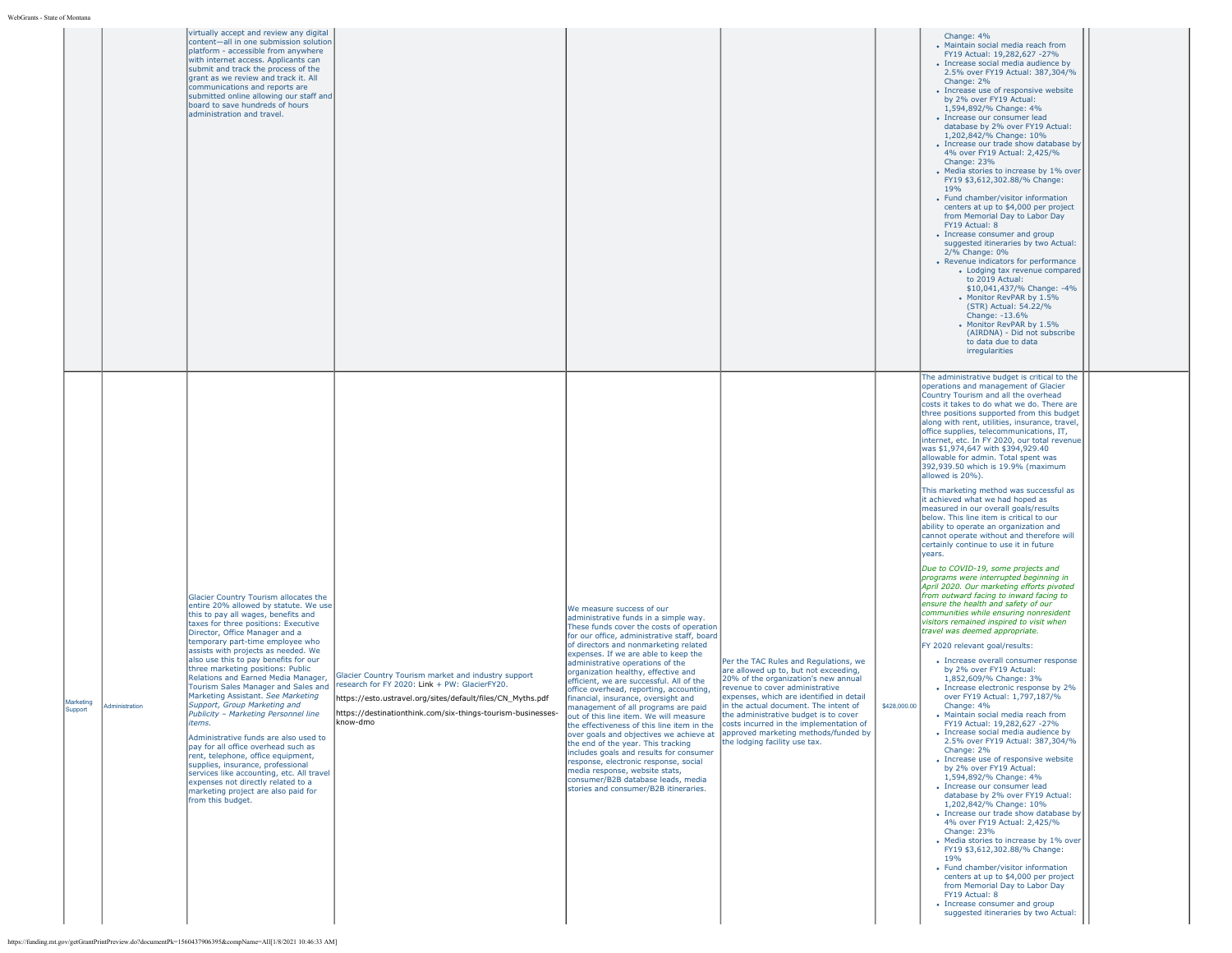|                      |                | content-all in one submission solution<br>platform - accessible from anywhere<br>with internet access. Applicants can<br>submit and track the process of the<br>grant as we review and track it. All<br>communications and reports are<br>submitted online allowing our staff and<br>board to save hundreds of hours<br>administration and travel.                                                                                                                                                                                                                                                                                                                                                                                                                                                                                                                                                                                                                                     |                                                                                                                                                                                                                                               |                                                                                                                                                                                                                                                                                                                                                                                                                                                                                                                                                                                                                                                                                                                                                                                                                                                                                                                                                            |                                                                                                                                                                                                                                                                                                                          |              | Change: 4%<br>• Maintain social media reach from<br>FY19 Actual: 19,282,627 -27%<br>· Increase social media audience by<br>2.5% over FY19 Actual: 387,304/%<br>Change: 2%<br>• Increase use of responsive website<br>by 2% over FY19 Actual:<br>1,594,892/% Change: 4%<br>· Increase our consumer lead<br>database by 2% over FY19 Actual:<br>1,202,842/% Change: 10%<br>• Increase our trade show database by<br>4% over FY19 Actual: 2,425/%<br>Change: 23%<br>• Media stories to increase by 1% over<br>FY19 \$3.612.302.88/% Change:<br>19%<br>• Fund chamber/visitor information<br>centers at up to \$4,000 per project<br>from Memorial Day to Labor Day<br>FY19 Actual: 8<br>• Increase consumer and group<br>suggested itineraries by two Actual:<br>2/% Change: 0%<br>• Revenue indicators for performance<br>• Lodging tax revenue compared<br>to 2019 Actual:<br>\$10,041,437/% Change: -4%<br>Monitor RevPAR by 1.5%<br>(STR) Actual: 54.22/%<br>Change: -13.6%<br>• Monitor RevPAR by 1.5%<br>(AIRDNA) - Did not subscribe<br>to data due to data<br>irregularities<br>The administrative budget is critical to the<br>operations and management of Glacier<br>Country Tourism and all the overhead<br>costs it takes to do what we do. There are<br>three positions supported from this budget                                                                                                                                                                                                                                                                                                                                                                                                                                                                                                                                                                                                 |  |
|----------------------|----------------|----------------------------------------------------------------------------------------------------------------------------------------------------------------------------------------------------------------------------------------------------------------------------------------------------------------------------------------------------------------------------------------------------------------------------------------------------------------------------------------------------------------------------------------------------------------------------------------------------------------------------------------------------------------------------------------------------------------------------------------------------------------------------------------------------------------------------------------------------------------------------------------------------------------------------------------------------------------------------------------|-----------------------------------------------------------------------------------------------------------------------------------------------------------------------------------------------------------------------------------------------|------------------------------------------------------------------------------------------------------------------------------------------------------------------------------------------------------------------------------------------------------------------------------------------------------------------------------------------------------------------------------------------------------------------------------------------------------------------------------------------------------------------------------------------------------------------------------------------------------------------------------------------------------------------------------------------------------------------------------------------------------------------------------------------------------------------------------------------------------------------------------------------------------------------------------------------------------------|--------------------------------------------------------------------------------------------------------------------------------------------------------------------------------------------------------------------------------------------------------------------------------------------------------------------------|--------------|---------------------------------------------------------------------------------------------------------------------------------------------------------------------------------------------------------------------------------------------------------------------------------------------------------------------------------------------------------------------------------------------------------------------------------------------------------------------------------------------------------------------------------------------------------------------------------------------------------------------------------------------------------------------------------------------------------------------------------------------------------------------------------------------------------------------------------------------------------------------------------------------------------------------------------------------------------------------------------------------------------------------------------------------------------------------------------------------------------------------------------------------------------------------------------------------------------------------------------------------------------------------------------------------------------------------------------------------------------------------------------------------------------------------------------------------------------------------------------------------------------------------------------------------------------------------------------------------------------------------------------------------------------------------------------------------------------------------------------------------------------------------------------------------------------------------------------------------------------------------------------------------------------------|--|
| Marketing<br>Support | Administration | Glacier Country Tourism allocates the<br>entire 20% allowed by statute. We use<br>this to pay all wages, benefits and<br>taxes for three positions: Executive<br>Director, Office Manager and a<br>temporary part-time employee who<br>assists with projects as needed. We<br>also use this to pay benefits for our<br>three marketing positions: Public<br>Relations and Earned Media Manager,<br>Tourism Sales Manager and Sales and<br>Marketing Assistant. See Marketing<br>Support, Group Marketing and<br>Publicity - Marketing Personnel line<br>items.<br>Administrative funds are also used to<br>pay for all office overhead such as<br>rent, telephone, office equipment,<br>supplies, insurance, professional<br>services like accounting, etc. All travel<br>expenses not directly related to a<br>marketing project are also paid for<br>from this budget.<br>https://funding.mt.gov/getGrantPrintPreview.do?documentPk=1560437906395&compName=All[1/8/2021 10:46:33 AM] | Glacier Country Tourism market and industry support<br>research for FY 2020: Link + PW: GlacierFY20.<br>https://esto.ustravel.org/sites/default/files/CN_Myths.pdf<br>https://destinationthink.com/six-things-tourism-businesses-<br>know-dmo | We measure success of our<br>administrative funds in a simple way.<br>These funds cover the costs of operation<br>for our office, administrative staff, board<br>of directors and nonmarketing related<br>expenses. If we are able to keep the<br>administrative operations of the<br>organization healthy, effective and<br>efficient, we are successful. All of the<br>office overhead, reporting, accounting,<br>financial, insurance, oversight and<br>management of all programs are paid<br>out of this line item. We will measure<br>the effectiveness of this line item in the costs incurred in the implementation of<br>over goals and objectives we achieve at  approved marketing methods/funded by<br>the end of the year. This tracking<br>includes goals and results for consumer<br>response, electronic response, social<br>media response, website stats,<br>consumer/B2B database leads, media<br>stories and consumer/B2B itineraries. | Per the TAC Rules and Regulations, we<br>are allowed up to, but not exceeding,<br>20% of the organization's new annual<br>revenue to cover administrative<br>expenses, which are identified in detail<br>in the actual document. The intent of<br>the administrative budget is to cover<br>the lodging facility use tax. | \$428,000.00 | along with rent, utilities, insurance, travel,<br>office supplies, telecommunications, IT,<br>internet, etc. In FY 2020, our total revenue<br>was \$1,974,647 with \$394,929.40<br>allowable for admin. Total spent was<br>392,939.50 which is 19.9% (maximum<br>allowed is 20%).<br>This marketing method was successful as<br>it achieved what we had hoped as<br>measured in our overall goals/results<br>below. This line item is critical to our<br>ability to operate an organization and<br>cannot operate without and therefore will<br>certainly continue to use it in future<br>years.<br>Due to COVID-19, some projects and<br>programs were interrupted beginning in<br>April 2020. Our marketing efforts pivoted<br>from outward facing to inward facing to<br>ensure the health and safety of our<br>communities while ensuring nonresident<br>visitors remained inspired to visit when<br>travel was deemed appropriate.<br>FY 2020 relevant goal/results:<br>• Increase overall consumer response<br>by 2% over FY19 Actual:<br>1,852,609/% Change: 3%<br>• Increase electronic response by 2%<br>over FY19 Actual: 1,797,187/%<br>Change: 4%<br>• Maintain social media reach from<br>FY19 Actual: 19,282,627 -27%<br>• Increase social media audience by<br>2.5% over FY19 Actual: 387,304/%<br>Change: 2%<br>• Increase use of responsive website<br>by 2% over FY19 Actual:<br>1,594,892/% Change: 4%<br>· Increase our consumer lead<br>database by 2% over FY19 Actual:<br>1,202,842/% Change: 10%<br>• Increase our trade show database by<br>4% over FY19 Actual: 2,425/%<br>Change: 23%<br>• Media stories to increase by 1% over<br>FY19 \$3,612,302.88/% Change:<br>19%<br>• Fund chamber/visitor information<br>centers at up to \$4,000 per project<br>from Memorial Day to Labor Day<br>FY19 Actual: 8<br>• Increase consumer and group<br>suggested itineraries by two Actual: |  |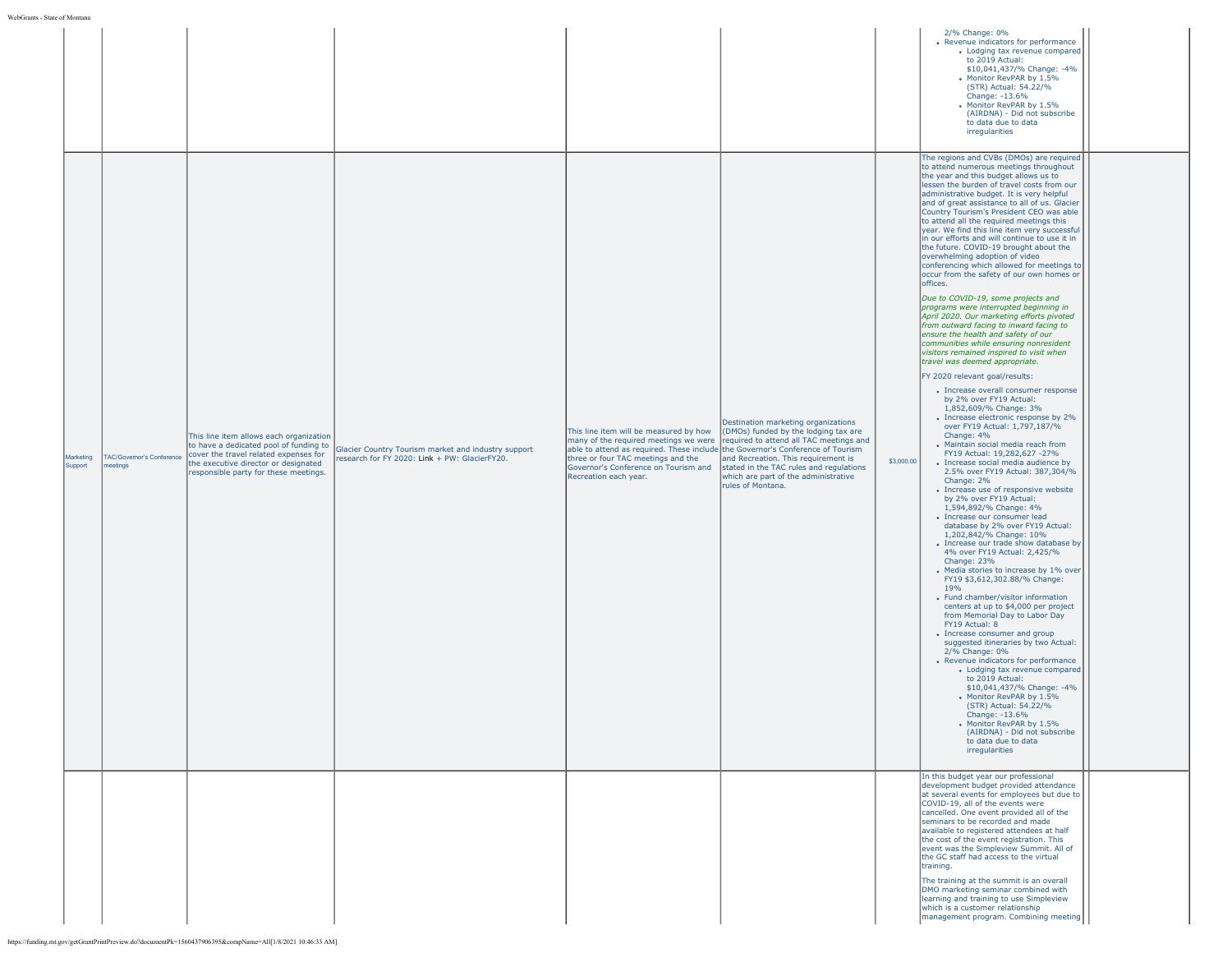| The regions and CVBs (DMOs) are required<br>to attend numerous meetings throughout<br>the year and this budget allows us to<br>lessen the burden of travel costs from our<br>administrative budget. It is very helpful<br>and of great assistance to all of us. Glacier<br>Country Tourism's President CEO was able<br>to attend all the required meetings this<br>year. We find this line item very successful<br>in our efforts and will continue to use it in<br>the future. COVID-19 brought about the<br>overwhelming adoption of video<br>conferencing which allowed for meetings to<br>occur from the safety of our own homes or<br>offices.<br>Due to COVID-19, some projects and<br>programs were interrupted beginning in<br>April 2020. Our marketing efforts pivoted<br>from outward facing to inward facing to<br>ensure the health and safety of our<br>communities while ensuring nonresident<br>visitors remained inspired to visit when<br>travel was deemed appropriate.<br>FY 2020 relevant goal/results:<br>• Increase overall consumer response<br>by 2% over FY19 Actual:<br>1,852,609/% Change: 3%<br>• Increase electronic response by 2%<br>Destination marketing organizations<br>over FY19 Actual: 1,797,187/%<br>This line item will be measured by how<br>(DMOs) funded by the lodging tax are<br>Change: 4%<br>This line item allows each organization<br>many of the required meetings we were required to attend all TAC meetings and<br>· Maintain social media reach from<br>to have a dedicated pool of funding to<br>Glacier Country Tourism market and industry support<br>able to attend as required. These include the Governor's Conference of Tourism<br>FY19 Actual: 19,282,627 -27%<br>cover the travel related expenses for<br>'AC/Governor's Conference<br>Marketing<br>research for FY 2020: Link + PW: GlacierFY20.<br>three or four TAC meetings and the<br>and Recreation. This requirement is<br>\$3,000.00<br>the executive director or designated<br>• Increase social media audience by<br>Support<br>eetings<br>Governor's Conference on Tourism and<br>stated in the TAC rules and regulations<br>2.5% over FY19 Actual: 387,304/%<br>responsible party for these meetings.<br>Recreation each year.<br>which are part of the administrative<br>Change: 2%<br>rules of Montana.<br>• Increase use of responsive website<br>by 2% over FY19 Actual:<br>1,594,892/% Change: 4%<br>· Increase our consumer lead<br>database by 2% over FY19 Actual:<br>1,202,842/% Change: 10%<br>• Increase our trade show database by<br>4% over FY19 Actual: 2,425/%<br>Change: 23%<br>• Media stories to increase by 1% over<br>FY19 \$3,612,302.88/% Change:<br>19%<br>• Fund chamber/visitor information<br>centers at up to \$4,000 per project<br>from Memorial Day to Labor Day<br>FY19 Actual: 8<br>• Increase consumer and group<br>suggested itineraries by two Actual:<br>2/% Change: 0%<br>• Revenue indicators for performance<br>• Lodging tax revenue compared<br>to 2019 Actual:<br>\$10,041,437/% Change: -4%<br>Monitor RevPAR by 1.5%<br>(STR) Actual: 54.22/%<br>Change: -13.6%<br>• Monitor RevPAR by 1.5%<br>(AIRDNA) - Did not subscribe<br>to data due to data<br>irregularities<br>In this budget year our professional<br>development budget provided attendance<br>at several events for employees but due to<br>COVID-19, all of the events were<br>cancelled. One event provided all of the<br>seminars to be recorded and made<br>available to registered attendees at half |  |  |  |  | 2/% Change: 0%<br>• Revenue indicators for performance<br>• Lodging tax revenue compared<br>to 2019 Actual:<br>\$10,041,437/% Change: -4%<br>Monitor RevPAR by 1.5%<br>(STR) Actual: 54.22/%<br>Change: -13.6%<br>Monitor RevPAR by 1.5%<br>(AIRDNA) - Did not subscribe<br>to data due to data<br>irregularities |  |
|-------------------------------------------------------------------------------------------------------------------------------------------------------------------------------------------------------------------------------------------------------------------------------------------------------------------------------------------------------------------------------------------------------------------------------------------------------------------------------------------------------------------------------------------------------------------------------------------------------------------------------------------------------------------------------------------------------------------------------------------------------------------------------------------------------------------------------------------------------------------------------------------------------------------------------------------------------------------------------------------------------------------------------------------------------------------------------------------------------------------------------------------------------------------------------------------------------------------------------------------------------------------------------------------------------------------------------------------------------------------------------------------------------------------------------------------------------------------------------------------------------------------------------------------------------------------------------------------------------------------------------------------------------------------------------------------------------------------------------------------------------------------------------------------------------------------------------------------------------------------------------------------------------------------------------------------------------------------------------------------------------------------------------------------------------------------------------------------------------------------------------------------------------------------------------------------------------------------------------------------------------------------------------------------------------------------------------------------------------------------------------------------------------------------------------------------------------------------------------------------------------------------------------------------------------------------------------------------------------------------------------------------------------------------------------------------------------------------------------------------------------------------------------------------------------------------------------------------------------------------------------------------------------------------------------------------------------------------------------------------------------------------------------------------------------------------------------------------------------------------------------------------------------------------------------------------------------------------------------------------------------------------------------------------------------------------------------------------------------------------------------------------------------------------------------------------------------------------------------------------------------------------------------------------------|--|--|--|--|-------------------------------------------------------------------------------------------------------------------------------------------------------------------------------------------------------------------------------------------------------------------------------------------------------------------|--|
|                                                                                                                                                                                                                                                                                                                                                                                                                                                                                                                                                                                                                                                                                                                                                                                                                                                                                                                                                                                                                                                                                                                                                                                                                                                                                                                                                                                                                                                                                                                                                                                                                                                                                                                                                                                                                                                                                                                                                                                                                                                                                                                                                                                                                                                                                                                                                                                                                                                                                                                                                                                                                                                                                                                                                                                                                                                                                                                                                                                                                                                                                                                                                                                                                                                                                                                                                                                                                                                                                                                                                 |  |  |  |  |                                                                                                                                                                                                                                                                                                                   |  |
| event was the Simpleview Summit. All of<br>the GC staff had access to the virtual<br>training.<br>The training at the summit is an overall<br>DMO marketing seminar combined with<br>learning and training to use Simpleview<br>which is a customer relationship<br>management program. Combining meeting                                                                                                                                                                                                                                                                                                                                                                                                                                                                                                                                                                                                                                                                                                                                                                                                                                                                                                                                                                                                                                                                                                                                                                                                                                                                                                                                                                                                                                                                                                                                                                                                                                                                                                                                                                                                                                                                                                                                                                                                                                                                                                                                                                                                                                                                                                                                                                                                                                                                                                                                                                                                                                                                                                                                                                                                                                                                                                                                                                                                                                                                                                                                                                                                                                       |  |  |  |  | the cost of the event registration. This                                                                                                                                                                                                                                                                          |  |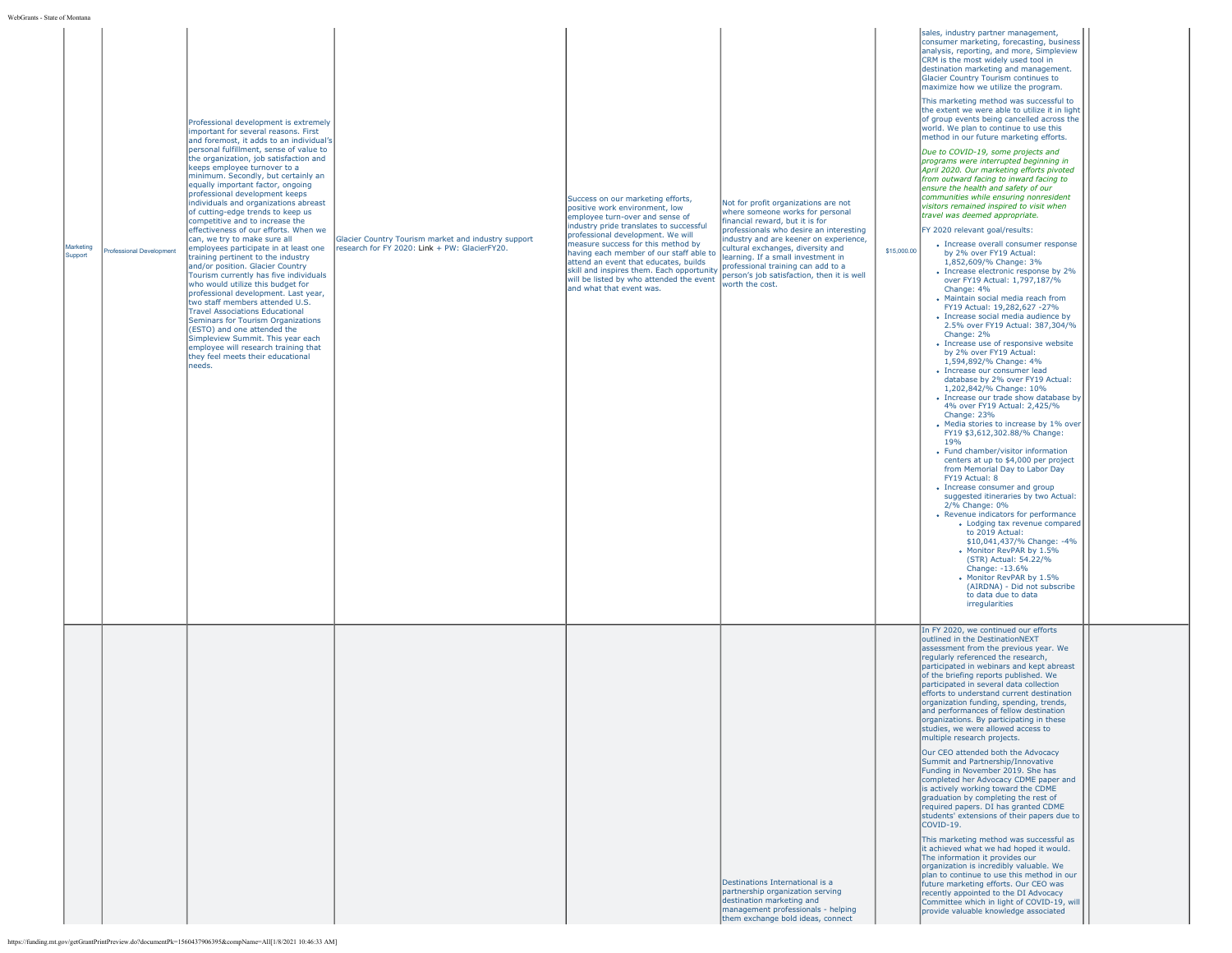|  | WebGrants - State of Montana |
|--|------------------------------|

| State of Montana     |                          |                                                                                                                                                                                                                                                                                                                                                                                                                                                                                                                                                                                                                                                                                                                                                                                                                                                                                                                                                                                                                                                                                |                                                                                                      |                                                                                                                                                                                                                                                                                                                                                                                                                                       |                                                                                                                                                                                                                                                                                                                                                                                    |             |                                                                                                                                                                                                                                                                                                                                                                                                                                                                                                                                                                                                                                                                                                                                                                                                                                                                                                                                                                                                                                                                                                                                                                                                                                                                                                                                                                                                                                                                                                                                                                                                                                                                                                                                                                                                                                                                                                                                                                                                                                                                                                                                                                   |  |
|----------------------|--------------------------|--------------------------------------------------------------------------------------------------------------------------------------------------------------------------------------------------------------------------------------------------------------------------------------------------------------------------------------------------------------------------------------------------------------------------------------------------------------------------------------------------------------------------------------------------------------------------------------------------------------------------------------------------------------------------------------------------------------------------------------------------------------------------------------------------------------------------------------------------------------------------------------------------------------------------------------------------------------------------------------------------------------------------------------------------------------------------------|------------------------------------------------------------------------------------------------------|---------------------------------------------------------------------------------------------------------------------------------------------------------------------------------------------------------------------------------------------------------------------------------------------------------------------------------------------------------------------------------------------------------------------------------------|------------------------------------------------------------------------------------------------------------------------------------------------------------------------------------------------------------------------------------------------------------------------------------------------------------------------------------------------------------------------------------|-------------|-------------------------------------------------------------------------------------------------------------------------------------------------------------------------------------------------------------------------------------------------------------------------------------------------------------------------------------------------------------------------------------------------------------------------------------------------------------------------------------------------------------------------------------------------------------------------------------------------------------------------------------------------------------------------------------------------------------------------------------------------------------------------------------------------------------------------------------------------------------------------------------------------------------------------------------------------------------------------------------------------------------------------------------------------------------------------------------------------------------------------------------------------------------------------------------------------------------------------------------------------------------------------------------------------------------------------------------------------------------------------------------------------------------------------------------------------------------------------------------------------------------------------------------------------------------------------------------------------------------------------------------------------------------------------------------------------------------------------------------------------------------------------------------------------------------------------------------------------------------------------------------------------------------------------------------------------------------------------------------------------------------------------------------------------------------------------------------------------------------------------------------------------------------------|--|
| Marketing<br>Support | Professional Development | Professional development is extremely<br>important for several reasons. First<br>and foremost, it adds to an individual's<br>personal fulfillment, sense of value to<br>the organization, job satisfaction and<br>keeps employee turnover to a<br>minimum. Secondly, but certainly an<br>equally important factor, ongoing<br>professional development keeps<br>individuals and organizations abreast<br>of cutting-edge trends to keep us<br>competitive and to increase the<br>effectiveness of our efforts. When we<br>can, we try to make sure all<br>employees participate in at least one<br>training pertinent to the industry<br>and/or position. Glacier Country<br>Tourism currently has five individuals<br>who would utilize this budget for<br>professional development. Last year,<br>two staff members attended U.S.<br><b>Travel Associations Educational</b><br>Seminars for Tourism Organizations<br>(ESTO) and one attended the<br>Simpleview Summit. This year each<br>employee will research training that<br>they feel meets their educational<br>needs. | Glacier Country Tourism market and industry support<br>research for FY 2020: Link + PW: GlacierFY20. | Success on our marketing efforts,<br>positive work environment, low<br>employee turn-over and sense of<br>industry pride translates to successful<br>professional development. We will<br>measure success for this method by<br>having each member of our staff able to<br>attend an event that educates, builds<br>skill and inspires them. Each opportunity<br>will be listed by who attended the event<br>and what that event was. | Not for profit organizations are not<br>where someone works for personal<br>financial reward, but it is for<br>professionals who desire an interesting<br>industry and are keener on experience,<br>cultural exchanges, diversity and<br>learning. If a small investment in<br>professional training can add to a<br>person's job satisfaction, then it is well<br>worth the cost. | \$15,000.00 | sales, industry partner management,<br>consumer marketing, forecasting, business<br>analysis, reporting, and more, Simpleview<br>CRM is the most widely used tool in<br>destination marketing and management.<br>Glacier Country Tourism continues to<br>maximize how we utilize the program.<br>This marketing method was successful to<br>the extent we were able to utilize it in light<br>of group events being cancelled across the<br>world. We plan to continue to use this<br>method in our future marketing efforts.<br>Due to COVID-19, some projects and<br>programs were interrupted beginning in<br>April 2020. Our marketing efforts pivoted<br>from outward facing to inward facing to<br>ensure the health and safety of our<br>communities while ensuring nonresident<br>visitors remained inspired to visit when<br>travel was deemed appropriate.<br>FY 2020 relevant goal/results:<br>• Increase overall consumer response<br>by 2% over FY19 Actual:<br>1,852,609/% Change: 3%<br>• Increase electronic response by 2%<br>over FY19 Actual: 1,797,187/%<br>Change: 4%<br>• Maintain social media reach from<br>FY19 Actual: 19,282,627 -27%<br>• Increase social media audience by<br>2.5% over FY19 Actual: 387,304/%<br>Change: 2%<br>• Increase use of responsive website<br>by 2% over FY19 Actual:<br>1,594,892/% Change: 4%<br>· Increase our consumer lead<br>database by 2% over FY19 Actual:<br>1,202,842/% Change: 10%<br>• Increase our trade show database by<br>4% over FY19 Actual: 2.425/%<br>Change: 23%<br>• Media stories to increase by 1% over<br>FY19 \$3,612,302.88/% Change:<br>19%<br>• Fund chamber/visitor information<br>centers at up to \$4,000 per project<br>from Memorial Day to Labor Day<br>FY19 Actual: 8<br>• Increase consumer and group<br>suggested itineraries by two Actual:<br>2/% Change: 0%<br>• Revenue indicators for performance<br>• Lodging tax revenue compared<br>to 2019 Actual:<br>\$10,041,437/% Change: -4%<br>• Monitor RevPAR by 1.5%<br>(STR) Actual: 54.22/%<br>Change: -13.6%<br>Monitor RevPAR by 1.5%<br>(AIRDNA) - Did not subscribe<br>to data due to data<br>irregularities |  |
|                      |                          |                                                                                                                                                                                                                                                                                                                                                                                                                                                                                                                                                                                                                                                                                                                                                                                                                                                                                                                                                                                                                                                                                |                                                                                                      |                                                                                                                                                                                                                                                                                                                                                                                                                                       | Destinations International is a<br>partnership organization serving<br>destination marketing and<br>management professionals - helping<br>them exchange bold ideas, connect                                                                                                                                                                                                        |             | In FY 2020, we continued our efforts<br>outlined in the DestinationNEXT<br>assessment from the previous year. We<br>regularly referenced the research,<br>participated in webinars and kept abreast<br>of the briefing reports published. We<br>participated in several data collection<br>efforts to understand current destination<br>organization funding, spending, trends,<br>and performances of fellow destination<br>organizations. By participating in these<br>studies, we were allowed access to<br>multiple research projects.<br>Our CEO attended both the Advocacy<br>Summit and Partnership/Innovative<br>Funding in November 2019. She has<br>completed her Advocacy CDME paper and<br>is actively working toward the CDME<br>graduation by completing the rest of<br>required papers. DI has granted CDME<br>students' extensions of their papers due to<br>COVID-19.<br>This marketing method was successful as<br>it achieved what we had hoped it would.<br>The information it provides our<br>organization is incredibly valuable. We<br>plan to continue to use this method in our<br>future marketing efforts. Our CEO was<br>recently appointed to the DI Advocacy<br>Committee which in light of COVID-19, will<br>provide valuable knowledge associated                                                                                                                                                                                                                                                                                                                                                                                                                                                                                                                                                                                                                                                                                                                                                                                                                                                                                 |  |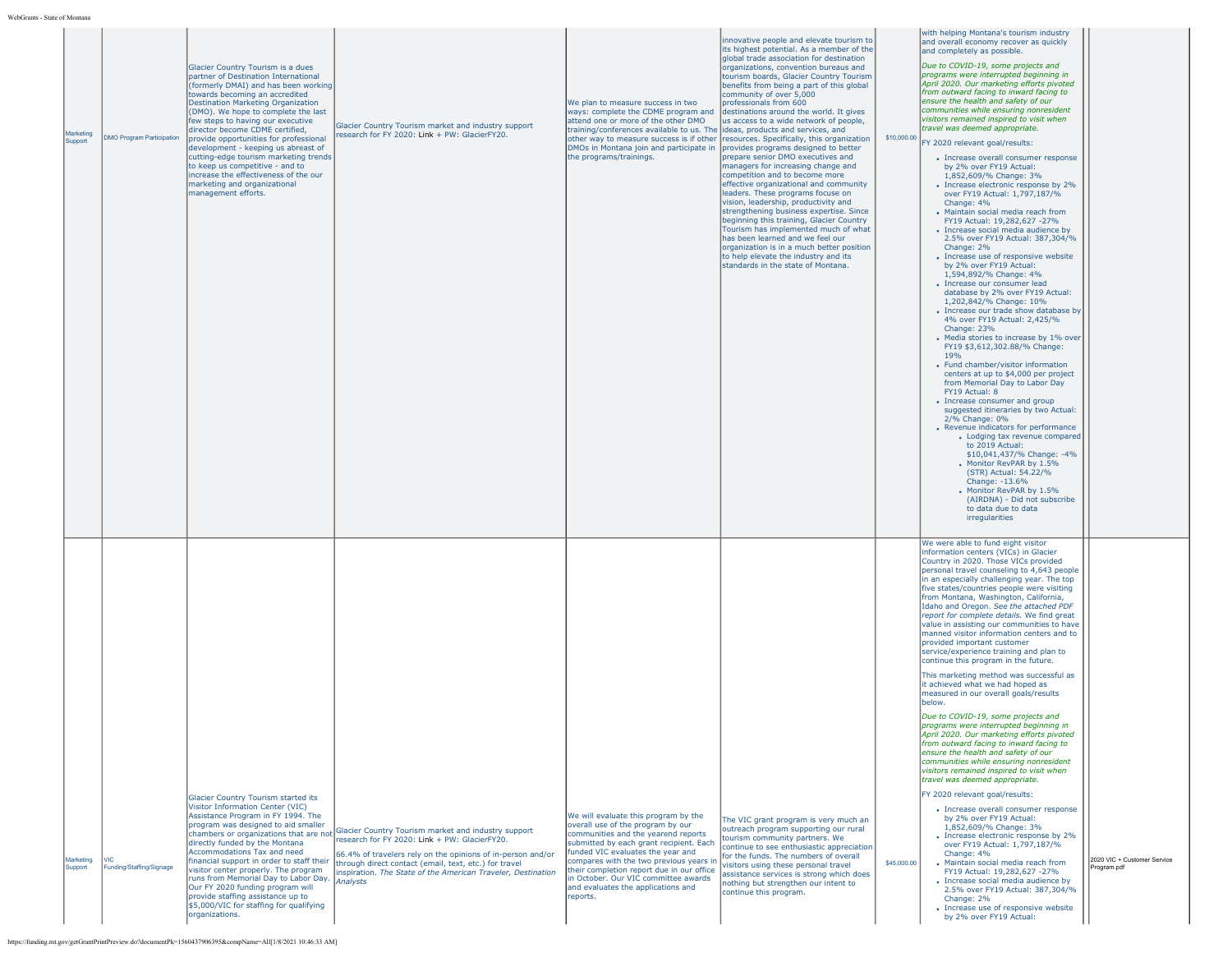| Marketing<br>Support | <b>DMO Program Participation</b> | Glacier Country Tourism is a dues<br>Dartner of Destination International<br>(formerly DMAI) and has been working<br>towards becoming an accredited<br>Destination Marketing Organization<br>(DMO). We hope to complete the last<br>few steps to having our executive<br>director become CDME certified,<br>provide opportunities for professional<br>development - keeping us abreast of<br>cutting-edge tourism marketing trends<br>to keep us competitive - and to<br>increase the effectiveness of the our<br>marketing and organizational<br>management efforts. | Glacier Country Tourism market and industry support<br>research for FY 2020: Link + PW: GlacierFY20.                                                                                                                                                                                                                                | We plan to measure success in two<br>ways: complete the CDME program and destinations around the world. It gives<br>attend one or more of the other DMO<br>training/conferences available to us. The lideas, products and services, and<br>other way to measure success is if other<br>DMOs in Montana join and participate in provides programs designed to better<br>the programs/trainings. | innovative people and elevate tourism to<br>lits highest potential. As a member of the<br>global trade association for destination<br>organizations, convention bureaus and<br>tourism boards, Glacier Country Tourism<br>benefits from being a part of this global<br>community of over 5,000<br>professionals from 600<br>us access to a wide network of people,<br>resources. Specifically, this organization<br>prepare senior DMO executives and<br>managers for increasing change and<br>competition and to become more<br>effective organizational and community<br>leaders. These programs focuse on<br>vision, leadership, productivity and<br>strengthening business expertise. Since<br>beginning this training, Glacier Country<br>Tourism has implemented much of what<br>has been learned and we feel our<br>organization is in a much better position<br>to help elevate the industry and its<br>standards in the state of Montana. | \$10,000.00 | with helping Montana's tourism industry<br>land overall economy recover as quickly<br>and completely as possible.<br>Due to COVID-19, some projects and<br>programs were interrupted beginning in<br>April 2020. Our marketing efforts pivoted<br>from outward facing to inward facing to<br>ensure the health and safety of our<br>communities while ensuring nonresident<br>visitors remained inspired to visit when<br>travel was deemed appropriate.<br>FY 2020 relevant goal/results:<br>• Increase overall consumer response<br>by 2% over FY19 Actual:<br>1,852,609/% Change: 3%<br>• Increase electronic response by 2%<br>over FY19 Actual: 1,797,187/%<br>Change: 4%<br>• Maintain social media reach from<br>FY19 Actual: 19,282,627 -27%<br>• Increase social media audience by<br>2.5% over FY19 Actual: 387,304/%<br>Change: 2%<br>• Increase use of responsive website<br>by 2% over FY19 Actual:<br>1,594,892/% Change: 4%<br>• Increase our consumer lead<br>database by 2% over FY19 Actual:<br>1,202,842/% Change: 10%<br>• Increase our trade show database by<br>4% over FY19 Actual: 2,425/%<br>Change: 23%<br>• Media stories to increase by 1% over<br>FY19 \$3,612,302.88/% Change:<br>19%<br>• Fund chamber/visitor information<br>centers at up to \$4,000 per project<br>from Memorial Day to Labor Day<br>FY19 Actual: 8<br>• Increase consumer and group<br>suggested itineraries by two Actual:<br>2/% Change: 0%<br>• Revenue indicators for performance<br>• Lodging tax revenue compared<br>to 2019 Actual:<br>\$10,041,437/% Change: -4%<br>Monitor RevPAR by 1.5%<br>(STR) Actual: 54.22/%<br>Change: -13.6%<br>Monitor RevPAR by 1.5%<br>(AIRDNA) - Did not subscribe<br>to data due to data<br>irregularities |                                            |
|----------------------|----------------------------------|-----------------------------------------------------------------------------------------------------------------------------------------------------------------------------------------------------------------------------------------------------------------------------------------------------------------------------------------------------------------------------------------------------------------------------------------------------------------------------------------------------------------------------------------------------------------------|-------------------------------------------------------------------------------------------------------------------------------------------------------------------------------------------------------------------------------------------------------------------------------------------------------------------------------------|------------------------------------------------------------------------------------------------------------------------------------------------------------------------------------------------------------------------------------------------------------------------------------------------------------------------------------------------------------------------------------------------|----------------------------------------------------------------------------------------------------------------------------------------------------------------------------------------------------------------------------------------------------------------------------------------------------------------------------------------------------------------------------------------------------------------------------------------------------------------------------------------------------------------------------------------------------------------------------------------------------------------------------------------------------------------------------------------------------------------------------------------------------------------------------------------------------------------------------------------------------------------------------------------------------------------------------------------------------|-------------|-----------------------------------------------------------------------------------------------------------------------------------------------------------------------------------------------------------------------------------------------------------------------------------------------------------------------------------------------------------------------------------------------------------------------------------------------------------------------------------------------------------------------------------------------------------------------------------------------------------------------------------------------------------------------------------------------------------------------------------------------------------------------------------------------------------------------------------------------------------------------------------------------------------------------------------------------------------------------------------------------------------------------------------------------------------------------------------------------------------------------------------------------------------------------------------------------------------------------------------------------------------------------------------------------------------------------------------------------------------------------------------------------------------------------------------------------------------------------------------------------------------------------------------------------------------------------------------------------------------------------------------------------------------------------------------------------------------------------------------------------------|--------------------------------------------|
| Marketing<br>Support | Funding/Staffing/Signage         | Glacier Country Tourism started its<br>Visitor Information Center (VIC)<br>Assistance Program in FY 1994. The<br>program was designed to aid smaller<br>directly funded by the Montana<br>Accommodations Tax and need<br>financial support in order to staff their<br>visitor center properly. The program<br>runs from Memorial Day to Labor Day. Analysts<br>Our FY 2020 funding program will<br>provide staffing assistance up to<br>\$5,000/VIC for staffing for qualifying<br>organizations.                                                                     | chambers or organizations that are not Glacier Country Tourism market and industry support<br>research for FY 2020: Link + PW: GlacierFY20.<br>66.4% of travelers rely on the opinions of in-person and/or<br>through direct contact (email, text, etc.) for travel<br>inspiration. The State of the American Traveler, Destination | We will evaluate this program by the<br>overall use of the program by our<br>communities and the yearend reports<br>submitted by each grant recipient. Each<br>funded VIC evaluates the year and<br>compares with the two previous years in<br>their completion report due in our office<br>in October. Our VIC committee awards<br>and evaluates the applications and<br>reports.             | The VIC grant program is very much an<br>outreach program supporting our rural<br>tourism community partners. We<br>continue to see enthusiastic appreciation<br>for the funds. The numbers of overall<br>visitors using these personal travel<br>assistance services is strong which does<br>nothing but strengthen our intent to<br>continue this program.                                                                                                                                                                                                                                                                                                                                                                                                                                                                                                                                                                                       | \$45,000.00 | We were able to fund eight visitor<br>information centers (VICs) in Glacier<br>Country in 2020. Those VICs provided<br>personal travel counseling to 4,643 people<br>in an especially challenging year. The top<br>five states/countries people were visiting<br>from Montana, Washington, California,<br>Idaho and Oregon. See the attached PDF<br>report for complete details. We find great<br>value in assisting our communities to have<br>manned visitor information centers and to<br>provided important customer<br>service/experience training and plan to<br>continue this program in the future.<br>This marketing method was successful as<br>It achieved what we had hoped as<br>measured in our overall goals/results<br>below.<br>Due to COVID-19, some projects and<br>programs were interrupted beginning in<br>April 2020. Our marketing efforts pivoted<br>from outward facing to inward facing to<br>ensure the health and safety of our<br>communities while ensuring nonresident<br>visitors remained inspired to visit when<br>travel was deemed appropriate.<br>FY 2020 relevant goal/results:<br>• Increase overall consumer response<br>by 2% over FY19 Actual:<br>1,852,609/% Change: 3%<br>• Increase electronic response by 2%<br>over FY19 Actual: 1,797,187/%<br>Change: 4%<br>• Maintain social media reach from<br>FY19 Actual: 19,282,627 -27%<br>• Increase social media audience by<br>2.5% over FY19 Actual: 387,304/%<br>Change: 2%<br>• Increase use of responsive website<br>by 2% over FY19 Actual:                                                                                                                                                                                                        | 2020 VIC + Customer Service<br>Program.pdf |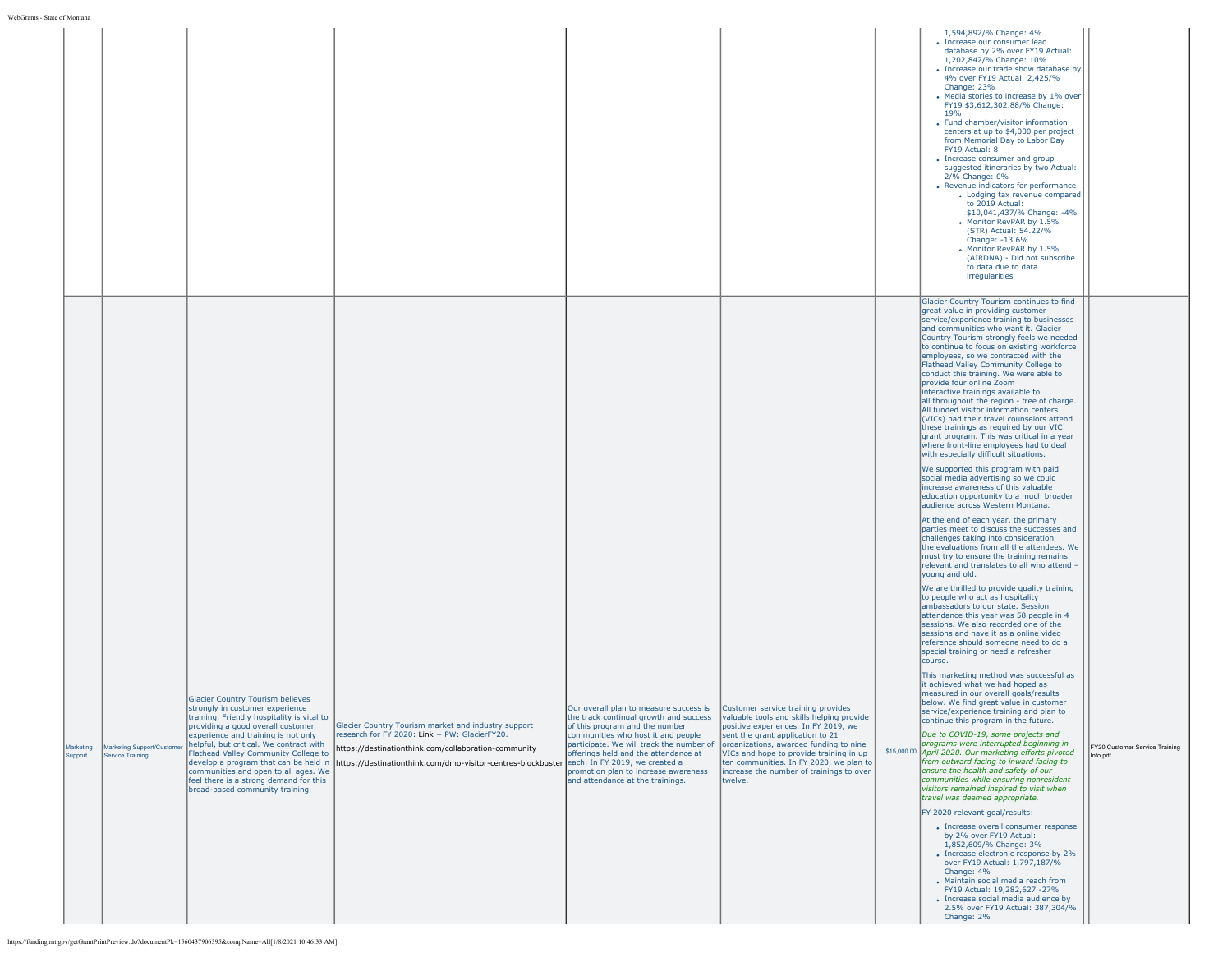|                      |                                                |                                                                                                                                                                                                                                                                                                                                                                                                                                                |                                                                                                                                                                                                                                                             |                                                                                                                                                                                                                                                                                                                                                                                                                                               |                                                                                                                                                                                                                       | 1,594,892/% Change: 4%<br>• Increase our consumer lead<br>database by 2% over FY19 Actual:<br>1,202,842/% Change: 10%<br>• Increase our trade show database by<br>4% over FY19 Actual: 2,425/%<br>Change: 23%<br>• Media stories to increase by 1% over<br>FY19 \$3,612,302.88/% Change:<br>19 <sub>%</sub><br>• Fund chamber/visitor information<br>centers at up to \$4,000 per project<br>from Memorial Day to Labor Day<br>FY19 Actual: 8<br>• Increase consumer and group<br>suggested itineraries by two Actual:<br>2/% Change: 0%<br>• Revenue indicators for performance<br>• Lodging tax revenue compared<br>to 2019 Actual:<br>\$10,041,437/% Change: -4%<br>• Monitor RevPAR by 1.5%<br>(STR) Actual: 54.22/%<br>Change: -13.6%<br>. Monitor RevPAR by 1.5%<br>(AIRDNA) - Did not subscribe<br>to data due to data<br>irregularities                                                                                                                                                                                                                                                                                                                                                                                                                                                                                                                                                              |                                            |
|----------------------|------------------------------------------------|------------------------------------------------------------------------------------------------------------------------------------------------------------------------------------------------------------------------------------------------------------------------------------------------------------------------------------------------------------------------------------------------------------------------------------------------|-------------------------------------------------------------------------------------------------------------------------------------------------------------------------------------------------------------------------------------------------------------|-----------------------------------------------------------------------------------------------------------------------------------------------------------------------------------------------------------------------------------------------------------------------------------------------------------------------------------------------------------------------------------------------------------------------------------------------|-----------------------------------------------------------------------------------------------------------------------------------------------------------------------------------------------------------------------|--------------------------------------------------------------------------------------------------------------------------------------------------------------------------------------------------------------------------------------------------------------------------------------------------------------------------------------------------------------------------------------------------------------------------------------------------------------------------------------------------------------------------------------------------------------------------------------------------------------------------------------------------------------------------------------------------------------------------------------------------------------------------------------------------------------------------------------------------------------------------------------------------------------------------------------------------------------------------------------------------------------------------------------------------------------------------------------------------------------------------------------------------------------------------------------------------------------------------------------------------------------------------------------------------------------------------------------------------------------------------------------------------------------|--------------------------------------------|
|                      |                                                |                                                                                                                                                                                                                                                                                                                                                                                                                                                |                                                                                                                                                                                                                                                             |                                                                                                                                                                                                                                                                                                                                                                                                                                               |                                                                                                                                                                                                                       | Glacier Country Tourism continues to find<br>great value in providing customer<br>service/experience training to businesses<br>and communities who want it. Glacier<br>Country Tourism strongly feels we needed<br>to continue to focus on existing workforce<br>employees, so we contracted with the<br>Flathead Valley Community College to<br>conduct this training. We were able to<br>provide four online Zoom<br>interactive trainings available to<br>all throughout the region - free of charge.<br>All funded visitor information centers<br>(VICs) had their travel counselors attend<br>these trainings as required by our VIC<br>grant program. This was critical in a year<br>where front-line employees had to deal<br>with especially difficult situations.<br>We supported this program with paid<br>social media advertising so we could<br>increase awareness of this valuable<br>education opportunity to a much broader<br>audience across Western Montana.<br>At the end of each year, the primary<br>parties meet to discuss the successes and<br>challenges taking into consideration<br>the evaluations from all the attendees. We<br>must try to ensure the training remains                                                                                                                                                                                                        |                                            |
| Marketing<br>Support | Marketing Support/Customer<br>Service Training | Glacier Country Tourism believes<br>strongly in customer experience<br>training. Friendly hospitality is vital to<br>providing a good overall customer<br>experience and training is not only<br>helpful, but critical. We contract with<br>Flathead Valley Community College to<br>develop a program that can be held in<br>communities and open to all ages. We<br>feel there is a strong demand for this<br>broad-based community training. | Glacier Country Tourism market and industry support<br>research for FY 2020: Link + PW: GlacierFY20.<br>https://destinationthink.com/collaboration-community<br>https://destinationthink.com/dmo-visitor-centres-blockbuster each. In FY 2019, we created a | Our overall plan to measure success is Customer service training provides<br>the track continual growth and success  valuable tools and skills helping provide<br>of this program and the number<br>communities who host it and people<br>participate. We will track the number of organizations, awarded funding to nine<br>offerings held and the attendance at<br>promotion plan to increase awareness<br>and attendance at the trainings. | positive experiences. In FY 2019, we<br>sent the grant application to 21<br>VICs and hope to provide training in up<br>ten communities. In FY 2020, we plan to<br>increase the number of trainings to over<br>twelve. | relevant and translates to all who attend -<br>young and old.<br>We are thrilled to provide quality training<br>to people who act as hospitality<br>ambassadors to our state. Session<br>attendance this year was 58 people in 4<br>sessions. We also recorded one of the<br>sessions and have it as a online video<br>reference should someone need to do a<br>special training or need a refresher<br>course.<br>This marketing method was successful as<br>it achieved what we had hoped as<br>measured in our overall goals/results<br>below. We find great value in customer<br>service/experience training and plan to<br>continue this program in the future.<br>Due to COVID-19, some projects and<br>programs were interrupted beginning in<br>\$15,000.00 April 2020. Our marketing efforts pivoted<br>from outward facing to inward facing to<br>ensure the health and safety of our<br>communities while ensuring nonresident<br>visitors remained inspired to visit when<br>travel was deemed appropriate.<br>FY 2020 relevant goal/results:<br>• Increase overall consumer response<br>by 2% over FY19 Actual:<br>1,852,609/% Change: 3%<br>• Increase electronic response by 2%<br>over FY19 Actual: 1,797,187/%<br>Change: 4%<br>· Maintain social media reach from<br>FY19 Actual: 19,282,627 -27%<br>• Increase social media audience by<br>2.5% over FY19 Actual: 387,304/%<br>Change: 2% | FY20 Customer Service Training<br>Info.pdf |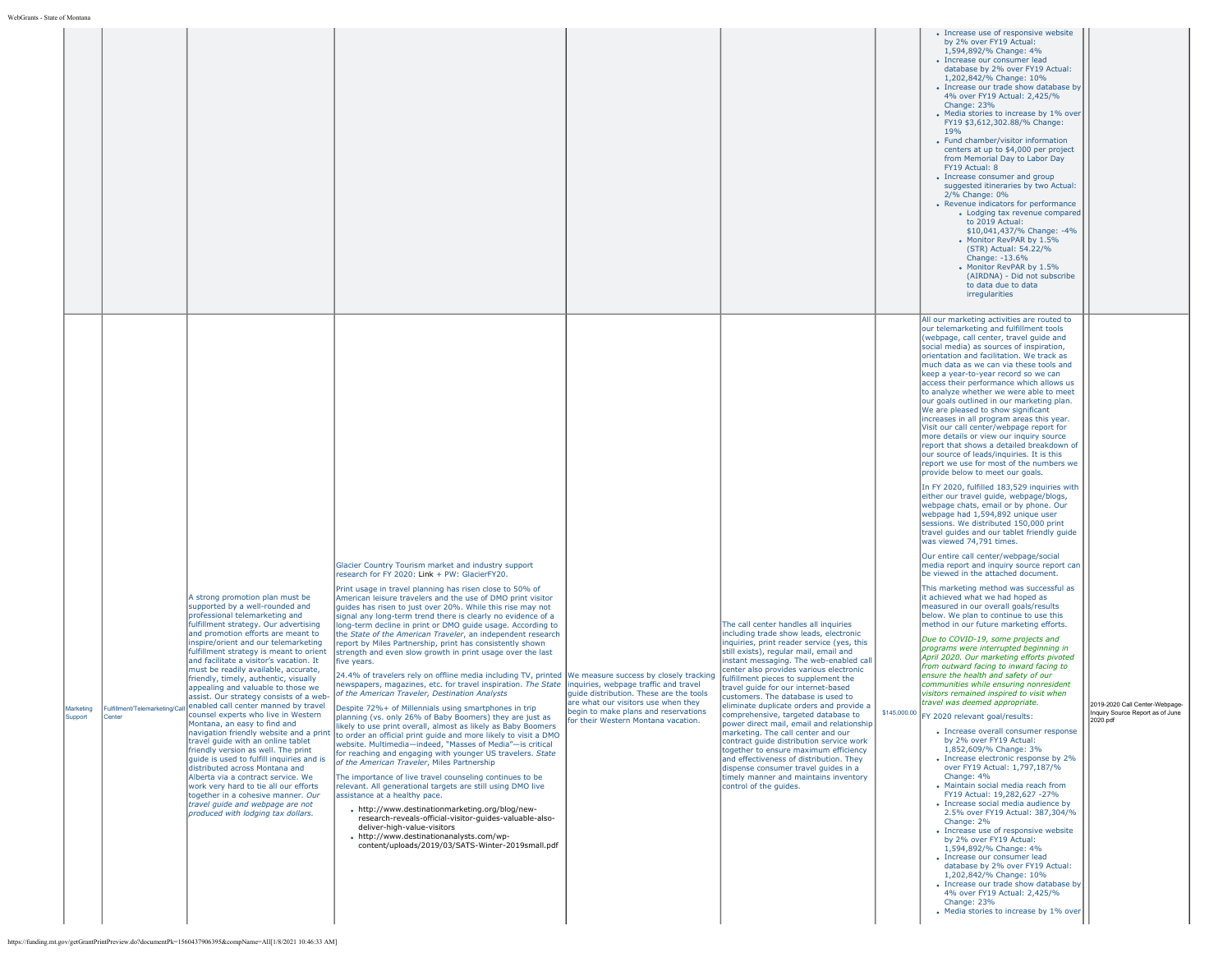|                                |                                                                                                                                                                                                                                                                                                                                                                                                                                                                                                                                                                                                                                                                                                                                                                                                                                                                                                                                                                                                                                                                                                                                                       |                                                                                                                                                                                                                                                                                                                                                                                                                                                                                                                                                                                                                                                                                                                                                                                                                                                                                                                                                                                                                                                                                                                                                                                                                                                                                                                                                                                                                                                                                                                                                                                                                                                                                                                                                                                            |                                                                                                                                                              |                                                                                                                                                                                                                                                                                                                                                                                                                                                                                                                                                                                                                                                                                                                                                             | • Increase use of responsive website<br>by 2% over FY19 Actual:<br>1,594,892/% Change: 4%<br>• Increase our consumer lead<br>database by 2% over FY19 Actual:<br>1,202,842/% Change: 10%<br>• Increase our trade show database by<br>4% over FY19 Actual: 2,425/%<br>Change: 23%<br>• Media stories to increase by 1% over<br>FY19 \$3,612,302.88/% Change:<br><b>19%</b><br>• Fund chamber/visitor information<br>centers at up to \$4,000 per project<br>from Memorial Day to Labor Day<br>FY19 Actual: 8<br>• Increase consumer and group<br>suggested itineraries by two Actual:<br>2/% Change: 0%<br>• Revenue indicators for performance<br>• Lodging tax revenue compared<br>to 2019 Actual:<br>\$10,041,437/% Change: -4%<br>• Monitor RevPAR by 1.5%<br>(STR) Actual: 54.22/%<br>Change: -13.6%<br>• Monitor RevPAR by 1.5%<br>(AIRDNA) - Did not subscribe<br>to data due to data<br>irregularities                                                                                                                                                                                                                                                                                                                                                                                                                                                                                                                                                                                                                                                                                                                                                                                                                                                                                                                                                                                                                                                                                                                                                                                                                                                                                                                                                                                                                                                                                                                                                                                                          |                                                                              |
|--------------------------------|-------------------------------------------------------------------------------------------------------------------------------------------------------------------------------------------------------------------------------------------------------------------------------------------------------------------------------------------------------------------------------------------------------------------------------------------------------------------------------------------------------------------------------------------------------------------------------------------------------------------------------------------------------------------------------------------------------------------------------------------------------------------------------------------------------------------------------------------------------------------------------------------------------------------------------------------------------------------------------------------------------------------------------------------------------------------------------------------------------------------------------------------------------|--------------------------------------------------------------------------------------------------------------------------------------------------------------------------------------------------------------------------------------------------------------------------------------------------------------------------------------------------------------------------------------------------------------------------------------------------------------------------------------------------------------------------------------------------------------------------------------------------------------------------------------------------------------------------------------------------------------------------------------------------------------------------------------------------------------------------------------------------------------------------------------------------------------------------------------------------------------------------------------------------------------------------------------------------------------------------------------------------------------------------------------------------------------------------------------------------------------------------------------------------------------------------------------------------------------------------------------------------------------------------------------------------------------------------------------------------------------------------------------------------------------------------------------------------------------------------------------------------------------------------------------------------------------------------------------------------------------------------------------------------------------------------------------------|--------------------------------------------------------------------------------------------------------------------------------------------------------------|-------------------------------------------------------------------------------------------------------------------------------------------------------------------------------------------------------------------------------------------------------------------------------------------------------------------------------------------------------------------------------------------------------------------------------------------------------------------------------------------------------------------------------------------------------------------------------------------------------------------------------------------------------------------------------------------------------------------------------------------------------------|------------------------------------------------------------------------------------------------------------------------------------------------------------------------------------------------------------------------------------------------------------------------------------------------------------------------------------------------------------------------------------------------------------------------------------------------------------------------------------------------------------------------------------------------------------------------------------------------------------------------------------------------------------------------------------------------------------------------------------------------------------------------------------------------------------------------------------------------------------------------------------------------------------------------------------------------------------------------------------------------------------------------------------------------------------------------------------------------------------------------------------------------------------------------------------------------------------------------------------------------------------------------------------------------------------------------------------------------------------------------------------------------------------------------------------------------------------------------------------------------------------------------------------------------------------------------------------------------------------------------------------------------------------------------------------------------------------------------------------------------------------------------------------------------------------------------------------------------------------------------------------------------------------------------------------------------------------------------------------------------------------------------------------------------------------------------------------------------------------------------------------------------------------------------------------------------------------------------------------------------------------------------------------------------------------------------------------------------------------------------------------------------------------------------------------------------------------------------------------------------------------------------|------------------------------------------------------------------------------|
| Marketing<br>Center<br>Support | A strong promotion plan must be<br>supported by a well-rounded and<br>professional telemarketing and<br>fulfillment strategy. Our advertising<br>and promotion efforts are meant to<br>inspire/orient and our telemarketing<br>fulfillment strategy is meant to orient<br>and facilitate a visitor's vacation. It<br>must be readily available, accurate,<br>friendly, timely, authentic, visually<br>appealing and valuable to those we<br>assist. Our strategy consists of a web-<br>Fulfillment/Telemarketing/Call enabled call center manned by travel<br>counsel experts who live in Western<br>Montana, an easy to find and<br>navigation friendly website and a print<br>travel quide with an online tablet<br>friendly version as well. The print<br>guide is used to fulfill inquiries and is<br>distributed across Montana and<br>Alberta via a contract service. We<br>work very hard to tie all our efforts<br>together in a cohesive manner. Our<br>travel quide and webpage are not<br>produced with lodging tax dollars.<br>https://funding.mt.gov/getGrantPrintPreview.do?documentPk=1560437906395&compName=All[1/8/2021 10:46:33 AM] | Glacier Country Tourism market and industry support<br>research for FY 2020: Link + PW: GlacierFY20.<br>Print usage in travel planning has risen close to 50% of<br>American leisure travelers and the use of DMO print visitor<br>guides has risen to just over 20%. While this rise may not<br>signal any long-term trend there is clearly no evidence of a<br>long-term decline in print or DMO quide usage. According to<br>the State of the American Traveler, an independent research<br>report by Miles Partnership, print has consistently shown<br>strength and even slow growth in print usage over the last<br>five years.<br>24.4% of travelers rely on offline media including TV, printed We measure success by closely tracking fulfillment pieces to supplement the<br>newspapers, magazines, etc. for travel inspiration. The State  inquiries, webpage traffic and travel<br>of the American Traveler, Destination Analysts<br>Despite 72%+ of Millennials using smartphones in trip<br>planning (vs. only 26% of Baby Boomers) they are just as<br>likely to use print overall, almost as likely as Baby Boomers<br>to order an official print quide and more likely to visit a DMO<br>website. Multimedia-indeed, "Masses of Media"-is critical<br>for reaching and engaging with younger US travelers. State<br>of the American Traveler, Miles Partnership<br>The importance of live travel counseling continues to be<br>relevant. All generational targets are still using DMO live<br>assistance at a healthy pace.<br>- http://www.destinationmarketing.org/blog/new-<br>research-reveals-official-visitor-guides-valuable-also-<br>deliver-high-value-visitors<br>- http://www.destinationanalysts.com/wp-<br>content/uploads/2019/03/SATS-Winter-2019small.pdf | guide distribution. These are the tools<br>are what our visitors use when they<br>begin to make plans and reservations<br>or their Western Montana vacation. | The call center handles all inquiries<br>including trade show leads, electronic<br>inquiries, print reader service (yes, this<br>still exists), regular mail, email and<br>instant messaging. The web-enabled call<br>center also provides various electronic<br>travel quide for our internet-based<br>customers. The database is used to<br>eliminate duplicate orders and provide a<br>comprehensive, targeted database to<br>power direct mail, email and relationship<br>marketing. The call center and our<br>contract quide distribution service work<br>together to ensure maximum efficiency<br>and effectiveness of distribution. They<br>dispense consumer travel guides in a<br>timely manner and maintains inventory<br>control of the quides. | All our marketing activities are routed to<br>our telemarketing and fulfillment tools<br>(webpage, call center, travel guide and<br>social media) as sources of inspiration,<br>orientation and facilitation. We track as<br>much data as we can via these tools and<br>keep a year-to-year record so we can<br>access their performance which allows us<br>to analyze whether we were able to meet<br>lour goals outlined in our marketing plan.<br>We are pleased to show significant<br>increases in all program areas this year.<br>Visit our call center/webpage report for<br>more details or view our inquiry source<br>report that shows a detailed breakdown of<br>our source of leads/inquiries. It is this<br>report we use for most of the numbers we<br>provide below to meet our goals.<br>In FY 2020, fulfilled 183,529 inquiries with<br>either our travel guide, webpage/blogs,<br>webpage chats, email or by phone. Our<br>webpage had 1,594,892 unique user<br>sessions. We distributed 150,000 print<br>travel guides and our tablet friendly guide<br>was viewed 74,791 times.<br>Our entire call center/webpage/social<br>media report and inquiry source report can<br>be viewed in the attached document.<br>This marketing method was successful as<br>it achieved what we had hoped as<br>measured in our overall goals/results<br>below. We plan to continue to use this<br>method in our future marketing efforts.<br>Due to COVID-19, some projects and<br>programs were interrupted beginning in<br>April 2020. Our marketing efforts pivoted<br>from outward facing to inward facing to<br>ensure the health and safety of our<br>communities while ensuring nonresident<br>visitors remained inspired to visit when<br>travel was deemed appropriate.<br>$$145,000.00$ FY 2020 relevant goal/results:<br>• Increase overall consumer response<br>by 2% over FY19 Actual:<br>1,852,609/% Change: 3%<br>• Increase electronic response by 2%<br>over FY19 Actual: 1,797,187/%<br>Change: 4%<br>• Maintain social media reach from<br>FY19 Actual: 19,282,627 -27%<br>• Increase social media audience by<br>2.5% over FY19 Actual: 387,304/%<br>Change: 2%<br>• Increase use of responsive website<br>by 2% over FY19 Actual:<br>1,594,892/% Change: 4%<br>• Increase our consumer lead<br>database by 2% over FY19 Actual:<br>1,202,842/% Change: 10%<br>• Increase our trade show database by<br>4% over FY19 Actual: 2,425/%<br>Change: 23%<br>• Media stories to increase by 1% over | 2019-2020 Call Center-Webpage-<br>Inquiry Source Report as of June<br>JZU.pa |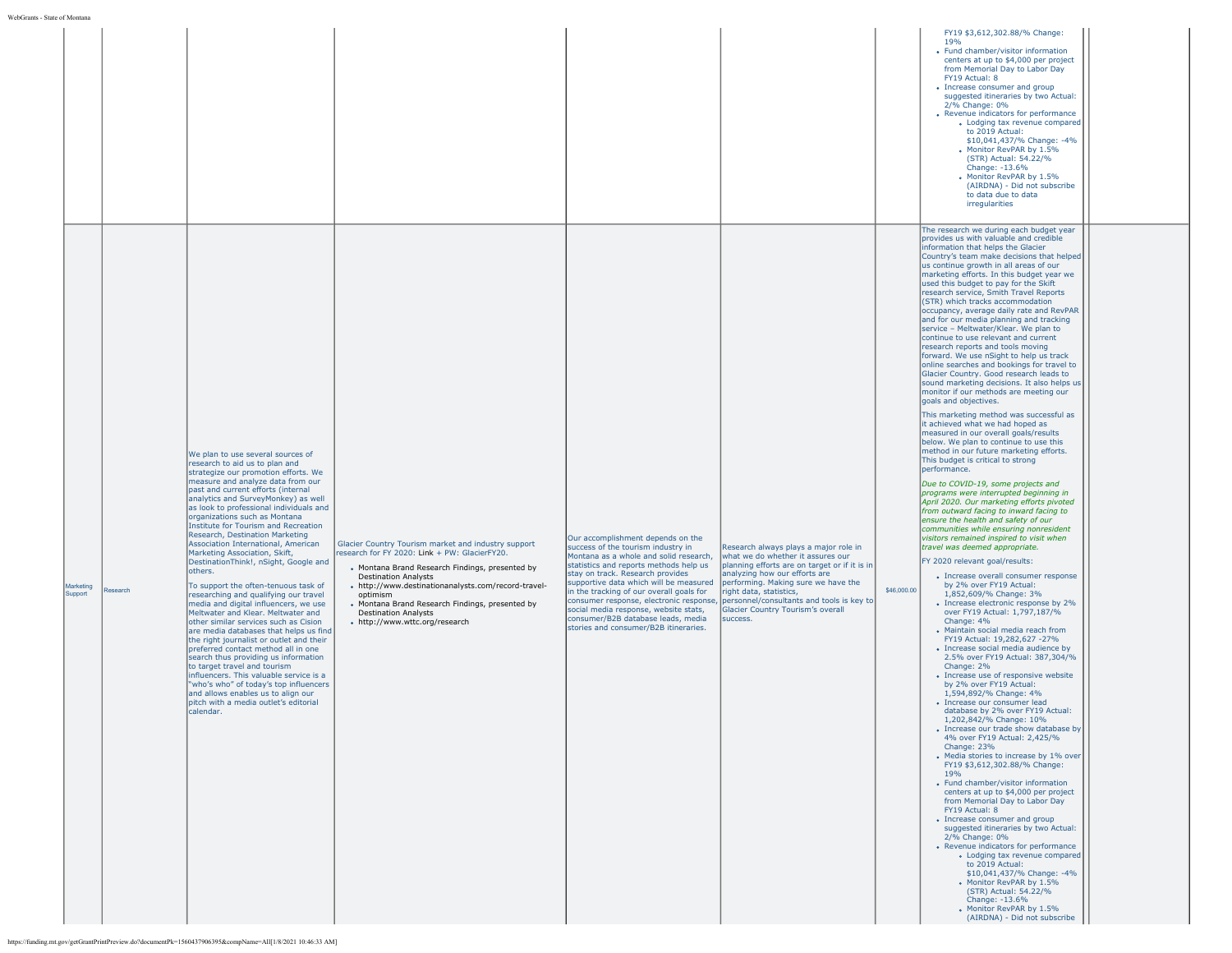|                                  |                                                                                                                                                                                                                                                                                                                                                                                                                                                                                                                                                                                                                                                                                                                                                                                                                                                                                                                                                                                                                                                                                                                                                                                                                               |                                                                                                                                                                                                                                                                                                                                                                               |                                                                                                                                                                                                                                                                                                                                                                                                               |                                                                                                                                                                                                                                                                                                                                                                      | 19 <sub>%</sub><br>• Fund chamber/visitor information<br>centers at up to \$4,000 per project<br>from Memorial Day to Labor Day<br>FY19 Actual: 8<br>• Increase consumer and group<br>suggested itineraries by two Actual:<br>2/% Change: 0%<br>• Revenue indicators for performance<br>• Lodging tax revenue compared<br>to 2019 Actual:<br>\$10,041,437/% Change: -4%<br>• Monitor RevPAR by 1.5%<br>(STR) Actual: 54.22/%<br>Change: -13.6%<br>. Monitor RevPAR by 1.5%<br>(AIRDNA) - Did not subscribe<br>to data due to data<br>irregularities<br>The research we during each budget year                                                                                                                                                                                                                                                                                                                                                                                                                                                                                                                                                                                                                                                                                                                                                                                                                                                                                                                                                                                                                                                                                                                                                                                                                                                                                                                                                                                                                                                                                                                                                                                                                                                                                                                                                                                                                                                                                                                                                                                                                                                                                           |
|----------------------------------|-------------------------------------------------------------------------------------------------------------------------------------------------------------------------------------------------------------------------------------------------------------------------------------------------------------------------------------------------------------------------------------------------------------------------------------------------------------------------------------------------------------------------------------------------------------------------------------------------------------------------------------------------------------------------------------------------------------------------------------------------------------------------------------------------------------------------------------------------------------------------------------------------------------------------------------------------------------------------------------------------------------------------------------------------------------------------------------------------------------------------------------------------------------------------------------------------------------------------------|-------------------------------------------------------------------------------------------------------------------------------------------------------------------------------------------------------------------------------------------------------------------------------------------------------------------------------------------------------------------------------|---------------------------------------------------------------------------------------------------------------------------------------------------------------------------------------------------------------------------------------------------------------------------------------------------------------------------------------------------------------------------------------------------------------|----------------------------------------------------------------------------------------------------------------------------------------------------------------------------------------------------------------------------------------------------------------------------------------------------------------------------------------------------------------------|------------------------------------------------------------------------------------------------------------------------------------------------------------------------------------------------------------------------------------------------------------------------------------------------------------------------------------------------------------------------------------------------------------------------------------------------------------------------------------------------------------------------------------------------------------------------------------------------------------------------------------------------------------------------------------------------------------------------------------------------------------------------------------------------------------------------------------------------------------------------------------------------------------------------------------------------------------------------------------------------------------------------------------------------------------------------------------------------------------------------------------------------------------------------------------------------------------------------------------------------------------------------------------------------------------------------------------------------------------------------------------------------------------------------------------------------------------------------------------------------------------------------------------------------------------------------------------------------------------------------------------------------------------------------------------------------------------------------------------------------------------------------------------------------------------------------------------------------------------------------------------------------------------------------------------------------------------------------------------------------------------------------------------------------------------------------------------------------------------------------------------------------------------------------------------------------------------------------------------------------------------------------------------------------------------------------------------------------------------------------------------------------------------------------------------------------------------------------------------------------------------------------------------------------------------------------------------------------------------------------------------------------------------------------------------------|
| Marketing<br>Research<br>Support | We plan to use several sources of<br>research to aid us to plan and<br>strategize our promotion efforts. We<br>measure and analyze data from our<br>past and current efforts (internal<br>analytics and SurveyMonkey) as well<br>as look to professional individuals and<br>organizations such as Montana<br>Institute for Tourism and Recreation<br>Research, Destination Marketing<br>Association International, American<br>Marketing Association, Skift,<br>DestinationThink!, nSight, Google and<br>others.<br>To support the often-tenuous task of<br>researching and qualifying our travel<br>media and digital influencers, we use<br>Meltwater and Klear. Meltwater and<br>other similar services such as Cision<br>are media databases that helps us find<br>the right journalist or outlet and their<br>preferred contact method all in one<br>search thus providing us information<br>to target travel and tourism<br>influencers. This valuable service is a<br>"who's who" of today's top influencers<br>and allows enables us to align our<br>pitch with a media outlet's editorial<br>calendar.<br>https://funding.mt.gov/getGrantPrintPreview.do?documentPk=1560437906395&compName=All[1/8/2021 10:46:33 AM] | Glacier Country Tourism market and industry support<br>research for FY 2020: Link + PW: GlacierFY20.<br>• Montana Brand Research Findings, presented by<br><b>Destination Analysts</b><br>- http://www.destinationanalysts.com/record-travel-<br>optimism<br>• Montana Brand Research Findings, presented by<br><b>Destination Analysts</b><br>• http://www.wttc.org/research | Our accomplishment depends on the<br>success of the tourism industry in<br>Montana as a whole and solid research,<br>statistics and reports methods help us<br>stay on track. Research provides<br>supportive data which will be measured<br>in the tracking of our overall goals for<br>social media response, website stats,<br>consumer/B2B database leads, media<br>stories and consumer/B2B itineraries. | Research always plays a major role in<br>what we do whether it assures our<br>planning efforts are on target or if it is in<br>analyzing how our efforts are<br>performing. Making sure we have the<br>right data, statistics,<br>consumer response, electronic response, personnel/consultants and tools is key to<br>Glacier Country Tourism's overall<br>success. | provides us with valuable and credible<br>information that helps the Glacier<br>Country's team make decisions that helped<br>us continue growth in all areas of our<br>marketing efforts. In this budget year we<br>used this budget to pay for the Skift<br>research service, Smith Travel Reports<br>(STR) which tracks accommodation<br>occupancy, average daily rate and RevPAR<br>and for our media planning and tracking<br>service - Meltwater/Klear. We plan to<br>continue to use relevant and current<br>research reports and tools moving<br>forward. We use nSight to help us track<br>online searches and bookings for travel to<br>Glacier Country. Good research leads to<br>sound marketing decisions. It also helps us<br>monitor if our methods are meeting our<br>goals and objectives.<br>This marketing method was successful as<br>it achieved what we had hoped as<br>measured in our overall goals/results<br>below. We plan to continue to use this<br>method in our future marketing efforts.<br>This budget is critical to strong<br>performance.<br>Due to COVID-19, some projects and<br>programs were interrupted beginning in<br>April 2020. Our marketing efforts pivoted<br>from outward facing to inward facing to<br>ensure the health and safety of our<br>communities while ensuring nonresident<br>visitors remained inspired to visit when<br>travel was deemed appropriate.<br>FY 2020 relevant goal/results:<br>• Increase overall consumer response<br>by 2% over FY19 Actual:<br>\$46,000.00<br>1,852,609/% Change: 3%<br>• Increase electronic response by 2%<br>over FY19 Actual: 1,797,187/%<br>Change: 4%<br>• Maintain social media reach from<br>FY19 Actual: 19,282,627 -27%<br>• Increase social media audience by<br>2.5% over FY19 Actual: 387,304/%<br>Change: 2%<br>• Increase use of responsive website<br>by 2% over FY19 Actual:<br>1,594,892/% Change: 4%<br>· Increase our consumer lead<br>database by 2% over FY19 Actual:<br>1,202,842/% Change: 10%<br>• Increase our trade show database by<br>4% over FY19 Actual: 2,425/%<br>Change: 23%<br>• Media stories to increase by 1% over<br>FY19 \$3,612,302.88/% Change:<br>19%<br>• Fund chamber/visitor information<br>centers at up to \$4,000 per project<br>from Memorial Day to Labor Day<br>FY19 Actual: 8<br>• Increase consumer and group<br>suggested itineraries by two Actual:<br>2/% Change: 0%<br>• Revenue indicators for performance<br>• Lodging tax revenue compared<br>to 2019 Actual:<br>\$10,041,437/% Change: -4%<br>• Monitor RevPAR by 1.5%<br>(STR) Actual: 54.22/%<br>Change: -13.6%<br>• Monitor RevPAR by 1.5%<br>(AIRDNA) - Did not subscribe |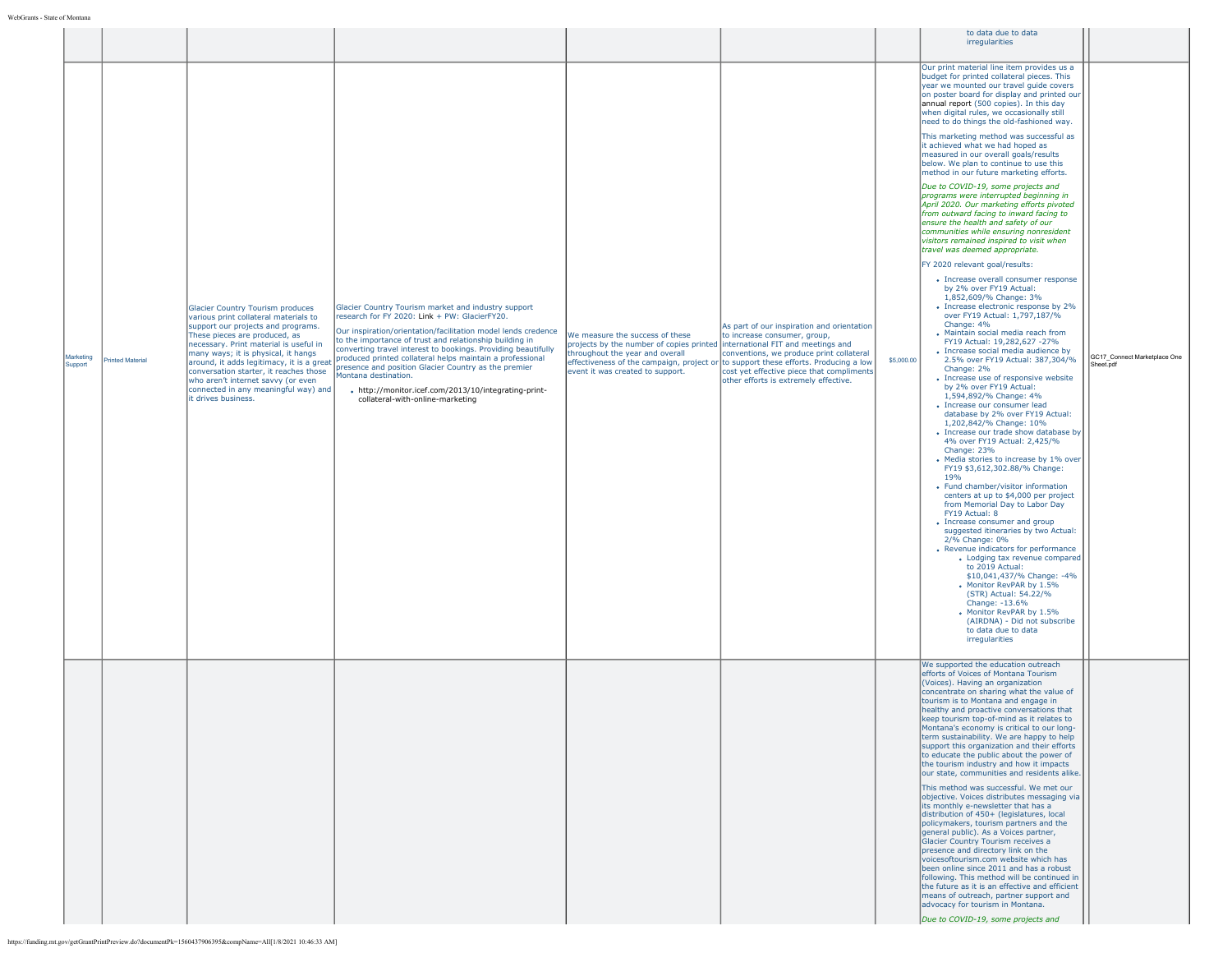|                      |                  |                                                                                                                                                                                                                                                                                                                                                                                                                                      |                                                                                                                                                                                                                                                                                                                                                                                                                                                                                                                                            |                                                                                                                                                                                       |                                                                                                                                                                                                                                                                                                     |            | to data due to data                                                                                                                                                                                                                                                                                                                                                                                                                                                                                                                                                                                                                                                                                                                                                                                                                                                                                                                                                                                                                                                                                                                                                                                                                                                                                                                                                                                                                                                                                                                                                                                                                                                                                                                                                                                                                                                                                                                                                                                                                                                                                                                                                       |                                           |
|----------------------|------------------|--------------------------------------------------------------------------------------------------------------------------------------------------------------------------------------------------------------------------------------------------------------------------------------------------------------------------------------------------------------------------------------------------------------------------------------|--------------------------------------------------------------------------------------------------------------------------------------------------------------------------------------------------------------------------------------------------------------------------------------------------------------------------------------------------------------------------------------------------------------------------------------------------------------------------------------------------------------------------------------------|---------------------------------------------------------------------------------------------------------------------------------------------------------------------------------------|-----------------------------------------------------------------------------------------------------------------------------------------------------------------------------------------------------------------------------------------------------------------------------------------------------|------------|---------------------------------------------------------------------------------------------------------------------------------------------------------------------------------------------------------------------------------------------------------------------------------------------------------------------------------------------------------------------------------------------------------------------------------------------------------------------------------------------------------------------------------------------------------------------------------------------------------------------------------------------------------------------------------------------------------------------------------------------------------------------------------------------------------------------------------------------------------------------------------------------------------------------------------------------------------------------------------------------------------------------------------------------------------------------------------------------------------------------------------------------------------------------------------------------------------------------------------------------------------------------------------------------------------------------------------------------------------------------------------------------------------------------------------------------------------------------------------------------------------------------------------------------------------------------------------------------------------------------------------------------------------------------------------------------------------------------------------------------------------------------------------------------------------------------------------------------------------------------------------------------------------------------------------------------------------------------------------------------------------------------------------------------------------------------------------------------------------------------------------------------------------------------------|-------------------------------------------|
|                      |                  |                                                                                                                                                                                                                                                                                                                                                                                                                                      |                                                                                                                                                                                                                                                                                                                                                                                                                                                                                                                                            |                                                                                                                                                                                       |                                                                                                                                                                                                                                                                                                     |            | irregularities                                                                                                                                                                                                                                                                                                                                                                                                                                                                                                                                                                                                                                                                                                                                                                                                                                                                                                                                                                                                                                                                                                                                                                                                                                                                                                                                                                                                                                                                                                                                                                                                                                                                                                                                                                                                                                                                                                                                                                                                                                                                                                                                                            |                                           |
| Marketing<br>Support | Printed Material | <b>Glacier Country Tourism produces</b><br>various print collateral materials to<br>support our projects and programs.<br>These pieces are produced, as<br>necessary. Print material is useful in<br>many ways; it is physical, it hangs<br>around, it adds legitimacy, it is a great<br>conversation starter, it reaches those<br>who aren't internet savvy (or even<br>connected in any meaningful way) and<br>it drives business. | Glacier Country Tourism market and industry support<br>research for FY 2020: Link + PW: GlacierFY20.<br>Our inspiration/orientation/facilitation model lends credence<br>to the importance of trust and relationship building in<br>converting travel interest to bookings. Providing beautifully<br>produced printed collateral helps maintain a professional<br>presence and position Glacier Country as the premier<br>Montana destination.<br>- http://monitor.icef.com/2013/10/integrating-print-<br>collateral-with-online-marketing | We measure the success of these<br>projects by the number of copies printed international FIT and meetings and<br>throughout the year and overall<br>event it was created to support. | As part of our inspiration and orientation<br>to increase consumer, group,<br>conventions, we produce print collateral<br>effectiveness of the campaign, project or to support these efforts. Producing a low<br>cost yet effective piece that compliments<br>other efforts is extremely effective. | \$5,000.00 | Our print material line item provides us a<br>budget for printed collateral pieces. This<br>year we mounted our travel guide covers<br>on poster board for display and printed our<br>annual report (500 copies). In this day<br>when digital rules, we occasionally still<br>need to do things the old-fashioned way.<br>This marketing method was successful as<br>it achieved what we had hoped as<br>measured in our overall goals/results<br>below. We plan to continue to use this<br>method in our future marketing efforts.<br>Due to COVID-19, some projects and<br>programs were interrupted beginning in<br>April 2020. Our marketing efforts pivoted<br>from outward facing to inward facing to<br>ensure the health and safety of our<br>communities while ensuring nonresident<br>visitors remained inspired to visit when<br>travel was deemed appropriate.<br>FY 2020 relevant goal/results:<br>• Increase overall consumer response<br>by 2% over FY19 Actual:<br>1,852,609/% Change: 3%<br>• Increase electronic response by 2%<br>over FY19 Actual: 1,797,187/%<br>Change: 4%<br>• Maintain social media reach from<br>FY19 Actual: 19,282,627 -27%<br>· Increase social media audience by<br>2.5% over FY19 Actual: 387,304/%<br>Change: 2%<br>• Increase use of responsive website<br>by 2% over FY19 Actual:<br>1.594.892/% Change: 4%<br>• Increase our consumer lead<br>database by 2% over FY19 Actual:<br>1,202,842/% Change: 10%<br>• Increase our trade show database by<br>4% over FY19 Actual: 2,425/%<br>Change: 23%<br>• Media stories to increase by 1% over<br>FY19 \$3,612,302.88/% Change:<br>19%<br>• Fund chamber/visitor information<br>centers at up to \$4,000 per project<br>from Memorial Day to Labor Day<br>FY19 Actual: 8<br>• Increase consumer and group<br>suggested itineraries by two Actual:<br>2/% Change: 0%<br>• Revenue indicators for performance<br>• Lodging tax revenue compared<br>to 2019 Actual:<br>\$10,041,437/% Change: -4%<br>• Monitor RevPAR by 1.5%<br>(STR) Actual: 54.22/%<br>Change: -13.6%<br>• Monitor RevPAR by 1.5%<br>(AIRDNA) - Did not subscribe<br>to data due to data<br>irregularities | GC17_Connect Marketplace One<br>Sheet.pdf |
|                      |                  |                                                                                                                                                                                                                                                                                                                                                                                                                                      |                                                                                                                                                                                                                                                                                                                                                                                                                                                                                                                                            |                                                                                                                                                                                       |                                                                                                                                                                                                                                                                                                     |            | We supported the education outreach<br>efforts of Voices of Montana Tourism<br>(Voices). Having an organization<br>concentrate on sharing what the value of<br>tourism is to Montana and engage in<br>healthy and proactive conversations that<br>keep tourism top-of-mind as it relates to<br>Montana's economy is critical to our long-<br>term sustainability. We are happy to help<br>support this organization and their efforts<br>to educate the public about the power of<br>the tourism industry and how it impacts<br>our state, communities and residents alike.<br>This method was successful. We met our<br>objective. Voices distributes messaging via<br>its monthly e-newsletter that has a<br>distribution of 450+ (legislatures, local<br>policymakers, tourism partners and the<br>general public). As a Voices partner,<br>Glacier Country Tourism receives a<br>Ipresence and directory link on the<br>voicesoftourism.com website which has<br>been online since 2011 and has a robust<br>following. This method will be continued in<br>the future as it is an effective and efficient<br>means of outreach, partner support and<br>advocacy for tourism in Montana.<br>Due to COVID-19, some projects and                                                                                                                                                                                                                                                                                                                                                                                                                                                                                                                                                                                                                                                                                                                                                                                                                                                                                                                                         |                                           |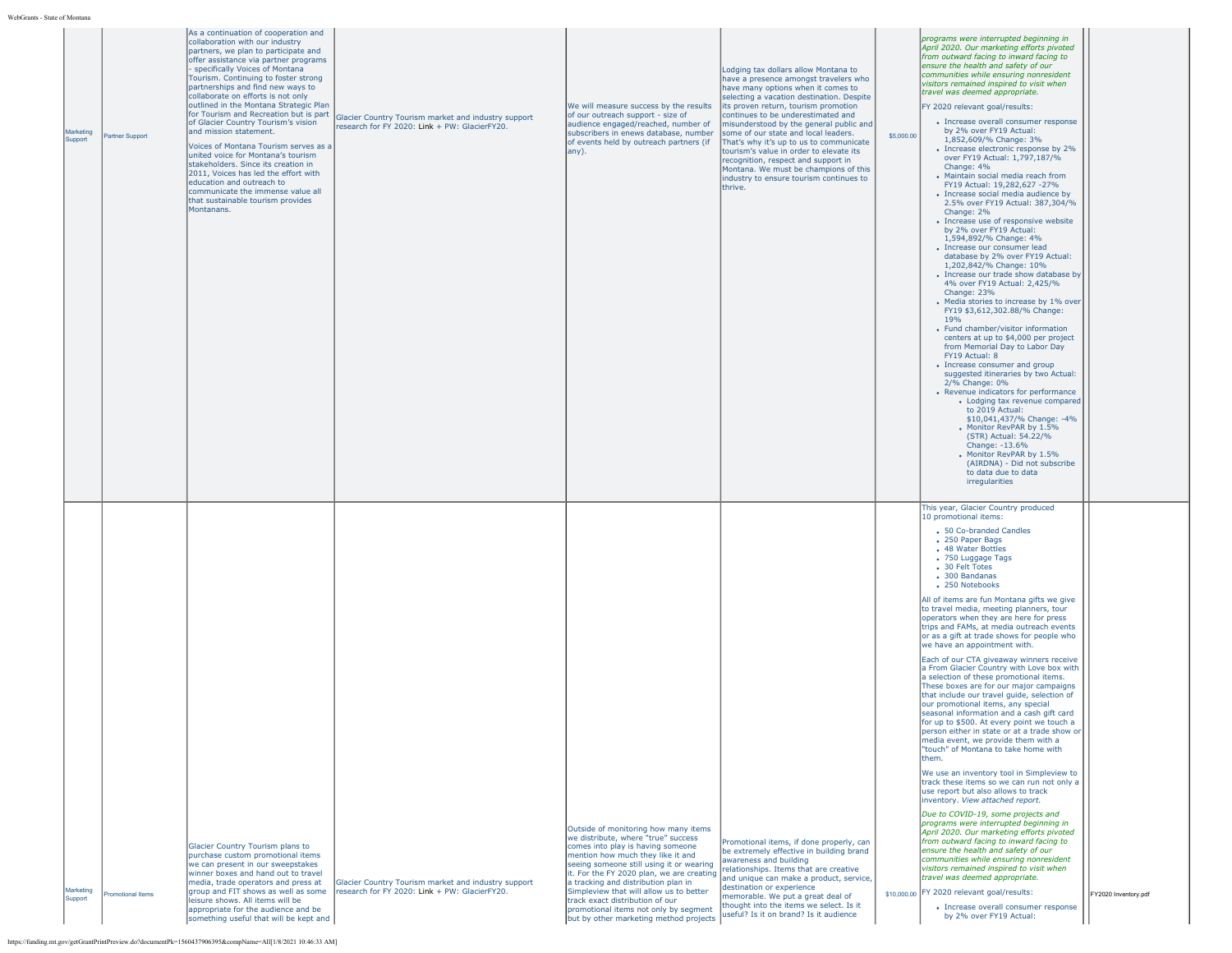| ате от імонтані      |                        |                                                                                                                                                                                                                                                                                                                                                                                                                                                                                                                                                                                                                                                                                                                                                       |                                                                                                      |                                                                                                                                                                                                                                                                                                                                                                                                                                                        |                                                                                                                                                                                                                                                                                                                                                                                                                                                                                                                                                               |            |                                                                                                                                                                                                                                                                                                                                                                                                                                                                                                                                                                                                                                                                                                                                                                                                                                                                                                                                                                                                                                                                                                                                                                                                                                                                                                                                                                                                                                                                                                                                                                                                                   |                      |
|----------------------|------------------------|-------------------------------------------------------------------------------------------------------------------------------------------------------------------------------------------------------------------------------------------------------------------------------------------------------------------------------------------------------------------------------------------------------------------------------------------------------------------------------------------------------------------------------------------------------------------------------------------------------------------------------------------------------------------------------------------------------------------------------------------------------|------------------------------------------------------------------------------------------------------|--------------------------------------------------------------------------------------------------------------------------------------------------------------------------------------------------------------------------------------------------------------------------------------------------------------------------------------------------------------------------------------------------------------------------------------------------------|---------------------------------------------------------------------------------------------------------------------------------------------------------------------------------------------------------------------------------------------------------------------------------------------------------------------------------------------------------------------------------------------------------------------------------------------------------------------------------------------------------------------------------------------------------------|------------|-------------------------------------------------------------------------------------------------------------------------------------------------------------------------------------------------------------------------------------------------------------------------------------------------------------------------------------------------------------------------------------------------------------------------------------------------------------------------------------------------------------------------------------------------------------------------------------------------------------------------------------------------------------------------------------------------------------------------------------------------------------------------------------------------------------------------------------------------------------------------------------------------------------------------------------------------------------------------------------------------------------------------------------------------------------------------------------------------------------------------------------------------------------------------------------------------------------------------------------------------------------------------------------------------------------------------------------------------------------------------------------------------------------------------------------------------------------------------------------------------------------------------------------------------------------------------------------------------------------------|----------------------|
| Marketing<br>Support | <b>Partner Support</b> | As a continuation of cooperation and<br>collaboration with our industry<br>partners, we plan to participate and<br>offer assistance via partner programs<br>specifically Voices of Montana<br>Tourism. Continuing to foster strong<br>partnerships and find new ways to<br>collaborate on efforts is not only<br>outlined in the Montana Strategic Plan<br>for Tourism and Recreation but is part<br>of Glacier Country Tourism's vision<br>and mission statement.<br>Voices of Montana Tourism serves as a<br>united voice for Montana's tourism<br>stakeholders. Since its creation in<br>2011, Voices has led the effort with<br>education and outreach to<br>communicate the immense value all<br>that sustainable tourism provides<br>Montanans. | Glacier Country Tourism market and industry support<br>research for FY 2020: Link + PW: GlacierFY20. | We will measure success by the results<br>of our outreach support - size of<br>audience engaged/reached, number of<br>subscribers in enews database, number<br>of events held by outreach partners (if<br>any).                                                                                                                                                                                                                                        | Lodging tax dollars allow Montana to<br>have a presence amongst travelers who<br>have many options when it comes to<br>selecting a vacation destination. Despite<br>its proven return, tourism promotion<br>continues to be underestimated and<br>misunderstood by the general public and<br>some of our state and local leaders.<br>That's why it's up to us to communicate<br>tourism's value in order to elevate its<br>recognition, respect and support in<br>Montana. We must be champions of this<br>industry to ensure tourism continues to<br>thrive. | \$5,000.00 | programs were interrupted beginning in<br>April 2020. Our marketing efforts pivoted<br>from outward facing to inward facing to<br>ensure the health and safety of our<br>communities while ensuring nonresident<br>visitors remained inspired to visit when<br>travel was deemed appropriate.<br>FY 2020 relevant goal/results:<br>• Increase overall consumer response<br>by 2% over FY19 Actual:<br>1,852,609/% Change: 3%<br>• Increase electronic response by 2%<br>over FY19 Actual: 1,797,187/%<br>Change: 4%<br>• Maintain social media reach from<br>FY19 Actual: 19,282,627 -27%<br>· Increase social media audience by<br>2.5% over FY19 Actual: 387.304/%<br>Change: 2%<br>• Increase use of responsive website<br>by 2% over FY19 Actual:<br>1,594,892/% Change: 4%<br>• Increase our consumer lead<br>database by 2% over FY19 Actual:<br>1,202,842/% Change: 10%<br>• Increase our trade show database by<br>4% over FY19 Actual: 2,425/%<br>Change: 23%<br>• Media stories to increase by 1% over<br>FY19 \$3,612,302.88/% Change:<br>19%<br>• Fund chamber/visitor information<br>centers at up to \$4,000 per project<br>from Memorial Day to Labor Day<br>FY19 Actual: 8<br>• Increase consumer and group<br>suggested itineraries by two Actual:<br>2/% Change: 0%<br>• Revenue indicators for performance<br>• Lodging tax revenue compared<br>to 2019 Actual:<br>\$10,041,437/% Change: -4%<br>• Monitor RevPAR by 1.5%<br>(STR) Actual: 54.22/%<br>Change: -13.6%<br>• Monitor RevPAR by 1.5%<br>(AIRDNA) - Did not subscribe<br>to data due to data<br>irregularities                      |                      |
| Marketing<br>Support | romotional Items       | Glacier Country Tourism plans to<br>purchase custom promotional items<br>we can present in our sweepstakes<br>winner boxes and hand out to travel<br>media, trade operators and press at<br>group and FIT shows as well as some<br>leisure shows. All items will be<br>appropriate for the audience and be<br>something useful that will be kept and                                                                                                                                                                                                                                                                                                                                                                                                  | Glacier Country Tourism market and industry support<br>research for FY 2020: Link + PW: GlacierFY20. | Outside of monitoring how many items<br>we distribute, where "true" success<br>comes into play is having someone<br>mention how much they like it and<br>seeing someone still using it or wearing<br>it. For the FY 2020 plan, we are creating<br>a tracking and distribution plan in<br>Simpleview that will allow us to better<br>track exact distribution of our<br>promotional items not only by segment<br>but by other marketing method projects | Promotional items, if done properly, can<br>be extremely effective in building brand<br>awareness and building<br>relationships. Items that are creative<br>and unique can make a product, service,<br>destination or experience<br>memorable. We put a great deal of<br>thought into the items we select. Is it<br>useful? Is it on brand? Is it audience                                                                                                                                                                                                    |            | This year, Glacier Country produced<br>10 promotional items:<br>• 50 Co-branded Candles<br>• 250 Paper Bags<br>• 48 Water Bottles<br>• 750 Luggage Tags<br>• 30 Felt Totes<br>• 300 Bandanas<br>• 250 Notebooks<br>All of items are fun Montana gifts we give<br>to travel media, meeting planners, tour<br>operators when they are here for press<br>trips and FAMs, at media outreach events<br>or as a gift at trade shows for people who<br>we have an appointment with.<br>Each of our CTA giveaway winners receive<br>a From Glacier Country with Love box with<br>a selection of these promotional items.<br>These boxes are for our major campaigns<br>that include our travel quide, selection of<br>our promotional items, any special<br>seasonal information and a cash gift card<br>for up to \$500. At every point we touch a<br>person either in state or at a trade show or<br>media event, we provide them with a<br>"touch" of Montana to take home with<br>them.<br>We use an inventory tool in Simpleview to<br>track these items so we can run not only a<br>use report but also allows to track<br>inventory. View attached report.<br>Due to COVID-19, some projects and<br>programs were interrupted beginning in<br>April 2020. Our marketing efforts pivoted<br>from outward facing to inward facing to<br>ensure the health and safety of our<br>communities while ensuring nonresident<br>visitors remained inspired to visit when<br>travel was deemed appropriate.<br>\$10,000.00 FY 2020 relevant goal/results:<br>• Increase overall consumer response<br>by 2% over FY19 Actual: | FY2020 Inventory.pdf |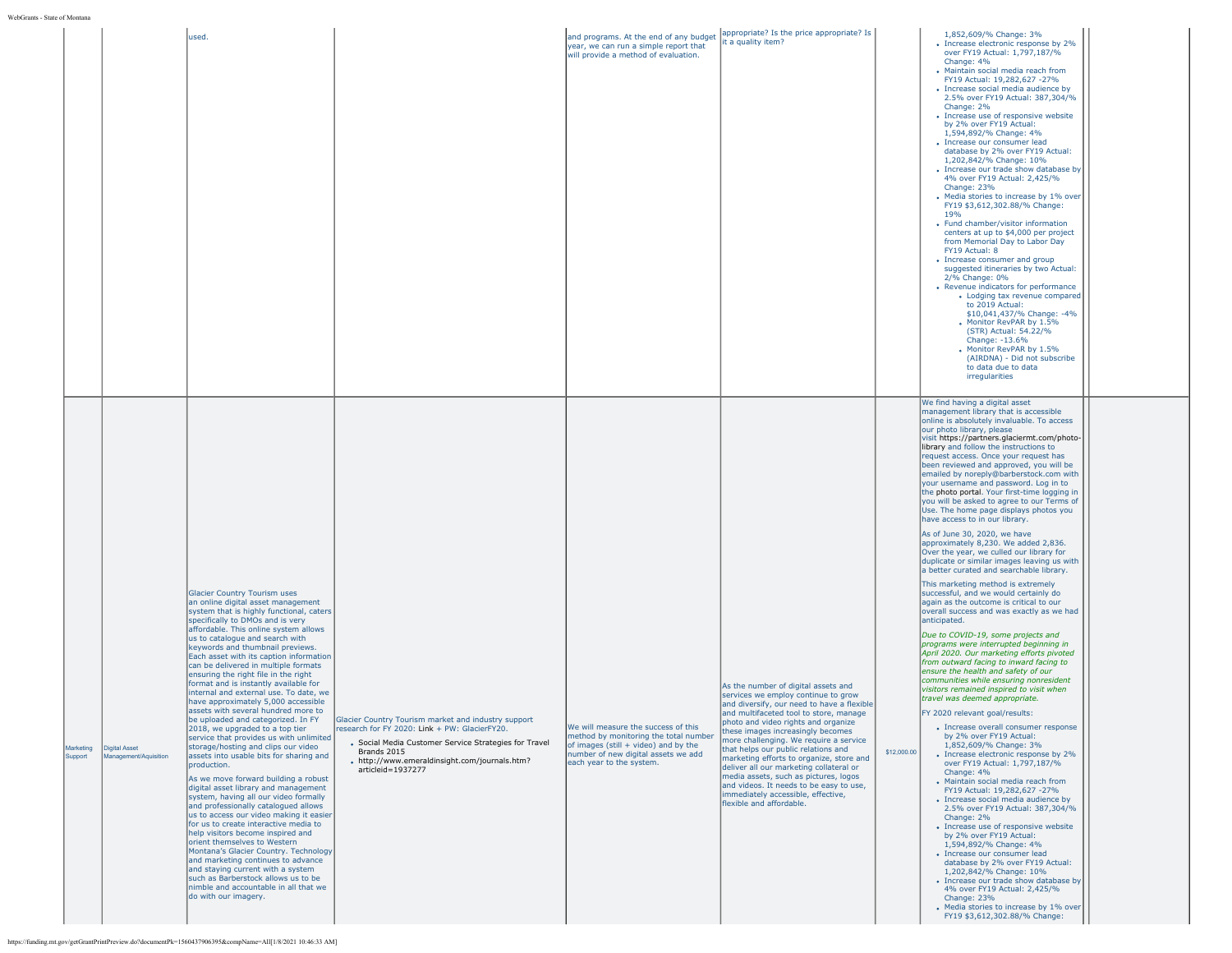WebGrants - Sta

| WebGrants - State of Montana                                                                                                                                                        |                                                                                                                                                                                                                                                                                                                                                                                                                                                                                                                                                                                                                                                                                                                                                                                                                                                                                                                                                                                                                                                                                                                                                                                                                                                                                                                                                  |                                                                                                                                                                                                                                                    |                                                                                                                                                                                         |                                                                                                                                                                                                                                                                                                                                                                                                                                                                                                                                                                              |             |                                                                                                                                                                                                                                                                                                                                                                                                                                                                                                                                                                                                                                                                                                                                                                                                                                                                                                                                                                                                                                                                                                                                                                                                                                                                                                                                                                                                                                                                                                                                                                                                                                                                                                                                                                                                                                                                                                                                                                                                                                                                                                |  |
|-------------------------------------------------------------------------------------------------------------------------------------------------------------------------------------|--------------------------------------------------------------------------------------------------------------------------------------------------------------------------------------------------------------------------------------------------------------------------------------------------------------------------------------------------------------------------------------------------------------------------------------------------------------------------------------------------------------------------------------------------------------------------------------------------------------------------------------------------------------------------------------------------------------------------------------------------------------------------------------------------------------------------------------------------------------------------------------------------------------------------------------------------------------------------------------------------------------------------------------------------------------------------------------------------------------------------------------------------------------------------------------------------------------------------------------------------------------------------------------------------------------------------------------------------|----------------------------------------------------------------------------------------------------------------------------------------------------------------------------------------------------------------------------------------------------|-----------------------------------------------------------------------------------------------------------------------------------------------------------------------------------------|------------------------------------------------------------------------------------------------------------------------------------------------------------------------------------------------------------------------------------------------------------------------------------------------------------------------------------------------------------------------------------------------------------------------------------------------------------------------------------------------------------------------------------------------------------------------------|-------------|------------------------------------------------------------------------------------------------------------------------------------------------------------------------------------------------------------------------------------------------------------------------------------------------------------------------------------------------------------------------------------------------------------------------------------------------------------------------------------------------------------------------------------------------------------------------------------------------------------------------------------------------------------------------------------------------------------------------------------------------------------------------------------------------------------------------------------------------------------------------------------------------------------------------------------------------------------------------------------------------------------------------------------------------------------------------------------------------------------------------------------------------------------------------------------------------------------------------------------------------------------------------------------------------------------------------------------------------------------------------------------------------------------------------------------------------------------------------------------------------------------------------------------------------------------------------------------------------------------------------------------------------------------------------------------------------------------------------------------------------------------------------------------------------------------------------------------------------------------------------------------------------------------------------------------------------------------------------------------------------------------------------------------------------------------------------------------------------|--|
|                                                                                                                                                                                     | used.                                                                                                                                                                                                                                                                                                                                                                                                                                                                                                                                                                                                                                                                                                                                                                                                                                                                                                                                                                                                                                                                                                                                                                                                                                                                                                                                            |                                                                                                                                                                                                                                                    | and programs. At the end of any budget<br>year, we can run a simple report that<br>will provide a method of evaluation.                                                                 | appropriate? Is the price appropriate? Is<br>it a quality item?                                                                                                                                                                                                                                                                                                                                                                                                                                                                                                              |             | 1,852,609/% Change: 3%<br>• Increase electronic response by 2%<br>over FY19 Actual: 1,797,187/%<br>Change: 4%<br>• Maintain social media reach from<br>FY19 Actual: 19,282,627 -27%<br>• Increase social media audience by<br>2.5% over FY19 Actual: 387,304/%<br>Change: 2%<br>• Increase use of responsive website<br>by 2% over FY19 Actual:<br>1,594,892/% Change: 4%<br>• Increase our consumer lead<br>database by 2% over FY19 Actual:<br>1,202,842/% Change: 10%<br>• Increase our trade show database by<br>4% over FY19 Actual: 2.425/%<br>Change: 23%<br>• Media stories to increase by 1% over<br>FY19 \$3,612,302.88/% Change:<br>19%<br>• Fund chamber/visitor information<br>centers at up to \$4,000 per project<br>from Memorial Day to Labor Day<br>FY19 Actual: 8<br>• Increase consumer and group<br>suggested itineraries by two Actual:<br>2/% Change: 0%<br>• Revenue indicators for performance<br>• Lodging tax revenue compared<br>to 2019 Actual:<br>\$10,041,437/% Change: -4%<br>• Monitor RevPAR by 1.5%<br>(STR) Actual: 54.22/%<br>Change: -13.6%<br>• Monitor RevPAR by 1.5%<br>(AIRDNA) - Did not subscribe<br>to data due to data<br>irregularities                                                                                                                                                                                                                                                                                                                                                                                                                                                                                                                                                                                                                                                                                                                                                                                                                                                                                                         |  |
| Marketing<br><b>Digital Asset</b><br>Management/Aquisition<br>Support<br>https://funding.mt.gov/getGrantPrintPreview.do?documentPk=1560437906395&compName=All[1/8/2021 10:46:33 AM] | <b>Glacier Country Tourism uses</b><br>an online digital asset management<br>system that is highly functional, caters<br>specifically to DMOs and is very<br>affordable. This online system allows<br>us to catalogue and search with<br>keywords and thumbnail previews.<br>Each asset with its caption information<br>can be delivered in multiple formats<br>ensuring the right file in the right<br>format and is instantly available for<br>internal and external use. To date, we<br>have approximately 5,000 accessible<br>assets with several hundred more to<br>be uploaded and categorized. In FY<br>2018, we upgraded to a top tier<br>service that provides us with unlimited<br>storage/hosting and clips our video<br>assets into usable bits for sharing and<br>production.<br>As we move forward building a robust<br>digital asset library and management<br>system, having all our video formally<br>and professionally catalogued allows<br>us to access our video making it easier<br>for us to create interactive media to<br>help visitors become inspired and<br>orient themselves to Western<br>Montana's Glacier Country. Technology<br>and marketing continues to advance<br>and staying current with a system<br>such as Barberstock allows us to be<br>nimble and accountable in all that we<br>do with our imagery. | Glacier Country Tourism market and industry support<br>research for FY 2020: Link + PW: GlacierFY20.<br>• Social Media Customer Service Strategies for Travel<br>Brands 2015<br>• http://www.emeraldinsight.com/journals.htm?<br>articleid=1937277 | We will measure the success of this<br>method by monitoring the total number<br>of images (still + video) and by the<br>number of new digital assets we add<br>each year to the system. | As the number of digital assets and<br>services we employ continue to grow<br>and diversify, our need to have a flexible<br>and multifaceted tool to store, manage<br>photo and video rights and organize<br>these images increasingly becomes<br>more challenging. We require a service<br>that helps our public relations and<br>marketing efforts to organize, store and<br>deliver all our marketing collateral or<br>media assets, such as pictures, logos<br>and videos. It needs to be easy to use.<br>immediately accessible, effective,<br>flexible and affordable. | \$12,000.00 | We find having a digital asset<br>management library that is accessible<br>online is absolutely invaluable. To access<br>our photo library, please<br>visit https://partners.glaciermt.com/photo-<br>library and follow the instructions to<br>request access. Once your request has<br>been reviewed and approved, you will be<br>emailed by noreply@barberstock.com with<br>your username and password. Log in to<br>the photo portal. Your first-time logging in<br>you will be asked to agree to our Terms of<br>Use. The home page displays photos you<br>have access to in our library.<br>As of June 30, 2020, we have<br>approximately 8,230. We added 2,836.<br>Over the year, we culled our library for<br>duplicate or similar images leaving us with<br>a better curated and searchable library.<br>This marketing method is extremely<br>successful, and we would certainly do<br>again as the outcome is critical to our<br>overall success and was exactly as we had<br>anticipated.<br>Due to COVID-19, some projects and<br>programs were interrupted beginning in<br>April 2020. Our marketing efforts pivoted<br>from outward facing to inward facing to<br>ensure the health and safety of our<br>communities while ensurina nonresident<br>visitors remained inspired to visit when<br>travel was deemed appropriate.<br>FY 2020 relevant goal/results:<br>• Increase overall consumer response<br>by 2% over FY19 Actual:<br>1,852,609/% Change: 3%<br>• Increase electronic response by 2%<br>over FY19 Actual: 1,797,187/%<br>Change: 4%<br>• Maintain social media reach from<br>FY19 Actual: 19,282,627 -27%<br>• Increase social media audience by<br>2.5% over FY19 Actual: 387,304/%<br>Change: 2%<br>• Increase use of responsive website<br>by 2% over FY19 Actual:<br>1,594,892/% Change: 4%<br>• Increase our consumer lead<br>database by 2% over FY19 Actual:<br>1,202,842/% Change: 10%<br>• Increase our trade show database by<br>4% over FY19 Actual: 2,425/%<br>Change: 23%<br>• Media stories to increase by 1% over<br>FY19 \$3,612,302.88/% Change: |  |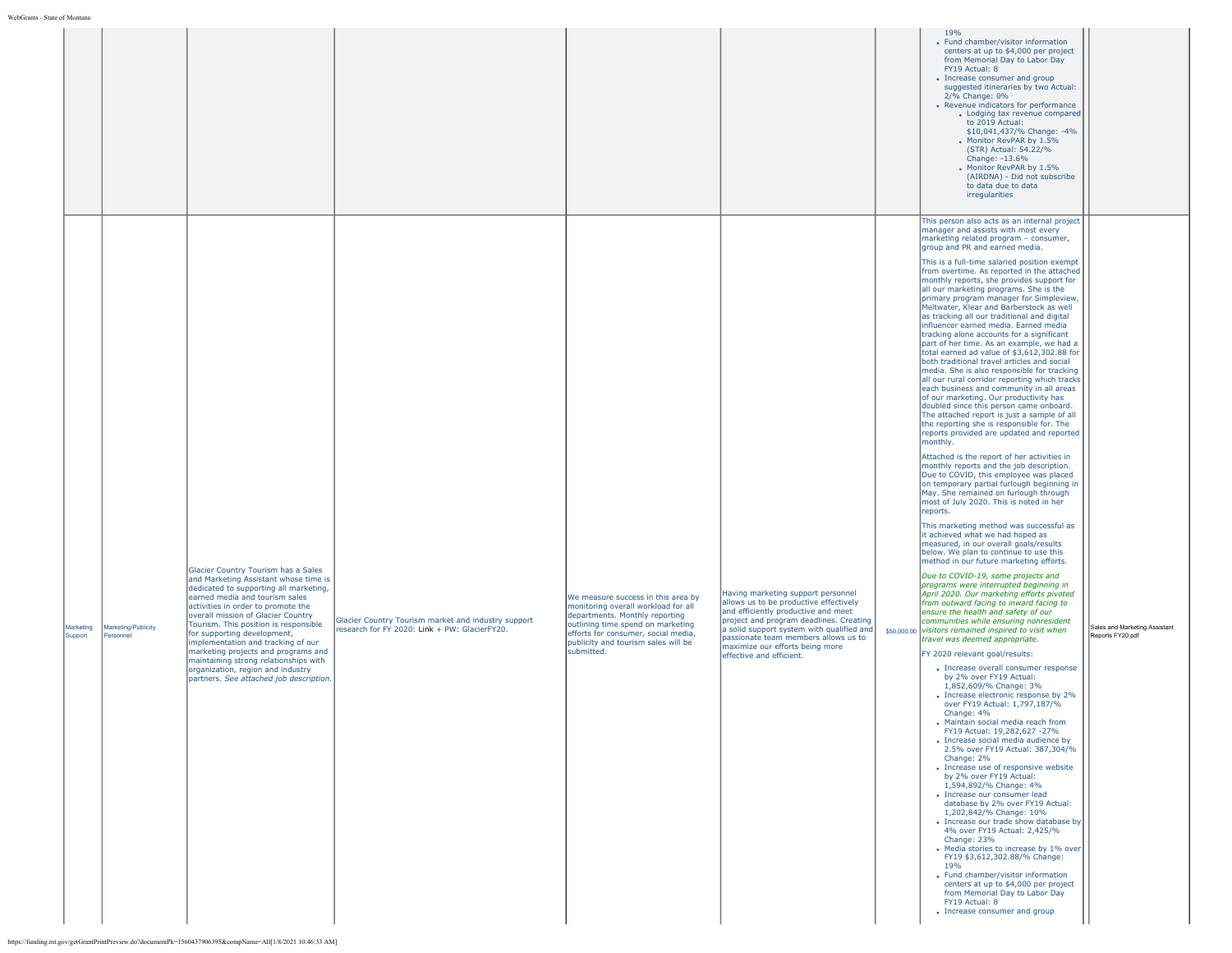|                      |                                  |                                                                                                                                                                                                                                                                                                                                                                                                                                                                                                                                                                                                                                  |                                                                                                      |                                                                                                                                                                                                                                              |                                                                                                                                                                                                                                                                                                                    | 19%<br>• Fund chamber/visitor information<br>centers at up to \$4,000 per project<br>from Memorial Day to Labor Day<br>FY19 Actual: 8<br>• Increase consumer and group<br>suggested itineraries by two Actual:<br>2/% Change: 0%<br>• Revenue indicators for performance<br>• Lodging tax revenue compared<br>to 2019 Actual:<br>\$10,041,437/% Change: -4%<br>Monitor RevPAR by 1.5%<br>(STR) Actual: 54.22/%<br>Change: -13.6%<br>Monitor RevPAR by 1.5%<br>(AIRDNA) - Did not subscribe<br>to data due to data<br>irregularities                                                                                                                                                                                                                                                                                                                                                                                                                                                                                                                                                                                                                                                                                                                                                                                                                                                                                                                                                                                                                                                                                                                                                                                                                                                                                                                                                                                                                                                                                                                                                                                                                                                                                                                                                                                                                                                                                                                                                                                                                                                                                                                                                                                                                                                                                                                                                                |                                                   |
|----------------------|----------------------------------|----------------------------------------------------------------------------------------------------------------------------------------------------------------------------------------------------------------------------------------------------------------------------------------------------------------------------------------------------------------------------------------------------------------------------------------------------------------------------------------------------------------------------------------------------------------------------------------------------------------------------------|------------------------------------------------------------------------------------------------------|----------------------------------------------------------------------------------------------------------------------------------------------------------------------------------------------------------------------------------------------|--------------------------------------------------------------------------------------------------------------------------------------------------------------------------------------------------------------------------------------------------------------------------------------------------------------------|----------------------------------------------------------------------------------------------------------------------------------------------------------------------------------------------------------------------------------------------------------------------------------------------------------------------------------------------------------------------------------------------------------------------------------------------------------------------------------------------------------------------------------------------------------------------------------------------------------------------------------------------------------------------------------------------------------------------------------------------------------------------------------------------------------------------------------------------------------------------------------------------------------------------------------------------------------------------------------------------------------------------------------------------------------------------------------------------------------------------------------------------------------------------------------------------------------------------------------------------------------------------------------------------------------------------------------------------------------------------------------------------------------------------------------------------------------------------------------------------------------------------------------------------------------------------------------------------------------------------------------------------------------------------------------------------------------------------------------------------------------------------------------------------------------------------------------------------------------------------------------------------------------------------------------------------------------------------------------------------------------------------------------------------------------------------------------------------------------------------------------------------------------------------------------------------------------------------------------------------------------------------------------------------------------------------------------------------------------------------------------------------------------------------------------------------------------------------------------------------------------------------------------------------------------------------------------------------------------------------------------------------------------------------------------------------------------------------------------------------------------------------------------------------------------------------------------------------------------------------------------------------------|---------------------------------------------------|
| Marketing<br>Support | Marketing/Publicity<br>Personnel | Glacier Country Tourism has a Sales<br>and Marketing Assistant whose time is<br>dedicated to supporting all marketing,<br>earned media and tourism sales<br>activities in order to promote the<br>overall mission of Glacier Country<br>Tourism. This position is responsible<br>for supporting development,<br>implementation and tracking of our<br>marketing projects and programs and<br>maintaining strong relationships with<br>organization, region and industry<br>partners. See attached job description.<br>https://funding.mt.gov/getGrantPrintPreview.do?documentPk=1560437906395&compName=All[1/8/2021 10:46:33 AM] | Glacier Country Tourism market and industry support<br>research for FY 2020: Link + PW: GlacierFY20. | We measure success in this area by<br>monitoring overall workload for all<br>departments. Monthly reporting<br>outlining time spend on marketing<br>efforts for consumer, social media,<br>publicity and tourism sales will be<br>submitted. | Having marketing support personnel<br>allows us to be productive effectively<br>and efficiently productive and meet<br>project and program deadlines. Creating<br>a solid support system with qualified and<br>passionate team members allows us to<br>maximize our efforts being more<br>effective and efficient. | This person also acts as an internal project<br>manager and assists with most every<br>marketing related program - consumer,<br>group and PR and earned media.<br>This is a full-time salaried position exempt<br>from overtime. As reported in the attached<br>monthly reports, she provides support for<br>all our marketing programs. She is the<br>primary program manager for Simpleview,<br>Meltwater, Klear and Barberstock as well<br>as tracking all our traditional and digital<br>influencer earned media. Earned media<br>tracking alone accounts for a significant<br>part of her time. As an example, we had a<br>total earned ad value of \$3.612.302.88 for<br>both traditional travel articles and social<br>media. She is also responsible for tracking<br>all our rural corridor reporting which tracks<br>each business and community in all areas<br>of our marketing. Our productivity has<br>doubled since this person came onboard.<br>The attached report is just a sample of all<br>the reporting she is responsible for. The<br>reports provided are updated and reported<br>monthly.<br>Attached is the report of her activities in<br>monthly reports and the job description.<br>Due to COVID, this employee was placed<br>on temporary partial furlough beginning in<br>May. She remained on furlough through<br>most of July 2020. This is noted in her<br>reports.<br>This marketing method was successful as<br>it achieved what we had hoped as<br>measured, in our overall goals/results<br>below. We plan to continue to use this<br>method in our future marketing efforts.<br>Due to COVID-19, some projects and<br>programs were interrupted beginning in<br>April 2020. Our marketing efforts pivoted<br>from outward facing to inward facing to<br>ensure the health and safety of our<br>communities while ensuring nonresident<br>\$50,000.00 visitors remained inspired to visit when<br>travel was deemed appropriate.<br>FY 2020 relevant goal/results:<br>• Increase overall consumer response<br>by 2% over FY19 Actual:<br>1,852,609/% Change: 3%<br>• Increase electronic response by 2%<br>over FY19 Actual: 1,797,187/%<br>Change: 4%<br>• Maintain social media reach from<br>FY19 Actual: 19,282,627 -27%<br>• Increase social media audience by<br>2.5% over FY19 Actual: 387,304/%<br>Change: 2%<br>• Increase use of responsive website<br>by 2% over FY19 Actual:<br>1,594,892/% Change: 4%<br>• Increase our consumer lead<br>database by 2% over FY19 Actual:<br>1,202,842/% Change: 10%<br>• Increase our trade show database by<br>4% over FY19 Actual: 2.425/%<br>Change: 23%<br>• Media stories to increase by 1% over<br>FY19 \$3,612,302.88/% Change:<br>19%<br>• Fund chamber/visitor information<br>centers at up to \$4,000 per project<br>from Memorial Day to Labor Day<br>FY19 Actual: 8<br>• Increase consumer and group | Sales and Marketing Assistant<br>Reports FY20.pdf |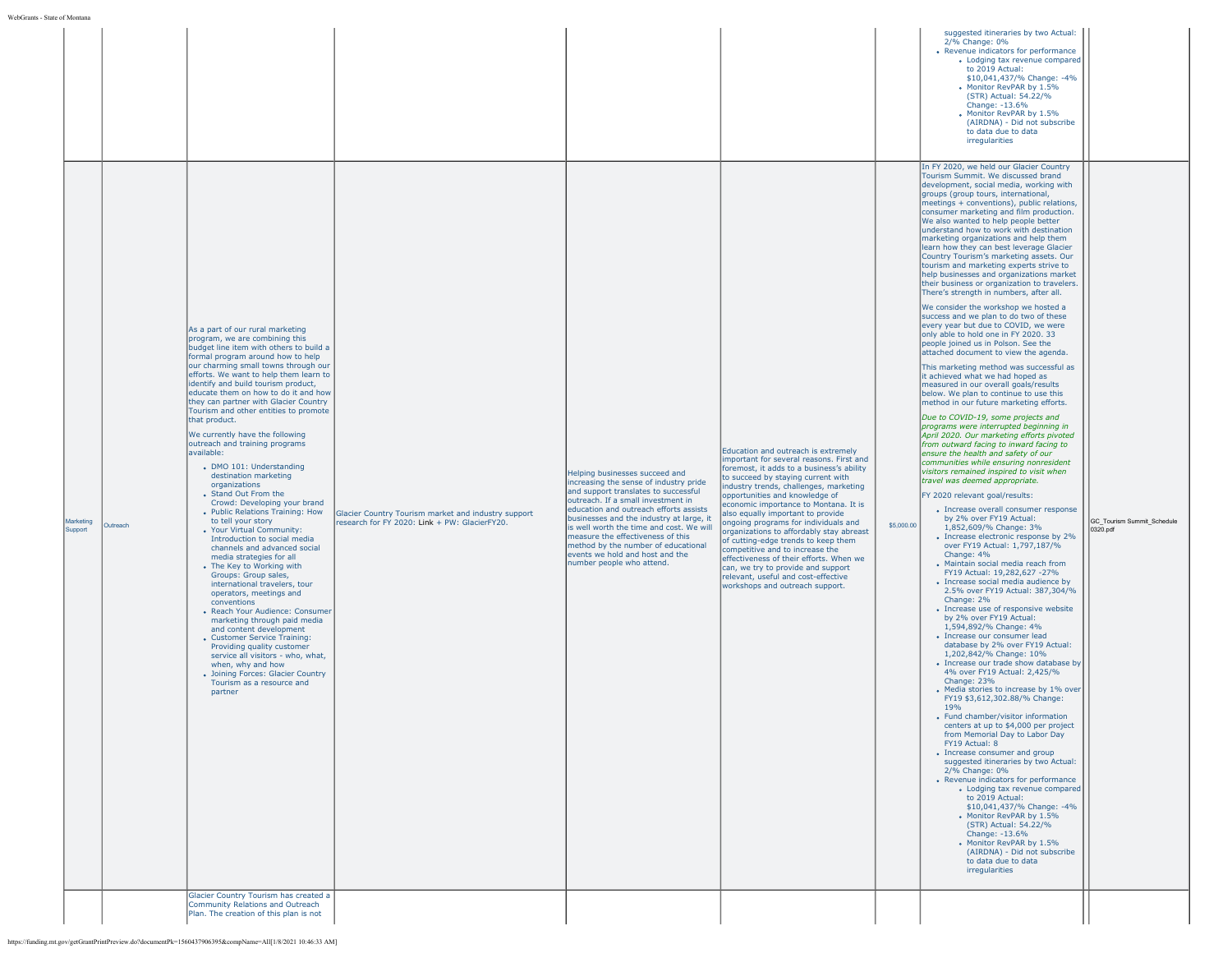| development, social media, working with<br>groups (group tours, international,<br>meetings + conventions), public relations,<br>consumer marketing and film production.<br>We also wanted to help people better<br>understand how to work with destination<br>marketing organizations and help them<br>learn how they can best leverage Glacier<br>Country Tourism's marketing assets. Our<br>tourism and marketing experts strive to<br>help businesses and organizations market<br>their business or organization to travelers.<br>There's strength in numbers, after all.<br>We consider the workshop we hosted a<br>success and we plan to do two of these<br>every year but due to COVID, we were<br>As a part of our rural marketing<br>only able to hold one in FY 2020. 33<br>program, we are combining this<br>people joined us in Polson. See the<br>budget line item with others to build a<br>attached document to view the agenda.<br>formal program around how to help<br>our charming small towns through our<br>This marketing method was successful as<br>efforts. We want to help them learn to<br>it achieved what we had hoped as<br>identify and build tourism product,<br>measured in our overall goals/results<br>educate them on how to do it and how<br>below. We plan to continue to use this<br>they can partner with Glacier Country<br>method in our future marketing efforts.<br>Tourism and other entities to promote<br>Due to COVID-19, some projects and<br>that product.<br>programs were interrupted beginning in<br>We currently have the following<br>April 2020. Our marketing efforts pivoted<br>outreach and training programs<br>from outward facing to inward facing to<br>Education and outreach is extremely<br>available:<br>ensure the health and safety of our<br>important for several reasons. First and<br>communities while ensuring nonresident<br>• DMO 101: Understanding<br>foremost, it adds to a business's ability<br>visitors remained inspired to visit when<br>Helping businesses succeed and<br>destination marketing<br>to succeed by staying current with<br>travel was deemed appropriate.<br>increasing the sense of industry pride<br>organizations<br>industry trends, challenges, marketing<br>and support translates to successful<br>• Stand Out From the<br>FY 2020 relevant goal/results:<br>opportunities and knowledge of<br>outreach. If a small investment in<br>Crowd: Developing your brand<br>economic importance to Montana. It is<br>education and outreach efforts assists<br>• Increase overall consumer response<br>• Public Relations Training: How<br>Glacier Country Tourism market and industry support<br>also equally important to provide<br>businesses and the industry at large, it<br>by 2% over FY19 Actual:<br>to tell your story<br>Marketing<br>GC_Tourism Summit_Schedule<br>research for FY 2020: Link + PW: GlacierFY20.<br>ongoing programs for individuals and<br>\$5,000.00<br>Outreach<br>is well worth the time and cost. We will<br>1,852,609/% Change: 3%<br>Support<br>• Your Virtual Community:<br>0320.pdf<br>organizations to affordably stay abreast<br>measure the effectiveness of this<br>• Increase electronic response by 2%<br>Introduction to social media<br>of cutting-edge trends to keep them<br>method by the number of educational<br>over FY19 Actual: 1,797,187/%<br>channels and advanced social<br>competitive and to increase the<br>events we hold and host and the<br>Change: 4%<br>media strategies for all<br>effectiveness of their efforts. When we<br>number people who attend.<br>• Maintain social media reach from<br>• The Key to Working with<br>can, we try to provide and support<br>FY19 Actual: 19,282,627 -27%<br>Groups: Group sales,<br>relevant, useful and cost-effective<br>• Increase social media audience by<br>international travelers, tour<br>workshops and outreach support.<br>2.5% over FY19 Actual: 387,304/%<br>operators, meetings and<br>Change: 2%<br>conventions<br>• Increase use of responsive website<br>• Reach Your Audience: Consumer<br>by 2% over FY19 Actual:<br>marketing through paid media<br>1,594,892/% Change: 4%<br>and content development<br>• Increase our consumer lead<br>• Customer Service Training:<br>database by 2% over FY19 Actual:<br>Providing quality customer<br>1,202,842/% Change: 10%<br>service all visitors - who, what,<br>• Increase our trade show database by<br>when, why and how<br>4% over FY19 Actual: 2,425/%<br>• Joining Forces: Glacier Country<br>Change: 23%<br>Tourism as a resource and<br>• Media stories to increase by 1% over<br>partner<br>FY19 \$3,612,302.88/% Change:<br>19%<br>• Fund chamber/visitor information<br>centers at up to \$4,000 per project<br>from Memorial Day to Labor Day<br>FY19 Actual: 8<br>• Increase consumer and group<br>suggested itineraries by two Actual:<br>2/% Change: 0%<br>• Revenue indicators for performance<br>• Lodging tax revenue compared<br>to 2019 Actual:<br>\$10,041,437/% Change: -4%<br>Monitor RevPAR by 1.5%<br>(STR) Actual: 54.22/%<br>Change: -13.6%<br>. Monitor RevPAR by 1.5%<br>(AIRDNA) - Did not subscribe<br>to data due to data<br>irregularities<br>Glacier Country Tourism has created a<br>Community Relations and Outreach<br>Plan. The creation of this plan is not |  |  |  |  | suggested itineraries by two Actual:<br>2/% Change: 0%<br>• Revenue indicators for performance<br>• Lodging tax revenue compared<br>to 2019 Actual:<br>\$10,041,437/% Change: -4%<br>. Monitor RevPAR by 1.5%<br>(STR) Actual: 54.22/%<br>Change: -13.6%<br>• Monitor RevPAR by 1.5%<br>(AIRDNA) - Did not subscribe<br>to data due to data<br>irregularities<br>In FY 2020, we held our Glacier Country<br>Tourism Summit. We discussed brand |  |
|------------------------------------------------------------------------------------------------------------------------------------------------------------------------------------------------------------------------------------------------------------------------------------------------------------------------------------------------------------------------------------------------------------------------------------------------------------------------------------------------------------------------------------------------------------------------------------------------------------------------------------------------------------------------------------------------------------------------------------------------------------------------------------------------------------------------------------------------------------------------------------------------------------------------------------------------------------------------------------------------------------------------------------------------------------------------------------------------------------------------------------------------------------------------------------------------------------------------------------------------------------------------------------------------------------------------------------------------------------------------------------------------------------------------------------------------------------------------------------------------------------------------------------------------------------------------------------------------------------------------------------------------------------------------------------------------------------------------------------------------------------------------------------------------------------------------------------------------------------------------------------------------------------------------------------------------------------------------------------------------------------------------------------------------------------------------------------------------------------------------------------------------------------------------------------------------------------------------------------------------------------------------------------------------------------------------------------------------------------------------------------------------------------------------------------------------------------------------------------------------------------------------------------------------------------------------------------------------------------------------------------------------------------------------------------------------------------------------------------------------------------------------------------------------------------------------------------------------------------------------------------------------------------------------------------------------------------------------------------------------------------------------------------------------------------------------------------------------------------------------------------------------------------------------------------------------------------------------------------------------------------------------------------------------------------------------------------------------------------------------------------------------------------------------------------------------------------------------------------------------------------------------------------------------------------------------------------------------------------------------------------------------------------------------------------------------------------------------------------------------------------------------------------------------------------------------------------------------------------------------------------------------------------------------------------------------------------------------------------------------------------------------------------------------------------------------------------------------------------------------------------------------------------------------------------------------------------------------------------------------------------------------------------------------------------------------------------------------------------------------------------------------------------------------------------------------------------------------------------------------------------------------------------------------------------------------------------------------------------------------------------------------------------------------------------------------------------------------------------------------------------------------------------------------------------------------------------------------------------------------------------------------------------------------------------------------------------------------------------------------------------------------------------------------------------------------------------------------------------------------------------------------------------------------------------------------------------------------------------------------------------------------------------------------------------------------------------------------------------------------------|--|--|--|--|------------------------------------------------------------------------------------------------------------------------------------------------------------------------------------------------------------------------------------------------------------------------------------------------------------------------------------------------------------------------------------------------------------------------------------------------|--|
|                                                                                                                                                                                                                                                                                                                                                                                                                                                                                                                                                                                                                                                                                                                                                                                                                                                                                                                                                                                                                                                                                                                                                                                                                                                                                                                                                                                                                                                                                                                                                                                                                                                                                                                                                                                                                                                                                                                                                                                                                                                                                                                                                                                                                                                                                                                                                                                                                                                                                                                                                                                                                                                                                                                                                                                                                                                                                                                                                                                                                                                                                                                                                                                                                                                                                                                                                                                                                                                                                                                                                                                                                                                                                                                                                                                                                                                                                                                                                                                                                                                                                                                                                                                                                                                                                                                                                                                                                                                                                                                                                                                                                                                                                                                                                                                                                                                                                                                                                                                                                                                                                                                                                                                                                                                                                                                                                                              |  |  |  |  |                                                                                                                                                                                                                                                                                                                                                                                                                                                |  |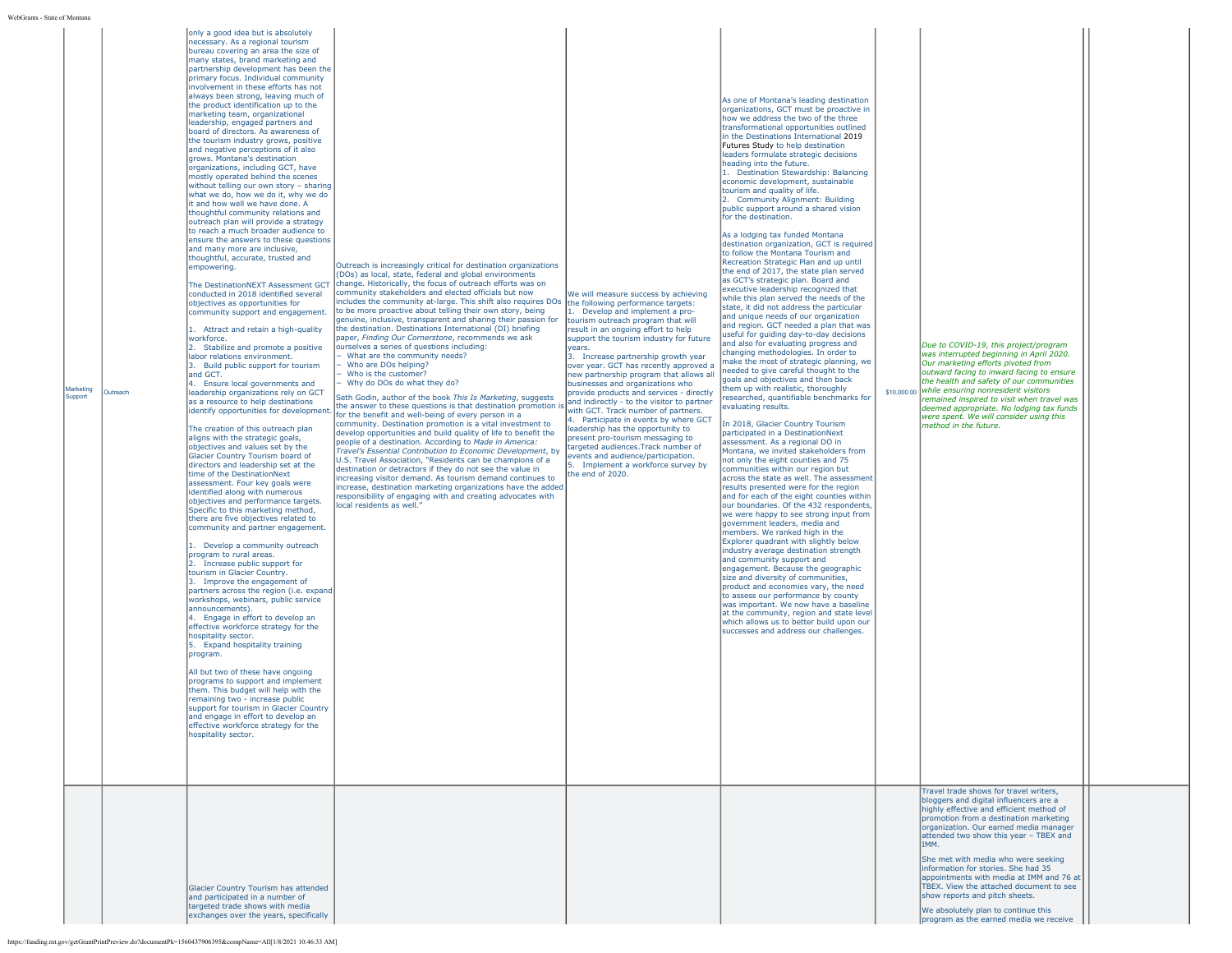**Jarketing** Support Outreach

necessary. As a regional tourism bureau covering an area the size of many states, brand marketing and partnership development has been the primary focus. Individual community involvement in these efforts has not always been strong, leaving much of the product identification up to the marketing team, organizational leadership, engaged partners and board of directors. As awareness of the tourism industry grows, positive and negative perceptions of it also grows. Montana's destination organizations, including GCT, have mostly operated behind the scenes without telling our own story – sharing what we do, how we do it, why we do it and how well we have done. A thoughtful community relations and outreach plan will provide a strategy to reach a much broader audience to ensure the answers to these question and many more are inclusive, thoughtful, accurate, trusted and empowering. The DestinationNEXT Assessment GCT conducted in 2018 identified several

only a good idea but is absolutely

objectives as opportunities for community support and engagement. 1. Attract and retain a high-quality workforce. 2. Stabilize and promote a positive

labor relations environment. 3. Build public support for tourism and GCT. 4. Ensure local governments and leadership organizations rely on GCT as a resource to help destinations identify opportunities for development.

The creation of this outreach plan aligns with the strategic goals, objectives and values set by the Glacier Country Tourism board of directors and leadership set at the time of the DestinationNext assessment. Four key goals were identified along with numerous objectives and performance targets. Specific to this marketing method, there are five objectives related to community and partner engagement. 1. Develop a community outreach program to rural areas. 2. Increase public support for tourism in Glacier Country. 3. Improve the engagement of partners across the region (i.e. expand workshops, webinars, public service announcements). 4. Engage in effort to develop an effective workforce strategy for the hospitality sector. 5. Expand hospitality training

All but two of these have ongoing programs to support and implement them. This budget will help with the remaining two - increase public support for tourism in Glacier Country and engage in effort to develop an effective workforce strategy for the hospitality sector.

Glacier Country Tourism has attended and participated in a number of targeted trade shows with media exchanges over the years, specifically

program.

(DOs) as local, state, federal and global environments change. Historically, the focus of outreach efforts was on community stakeholders and elected officials but now includes the community at-large. This shift also requires DOs to be more proactive about telling their own story, being genuine, inclusive, transparent and sharing their passion for the destination. Destinations International (DI) briefing paper, *Finding Our Cornerstone*, recommends we ask ourselves a series of questions including: − What are the community needs? − Who are DOs helping? Who is the customer? − Why do DOs do what they do?

Outreach is increasingly critical for destination organizations

Seth Godin, author of the book *This Is Marketing*, suggests the answer to these questions is that destination promotion is for the benefit and well-being of every person in a mmunity. Destination promotion is a vital investment to develop opportunities and build quality of life to benefit the people of a destination. According to *Made in America: Travel's Essential Contribution to Economic Development*, by U.S. Travel Association, "Residents can be champions of a destination or detractors if they do not see the value in increasing visitor demand. As tourism demand continues to increase, destination marketing organizations have the added responsibility of engaging with and creating advocates with local residents as well."

We will measure success by achieving the following performance targets: Develop and implement a proto the complete impression in production of the program that will esult in an ongoing effort to help upport the tourism industry for future years.

3. Increase partnership growth year over year. GCT has recently approved a new partnership program that allows all businesses and organizations who rovide products and services - directly and indirectly - to the visitor to partner with GCT. Track number of partners. 4. Participate in events by where GCT eadership has the opportunity to present pro-tourism messaging to targeted audiences.Track number of vents and audience/participation. Implement a workforce survey by the end of 2020.

As one of Montana's leading destination organizations, GCT must be proactive in how we address the two of the three transformational opportunities outlined in the Destinations International [2019](https://destinationsinternational.org/sites/default/master/files/DestinationNEXT%202019_v2.pdf) [Futures Study](https://destinationsinternational.org/sites/default/master/files/DestinationNEXT%202019_v2.pdf) to help destination leaders formulate strategic decisions heading into the future. 1. Destination Stewardship: Balancing economic development, sustainable tourism and quality of life. 2. Community Alignment: Building public support around a shared vision for the destination.

As a lodging tax funded Montana destination organization, GCT is required to follow the Montana Tourism and Recreation Strategic Plan and up until the end of 2017, the state plan served as GCT's strategic plan. Board and executive leadership recognized that while this plan served the needs of the state, it did not address the particular and unique needs of our organization and region. GCT needed a plan that was useful for guiding day-to-day decisions and also for evaluating progress and changing methodologies. In order to make the most of strategic planning, we needed to give careful thought to the goals and objectives and then back them up with realistic, thoroughly researched, quantifiable benchmarks for evaluating results.

In 2018, Glacier Country Tourism participated in a DestinationNext assessment. As a regional DO in Montana, we invited stakeholders from not only the eight counties and 75 communities within our region but across the state as well. The assessment results presented were for the region and for each of the eight counties within our boundaries. Of the 432 respondents we were happy to see strong input from government leaders, media and members. We ranked high in the Explorer quadrant with slightly below industry average destination strength and community support and engagement. Because the geographic size and diversity of communities, product and economies vary, the need to assess our performance by county was important. We now have a baseline at the community, region and state level which allows us to better build upon our successes and address our challenges.

\$10,000.00 *while ensuring nonresident visitors Due to COVID-19, this project/program was interrupted beginning in April 2020. Our marketing efforts pivoted from outward facing to inward facing to ensure the health and safety of our communities remained inspired to visit when travel was deemed appropriate. No lodging tax funds were spent. We will consider using this method in the future.*

Travel trade shows for travel writers, oggers and digital influencers are a highly effective and efficient method of promotion from a destination marketing organization. Our earned media manager attended two show this year – TBEX and TRANA

She met with media who were seeking information for stories. She had 35 appointments with media at IMM and 76 at TBEX. View the attached document to see show reports and pitch sheets.

We absolutely plan to continue this program as the earned media we receive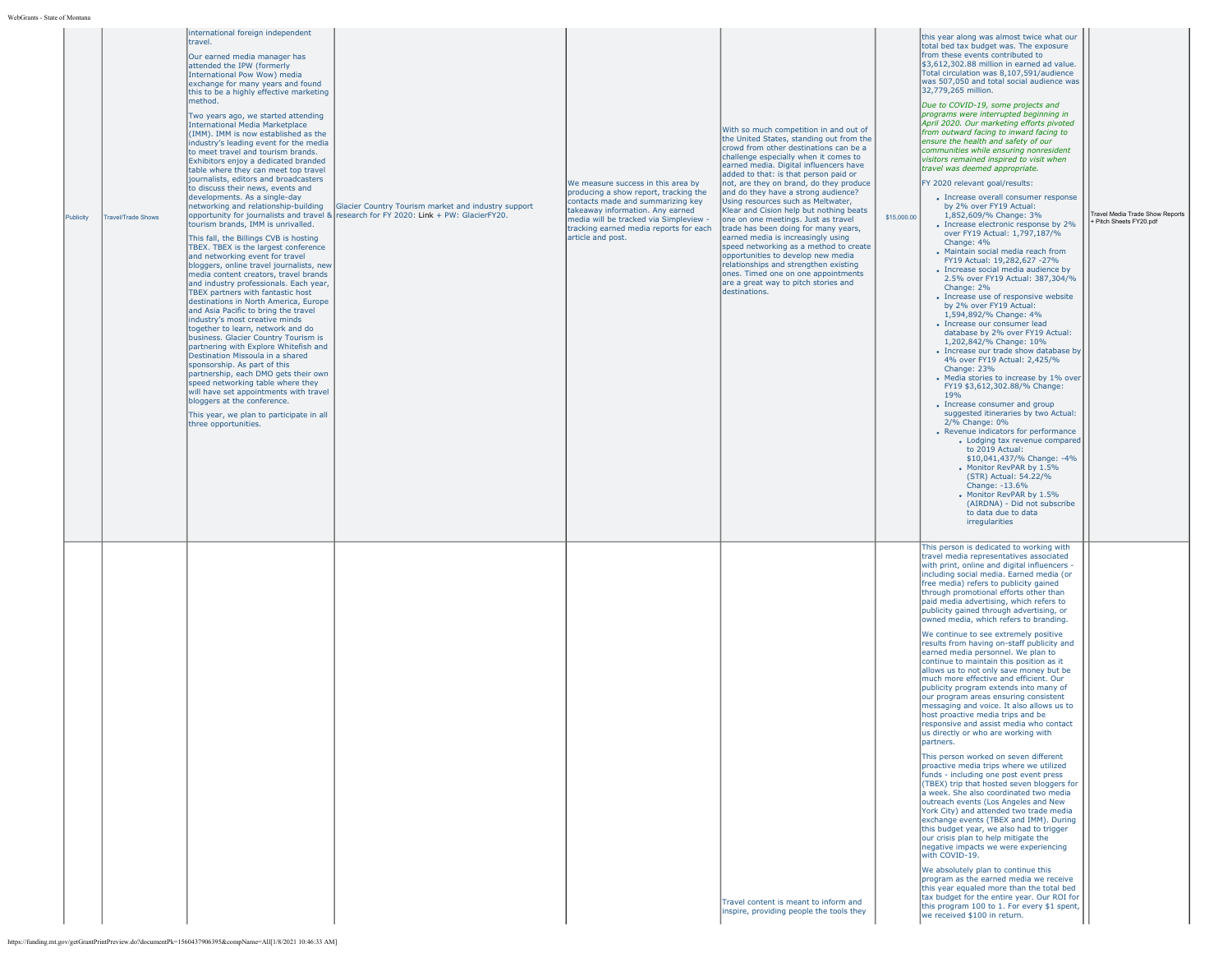| Publicity | <b>Travel/Trade Shows</b> | Itravel.<br>Our earned media manager has<br>attended the IPW (formerly<br>International Pow Wow) media<br>exchange for many years and found<br>this to be a highly effective marketing<br>method.<br>Two years ago, we started attending<br>International Media Marketplace<br>(IMM). IMM is now established as the<br>industry's leading event for the media<br>to meet travel and tourism brands.<br>Exhibitors enjoy a dedicated branded<br>table where they can meet top travel<br>journalists, editors and broadcasters<br>to discuss their news, events and<br>developments. As a single-day<br>networking and relationship-building<br>tourism brands, IMM is unrivalled.<br>This fall, the Billings CVB is hosting<br>TBEX. TBEX is the largest conference<br>and networking event for travel<br>bloggers, online travel journalists, new<br>media content creators, travel brands<br>and industry professionals. Each year,<br>TBEX partners with fantastic host<br>destinations in North America, Europe<br>and Asia Pacific to bring the travel<br>industry's most creative minds<br>together to learn, network and do<br>business. Glacier Country Tourism is<br>partnering with Explore Whitefish and<br>Destination Missoula in a shared<br>sponsorship. As part of this<br>partnership, each DMO gets their own<br>speed networking table where they<br>will have set appointments with travel<br>bloggers at the conference.<br>This year, we plan to participate in all<br>three opportunities. | Glacier Country Tourism market and industry support<br>opportunity for journalists and travel & research for FY 2020: Link + PW: GlacierFY20. | We measure success in this area by<br>producing a show report, tracking the<br>contacts made and summarizing key<br>takeaway information. Any earned<br>media will be tracked via Simpleview -<br>tracking earned media reports for each<br>article and post. | With so much competition in and out of<br>the United States, standing out from the<br>crowd from other destinations can be a<br>challenge especially when it comes to<br>earned media. Digital influencers have<br>added to that: is that person paid or<br>not, are they on brand, do they produce<br>and do they have a strong audience?<br>Using resources such as Meltwater,<br>Klear and Cision help but nothing beats<br>one on one meetings. Just as travel<br>trade has been doing for many years,<br>earned media is increasingly using<br>speed networking as a method to create<br>opportunities to develop new media<br>relationships and strengthen existing<br>ones. Timed one on one appointments<br>are a great way to pitch stories and<br>destinations. | \$15,000.00 | this year along was almost twice what our<br>total bed tax budget was. The exposure<br>from these events contributed to<br>\$3,612,302.88 million in earned ad value.<br>Total circulation was 8,107,591/audience<br>was 507,050 and total social audience was<br>32,779,265 million.<br>Due to COVID-19, some projects and<br>programs were interrupted beginning in<br>April 2020. Our marketing efforts pivoted<br>from outward facing to inward facing to<br>ensure the health and safety of our<br>communities while ensuring nonresident<br>visitors remained inspired to visit when<br>travel was deemed appropriate.<br>FY 2020 relevant goal/results:<br>• Increase overall consumer response<br>by 2% over FY19 Actual:<br>1,852,609/% Change: 3%<br>• Increase electronic response by 2%<br>over FY19 Actual: 1,797,187/%<br>Change: 4%<br>• Maintain social media reach from<br>FY19 Actual: 19,282,627 -27%<br>• Increase social media audience by<br>2.5% over FY19 Actual: 387,304/%<br>Change: 2%<br>• Increase use of responsive website<br>by 2% over FY19 Actual:<br>1,594,892/% Change: 4%<br>· Increase our consumer lead<br>database by 2% over FY19 Actual:<br>1,202,842/% Change: 10%<br>• Increase our trade show database by<br>4% over FY19 Actual: 2,425/%<br>Change: 23%<br>• Media stories to increase by 1% over<br>FY19 \$3,612,302.88/% Change:<br>19%<br>• Increase consumer and group<br>suggested itineraries by two Actual:<br>2/% Change: 0%<br>• Revenue indicators for performance<br>· Lodging tax revenue compared<br>to 2019 Actual:<br>\$10,041,437/% Change: -4%<br>. Monitor RevPAR by 1.5%<br>(STR) Actual: 54.22/%<br>Change: -13.6%<br>Monitor RevPAR by 1.5%<br>(AIRDNA) - Did not subscribe<br>to data due to data<br>irregularities | Travel Media Trade Show Reports<br>+ Pitch Sheets FY20.pdf |
|-----------|---------------------------|------------------------------------------------------------------------------------------------------------------------------------------------------------------------------------------------------------------------------------------------------------------------------------------------------------------------------------------------------------------------------------------------------------------------------------------------------------------------------------------------------------------------------------------------------------------------------------------------------------------------------------------------------------------------------------------------------------------------------------------------------------------------------------------------------------------------------------------------------------------------------------------------------------------------------------------------------------------------------------------------------------------------------------------------------------------------------------------------------------------------------------------------------------------------------------------------------------------------------------------------------------------------------------------------------------------------------------------------------------------------------------------------------------------------------------------------------------------------------------------------------------------|-----------------------------------------------------------------------------------------------------------------------------------------------|---------------------------------------------------------------------------------------------------------------------------------------------------------------------------------------------------------------------------------------------------------------|---------------------------------------------------------------------------------------------------------------------------------------------------------------------------------------------------------------------------------------------------------------------------------------------------------------------------------------------------------------------------------------------------------------------------------------------------------------------------------------------------------------------------------------------------------------------------------------------------------------------------------------------------------------------------------------------------------------------------------------------------------------------------|-------------|-----------------------------------------------------------------------------------------------------------------------------------------------------------------------------------------------------------------------------------------------------------------------------------------------------------------------------------------------------------------------------------------------------------------------------------------------------------------------------------------------------------------------------------------------------------------------------------------------------------------------------------------------------------------------------------------------------------------------------------------------------------------------------------------------------------------------------------------------------------------------------------------------------------------------------------------------------------------------------------------------------------------------------------------------------------------------------------------------------------------------------------------------------------------------------------------------------------------------------------------------------------------------------------------------------------------------------------------------------------------------------------------------------------------------------------------------------------------------------------------------------------------------------------------------------------------------------------------------------------------------------------------------------------------------------------------------------------------------------------------------------------------------------------------|------------------------------------------------------------|
|           |                           | https://funding.mt.gov/getGrantPrintPreview.do?documentPk=1560437906395&compName=All[1/8/2021 10:46:33 AM]                                                                                                                                                                                                                                                                                                                                                                                                                                                                                                                                                                                                                                                                                                                                                                                                                                                                                                                                                                                                                                                                                                                                                                                                                                                                                                                                                                                                       |                                                                                                                                               |                                                                                                                                                                                                                                                               | Travel content is meant to inform and<br>inspire, providing people the tools they                                                                                                                                                                                                                                                                                                                                                                                                                                                                                                                                                                                                                                                                                         |             | This person is dedicated to working with<br>travel media representatives associated<br>with print, online and digital influencers -<br>including social media. Earned media (or<br>free media) refers to publicity gained<br>through promotional efforts other than<br>paid media advertising, which refers to<br>publicity gained through advertising, or<br>owned media, which refers to branding.<br>We continue to see extremely positive<br>results from having on-staff publicity and<br>earned media personnel. We plan to<br>continue to maintain this position as it<br>allows us to not only save money but be<br>much more effective and efficient. Our<br>publicity program extends into many of<br>our program areas ensuring consistent<br>messaging and voice. It also allows us to<br>host proactive media trips and be<br>esponsive and assist media who contact<br>us directly or who are working with<br>partners.<br>This person worked on seven different<br>proactive media trips where we utilized<br>funds - including one post event press<br>(TBEX) trip that hosted seven bloggers for<br>a week. She also coordinated two media<br>outreach events (Los Angeles and New<br>York City) and attended two trade media<br>exchange events (TBEX and IMM). During<br>this budget year, we also had to trigger<br>our crisis plan to help mitigate the<br>negative impacts we were experiencing<br>with COVID-19.<br>We absolutely plan to continue this<br>program as the earned media we receive<br>this year equaled more than the total bed<br>tax budget for the entire year. Our ROI for<br>this program 100 to 1. For every \$1 spent,<br>we received \$100 in return.                                                                                     |                                                            |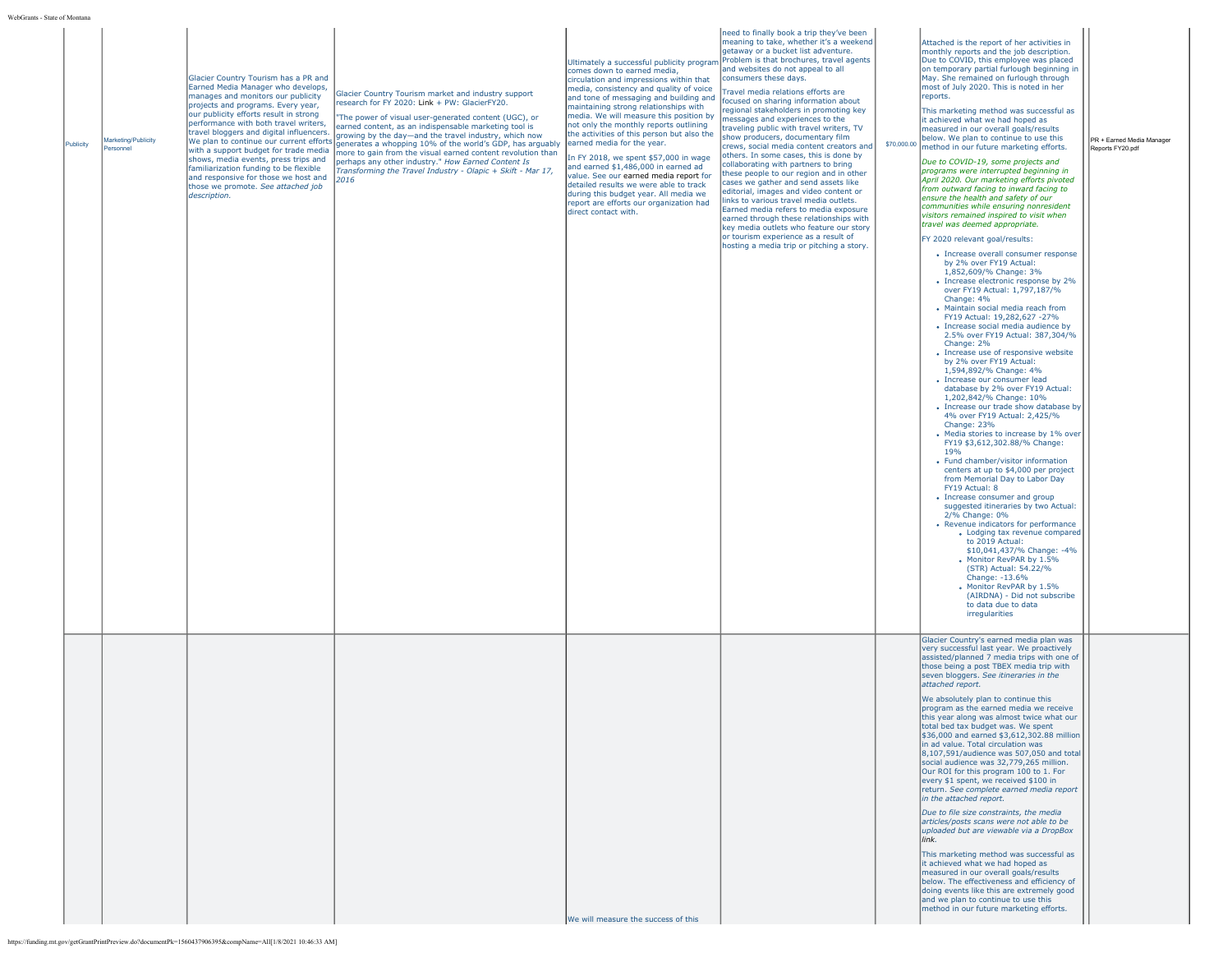| Publicity | Marketing/Publicity<br>Personnel | Glacier Country Tourism has a PR and<br>Earned Media Manager who develops,<br>manages and monitors our publicity<br>projects and programs. Every year,<br>our publicity efforts result in strong<br>performance with both travel writers,<br>travel bloggers and digital influencers.<br>We plan to continue our current efforts<br>with a support budget for trade media<br>shows, media events, press trips and<br>familiarization funding to be flexible<br>and responsive for those we host and<br>those we promote. See attached job<br>description. | Glacier Country Tourism market and industry support<br>research for FY 2020: Link + PW: GlacierFY20.<br>"The power of visual user-generated content (UGC), or<br>earned content, as an indispensable marketing tool is<br>growing by the day-and the travel industry, which now<br>generates a whopping 10% of the world's GDP, has arguably<br>nore to gain from the visual earned content revolution than<br>berhaps any other industry." How Earned Content Is<br>Transforming the Travel Industry - Olapic + Skift - Mar 17,<br>2016 | comes down to earned media,<br>circulation and impressions within that<br>media, consistency and quality of voice<br>and tone of messaging and building and<br>maintaining strong relationships with<br>media. We will measure this position by<br>not only the monthly reports outlining<br>the activities of this person but also the<br>earned media for the year.<br>In FY 2018, we spent \$57,000 in wage<br>and earned \$1,486,000 in earned ad<br>value. See our earned media report for<br>detailed results we were able to track<br>during this budget year. All media we<br>report are efforts our organization had<br>direct contact with. | need to finally book a trip they've been<br>meaning to take, whether it's a weekend<br>getaway or a bucket list adventure.<br>Ultimately a successful publicity program Problem is that brochures, travel agents<br>and websites do not appeal to all<br>consumers these days.<br>Travel media relations efforts are<br>focused on sharing information about<br>regional stakeholders in promoting key<br>messages and experiences to the<br>traveling public with travel writers, TV<br>show producers, documentary film<br>crews, social media content creators and<br>others. In some cases, this is done by<br>collaborating with partners to bring<br>these people to our region and in other<br>cases we gather and send assets like<br>editorial, images and video content or<br>links to various travel media outlets.<br>Earned media refers to media exposure<br>earned through these relationships with<br>key media outlets who feature our story<br>or tourism experience as a result of<br>hosting a media trip or pitching a story. | \$70,000.00 | Attached is the report of her activities in<br>monthly reports and the job description.<br>Due to COVID, this employee was placed<br>on temporary partial furlough beginning in<br>May. She remained on furlough through<br>most of July 2020. This is noted in her<br>reports.<br>This marketing method was successful as<br>it achieved what we had hoped as<br>measured in our overall goals/results<br>below. We plan to continue to use this<br>method in our future marketing efforts.<br>Due to COVID-19, some projects and<br>programs were interrupted beginning in<br>April 2020. Our marketing efforts pivoted<br>from outward facing to inward facing to<br>ensure the health and safety of our<br>communities while ensuring nonresident<br>visitors remained inspired to visit when<br>travel was deemed appropriate.<br>FY 2020 relevant goal/results:<br>• Increase overall consumer response<br>by 2% over FY19 Actual:<br>1,852,609/% Change: 3%<br>• Increase electronic response by 2%<br>over FY19 Actual: 1,797,187/%<br>Change: 4%<br>. Maintain social media reach from<br>FY19 Actual: 19,282,627 -27%<br>• Increase social media audience by<br>2.5% over FY19 Actual: 387.304/%<br>Change: 2%<br>• Increase use of responsive website<br>by 2% over FY19 Actual:<br>1,594,892/% Change: 4%<br>• Increase our consumer lead<br>database by 2% over FY19 Actual:<br>1.202.842/% Change: 10%<br>• Increase our trade show database by<br>4% over FY19 Actual: 2,425/%<br>Change: 23%<br>• Media stories to increase by 1% over<br>FY19 \$3,612,302.88/% Change:<br>19%<br>• Fund chamber/visitor information<br>centers at up to \$4,000 per project<br>from Memorial Day to Labor Day<br>FY19 Actual: 8<br>• Increase consumer and group<br>suggested itineraries by two Actual:<br>2/% Change: 0%<br>• Revenue indicators for performance<br>• Lodging tax revenue compared<br>to 2019 Actual:<br>\$10,041,437/% Change: -4%<br>Monitor RevPAR by 1.5%<br>(STR) Actual: 54.22/%<br>Change: -13.6%<br>Monitor RevPAR by 1.5%<br>(AIRDNA) - Did not subscribe<br>to data due to data<br>irregularities | PR + Earned Media Manager<br>Reports FY20.pdf |
|-----------|----------------------------------|-----------------------------------------------------------------------------------------------------------------------------------------------------------------------------------------------------------------------------------------------------------------------------------------------------------------------------------------------------------------------------------------------------------------------------------------------------------------------------------------------------------------------------------------------------------|------------------------------------------------------------------------------------------------------------------------------------------------------------------------------------------------------------------------------------------------------------------------------------------------------------------------------------------------------------------------------------------------------------------------------------------------------------------------------------------------------------------------------------------|-------------------------------------------------------------------------------------------------------------------------------------------------------------------------------------------------------------------------------------------------------------------------------------------------------------------------------------------------------------------------------------------------------------------------------------------------------------------------------------------------------------------------------------------------------------------------------------------------------------------------------------------------------|----------------------------------------------------------------------------------------------------------------------------------------------------------------------------------------------------------------------------------------------------------------------------------------------------------------------------------------------------------------------------------------------------------------------------------------------------------------------------------------------------------------------------------------------------------------------------------------------------------------------------------------------------------------------------------------------------------------------------------------------------------------------------------------------------------------------------------------------------------------------------------------------------------------------------------------------------------------------------------------------------------------------------------------------------|-------------|--------------------------------------------------------------------------------------------------------------------------------------------------------------------------------------------------------------------------------------------------------------------------------------------------------------------------------------------------------------------------------------------------------------------------------------------------------------------------------------------------------------------------------------------------------------------------------------------------------------------------------------------------------------------------------------------------------------------------------------------------------------------------------------------------------------------------------------------------------------------------------------------------------------------------------------------------------------------------------------------------------------------------------------------------------------------------------------------------------------------------------------------------------------------------------------------------------------------------------------------------------------------------------------------------------------------------------------------------------------------------------------------------------------------------------------------------------------------------------------------------------------------------------------------------------------------------------------------------------------------------------------------------------------------------------------------------------------------------------------------------------------------------------------------------------------------------------------------------------------------------------------------------------------------------------------------------------------------------------------------------------------------------------------------------------------------------------------------------------------------------------|-----------------------------------------------|
|           |                                  |                                                                                                                                                                                                                                                                                                                                                                                                                                                                                                                                                           |                                                                                                                                                                                                                                                                                                                                                                                                                                                                                                                                          | We will measure the success of this                                                                                                                                                                                                                                                                                                                                                                                                                                                                                                                                                                                                                   |                                                                                                                                                                                                                                                                                                                                                                                                                                                                                                                                                                                                                                                                                                                                                                                                                                                                                                                                                                                                                                                    |             | Glacier Country's earned media plan was<br>very successful last year. We proactively<br>assisted/planned 7 media trips with one of<br>those being a post TBEX media trip with<br>seven bloggers. See itineraries in the<br>attached report.<br>We absolutely plan to continue this<br>program as the earned media we receive<br>this vear along was almost twice what our<br>total bed tax budget was. We spent<br>\$36,000 and earned \$3,612,302.88 million<br>in ad value. Total circulation was<br>8,107,591/audience was 507,050 and total<br>social audience was 32,779,265 million.<br>Our ROI for this program 100 to 1. For<br>every \$1 spent, we received \$100 in<br>return. See complete earned media report<br>in the attached report.<br>Due to file size constraints, the media<br>articles/posts scans were not able to be<br>uploaded but are viewable via a DropBox<br>link.<br>This marketing method was successful as<br>it achieved what we had hoped as<br>measured in our overall goals/results<br>below. The effectiveness and efficiency of<br>doing events like this are extremely good<br>and we plan to continue to use this<br>method in our future marketing efforts.                                                                                                                                                                                                                                                                                                                                                                                                                                                                                                                                                                                                                                                                                                                                                                                                                                                                                                                           |                                               |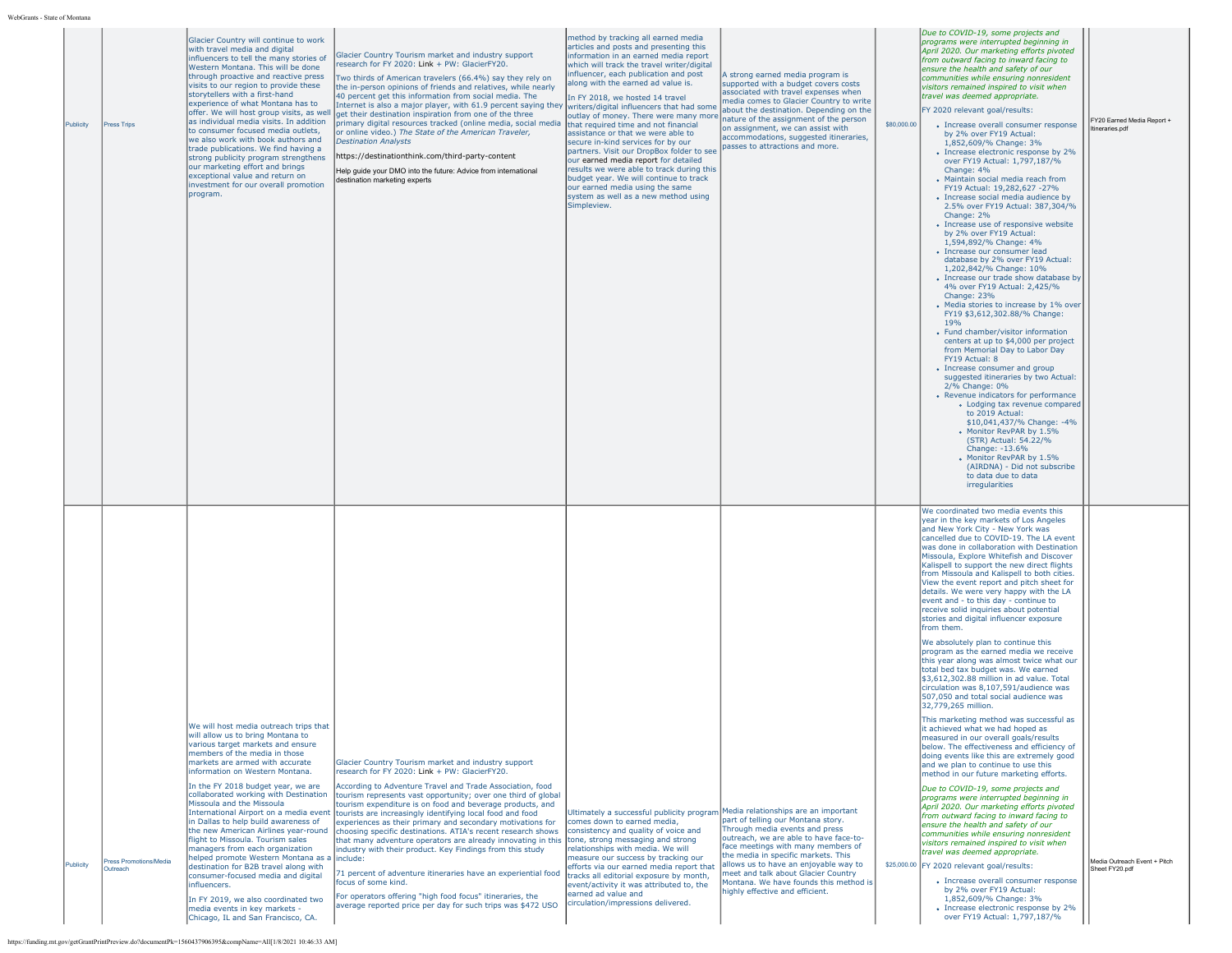| WebGrants - State of Montana |
|------------------------------|
|                              |

| State of Montana |                                    |                                                                                                                                                                                                                                                                                                                                                                                                                                                                                                                                                                                                                                                                                                                                                                                                     |                                                                                                                                                                                                                                                                                                                                                                                                                                                                                                                                                                                                                                                                                                                                                                                                                                             |                                                                                                                                                                                                                                                                                                                                                                                                                                                                                                                                                                                                                                                                                                                           |                                                                                                                                                                                                                                                                                                                                                                    |             |                                                                                                                                                                                                                                                                                                                                                                                                                                                                                                                                                                                                                                                                                                                                                                                                                                                                                                                                                                                                                                                                                                                                                                                                                                                                                                                                                                                                                                                                                                                                                                                                                                                                                                                                                                                        |                                                |
|------------------|------------------------------------|-----------------------------------------------------------------------------------------------------------------------------------------------------------------------------------------------------------------------------------------------------------------------------------------------------------------------------------------------------------------------------------------------------------------------------------------------------------------------------------------------------------------------------------------------------------------------------------------------------------------------------------------------------------------------------------------------------------------------------------------------------------------------------------------------------|---------------------------------------------------------------------------------------------------------------------------------------------------------------------------------------------------------------------------------------------------------------------------------------------------------------------------------------------------------------------------------------------------------------------------------------------------------------------------------------------------------------------------------------------------------------------------------------------------------------------------------------------------------------------------------------------------------------------------------------------------------------------------------------------------------------------------------------------|---------------------------------------------------------------------------------------------------------------------------------------------------------------------------------------------------------------------------------------------------------------------------------------------------------------------------------------------------------------------------------------------------------------------------------------------------------------------------------------------------------------------------------------------------------------------------------------------------------------------------------------------------------------------------------------------------------------------------|--------------------------------------------------------------------------------------------------------------------------------------------------------------------------------------------------------------------------------------------------------------------------------------------------------------------------------------------------------------------|-------------|----------------------------------------------------------------------------------------------------------------------------------------------------------------------------------------------------------------------------------------------------------------------------------------------------------------------------------------------------------------------------------------------------------------------------------------------------------------------------------------------------------------------------------------------------------------------------------------------------------------------------------------------------------------------------------------------------------------------------------------------------------------------------------------------------------------------------------------------------------------------------------------------------------------------------------------------------------------------------------------------------------------------------------------------------------------------------------------------------------------------------------------------------------------------------------------------------------------------------------------------------------------------------------------------------------------------------------------------------------------------------------------------------------------------------------------------------------------------------------------------------------------------------------------------------------------------------------------------------------------------------------------------------------------------------------------------------------------------------------------------------------------------------------------|------------------------------------------------|
| Publicity        | Press Trips                        | Glacier Country will continue to work<br>with travel media and digital<br>influencers to tell the many stories of<br>Western Montana. This will be done<br>through proactive and reactive press<br>visits to our region to provide these<br>storytellers with a first-hand<br>experience of what Montana has to<br>offer. We will host group visits, as well<br>as individual media visits. In addition<br>to consumer focused media outlets,<br>we also work with book authors and<br>trade publications. We find having a<br>strong publicity program strengthens<br>our marketing effort and brings<br>exceptional value and return on<br>investment for our overall promotion<br>program.                                                                                                       | Glacier Country Tourism market and industry support<br>research for FY 2020: Link + PW: GlacierFY20.<br>Two thirds of American travelers (66.4%) say they rely on<br>the in-person opinions of friends and relatives, while nearly<br>40 percent get this information from social media. The<br>Internet is also a major player, with 61.9 percent saying they writers/digital influencers that had some<br>get their destination inspiration from one of the three<br>primary digital resources tracked (online media, social media<br>or online video.) The State of the American Traveler,<br><b>Destination Analysts</b><br>https://destinationthink.com/third-party-content<br>Help guide your DMO into the future: Advice from international<br>destination marketing experts                                                         | method by tracking all earned media<br>articles and posts and presenting this<br>information in an earned media report<br>which will track the travel writer/digital<br>influencer, each publication and post<br>along with the earned ad value is.<br>In FY 2018, we hosted 14 travel<br>outlay of money. There were many more<br>that required time and not financial<br>assistance or that we were able to<br>secure in-kind services for by our<br>partners. Visit our DropBox folder to see<br>our earned media report for detailed<br>results we were able to track during this<br>budget year. We will continue to track<br>our earned media using the same<br>system as well as a new method using<br>Simpleview. | A strong earned media program is<br>supported with a budget covers costs<br>associated with travel expenses when<br>media comes to Glacier Country to write<br>about the destination. Depending on the<br>nature of the assignment of the person<br>on assignment, we can assist with<br>accommodations, suggested itineraries,<br>passes to attractions and more. | \$80,000.00 | Due to COVID-19, some projects and<br>programs were interrupted beginning in<br>April 2020. Our marketing efforts pivoted<br>from outward facing to inward facing to<br>ensure the health and safety of our<br>communities while ensuring nonresident<br>visitors remained inspired to visit when<br>travel was deemed appropriate.<br>FY 2020 relevant goal/results:<br>• Increase overall consumer response<br>by 2% over FY19 Actual:<br>1,852,609/% Change: 3%<br>• Increase electronic response by 2%<br>over FY19 Actual: 1,797,187/%<br>Change: 4%<br>• Maintain social media reach from<br>FY19 Actual: 19,282,627 -27%<br>· Increase social media audience by<br>2.5% over FY19 Actual: 387,304/%<br>Change: 2%<br>• Increase use of responsive website<br>by 2% over FY19 Actual:<br>1,594,892/% Change: 4%<br>• Increase our consumer lead<br>database by 2% over FY19 Actual:<br>1,202,842/% Change: 10%<br>• Increase our trade show database by<br>4% over FY19 Actual: 2,425/%<br>Change: 23%<br>• Media stories to increase by 1% over<br>FY19 \$3,612,302.88/% Change:<br><b>19%</b><br>• Fund chamber/visitor information<br>centers at up to \$4,000 per project<br>from Memorial Day to Labor Day<br>FY19 Actual: 8<br>• Increase consumer and group<br>suggested itineraries by two Actual:<br>2/% Change: 0%<br>• Revenue indicators for performance<br>• Lodging tax revenue compared<br>to 2019 Actual:<br>\$10,041,437/% Change: -4%<br>• Monitor RevPAR by 1.5%<br>(STR) Actual: 54.22/%<br>Change: -13.6%<br>Monitor RevPAR by 1.5%<br>(AIRDNA) - Did not subscribe<br>to data due to data<br>irregularities                                                                                                                                                | FY20 Earned Media Report +<br>Itineraries.pdf  |
| Publicity        | Press Promotions/Media<br>Outreach | We will host media outreach trips that<br>will allow us to bring Montana to<br>various target markets and ensure<br>members of the media in those<br>markets are armed with accurate<br>information on Western Montana.<br>In the FY 2018 budget year, we are<br>collaborated working with Destination<br>Missoula and the Missoula<br>International Airport on a media event<br>in Dallas to help build awareness of<br>the new American Airlines year-round<br>flight to Missoula. Tourism sales<br>managers from each organization<br>helped promote Western Montana as a linclude:<br>destination for B2B travel along with<br>consumer-focused media and digital<br>influencers.<br>In FY 2019, we also coordinated two<br>media events in key markets -<br>Chicago, IL and San Francisco, CA. | Glacier Country Tourism market and industry support<br>research for FY 2020: Link + PW: GlacierFY20.<br>According to Adventure Travel and Trade Association, food<br>tourism represents vast opportunity; over one third of global<br>tourism expenditure is on food and beverage products, and<br>tourists are increasingly identifying local food and food<br>experiences as their primary and secondary motivations for<br>choosing specific destinations. ATIA's recent research shows<br>that many adventure operators are already innovating in this<br>industry with their product. Key Findings from this study<br>71 percent of adventure itineraries have an experiential food<br>focus of some kind.<br>For operators offering "high food focus" itineraries, the<br>average reported price per day for such trips was \$472 USO | Ultimately a successful publicity program Media relationships are an important<br>comes down to earned media.<br>consistency and quality of voice and<br>tone, strong messaging and strong<br>relationships with media. We will<br>measure our success by tracking our<br>efforts via our earned media report that<br>tracks all editorial exposure by month,<br>event/activity it was attributed to, the<br>earned ad value and<br>circulation/impressions delivered.                                                                                                                                                                                                                                                    | part of telling our Montana story.<br>Through media events and press<br>outreach, we are able to have face-to-<br>face meetings with many members of<br>the media in specific markets. This<br>allows us to have an enjoyable way to<br>meet and talk about Glacier Country<br>Montana. We have founds this method is<br>highly effective and efficient.           |             | We coordinated two media events this<br>year in the key markets of Los Angeles<br>and New York City - New York was<br>cancelled due to COVID-19. The LA event<br>was done in collaboration with Destination<br>Missoula, Explore Whitefish and Discover<br>Kalispell to support the new direct flights<br>from Missoula and Kalispell to both cities.<br>View the event report and pitch sheet for<br>details. We were very happy with the LA<br>event and - to this day - continue to<br>receive solid inquiries about potential<br>stories and digital influencer exposure<br>from them.<br>We absolutely plan to continue this<br>program as the earned media we receive<br>this year along was almost twice what our<br>total bed tax budget was. We earned<br>\$3,612,302.88 million in ad value. Total<br>circulation was 8,107,591/audience was<br>507,050 and total social audience was<br>32,779,265 million.<br>This marketing method was successful as<br>It achieved what we had hoped as<br>measured in our overall goals/results<br>below. The effectiveness and efficiency of<br>doing events like this are extremely good<br>and we plan to continue to use this<br>method in our future marketing efforts.<br>Due to COVID-19, some projects and<br>programs were interrupted beginning in<br>April 2020. Our marketing efforts pivoted<br>from outward facing to inward facing to<br>ensure the health and safety of our<br>communities while ensurina nonresident<br>visitors remained inspired to visit when<br>travel was deemed appropriate.<br>\$25,000.00 FY 2020 relevant goal/results:<br>• Increase overall consumer response<br>by 2% over FY19 Actual:<br>1,852,609/% Change: 3%<br>• Increase electronic response by 2%<br>over FY19 Actual: 1,797,187/% | Media Outreach Event + Pitch<br>Sheet FY20.pdf |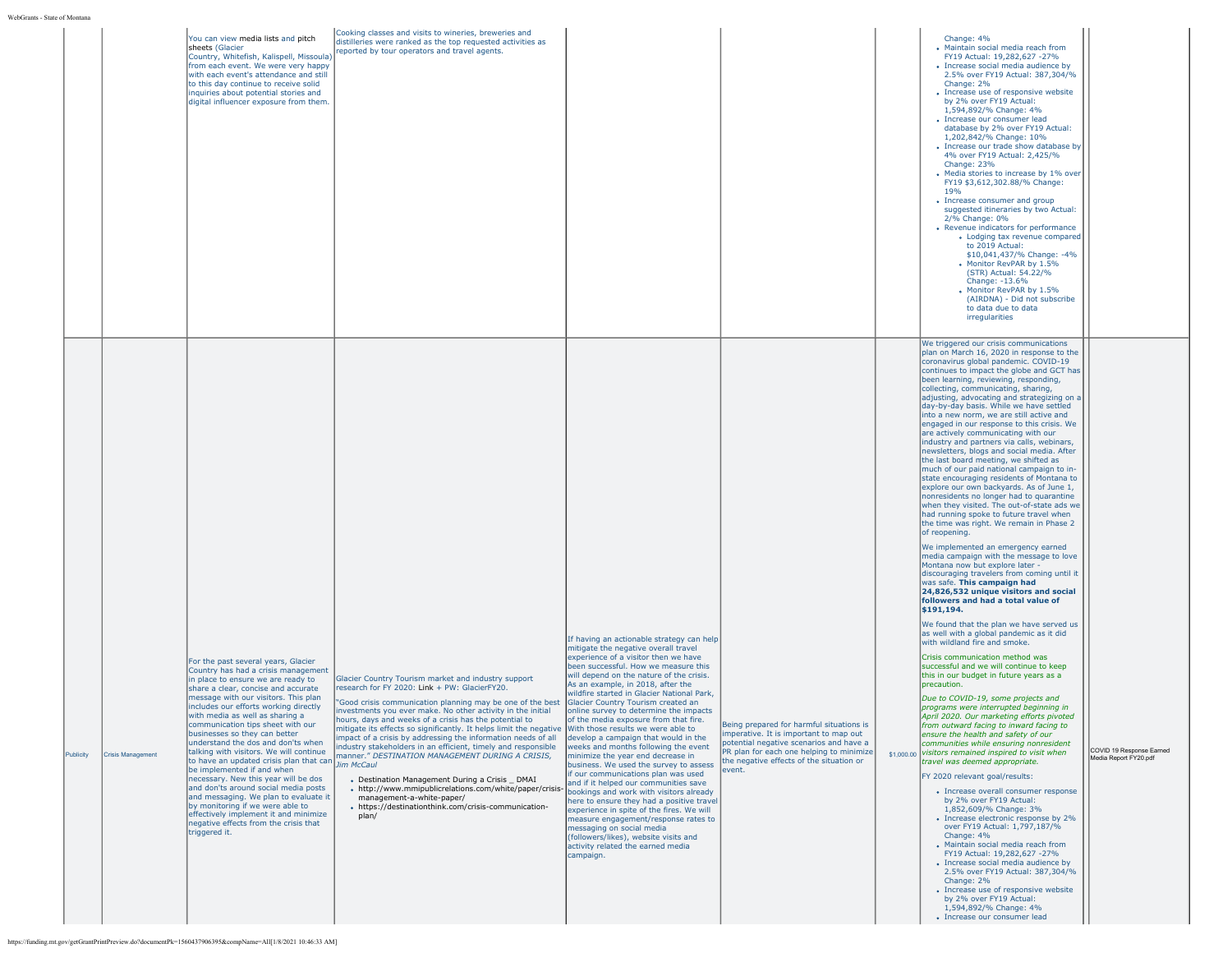|                                       | You can view media lists and pitch<br>sheets (Glacier<br>Country, Whitefish, Kalispell, Missoula)<br>from each event. We were very happy<br>with each event's attendance and still<br>to this day continue to receive solid<br>inquiries about potential stories and<br>digital influencer exposure from them.                                                                                                                                                                                                                                                                                                                                                                                                                                                                                                                                                                          | Cooking classes and visits to wineries, breweries and<br>distilleries were ranked as the top requested activities as<br>reported by tour operators and travel agents.                                                                                                                                                                                                                                                                                                                                                                                                                                                                                                                                                                                                                                                     |                                                                                                                                                                                                                                                                                                                                                                                                                                                                                                                                                                                                                                                                                                                                                                                                                                                                                                                                                                               |                                                                                                                                                                                                                                 | Change: 4%<br>• Maintain social media reach from<br>FY19 Actual: 19.282.627 -27%<br>• Increase social media audience by<br>2.5% over FY19 Actual: 387,304/%<br>Change: 2%<br>• Increase use of responsive website<br>by 2% over FY19 Actual:<br>1,594,892/% Change: 4%<br>· Increase our consumer lead<br>database by 2% over FY19 Actual:<br>1,202,842/% Change: 10%<br>• Increase our trade show database by<br>4% over FY19 Actual: 2,425/%<br>Change: 23%<br>• Media stories to increase by 1% over<br>FY19 \$3,612,302.88/% Change:<br>19 <sub>%</sub><br>• Increase consumer and group<br>suggested itineraries by two Actual:<br>2/% Change: 0%<br>• Revenue indicators for performance<br>• Lodging tax revenue compared<br>to 2019 Actual:<br>\$10,041,437/% Change: -4%<br>Monitor RevPAR by 1.5%<br>(STR) Actual: 54.22/%<br>Change: -13.6%<br>• Monitor RevPAR by 1.5%<br>(AIRDNA) - Did not subscribe<br>to data due to data<br>irregularities<br>We triggered our crisis communications                                                                                                                                                                                                                                                                                                                                                                                                                                                                                                                                                                                                                                                                                                                                                                                                                                                                                                                                                                                                                                                                                                                                                                                                                                                                                                                                                       |                                                   |
|---------------------------------------|-----------------------------------------------------------------------------------------------------------------------------------------------------------------------------------------------------------------------------------------------------------------------------------------------------------------------------------------------------------------------------------------------------------------------------------------------------------------------------------------------------------------------------------------------------------------------------------------------------------------------------------------------------------------------------------------------------------------------------------------------------------------------------------------------------------------------------------------------------------------------------------------|---------------------------------------------------------------------------------------------------------------------------------------------------------------------------------------------------------------------------------------------------------------------------------------------------------------------------------------------------------------------------------------------------------------------------------------------------------------------------------------------------------------------------------------------------------------------------------------------------------------------------------------------------------------------------------------------------------------------------------------------------------------------------------------------------------------------------|-------------------------------------------------------------------------------------------------------------------------------------------------------------------------------------------------------------------------------------------------------------------------------------------------------------------------------------------------------------------------------------------------------------------------------------------------------------------------------------------------------------------------------------------------------------------------------------------------------------------------------------------------------------------------------------------------------------------------------------------------------------------------------------------------------------------------------------------------------------------------------------------------------------------------------------------------------------------------------|---------------------------------------------------------------------------------------------------------------------------------------------------------------------------------------------------------------------------------|-------------------------------------------------------------------------------------------------------------------------------------------------------------------------------------------------------------------------------------------------------------------------------------------------------------------------------------------------------------------------------------------------------------------------------------------------------------------------------------------------------------------------------------------------------------------------------------------------------------------------------------------------------------------------------------------------------------------------------------------------------------------------------------------------------------------------------------------------------------------------------------------------------------------------------------------------------------------------------------------------------------------------------------------------------------------------------------------------------------------------------------------------------------------------------------------------------------------------------------------------------------------------------------------------------------------------------------------------------------------------------------------------------------------------------------------------------------------------------------------------------------------------------------------------------------------------------------------------------------------------------------------------------------------------------------------------------------------------------------------------------------------------------------------------------------------------------------------------------------------------------------------------------------------------------------------------------------------------------------------------------------------------------------------------------------------------------------------------------------------------------------------------------------------------------------------------------------------------------------------------------------------------------------------------------------------------------------------------------------|---------------------------------------------------|
| <b>Crisis Management</b><br>Publicity | For the past several years, Glacier<br>Country has had a crisis management<br>in place to ensure we are ready to<br>share a clear, concise and accurate<br>message with our visitors. This plan<br>includes our efforts working directly<br>with media as well as sharing a<br>nmunication tips sheet with our<br>businesses so they can better<br>understand the dos and don'ts when<br>talking with visitors. We will continue<br>to have an updated crisis plan that can<br>be implemented if and when<br>necessary. New this year will be dos<br>and don'ts around social media posts<br>and messaging. We plan to evaluate it<br>by monitoring if we were able to<br>effectively implement it and minimize<br>negative effects from the crisis that<br>triggered it.<br>https://funding.mt.gov/getGrantPrintPreview.do?documentPk=1560437906395&compName=All[1/8/2021 10:46:33 AM] | Glacier Country Tourism market and industry support<br>research for FY 2020: Link + PW: GlacierFY20.<br>'Good crisis communication planning may be one of the best<br>investments you ever make. No other activity in the initial<br>hours, days and weeks of a crisis has the potential to<br>mitigate its effects so significantly. It helps limit the negative With those results we were able to<br>impact of a crisis by addressing the information needs of all<br>industry stakeholders in an efficient, timely and responsible<br>manner." DESTINATION MANAGEMENT DURING A CRISIS,<br><b>Jim McCaul</b><br>• Destination Management During a Crisis DMAI<br>• http://www.mmipublicrelations.com/white/paper/crisis-<br>management-a-white-paper/<br>- https://destinationthink.com/crisis-communication-<br>plan/ | If having an actionable strategy can help<br>mitigate the negative overall travel<br>experience of a visitor then we have<br>been successful. How we measure this<br>will depend on the nature of the crisis.<br>As an example, in 2018, after the<br>wildfire started in Glacier National Park.<br>Glacier Country Tourism created an<br>online survey to determine the impacts<br>of the media exposure from that fire.<br>develop a campaign that would in the<br>weeks and months following the event<br>minimize the year end decrease in<br>business. We used the survey to assess<br>if our communications plan was used<br>and if it helped our communities save<br>bookings and work with visitors already<br>here to ensure they had a positive travel<br>experience in spite of the fires. We will<br>measure engagement/response rates to<br>messaging on social media<br>(followers/likes), website visits and<br>activity related the earned media<br>campaign. | Being prepared for harmful situations is<br>imperative. It is important to map out<br>potential negative scenarios and have a<br>PR plan for each one helping to minimize<br>the negative effects of the situation or<br>event. | plan on March 16, 2020 in response to the<br>coronavirus global pandemic. COVID-19<br>continues to impact the globe and GCT has<br>been learning, reviewing, responding,<br>collecting, communicating, sharing,<br>adjusting, advocating and strategizing on a<br>day-by-day basis. While we have settled<br>into a new norm, we are still active and<br>engaged in our response to this crisis. We<br>are actively communicating with our<br>industry and partners via calls, webinars,<br>newsletters, blogs and social media. After<br>the last board meeting, we shifted as<br>much of our paid national campaign to in-<br>state encouraging residents of Montana to<br>explore our own backyards. As of June 1,<br>nonresidents no longer had to quarantine<br>when they visited. The out-of-state ads we<br>had running spoke to future travel when<br>the time was right. We remain in Phase 2<br>of reopening.<br>We implemented an emergency earned<br>media campaign with the message to love<br>Montana now but explore later -<br>discouraging travelers from coming until it<br>was safe. This campaign had<br>24,826,532 unique visitors and social<br>followers and had a total value of<br>\$191,194.<br>We found that the plan we have served us<br>as well with a global pandemic as it did<br>with wildland fire and smoke.<br>Crisis communication method was<br>successful and we will continue to keep<br>this in our budget in future years as a<br>precaution.<br>Due to COVID-19, some projects and<br>programs were interrupted beginning in<br>April 2020. Our marketing efforts pivoted<br>rrom outward facing to inward facing to<br>ensure the health and safety of our<br>communities while ensuring nonresident<br>\$1,000.00 visitors remained inspired to visit when<br>travel was deemed appropriate.<br>FY 2020 relevant goal/results:<br>• Increase overall consumer response<br>by 2% over FY19 Actual:<br>1,852,609/% Change: 3%<br>• Increase electronic response by 2%<br>over FY19 Actual: 1,797,187/%<br>Change: 4%<br>· Maintain social media reach from<br>FY19 Actual: 19,282,627 -27%<br>• Increase social media audience by<br>2.5% over FY19 Actual: 387,304/%<br>Change: 2%<br>• Increase use of responsive website<br>by 2% over FY19 Actual:<br>1,594,892/% Change: 4%<br>• Increase our consumer lead | COVID 19 Response Earned<br>Media Report FY20.pdf |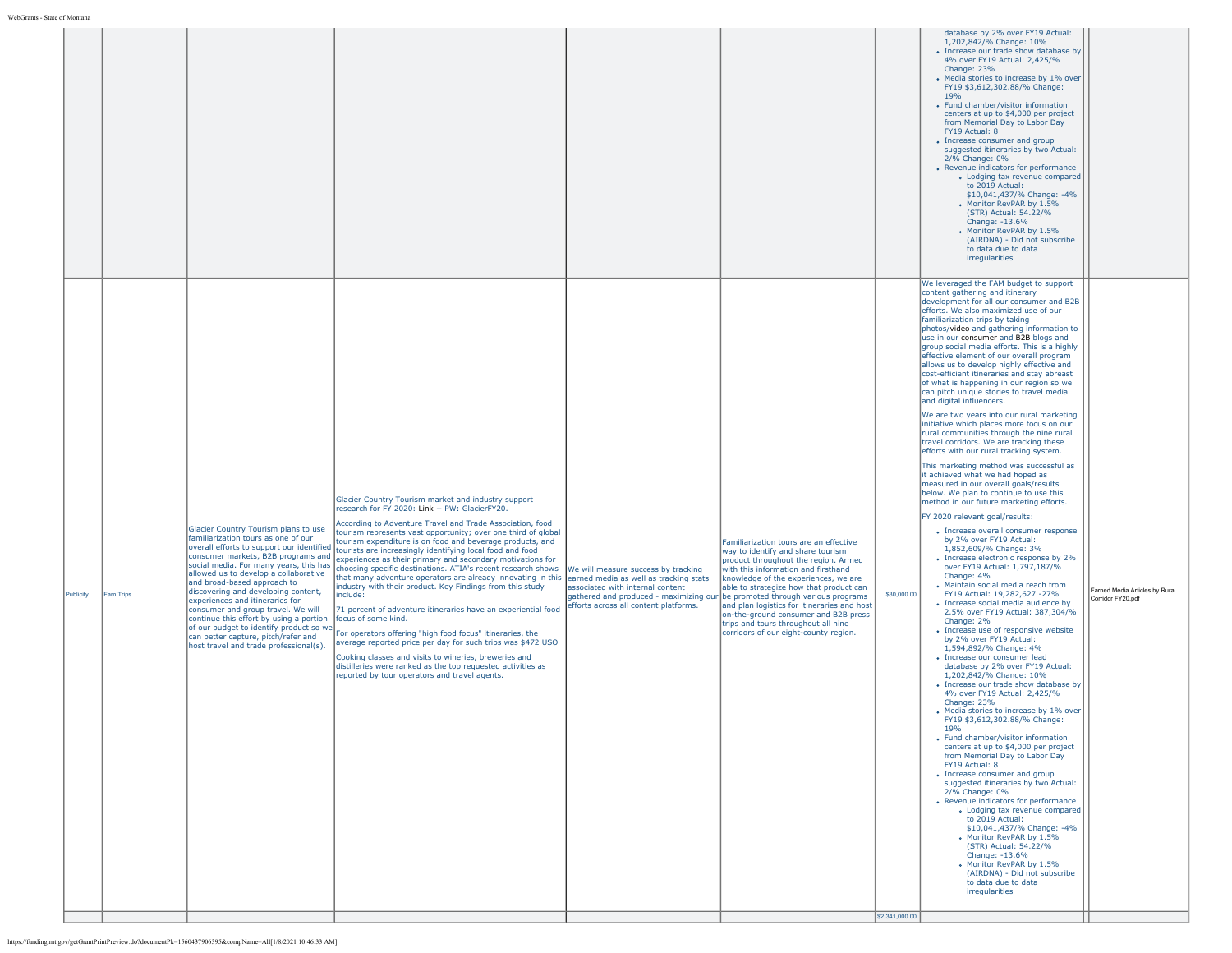| database by 2% over FY19 Actual:<br>1,202,842/% Change: 10%<br>• Increase our trade show database by<br>4% over FY19 Actual: 2,425/%<br>Change: 23%<br>• Media stories to increase by 1% over<br>FY19 \$3,612,302.88/% Change:<br><b>19%</b><br>• Fund chamber/visitor information<br>centers at up to \$4,000 per project<br>from Memorial Day to Labor Day<br>FY19 Actual: 8<br>• Increase consumer and group<br>suggested itineraries by two Actual:<br>2/% Change: 0%<br>• Revenue indicators for performance<br>• Lodging tax revenue compared<br>to 2019 Actual:<br>\$10,041,437/% Change: -4%<br>Monitor RevPAR by 1.5%<br>(STR) Actual: 54.22/%<br>Change: -13.6%<br>. Monitor RevPAR by 1.5%<br>(AIRDNA) - Did not subscribe<br>to data due to data<br>irregularities<br>We leveraged the FAM budget to support<br>content gathering and itinerary<br>development for all our consumer and B2B<br>efforts. We also maximized use of our<br>familiarization trips by taking<br>photos/video and gathering information to<br>use in our consumer and B2B blogs and<br>group social media efforts. This is a highly<br>effective element of our overall program<br>allows us to develop highly effective and<br>cost-efficient itineraries and stay abreast<br>of what is happening in our region so we<br>can pitch unique stories to travel media<br>and digital influencers.<br>We are two years into our rural marketing<br>initiative which places more focus on our<br>rural communities through the nine rural<br>travel corridors. We are tracking these<br>efforts with our rural tracking system.<br>This marketing method was successful as<br>it achieved what we had hoped as<br>measured in our overall goals/results<br>below. We plan to continue to use this<br>Glacier Country Tourism market and industry support<br>method in our future marketing efforts.<br>research for FY 2020: Link + PW: GlacierFY20.<br>FY 2020 relevant goal/results:<br>According to Adventure Travel and Trade Association, food<br>Glacier Country Tourism plans to use<br>• Increase overall consumer response<br>tourism represents vast opportunity; over one third of global<br>familiarization tours as one of our<br>by 2% over FY19 Actual:<br>tourism expenditure is on food and beverage products, and<br>Familiarization tours are an effective<br>overall efforts to support our identified<br>1,852,609/% Change: 3%<br>tourists are increasingly identifying local food and food<br>way to identify and share tourism<br>consumer markets, B2B programs and<br>• Increase electronic response by 2%<br>experiences as their primary and secondary motivations for<br>product throughout the region. Armed<br>social media. For many years, this has<br>over FY19 Actual: 1,797,187/%<br>hoosing specific destinations. ATIA's recent research shows<br>with this information and firsthand<br>We will measure success by tracking<br>allowed us to develop a collaborative<br>Change: 4%<br>that many adventure operators are already innovating in this<br>earned media as well as tracking stats<br>knowledge of the experiences, we are<br>and broad-based approach to<br>• Maintain social media reach from<br>industry with their product. Key Findings from this study<br>associated with internal content<br>able to strategize how that product can<br>Earned Media Articles by Rural<br>discovering and developing content,<br>\$30,000.00<br>FY19 Actual: 19,282,627 -27%<br>Publicity<br>Fam Trips<br>nclude:<br>gathered and produced - maximizing our be promoted through various programs<br>Corridor FY20.pdf<br>experiences and itineraries for<br>• Increase social media audience by<br>efforts across all content platforms.<br>and plan logistics for itineraries and host<br>consumer and group travel. We will<br>71 percent of adventure itineraries have an experiential food<br>2.5% over FY19 Actual: 387,304/%<br>on-the-ground consumer and B2B press<br>continue this effort by using a portion<br>focus of some kind.<br>Change: 2%<br>trips and tours throughout all nine<br>of our budget to identify product so we<br>• Increase use of responsive website<br>corridors of our eight-county region.<br>For operators offering "high food focus" itineraries, the<br>can better capture, pitch/refer and<br>by 2% over FY19 Actual:<br>average reported price per day for such trips was \$472 USO<br>host travel and trade professional(s).<br>1,594,892/% Change: 4%<br>• Increase our consumer lead<br>Cooking classes and visits to wineries, breweries and<br>distilleries were ranked as the top requested activities as<br>database by 2% over FY19 Actual:<br>reported by tour operators and travel agents.<br>1,202,842/% Change: 10%<br>• Increase our trade show database by<br>4% over FY19 Actual: 2,425/%<br>Change: 23%<br>• Media stories to increase by 1% over<br>FY19 \$3,612,302.88/% Change:<br>19%<br>• Fund chamber/visitor information<br>centers at up to \$4,000 per project<br>from Memorial Day to Labor Day<br>FY19 Actual: 8<br>• Increase consumer and group<br>suggested itineraries by two Actual:<br>2/% Change: 0%<br>• Revenue indicators for performance<br>• Lodging tax revenue compared<br>to 2019 Actual:<br>\$10,041,437/% Change: -4%<br>Monitor RevPAR by 1.5%<br>(STR) Actual: 54.22/%<br>Change: -13.6%<br>Monitor RevPAR by 1.5%<br>(AIRDNA) - Did not subscribe<br>to data due to data<br>irregularities<br>\$2,341,000.00 | le of Montana |  |  |  |  |
|-------------------------------------------------------------------------------------------------------------------------------------------------------------------------------------------------------------------------------------------------------------------------------------------------------------------------------------------------------------------------------------------------------------------------------------------------------------------------------------------------------------------------------------------------------------------------------------------------------------------------------------------------------------------------------------------------------------------------------------------------------------------------------------------------------------------------------------------------------------------------------------------------------------------------------------------------------------------------------------------------------------------------------------------------------------------------------------------------------------------------------------------------------------------------------------------------------------------------------------------------------------------------------------------------------------------------------------------------------------------------------------------------------------------------------------------------------------------------------------------------------------------------------------------------------------------------------------------------------------------------------------------------------------------------------------------------------------------------------------------------------------------------------------------------------------------------------------------------------------------------------------------------------------------------------------------------------------------------------------------------------------------------------------------------------------------------------------------------------------------------------------------------------------------------------------------------------------------------------------------------------------------------------------------------------------------------------------------------------------------------------------------------------------------------------------------------------------------------------------------------------------------------------------------------------------------------------------------------------------------------------------------------------------------------------------------------------------------------------------------------------------------------------------------------------------------------------------------------------------------------------------------------------------------------------------------------------------------------------------------------------------------------------------------------------------------------------------------------------------------------------------------------------------------------------------------------------------------------------------------------------------------------------------------------------------------------------------------------------------------------------------------------------------------------------------------------------------------------------------------------------------------------------------------------------------------------------------------------------------------------------------------------------------------------------------------------------------------------------------------------------------------------------------------------------------------------------------------------------------------------------------------------------------------------------------------------------------------------------------------------------------------------------------------------------------------------------------------------------------------------------------------------------------------------------------------------------------------------------------------------------------------------------------------------------------------------------------------------------------------------------------------------------------------------------------------------------------------------------------------------------------------------------------------------------------------------------------------------------------------------------------------------------------------------------------------------------------------------------------------------------------------------------------------------------------------------------------------------------------------------------------------------------------------------------------------------------------------------------------------------------------------------------------------------------------------------------------------------------------------------------------------------------------------------------------------------------------------------------------------------------------------------------------------------------------------------------------------------------------------------------------------------------------------------------------------------------------------------------------------------------------------------------|---------------|--|--|--|--|
|                                                                                                                                                                                                                                                                                                                                                                                                                                                                                                                                                                                                                                                                                                                                                                                                                                                                                                                                                                                                                                                                                                                                                                                                                                                                                                                                                                                                                                                                                                                                                                                                                                                                                                                                                                                                                                                                                                                                                                                                                                                                                                                                                                                                                                                                                                                                                                                                                                                                                                                                                                                                                                                                                                                                                                                                                                                                                                                                                                                                                                                                                                                                                                                                                                                                                                                                                                                                                                                                                                                                                                                                                                                                                                                                                                                                                                                                                                                                                                                                                                                                                                                                                                                                                                                                                                                                                                                                                                                                                                                                                                                                                                                                                                                                                                                                                                                                                                                                                                                                                                                                                                                                                                                                                                                                                                                                                                                                                                                                                                                               |               |  |  |  |  |
|                                                                                                                                                                                                                                                                                                                                                                                                                                                                                                                                                                                                                                                                                                                                                                                                                                                                                                                                                                                                                                                                                                                                                                                                                                                                                                                                                                                                                                                                                                                                                                                                                                                                                                                                                                                                                                                                                                                                                                                                                                                                                                                                                                                                                                                                                                                                                                                                                                                                                                                                                                                                                                                                                                                                                                                                                                                                                                                                                                                                                                                                                                                                                                                                                                                                                                                                                                                                                                                                                                                                                                                                                                                                                                                                                                                                                                                                                                                                                                                                                                                                                                                                                                                                                                                                                                                                                                                                                                                                                                                                                                                                                                                                                                                                                                                                                                                                                                                                                                                                                                                                                                                                                                                                                                                                                                                                                                                                                                                                                                                               |               |  |  |  |  |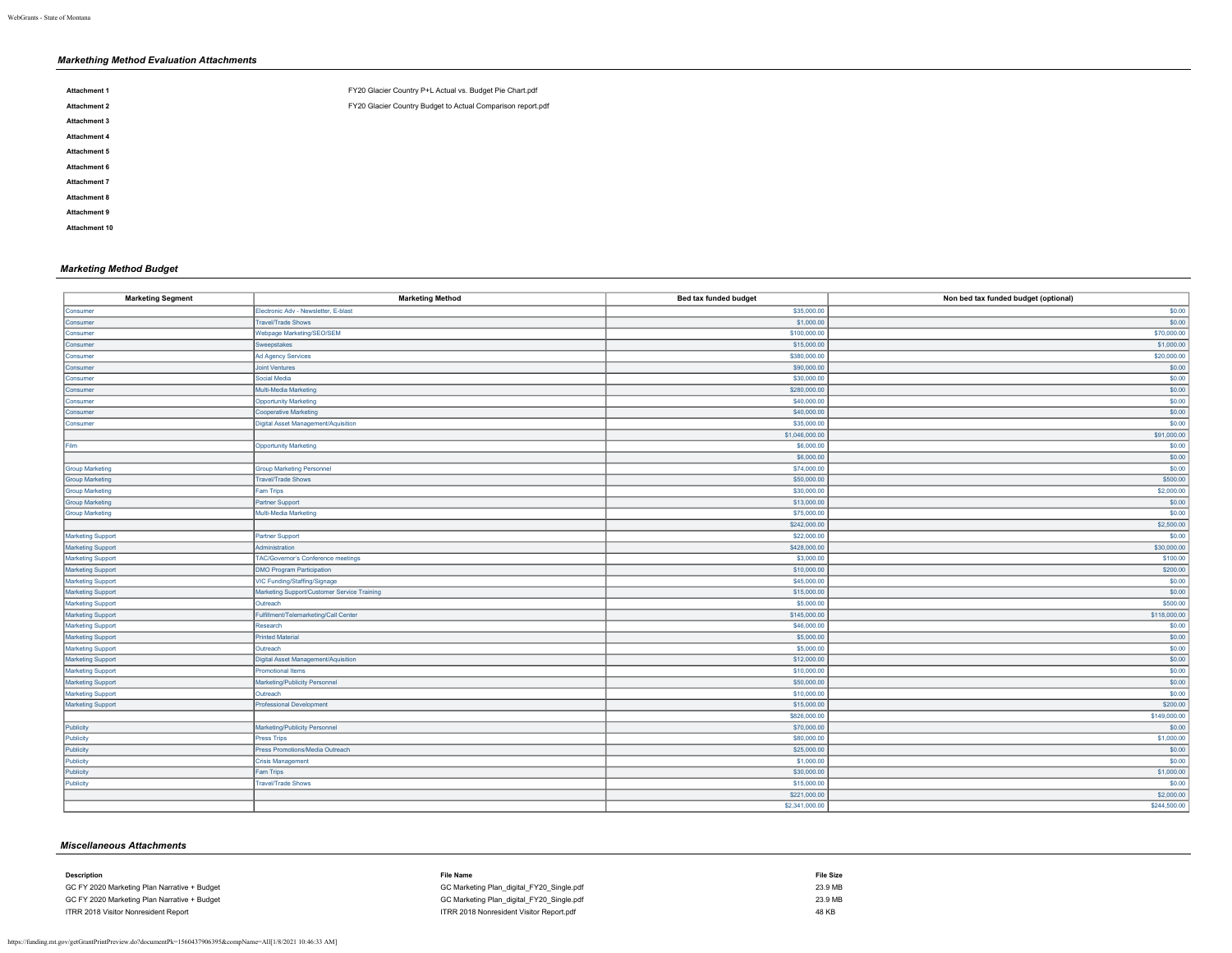# *Markething Method Evaluation Attachments*

| <b>Attachment 1</b> | FY20 Glacier Country P+L Actual vs. Budget Pie Chart.pdf    |
|---------------------|-------------------------------------------------------------|
| <b>Attachment 2</b> | FY20 Glacier Country Budget to Actual Comparison report.pdf |
| <b>Attachment 3</b> |                                                             |
| <b>Attachment 4</b> |                                                             |
| Attachment 5        |                                                             |
| Attachment 6        |                                                             |
| Attachment 7        |                                                             |
| <b>Attachment 8</b> |                                                             |
| <b>Attachment 9</b> |                                                             |
| Attachment 10       |                                                             |

## *Marketing Method Budget*

| <b>Marketing Segment</b> | <b>Marketing Method</b>                     | Bed tax funded budget | Non bed tax funded budget (optional) |
|--------------------------|---------------------------------------------|-----------------------|--------------------------------------|
| Consumer                 | Electronic Adv - Newsletter, E-blast        | \$35,000.00           | \$0.00                               |
| Consumer                 | <b>Travel/Trade Shows</b>                   | \$1,000.00            | \$0.00                               |
| Consumer                 | Webpage Marketing/SEO/SEM                   | \$100,000.00          | \$70,000.00                          |
| Consumer                 | Sweepstakes                                 | \$15,000.00           | \$1,000.00                           |
| Consumer                 | Ad Agency Services                          | \$380,000.00          | \$20,000.00                          |
| Consumer                 | <b>Joint Ventures</b>                       | \$90,000.00           | \$0.00                               |
| Consumer                 | Social Media                                | \$30,000.00           | \$0.00                               |
| Consumer                 | Multi-Media Marketing                       | \$280,000.00          | \$0.00                               |
| Consumer                 | <b>Opportunity Marketing</b>                | \$40,000.00           | \$0.00                               |
| Consumer                 | <b>Cooperative Marketing</b>                | \$40,000.00           | \$0.00                               |
| Consumer                 | Digital Asset Management/Aquisition         | \$35,000.00           | \$0.00                               |
|                          |                                             | \$1,046,000.00        | \$91,000.00                          |
| Film                     | <b>Opportunity Marketing</b>                | \$6,000.00            | \$0.00                               |
|                          |                                             | \$6,000.00            | \$0.00                               |
| <b>Group Marketing</b>   | <b>Group Marketing Personnel</b>            | \$74,000.00           | \$0.00                               |
| <b>Group Marketing</b>   | <b>Travel/Trade Shows</b>                   | \$50,000.00           | \$500.00                             |
| Group Marketing          | Fam Trips                                   | \$30,000.00           | \$2,000.00                           |
| <b>Group Marketing</b>   | Partner Support                             | \$13,000.00           | \$0.00                               |
| <b>Group Marketing</b>   | Multi-Media Marketing                       | \$75,000.00           | \$0.00                               |
|                          |                                             | \$242,000.00          | \$2,500.00                           |
| Marketing Support        | <b>Partner Support</b>                      | \$22,000.00           | \$0.00                               |
| Marketing Support        | Administration                              | \$428,000.00          | \$30,000.00                          |
| Marketing Support        | <b>TAC/Governor's Conference meetings</b>   | \$3,000.00            | \$100.00                             |
| Marketing Support        | <b>DMO Program Participation</b>            | \$10,000.00           | \$200.00                             |
| Marketing Support        | VIC Funding/Staffing/Signage                | \$45,000.00           | \$0.00                               |
| Marketing Support        | Marketing Support/Customer Service Training | \$15,000.00           | \$0.00                               |
| Marketing Support        | Outreach                                    | \$5,000.00            | \$500.00                             |
| Marketing Support        | Fulfillment/Telemarketing/Call Center       | \$145,000.00          | \$118,000.00                         |
| <b>Marketing Support</b> | Research                                    | \$46,000.00           | \$0.00                               |
| Marketing Support        | <b>Printed Material</b>                     | \$5,000.00            | \$0.00                               |
| <b>Marketing Support</b> | Outreach                                    | \$5,000.00            | \$0.00                               |
| Marketing Support        | Digital Asset Management/Aquisition         | \$12,000.00           | \$0.00                               |
| Marketing Support        | <b>Promotional Items</b>                    | \$10,000.00           | \$0.00                               |
| Marketing Support        | Marketing/Publicity Personnel               | \$50,000.00           | \$0.00                               |
| Marketing Support        | Outreach                                    | \$10,000.00           | \$0.00                               |
| <b>Marketing Support</b> | <b>Professional Development</b>             | \$15,000.00           | \$200.00                             |
|                          |                                             | \$826,000.00          | \$149,000.00                         |
| Publicity                | Marketing/Publicity Personnel               | \$70,000.00           | \$0.00                               |
| Publicity                | <b>Press Trips</b>                          | \$80,000.00           | \$1,000.00                           |
| Publicity                | Press Promotions/Media Outreach             | \$25,000.00           | \$0.00                               |
| Publicity                | <b>Crisis Management</b>                    | \$1,000.00            | \$0.00                               |
| Publicity                | <b>Fam Trips</b>                            | \$30,000.00           | \$1,000.00                           |
| Publicity                | <b>Travel/Trade Shows</b>                   | \$15,000.00           | \$0.00                               |
|                          |                                             | \$221,000.00          | \$2,000.00                           |
|                          |                                             | \$2,341,000.00        | \$244,500.00                         |
|                          |                                             |                       |                                      |

## *Miscellaneous Attachments*

| Description                                  | File Name                                 | <b>File Size</b> |
|----------------------------------------------|-------------------------------------------|------------------|
| GC FY 2020 Marketing Plan Narrative + Budget | GC Marketing Plan digital FY20 Single.pdf | 23.9 MB          |
| GC FY 2020 Marketing Plan Narrative + Budget | GC Marketing Plan digital FY20 Single.pdf | 23.9 MB          |
| ITRR 2018 Visitor Nonresident Report         | ITRR 2018 Nonresident Visitor Report.pdf  | 48 KB            |
|                                              |                                           |                  |